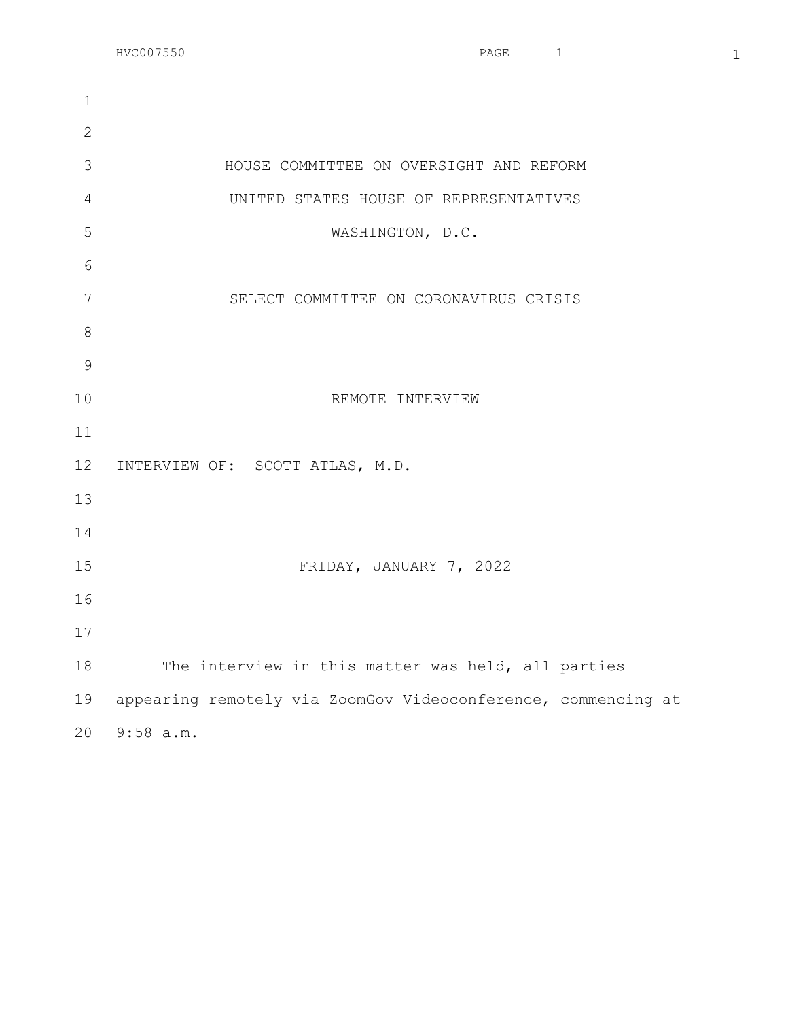$HVC007550$  and  $HVC007550$  1

 HOUSE COMMITTEE ON OVERSIGHT AND REFORM UNITED STATES HOUSE OF REPRESENTATIVES WASHINGTON, D.C. SELECT COMMITTEE ON CORONAVIRUS CRISIS REMOTE INTERVIEW INTERVIEW OF: SCOTT ATLAS, M.D. FRIDAY, JANUARY 7, 2022 The interview in this matter was held, all parties appearing remotely via ZoomGov Videoconference, commencing at 9:58 a.m.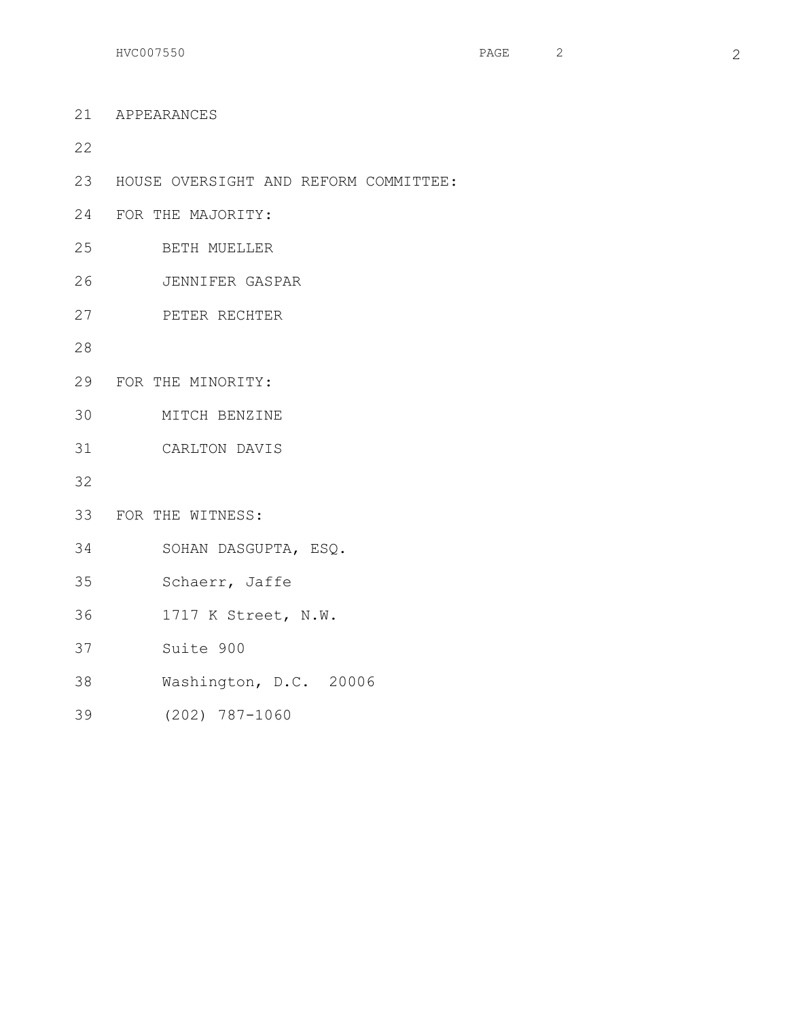$HVC007550$  2

 APPEARANCES HOUSE OVERSIGHT AND REFORM COMMITTEE: FOR THE MAJORITY: BETH MUELLER JENNIFER GASPAR PETER RECHTER FOR THE MINORITY: MITCH BENZINE CARLTON DAVIS FOR THE WITNESS: SOHAN DASGUPTA, ESQ. Schaerr, Jaffe 1717 K Street, N.W. Suite 900 Washington, D.C. 20006 (202) 787-1060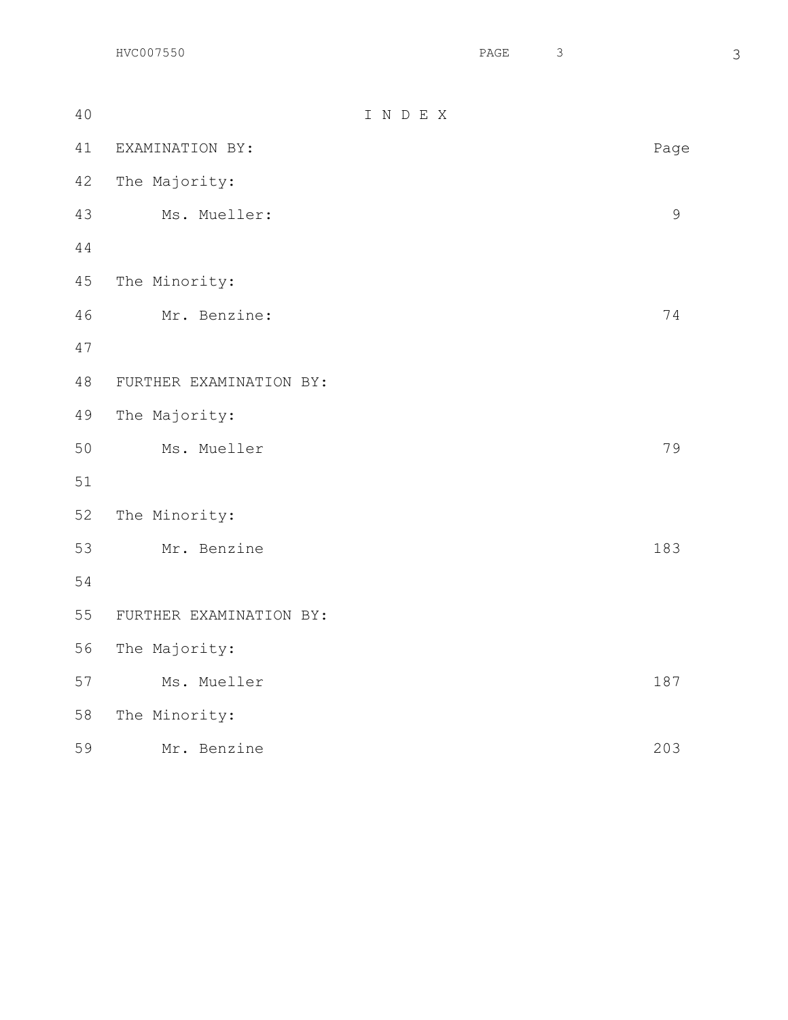| 40 |                         | INDEX |               |
|----|-------------------------|-------|---------------|
| 41 | EXAMINATION BY:         |       | Page          |
| 42 | The Majority:           |       |               |
| 43 | Ms. Mueller:            |       | $\mathcal{G}$ |
| 44 |                         |       |               |
| 45 | The Minority:           |       |               |
| 46 | Mr. Benzine:            |       | 74            |
| 47 |                         |       |               |
| 48 | FURTHER EXAMINATION BY: |       |               |
| 49 | The Majority:           |       |               |
| 50 | Ms. Mueller             |       | 79            |
| 51 |                         |       |               |
| 52 | The Minority:           |       |               |
| 53 | Mr. Benzine             |       | 183           |
| 54 |                         |       |               |
| 55 | FURTHER EXAMINATION BY: |       |               |
| 56 | The Majority:           |       |               |
| 57 | Ms. Mueller             |       | 187           |
| 58 | The Minority:           |       |               |
| 59 | Mr. Benzine             |       | 203           |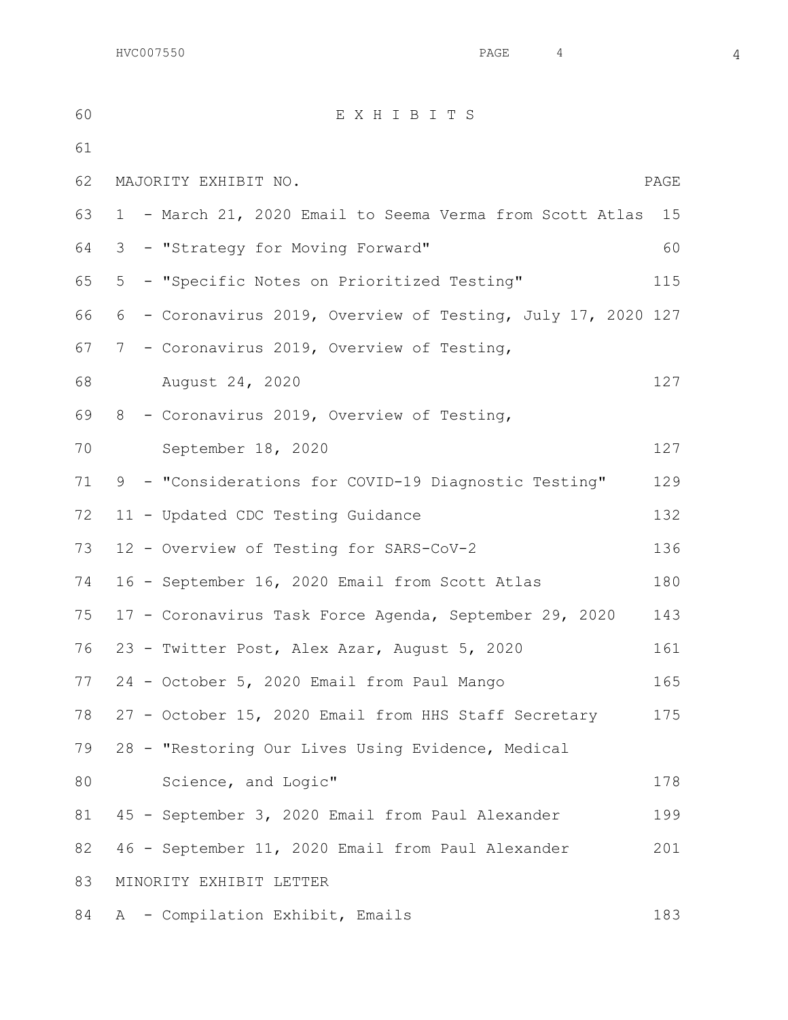$HVC007550$  and  $4$   $4$ 

 E X H I B I T S MAJORITY EXHIBIT NO. PAGE 1 - March 21, 2020 Email to Seema Verma from Scott Atlas 15 3 - "Strategy for Moving Forward" 60 5 - "Specific Notes on Prioritized Testing" 115 6 - Coronavirus 2019, Overview of Testing, July 17, 2020 127 7 - Coronavirus 2019, Overview of Testing, August 24, 2020 127 8 - Coronavirus 2019, Overview of Testing, 70 September 18, 2020 127 9 - "Considerations for COVID-19 Diagnostic Testing" 129 72 11 - Updated CDC Testing Guidance 132 12 - Overview of Testing for SARS-CoV-2 136 16 - September 16, 2020 Email from Scott Atlas 180 17 - Coronavirus Task Force Agenda, September 29, 2020 143 23 - Twitter Post, Alex Azar, August 5, 2020 161 24 - October 5, 2020 Email from Paul Mango 165 27 - October 15, 2020 Email from HHS Staff Secretary 175 28 - "Restoring Our Lives Using Evidence, Medical 80 Science, and Logic" 178 81 45 - September 3, 2020 Email from Paul Alexander 199 46 - September 11, 2020 Email from Paul Alexander 201 MINORITY EXHIBIT LETTER A - Compilation Exhibit, Emails 183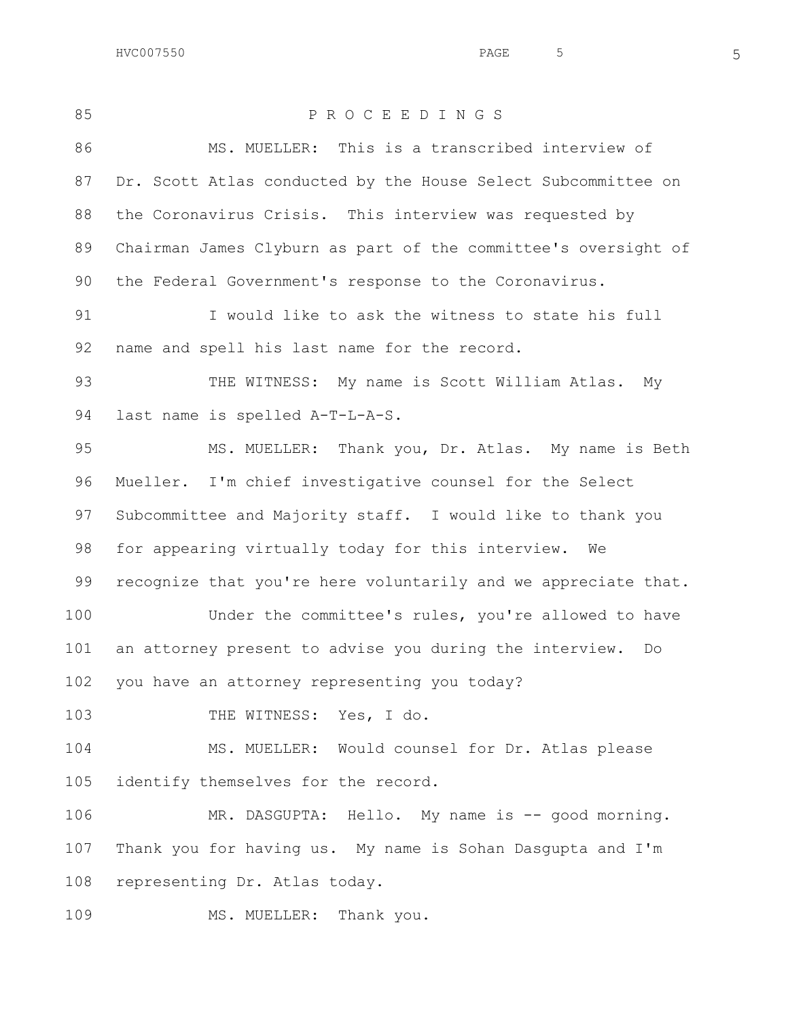$HVC007550$  5

 P R O C E E D I N G S MS. MUELLER: This is a transcribed interview of Dr. Scott Atlas conducted by the House Select Subcommittee on the Coronavirus Crisis. This interview was requested by Chairman James Clyburn as part of the committee's oversight of the Federal Government's response to the Coronavirus. I would like to ask the witness to state his full name and spell his last name for the record. 93 THE WITNESS: My name is Scott William Atlas. My last name is spelled A-T-L-A-S. MS. MUELLER: Thank you, Dr. Atlas. My name is Beth Mueller. I'm chief investigative counsel for the Select Subcommittee and Majority staff. I would like to thank you for appearing virtually today for this interview. We recognize that you're here voluntarily and we appreciate that. Under the committee's rules, you're allowed to have an attorney present to advise you during the interview. Do you have an attorney representing you today? 103 THE WITNESS: Yes, I do. MS. MUELLER: Would counsel for Dr. Atlas please identify themselves for the record. 106 MR. DASGUPTA: Hello. My name is -- good morning. Thank you for having us. My name is Sohan Dasgupta and I'm representing Dr. Atlas today. 109 MS. MUELLER: Thank you.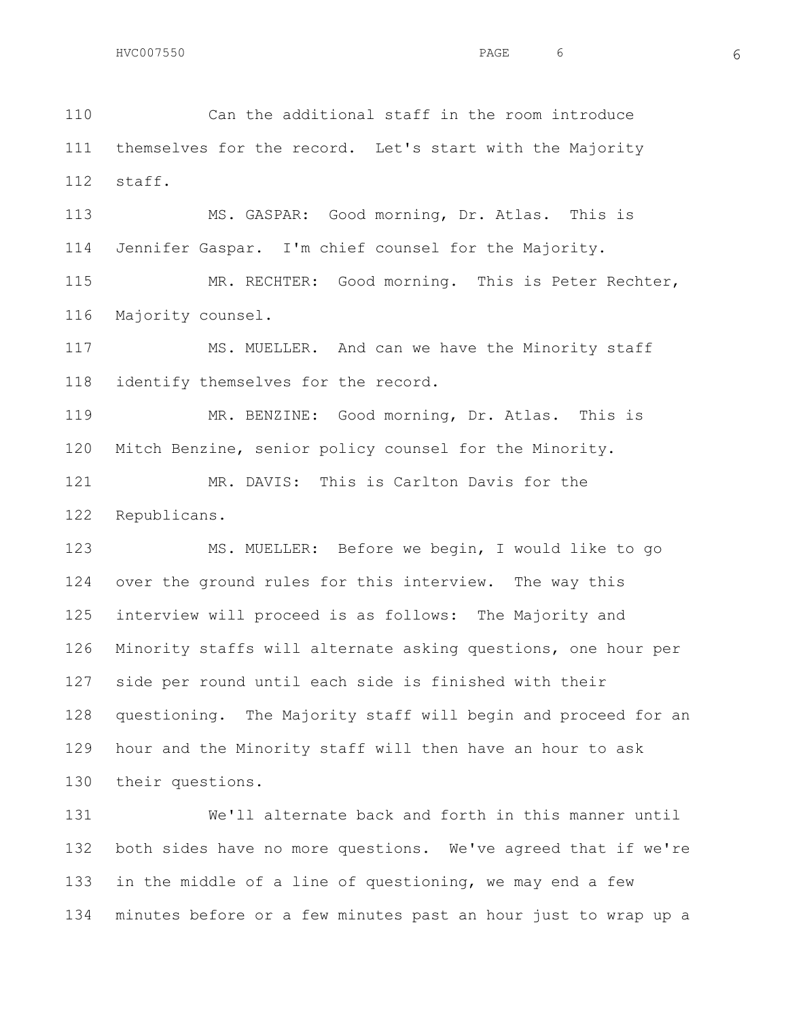Can the additional staff in the room introduce themselves for the record. Let's start with the Majority staff.

 MS. GASPAR: Good morning, Dr. Atlas. This is Jennifer Gaspar. I'm chief counsel for the Majority.

 MR. RECHTER: Good morning. This is Peter Rechter, Majority counsel.

 MS. MUELLER. And can we have the Minority staff identify themselves for the record.

 MR. BENZINE: Good morning, Dr. Atlas. This is Mitch Benzine, senior policy counsel for the Minority.

121 MR. DAVIS: This is Carlton Davis for the Republicans.

 MS. MUELLER: Before we begin, I would like to go over the ground rules for this interview. The way this interview will proceed is as follows: The Majority and Minority staffs will alternate asking questions, one hour per side per round until each side is finished with their questioning. The Majority staff will begin and proceed for an hour and the Minority staff will then have an hour to ask their questions.

 We'll alternate back and forth in this manner until both sides have no more questions. We've agreed that if we're in the middle of a line of questioning, we may end a few minutes before or a few minutes past an hour just to wrap up a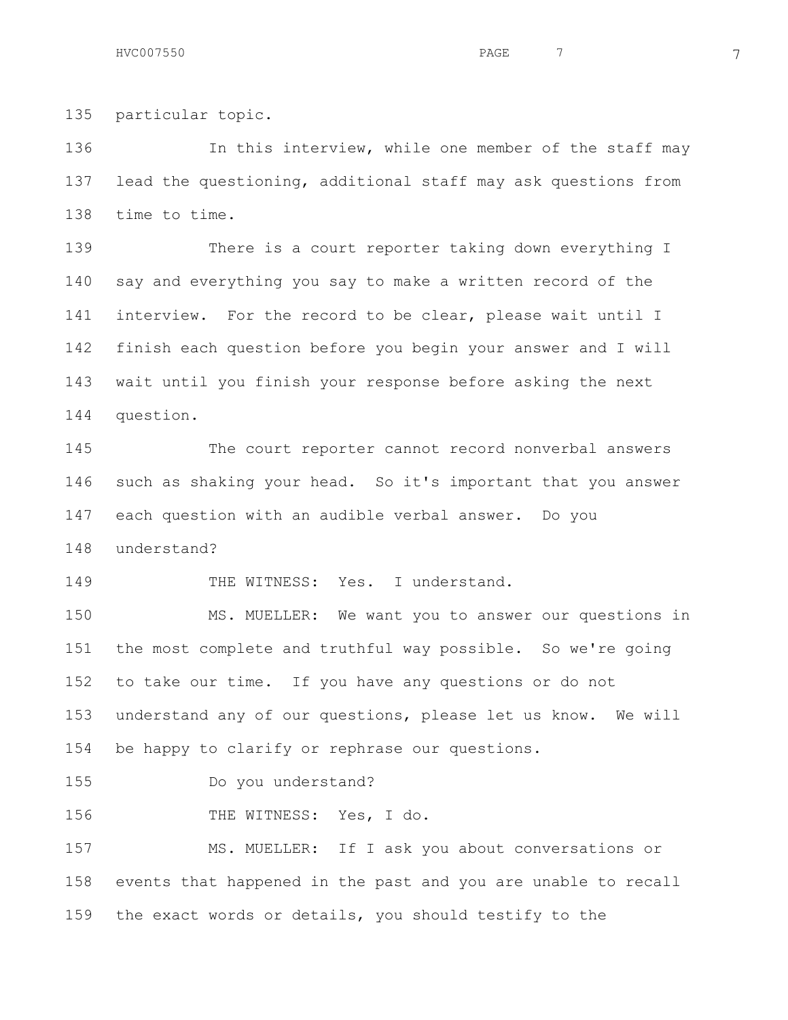particular topic.

136 In this interview, while one member of the staff may lead the questioning, additional staff may ask questions from time to time.

 There is a court reporter taking down everything I say and everything you say to make a written record of the interview. For the record to be clear, please wait until I finish each question before you begin your answer and I will wait until you finish your response before asking the next question.

 The court reporter cannot record nonverbal answers such as shaking your head. So it's important that you answer each question with an audible verbal answer. Do you understand?

149 THE WITNESS: Yes. I understand.

 MS. MUELLER: We want you to answer our questions in the most complete and truthful way possible. So we're going to take our time. If you have any questions or do not understand any of our questions, please let us know. We will be happy to clarify or rephrase our questions.

Do you understand?

156 THE WITNESS: Yes, I do.

 MS. MUELLER: If I ask you about conversations or events that happened in the past and you are unable to recall the exact words or details, you should testify to the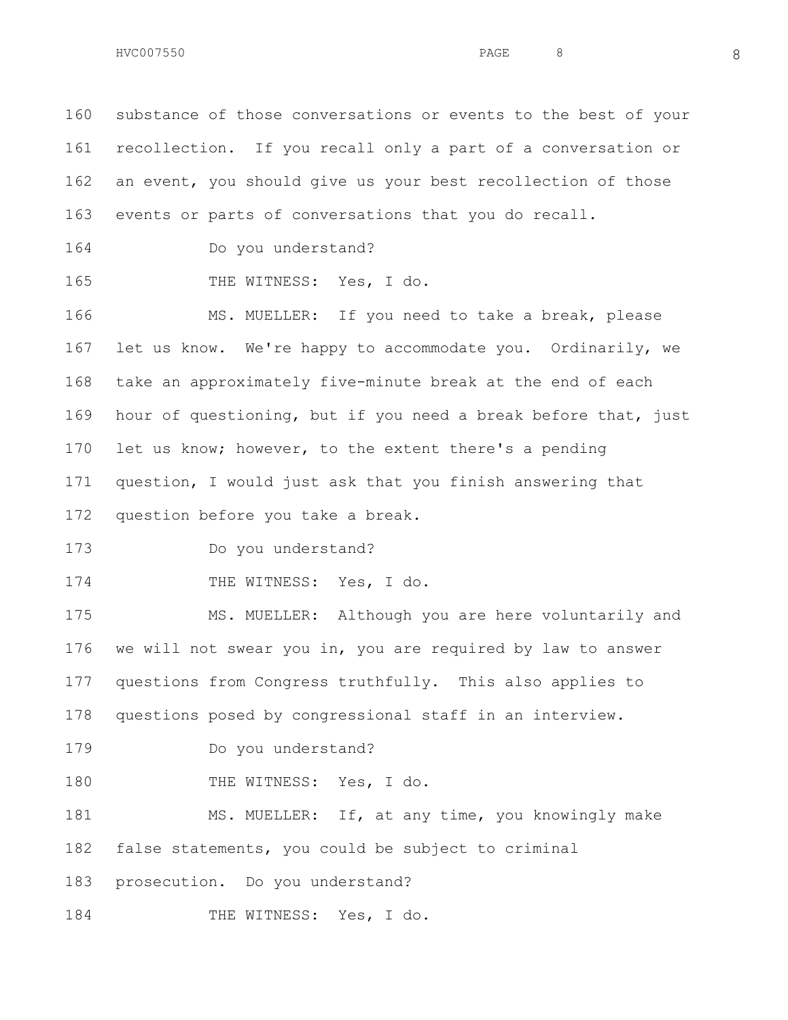substance of those conversations or events to the best of your recollection. If you recall only a part of a conversation or an event, you should give us your best recollection of those events or parts of conversations that you do recall.

Do you understand?

165 THE WITNESS: Yes, I do.

 MS. MUELLER: If you need to take a break, please let us know. We're happy to accommodate you. Ordinarily, we take an approximately five-minute break at the end of each hour of questioning, but if you need a break before that, just let us know; however, to the extent there's a pending question, I would just ask that you finish answering that question before you take a break.

Do you understand?

174 THE WITNESS: Yes, I do.

 MS. MUELLER: Although you are here voluntarily and we will not swear you in, you are required by law to answer questions from Congress truthfully. This also applies to questions posed by congressional staff in an interview.

Do you understand?

180 THE WITNESS: Yes, I do.

181 MS. MUELLER: If, at any time, you knowingly make false statements, you could be subject to criminal

prosecution. Do you understand?

184 THE WITNESS: Yes, I do.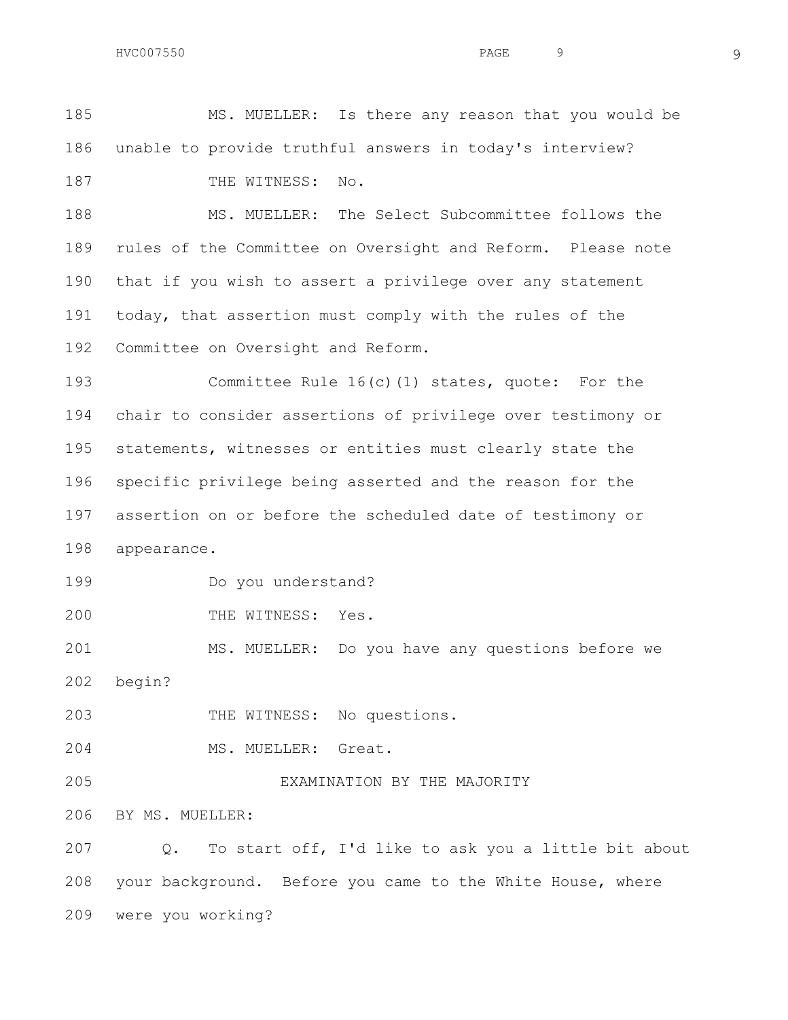MS. MUELLER: Is there any reason that you would be unable to provide truthful answers in today's interview?

187 THE WITNESS: No.

 MS. MUELLER: The Select Subcommittee follows the rules of the Committee on Oversight and Reform. Please note that if you wish to assert a privilege over any statement today, that assertion must comply with the rules of the Committee on Oversight and Reform.

 Committee Rule 16(c)(1) states, quote: For the chair to consider assertions of privilege over testimony or statements, witnesses or entities must clearly state the specific privilege being asserted and the reason for the assertion on or before the scheduled date of testimony or appearance.

Do you understand?

200 THE WITNESS: Yes.

 MS. MUELLER: Do you have any questions before we begin?

THE WITNESS: No questions.

MS. MUELLER: Great.

EXAMINATION BY THE MAJORITY

BY MS. MUELLER:

 Q. To start off, I'd like to ask you a little bit about your background. Before you came to the White House, where were you working?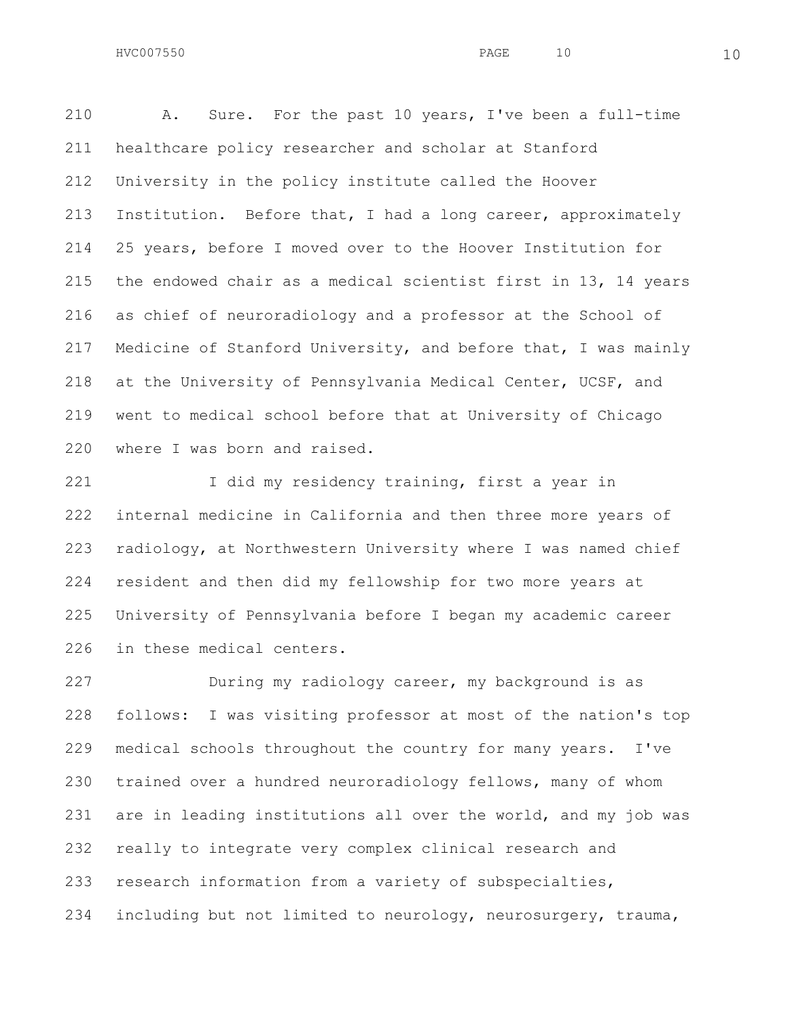A. Sure. For the past 10 years, I've been a full-time healthcare policy researcher and scholar at Stanford University in the policy institute called the Hoover Institution. Before that, I had a long career, approximately 25 years, before I moved over to the Hoover Institution for the endowed chair as a medical scientist first in 13, 14 years as chief of neuroradiology and a professor at the School of Medicine of Stanford University, and before that, I was mainly at the University of Pennsylvania Medical Center, UCSF, and went to medical school before that at University of Chicago where I was born and raised.

 I did my residency training, first a year in internal medicine in California and then three more years of radiology, at Northwestern University where I was named chief resident and then did my fellowship for two more years at University of Pennsylvania before I began my academic career in these medical centers.

 During my radiology career, my background is as follows: I was visiting professor at most of the nation's top medical schools throughout the country for many years. I've trained over a hundred neuroradiology fellows, many of whom are in leading institutions all over the world, and my job was really to integrate very complex clinical research and research information from a variety of subspecialties, including but not limited to neurology, neurosurgery, trauma,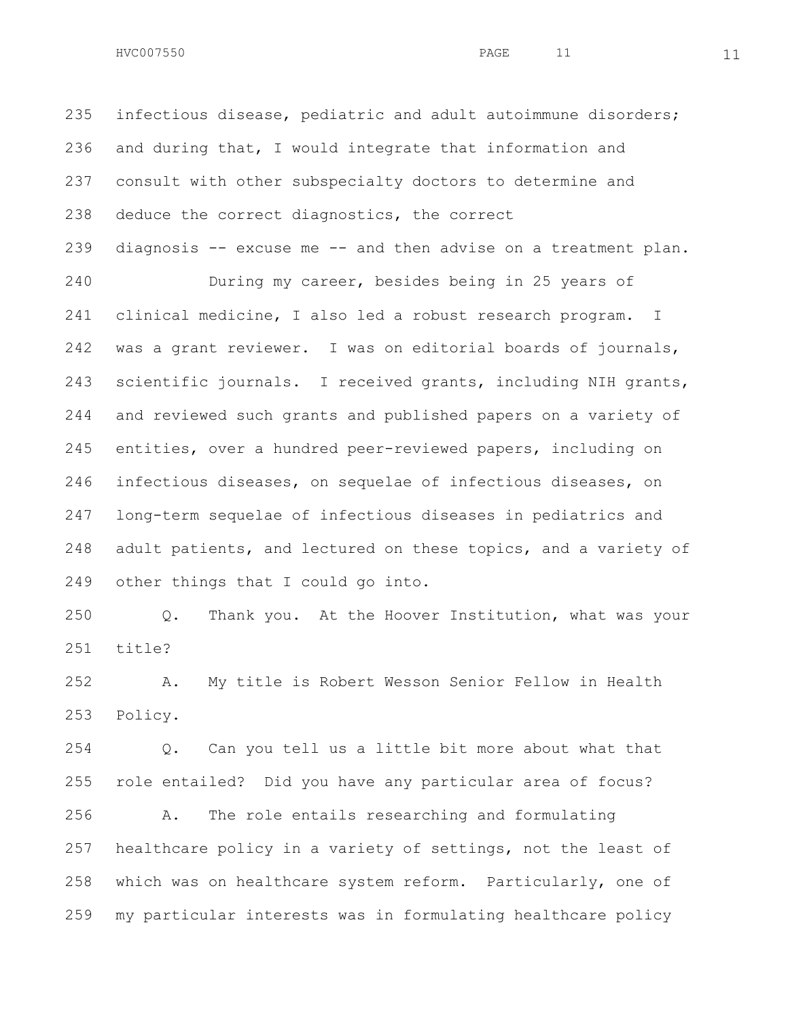$HVC007550$  and  $11$  and  $11$  and  $11$  and  $11$ 

 infectious disease, pediatric and adult autoimmune disorders; and during that, I would integrate that information and consult with other subspecialty doctors to determine and deduce the correct diagnostics, the correct diagnosis -- excuse me -- and then advise on a treatment plan. During my career, besides being in 25 years of clinical medicine, I also led a robust research program. I was a grant reviewer. I was on editorial boards of journals, scientific journals. I received grants, including NIH grants, and reviewed such grants and published papers on a variety of entities, over a hundred peer-reviewed papers, including on infectious diseases, on sequelae of infectious diseases, on long-term sequelae of infectious diseases in pediatrics and adult patients, and lectured on these topics, and a variety of other things that I could go into.

 Q. Thank you. At the Hoover Institution, what was your title?

 A. My title is Robert Wesson Senior Fellow in Health Policy.

 Q. Can you tell us a little bit more about what that role entailed? Did you have any particular area of focus?

 A. The role entails researching and formulating healthcare policy in a variety of settings, not the least of which was on healthcare system reform. Particularly, one of my particular interests was in formulating healthcare policy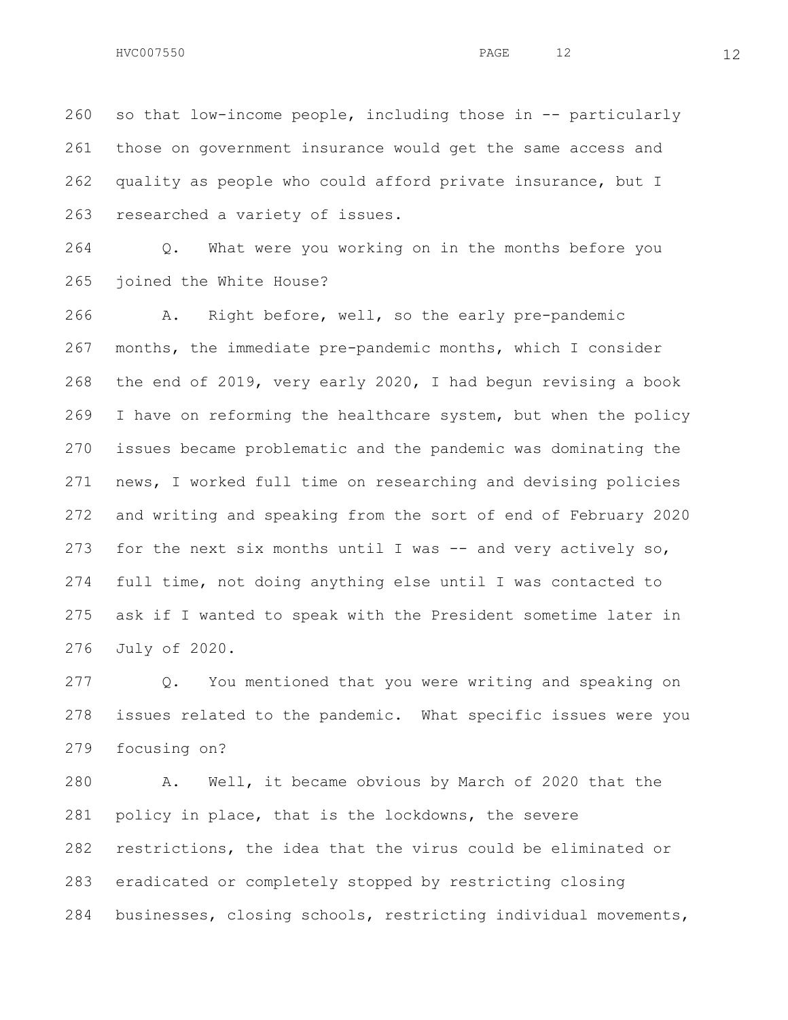so that low-income people, including those in -- particularly those on government insurance would get the same access and quality as people who could afford private insurance, but I researched a variety of issues.

 Q. What were you working on in the months before you joined the White House?

 A. Right before, well, so the early pre-pandemic months, the immediate pre-pandemic months, which I consider the end of 2019, very early 2020, I had begun revising a book I have on reforming the healthcare system, but when the policy issues became problematic and the pandemic was dominating the news, I worked full time on researching and devising policies and writing and speaking from the sort of end of February 2020 for the next six months until I was -- and very actively so, full time, not doing anything else until I was contacted to ask if I wanted to speak with the President sometime later in July of 2020.

 Q. You mentioned that you were writing and speaking on issues related to the pandemic. What specific issues were you focusing on?

 A. Well, it became obvious by March of 2020 that the policy in place, that is the lockdowns, the severe restrictions, the idea that the virus could be eliminated or eradicated or completely stopped by restricting closing businesses, closing schools, restricting individual movements,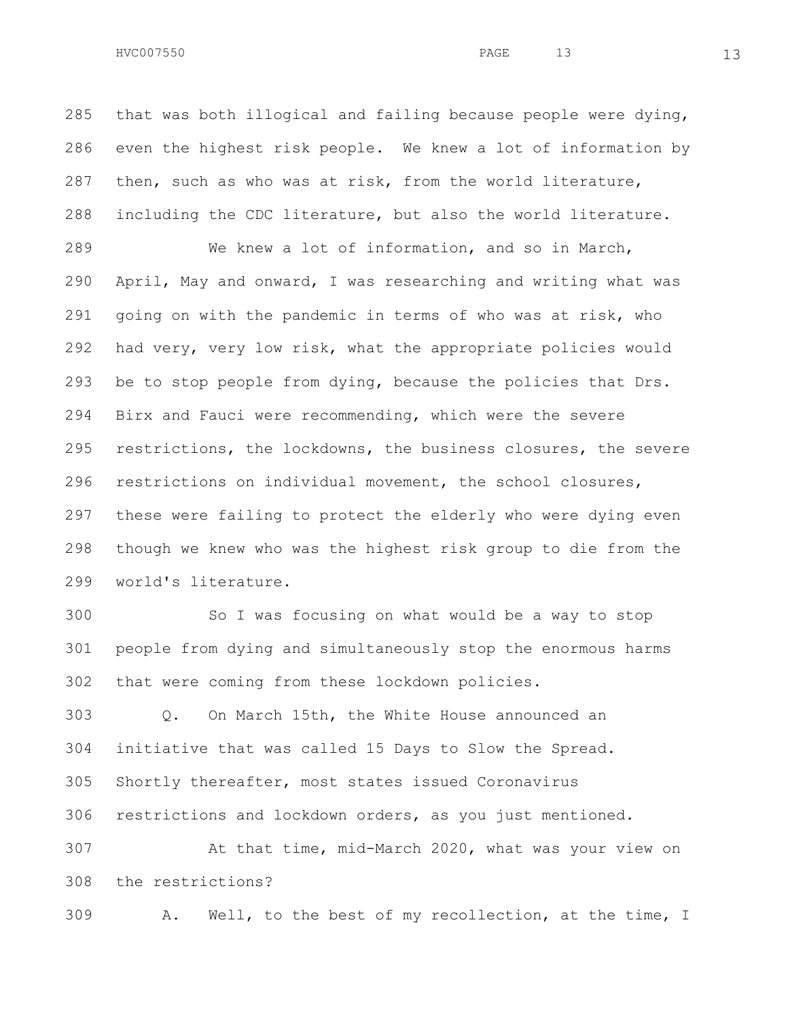including the CDC literature, but also the world literature.

 We knew a lot of information, and so in March, April, May and onward, I was researching and writing what was going on with the pandemic in terms of who was at risk, who had very, very low risk, what the appropriate policies would be to stop people from dying, because the policies that Drs. Birx and Fauci were recommending, which were the severe restrictions, the lockdowns, the business closures, the severe restrictions on individual movement, the school closures, these were failing to protect the elderly who were dying even though we knew who was the highest risk group to die from the world's literature.

 So I was focusing on what would be a way to stop people from dying and simultaneously stop the enormous harms that were coming from these lockdown policies.

 Q. On March 15th, the White House announced an initiative that was called 15 Days to Slow the Spread. Shortly thereafter, most states issued Coronavirus restrictions and lockdown orders, as you just mentioned. At that time, mid-March 2020, what was your view on

the restrictions?

A. Well, to the best of my recollection, at the time, I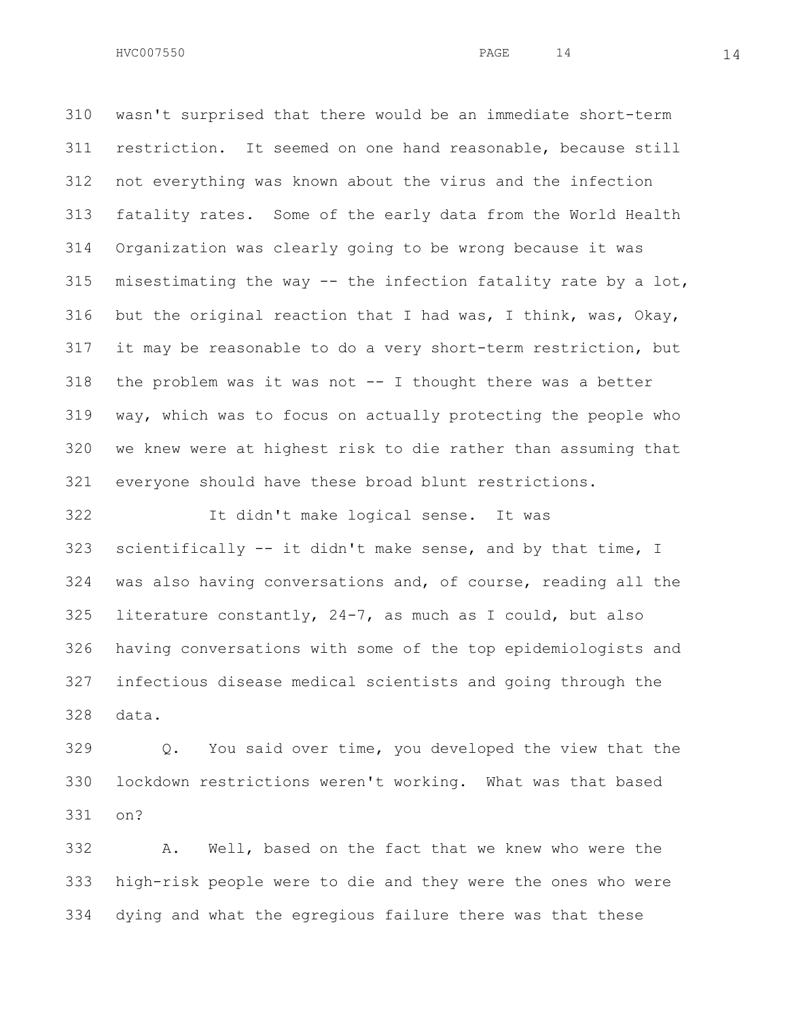wasn't surprised that there would be an immediate short-term restriction. It seemed on one hand reasonable, because still not everything was known about the virus and the infection fatality rates. Some of the early data from the World Health Organization was clearly going to be wrong because it was misestimating the way -- the infection fatality rate by a lot, but the original reaction that I had was, I think, was, Okay, it may be reasonable to do a very short-term restriction, but the problem was it was not -- I thought there was a better way, which was to focus on actually protecting the people who we knew were at highest risk to die rather than assuming that everyone should have these broad blunt restrictions.

 It didn't make logical sense. It was scientifically -- it didn't make sense, and by that time, I was also having conversations and, of course, reading all the literature constantly, 24-7, as much as I could, but also having conversations with some of the top epidemiologists and infectious disease medical scientists and going through the data.

 Q. You said over time, you developed the view that the lockdown restrictions weren't working. What was that based on?

 A. Well, based on the fact that we knew who were the high-risk people were to die and they were the ones who were dying and what the egregious failure there was that these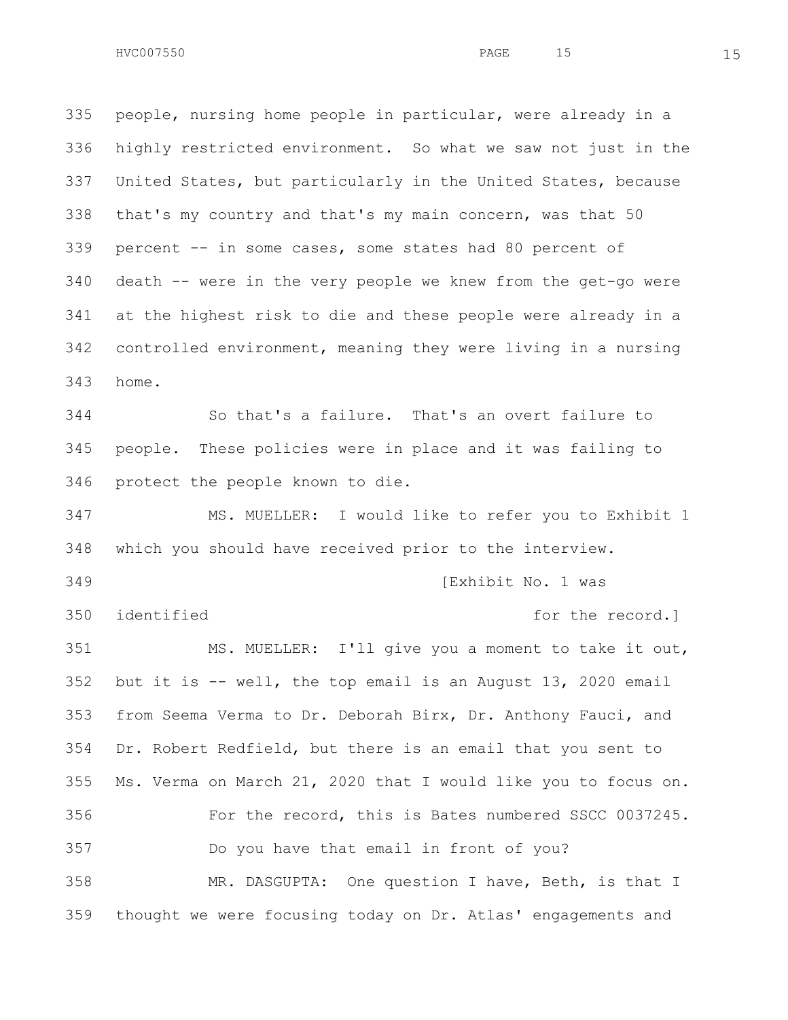people, nursing home people in particular, were already in a highly restricted environment. So what we saw not just in the United States, but particularly in the United States, because that's my country and that's my main concern, was that 50 percent -- in some cases, some states had 80 percent of death -- were in the very people we knew from the get-go were at the highest risk to die and these people were already in a controlled environment, meaning they were living in a nursing home.

 So that's a failure. That's an overt failure to people. These policies were in place and it was failing to protect the people known to die.

 MS. MUELLER: I would like to refer you to Exhibit 1 which you should have received prior to the interview. [Exhibit No. 1 was 350 identified **for the record.** MS. MUELLER: I'll give you a moment to take it out,

 but it is -- well, the top email is an August 13, 2020 email from Seema Verma to Dr. Deborah Birx, Dr. Anthony Fauci, and Dr. Robert Redfield, but there is an email that you sent to Ms. Verma on March 21, 2020 that I would like you to focus on. For the record, this is Bates numbered SSCC 0037245. Do you have that email in front of you? MR. DASGUPTA: One question I have, Beth, is that I

thought we were focusing today on Dr. Atlas' engagements and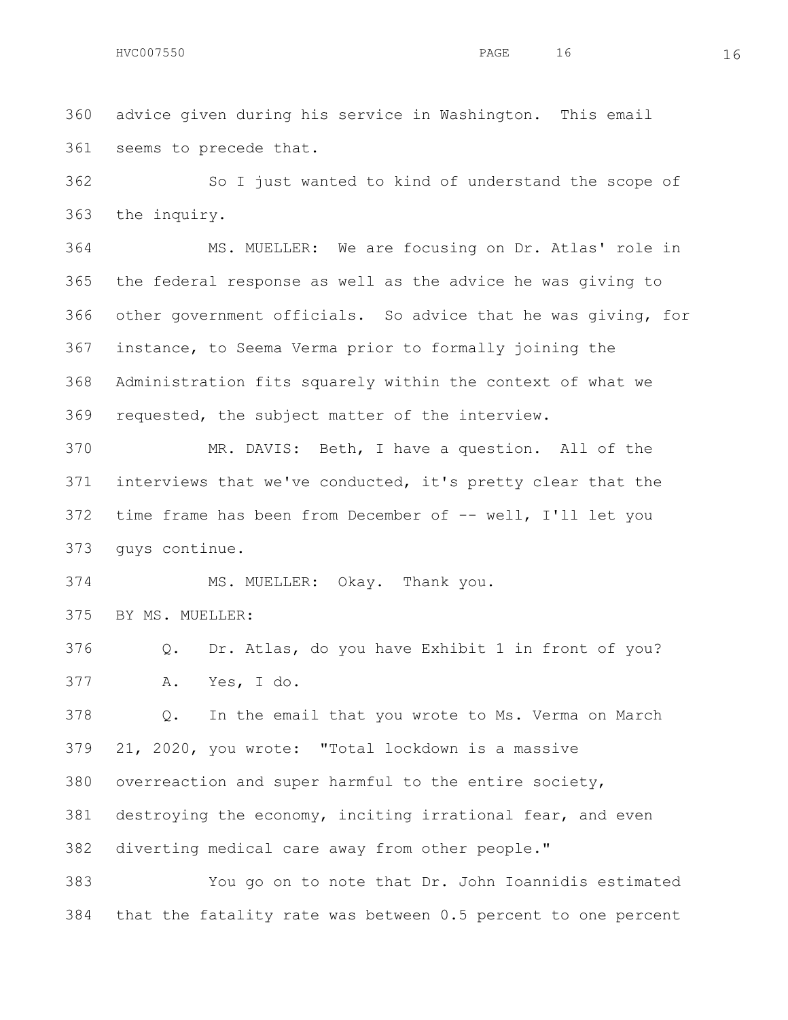advice given during his service in Washington. This email seems to precede that.

 So I just wanted to kind of understand the scope of the inquiry.

 MS. MUELLER: We are focusing on Dr. Atlas' role in the federal response as well as the advice he was giving to other government officials. So advice that he was giving, for instance, to Seema Verma prior to formally joining the Administration fits squarely within the context of what we requested, the subject matter of the interview.

 MR. DAVIS: Beth, I have a question. All of the interviews that we've conducted, it's pretty clear that the time frame has been from December of -- well, I'll let you guys continue.

MS. MUELLER: Okay. Thank you.

BY MS. MUELLER:

 Q. Dr. Atlas, do you have Exhibit 1 in front of you? A. Yes, I do.

 Q. In the email that you wrote to Ms. Verma on March 21, 2020, you wrote: "Total lockdown is a massive overreaction and super harmful to the entire society, destroying the economy, inciting irrational fear, and even diverting medical care away from other people."

 You go on to note that Dr. John Ioannidis estimated that the fatality rate was between 0.5 percent to one percent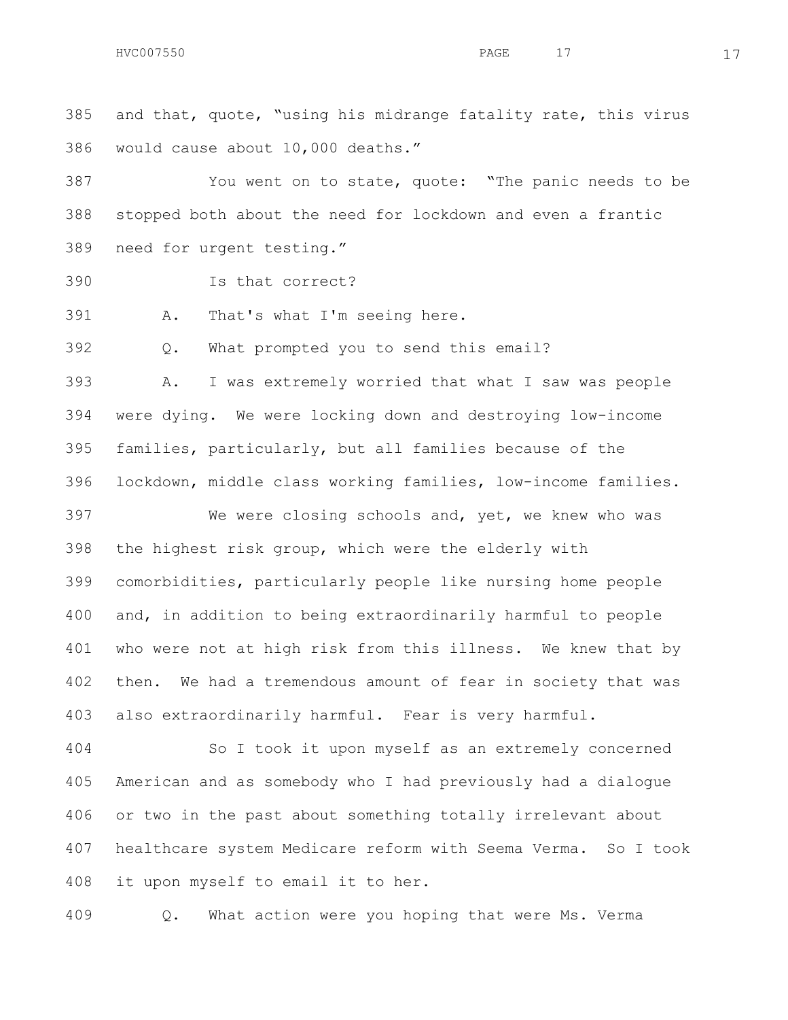and that, quote, "using his midrange fatality rate, this virus would cause about 10,000 deaths."

 You went on to state, quote: "The panic needs to be stopped both about the need for lockdown and even a frantic need for urgent testing."

Is that correct?

A. That's what I'm seeing here.

Q. What prompted you to send this email?

 A. I was extremely worried that what I saw was people were dying. We were locking down and destroying low-income families, particularly, but all families because of the lockdown, middle class working families, low-income families.

 We were closing schools and, yet, we knew who was the highest risk group, which were the elderly with comorbidities, particularly people like nursing home people and, in addition to being extraordinarily harmful to people who were not at high risk from this illness. We knew that by then. We had a tremendous amount of fear in society that was also extraordinarily harmful. Fear is very harmful.

 So I took it upon myself as an extremely concerned American and as somebody who I had previously had a dialogue or two in the past about something totally irrelevant about healthcare system Medicare reform with Seema Verma. So I took it upon myself to email it to her.

Q. What action were you hoping that were Ms. Verma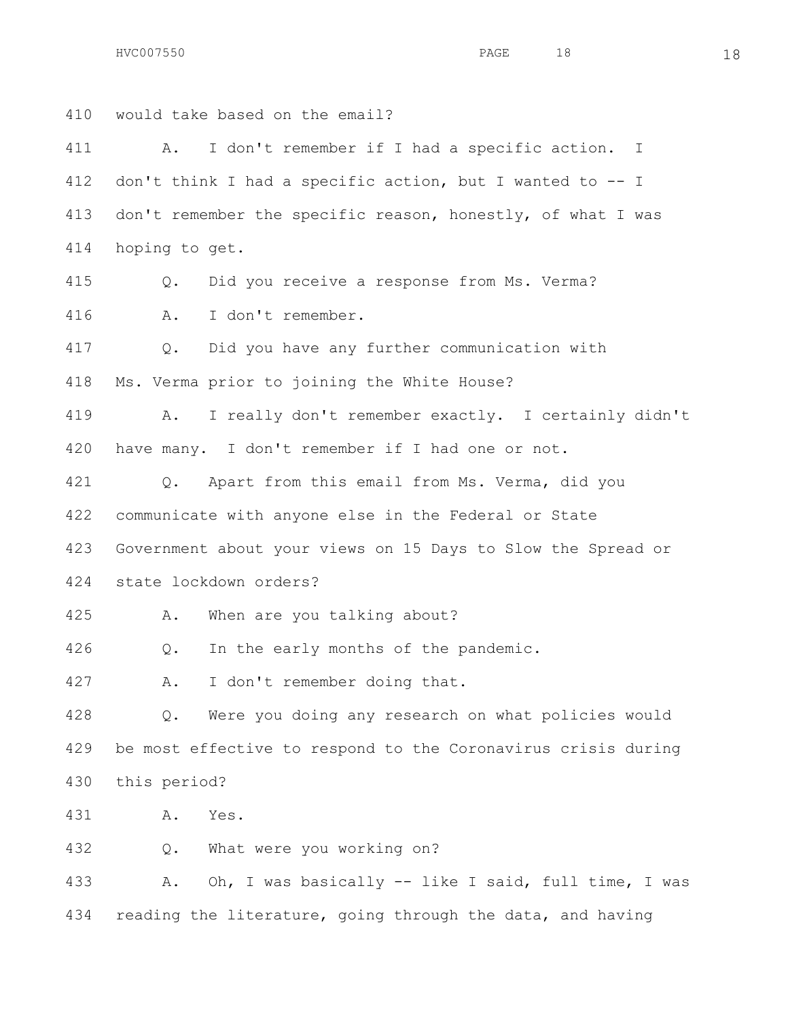$HVC007550$  18

 would take based on the email? A. I don't remember if I had a specific action. I don't think I had a specific action, but I wanted to -- I don't remember the specific reason, honestly, of what I was hoping to get. Q. Did you receive a response from Ms. Verma? A. I don't remember. Q. Did you have any further communication with Ms. Verma prior to joining the White House? A. I really don't remember exactly. I certainly didn't have many. I don't remember if I had one or not. Q. Apart from this email from Ms. Verma, did you communicate with anyone else in the Federal or State Government about your views on 15 Days to Slow the Spread or state lockdown orders? A. When are you talking about? Q. In the early months of the pandemic. A. I don't remember doing that. Q. Were you doing any research on what policies would be most effective to respond to the Coronavirus crisis during this period? A. Yes. Q. What were you working on?

 A. Oh, I was basically -- like I said, full time, I was 434 reading the literature, going through the data, and having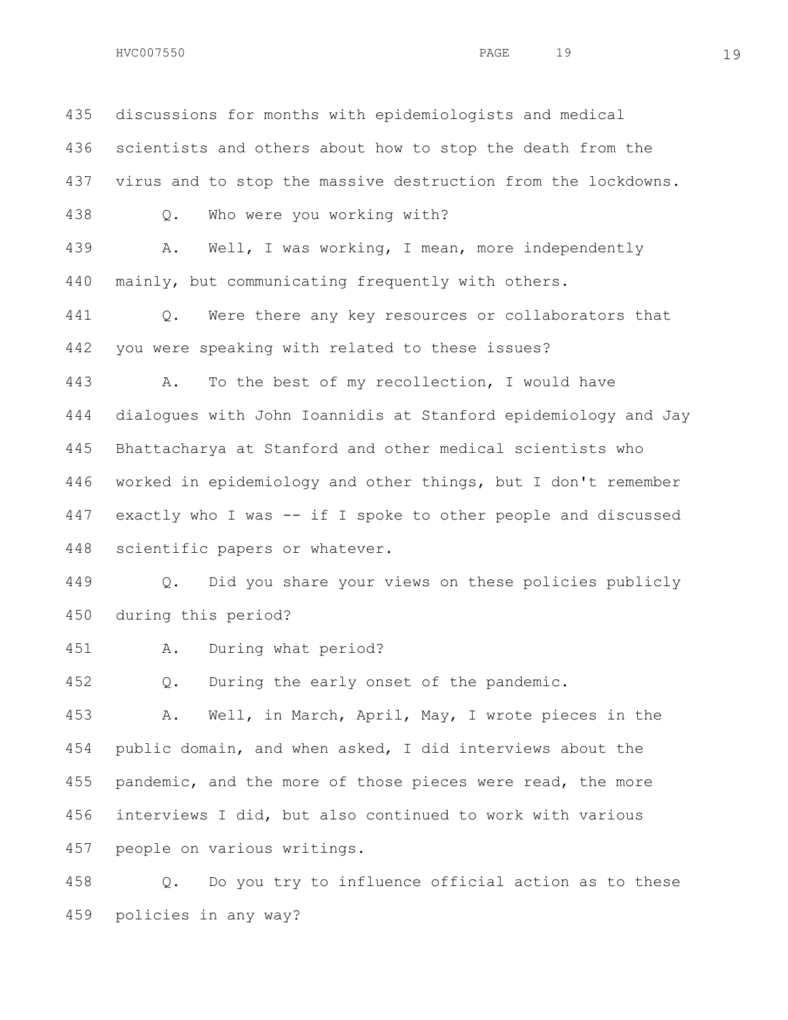discussions for months with epidemiologists and medical scientists and others about how to stop the death from the virus and to stop the massive destruction from the lockdowns. Q. Who were you working with? A. Well, I was working, I mean, more independently mainly, but communicating frequently with others. Q. Were there any key resources or collaborators that you were speaking with related to these issues? A. To the best of my recollection, I would have dialogues with John Ioannidis at Stanford epidemiology and Jay Bhattacharya at Stanford and other medical scientists who worked in epidemiology and other things, but I don't remember exactly who I was -- if I spoke to other people and discussed scientific papers or whatever.

 Q. Did you share your views on these policies publicly during this period?

A. During what period?

Q. During the early onset of the pandemic.

 A. Well, in March, April, May, I wrote pieces in the public domain, and when asked, I did interviews about the 455 pandemic, and the more of those pieces were read, the more interviews I did, but also continued to work with various people on various writings.

 Q. Do you try to influence official action as to these policies in any way?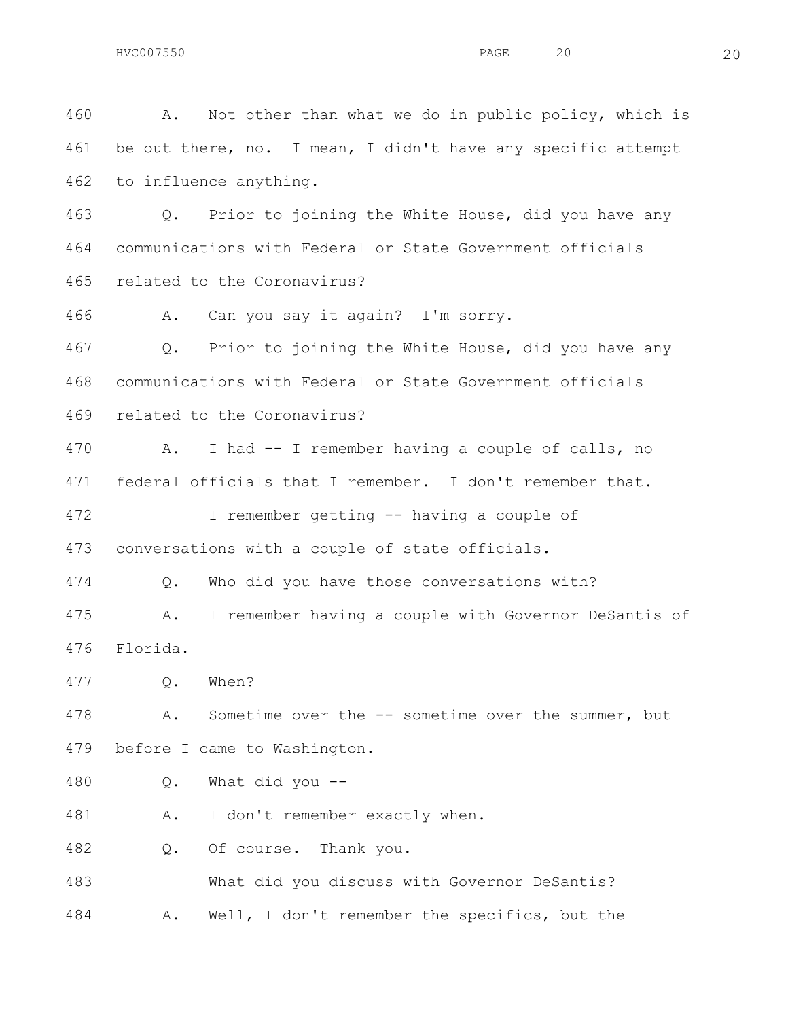A. Not other than what we do in public policy, which is be out there, no. I mean, I didn't have any specific attempt to influence anything. Q. Prior to joining the White House, did you have any communications with Federal or State Government officials related to the Coronavirus? A. Can you say it again? I'm sorry. Q. Prior to joining the White House, did you have any communications with Federal or State Government officials related to the Coronavirus? A. I had -- I remember having a couple of calls, no federal officials that I remember. I don't remember that. I remember getting -- having a couple of conversations with a couple of state officials. Q. Who did you have those conversations with? A. I remember having a couple with Governor DeSantis of Florida. Q. When? A. Sometime over the -- sometime over the summer, but before I came to Washington. Q. What did you -- 481 A. I don't remember exactly when. Q. Of course. Thank you. What did you discuss with Governor DeSantis?

A. Well, I don't remember the specifics, but the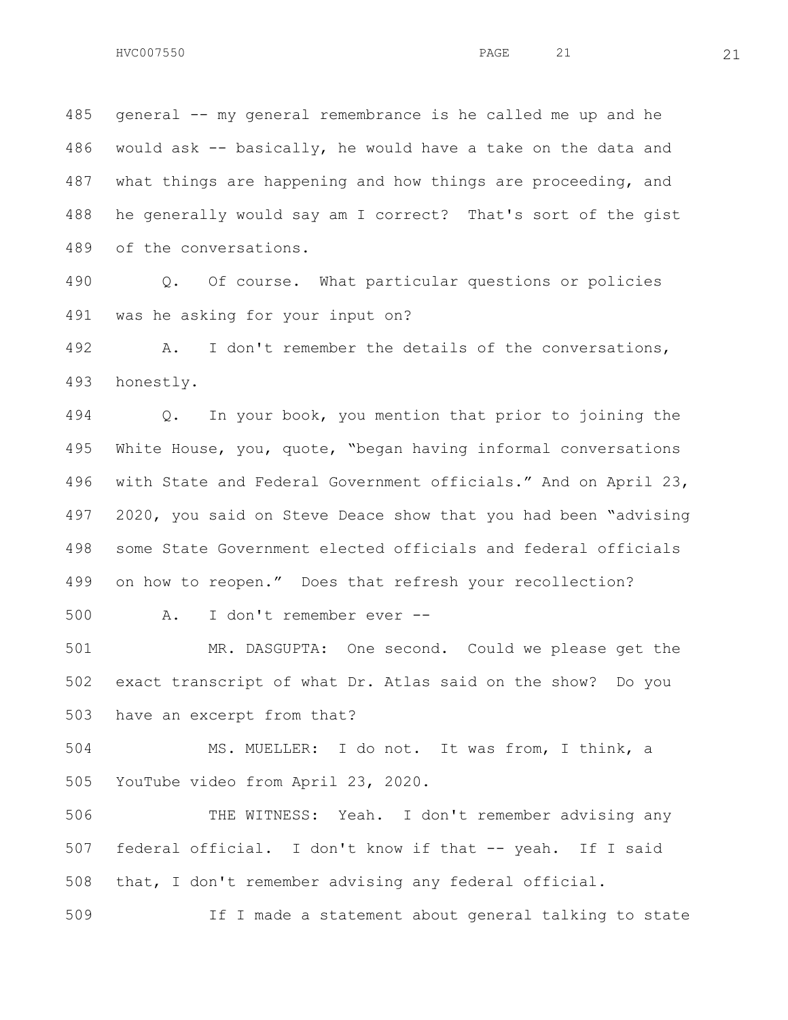general -- my general remembrance is he called me up and he would ask -- basically, he would have a take on the data and what things are happening and how things are proceeding, and he generally would say am I correct? That's sort of the gist of the conversations.

 Q. Of course. What particular questions or policies was he asking for your input on?

 A. I don't remember the details of the conversations, honestly.

 Q. In your book, you mention that prior to joining the White House, you, quote, "began having informal conversations with State and Federal Government officials." And on April 23, 2020, you said on Steve Deace show that you had been "advising some State Government elected officials and federal officials on how to reopen." Does that refresh your recollection?

A. I don't remember ever --

 MR. DASGUPTA: One second. Could we please get the exact transcript of what Dr. Atlas said on the show? Do you have an excerpt from that?

 MS. MUELLER: I do not. It was from, I think, a YouTube video from April 23, 2020.

 THE WITNESS: Yeah. I don't remember advising any federal official. I don't know if that -- yeah. If I said that, I don't remember advising any federal official.

If I made a statement about general talking to state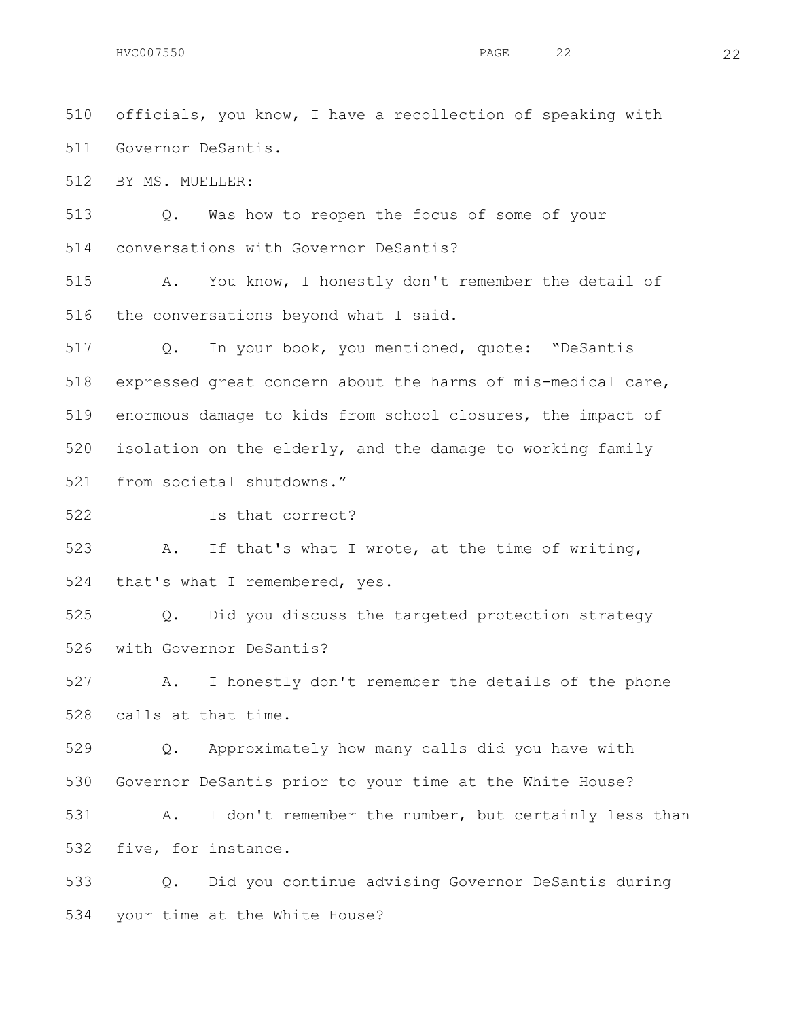officials, you know, I have a recollection of speaking with Governor DeSantis.

BY MS. MUELLER:

 Q. Was how to reopen the focus of some of your conversations with Governor DeSantis?

 A. You know, I honestly don't remember the detail of the conversations beyond what I said.

 Q. In your book, you mentioned, quote: "DeSantis expressed great concern about the harms of mis-medical care, enormous damage to kids from school closures, the impact of isolation on the elderly, and the damage to working family from societal shutdowns."

Is that correct?

 A. If that's what I wrote, at the time of writing, that's what I remembered, yes.

 Q. Did you discuss the targeted protection strategy with Governor DeSantis?

 A. I honestly don't remember the details of the phone calls at that time.

 Q. Approximately how many calls did you have with Governor DeSantis prior to your time at the White House?

 A. I don't remember the number, but certainly less than five, for instance.

 Q. Did you continue advising Governor DeSantis during your time at the White House?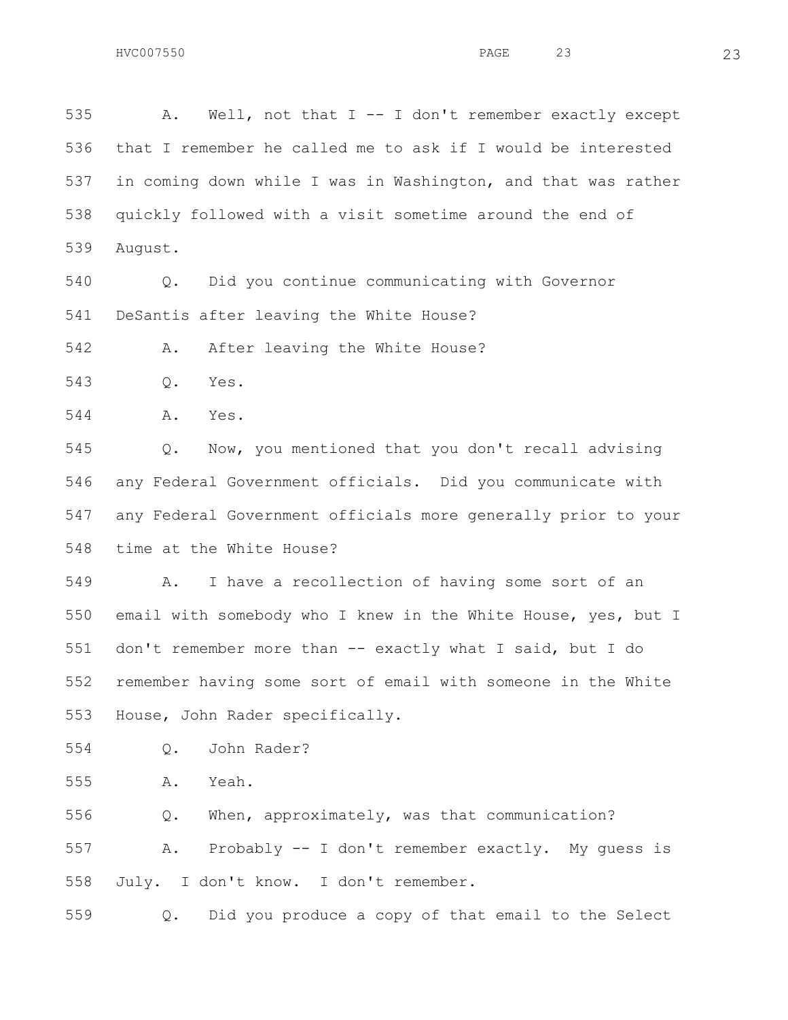A. Well, not that I -- I don't remember exactly except that I remember he called me to ask if I would be interested in coming down while I was in Washington, and that was rather quickly followed with a visit sometime around the end of August. Q. Did you continue communicating with Governor DeSantis after leaving the White House? 542 A. After leaving the White House? Q. Yes. A. Yes. Q. Now, you mentioned that you don't recall advising any Federal Government officials. Did you communicate with any Federal Government officials more generally prior to your time at the White House? A. I have a recollection of having some sort of an email with somebody who I knew in the White House, yes, but I don't remember more than -- exactly what I said, but I do remember having some sort of email with someone in the White House, John Rader specifically. Q. John Rader? A. Yeah. Q. When, approximately, was that communication? A. Probably -- I don't remember exactly. My guess is

July. I don't know. I don't remember.

Q. Did you produce a copy of that email to the Select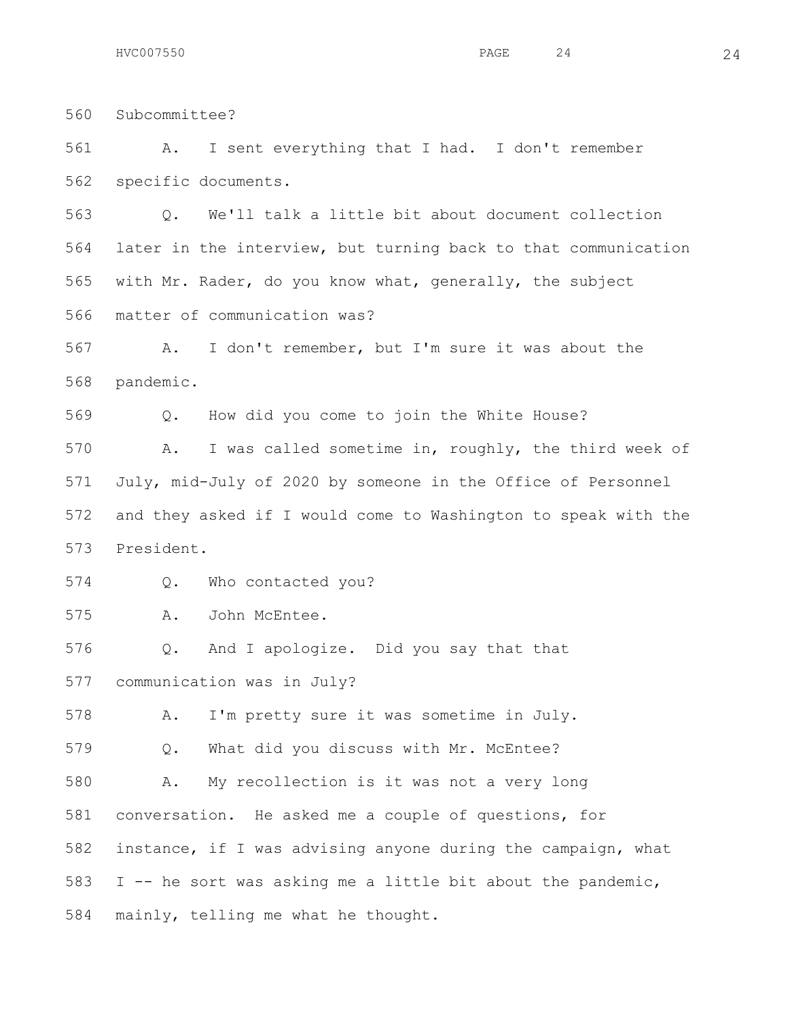Subcommittee? A. I sent everything that I had. I don't remember specific documents. Q. We'll talk a little bit about document collection later in the interview, but turning back to that communication with Mr. Rader, do you know what, generally, the subject matter of communication was? A. I don't remember, but I'm sure it was about the pandemic. Q. How did you come to join the White House? A. I was called sometime in, roughly, the third week of July, mid-July of 2020 by someone in the Office of Personnel and they asked if I would come to Washington to speak with the President. Q. Who contacted you? A. John McEntee. Q. And I apologize. Did you say that that communication was in July? A. I'm pretty sure it was sometime in July.

Q. What did you discuss with Mr. McEntee?

 A. My recollection is it was not a very long conversation. He asked me a couple of questions, for instance, if I was advising anyone during the campaign, what I -- he sort was asking me a little bit about the pandemic, mainly, telling me what he thought.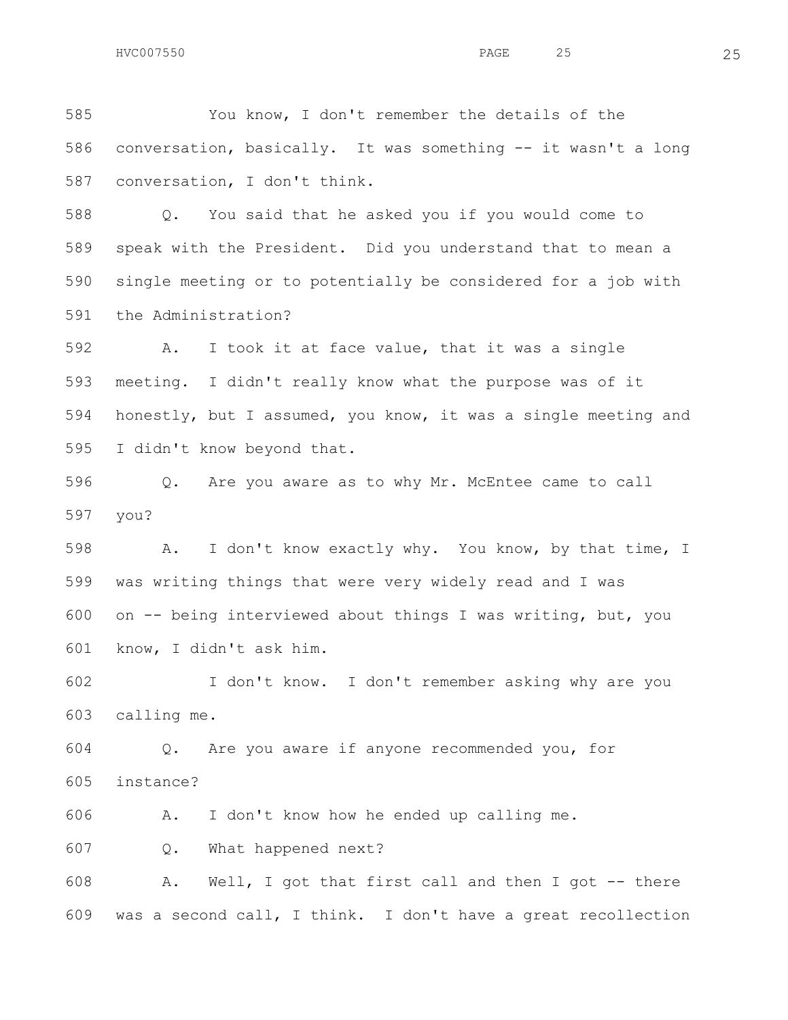You know, I don't remember the details of the conversation, basically. It was something -- it wasn't a long conversation, I don't think.

 Q. You said that he asked you if you would come to speak with the President. Did you understand that to mean a single meeting or to potentially be considered for a job with the Administration?

 A. I took it at face value, that it was a single meeting. I didn't really know what the purpose was of it honestly, but I assumed, you know, it was a single meeting and I didn't know beyond that.

 Q. Are you aware as to why Mr. McEntee came to call you?

 A. I don't know exactly why. You know, by that time, I was writing things that were very widely read and I was on -- being interviewed about things I was writing, but, you know, I didn't ask him.

 I don't know. I don't remember asking why are you calling me.

 Q. Are you aware if anyone recommended you, for instance?

A. I don't know how he ended up calling me.

Q. What happened next?

 A. Well, I got that first call and then I got -- there was a second call, I think. I don't have a great recollection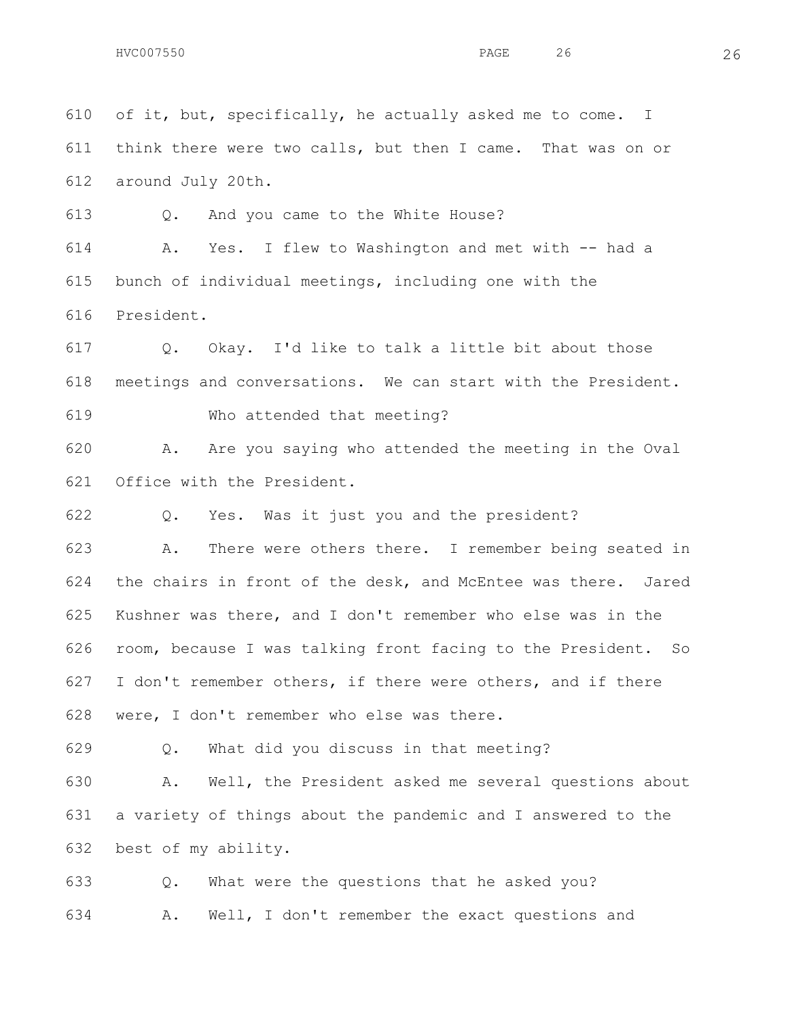of it, but, specifically, he actually asked me to come. I think there were two calls, but then I came. That was on or around July 20th.

Q. And you came to the White House?

 A. Yes. I flew to Washington and met with -- had a bunch of individual meetings, including one with the President.

 Q. Okay. I'd like to talk a little bit about those meetings and conversations. We can start with the President.

Who attended that meeting?

 A. Are you saying who attended the meeting in the Oval Office with the President.

Q. Yes. Was it just you and the president?

 A. There were others there. I remember being seated in the chairs in front of the desk, and McEntee was there. Jared Kushner was there, and I don't remember who else was in the room, because I was talking front facing to the President. So I don't remember others, if there were others, and if there were, I don't remember who else was there.

Q. What did you discuss in that meeting?

 A. Well, the President asked me several questions about a variety of things about the pandemic and I answered to the best of my ability.

 Q. What were the questions that he asked you? A. Well, I don't remember the exact questions and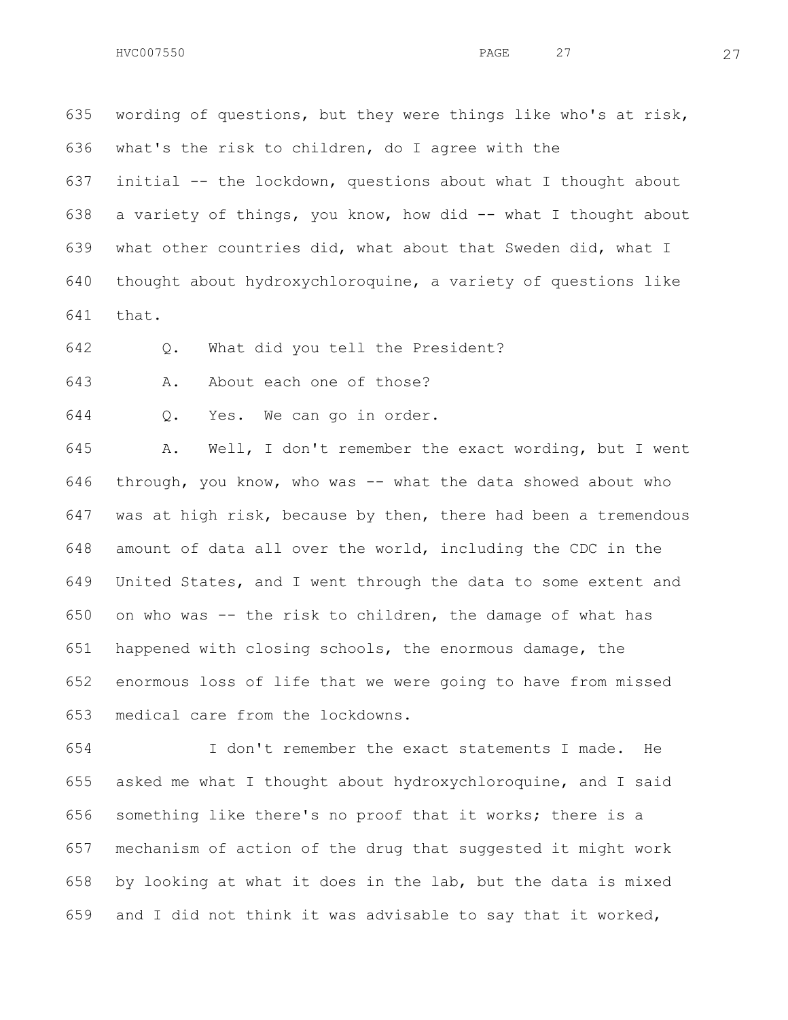wording of questions, but they were things like who's at risk, what's the risk to children, do I agree with the initial -- the lockdown, questions about what I thought about a variety of things, you know, how did -- what I thought about what other countries did, what about that Sweden did, what I

thought about hydroxychloroquine, a variety of questions like

that.

Q. What did you tell the President?

A. About each one of those?

Q. Yes. We can go in order.

 A. Well, I don't remember the exact wording, but I went through, you know, who was -- what the data showed about who was at high risk, because by then, there had been a tremendous amount of data all over the world, including the CDC in the United States, and I went through the data to some extent and on who was -- the risk to children, the damage of what has happened with closing schools, the enormous damage, the enormous loss of life that we were going to have from missed medical care from the lockdowns.

 I don't remember the exact statements I made. He asked me what I thought about hydroxychloroquine, and I said something like there's no proof that it works; there is a mechanism of action of the drug that suggested it might work by looking at what it does in the lab, but the data is mixed and I did not think it was advisable to say that it worked,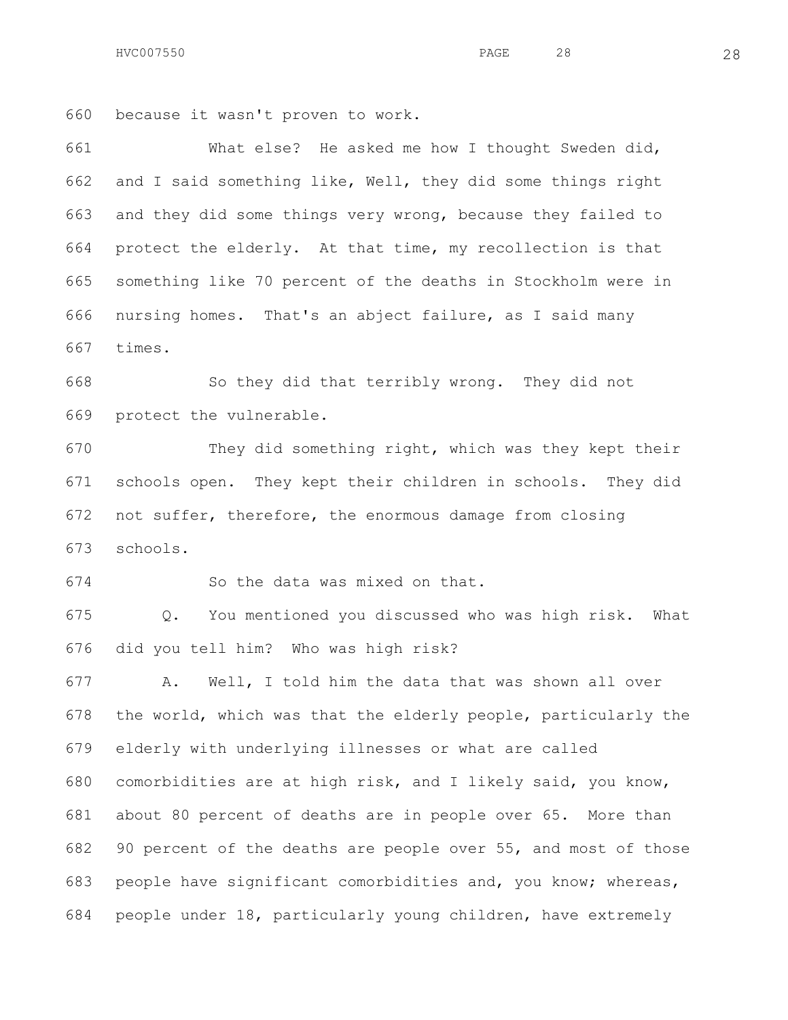HVC007550 28 **PAGE** 28 28

because it wasn't proven to work.

 What else? He asked me how I thought Sweden did, and I said something like, Well, they did some things right and they did some things very wrong, because they failed to protect the elderly. At that time, my recollection is that something like 70 percent of the deaths in Stockholm were in nursing homes. That's an abject failure, as I said many times.

 So they did that terribly wrong. They did not protect the vulnerable.

 They did something right, which was they kept their schools open. They kept their children in schools. They did not suffer, therefore, the enormous damage from closing schools.

So the data was mixed on that.

 Q. You mentioned you discussed who was high risk. What did you tell him? Who was high risk?

 A. Well, I told him the data that was shown all over the world, which was that the elderly people, particularly the elderly with underlying illnesses or what are called comorbidities are at high risk, and I likely said, you know, about 80 percent of deaths are in people over 65. More than 90 percent of the deaths are people over 55, and most of those people have significant comorbidities and, you know; whereas, people under 18, particularly young children, have extremely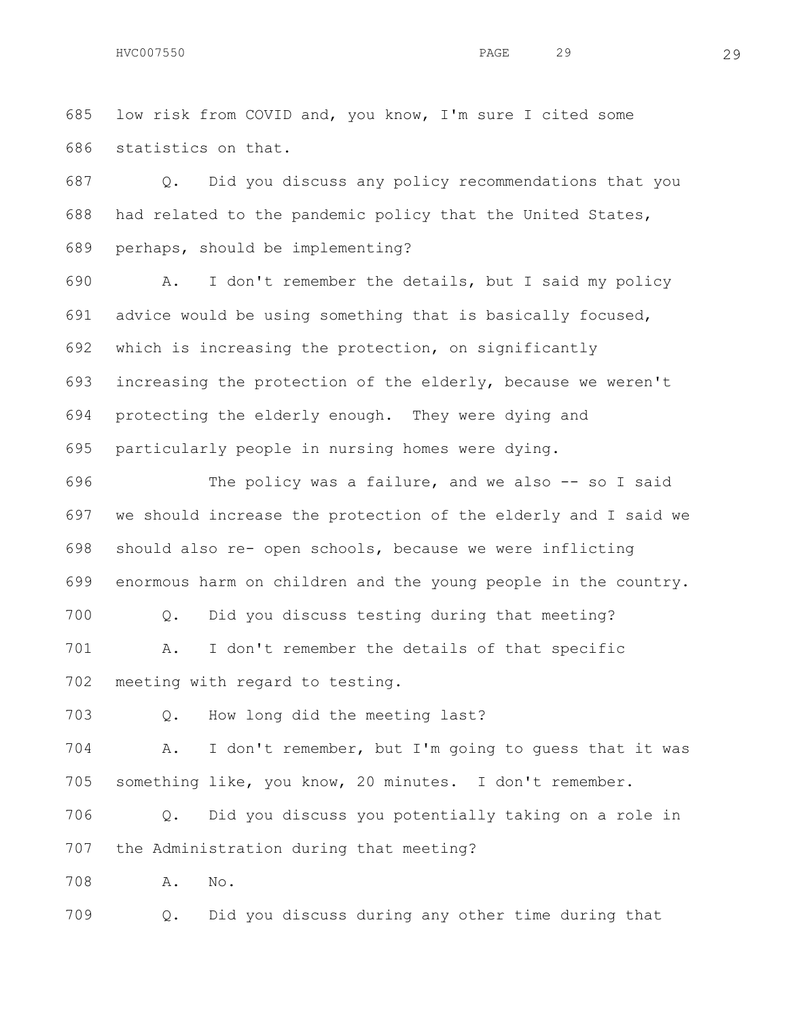low risk from COVID and, you know, I'm sure I cited some statistics on that.

 Q. Did you discuss any policy recommendations that you had related to the pandemic policy that the United States, perhaps, should be implementing?

 A. I don't remember the details, but I said my policy advice would be using something that is basically focused, which is increasing the protection, on significantly increasing the protection of the elderly, because we weren't protecting the elderly enough. They were dying and particularly people in nursing homes were dying.

 The policy was a failure, and we also -- so I said we should increase the protection of the elderly and I said we should also re- open schools, because we were inflicting enormous harm on children and the young people in the country. Q. Did you discuss testing during that meeting? A. I don't remember the details of that specific meeting with regard to testing.

Q. How long did the meeting last?

 A. I don't remember, but I'm going to guess that it was something like, you know, 20 minutes. I don't remember.

 Q. Did you discuss you potentially taking on a role in the Administration during that meeting?

A. No.

Q. Did you discuss during any other time during that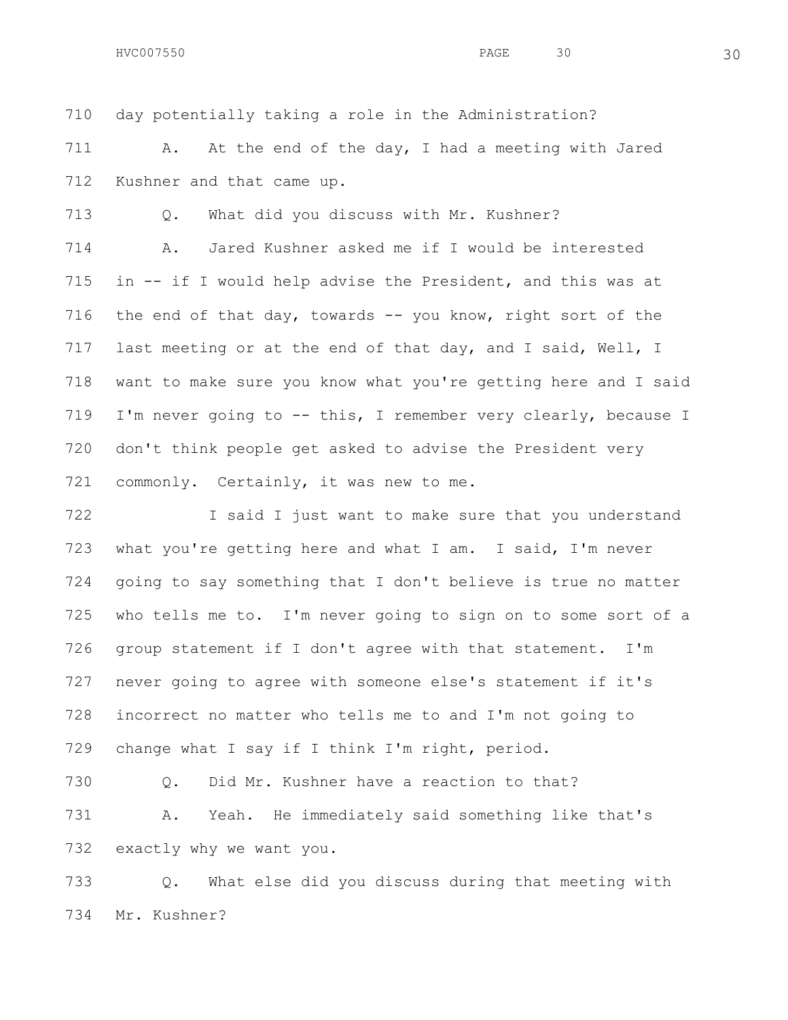day potentially taking a role in the Administration?

711 A. At the end of the day, I had a meeting with Jared Kushner and that came up.

Q. What did you discuss with Mr. Kushner?

 A. Jared Kushner asked me if I would be interested in -- if I would help advise the President, and this was at the end of that day, towards -- you know, right sort of the 717 last meeting or at the end of that day, and I said, Well, I want to make sure you know what you're getting here and I said I'm never going to -- this, I remember very clearly, because I don't think people get asked to advise the President very 721 commonly. Certainly, it was new to me.

722 I said I just want to make sure that you understand what you're getting here and what I am. I said, I'm never going to say something that I don't believe is true no matter who tells me to. I'm never going to sign on to some sort of a group statement if I don't agree with that statement. I'm never going to agree with someone else's statement if it's incorrect no matter who tells me to and I'm not going to change what I say if I think I'm right, period.

 Q. Did Mr. Kushner have a reaction to that? A. Yeah. He immediately said something like that's exactly why we want you.

 Q. What else did you discuss during that meeting with Mr. Kushner?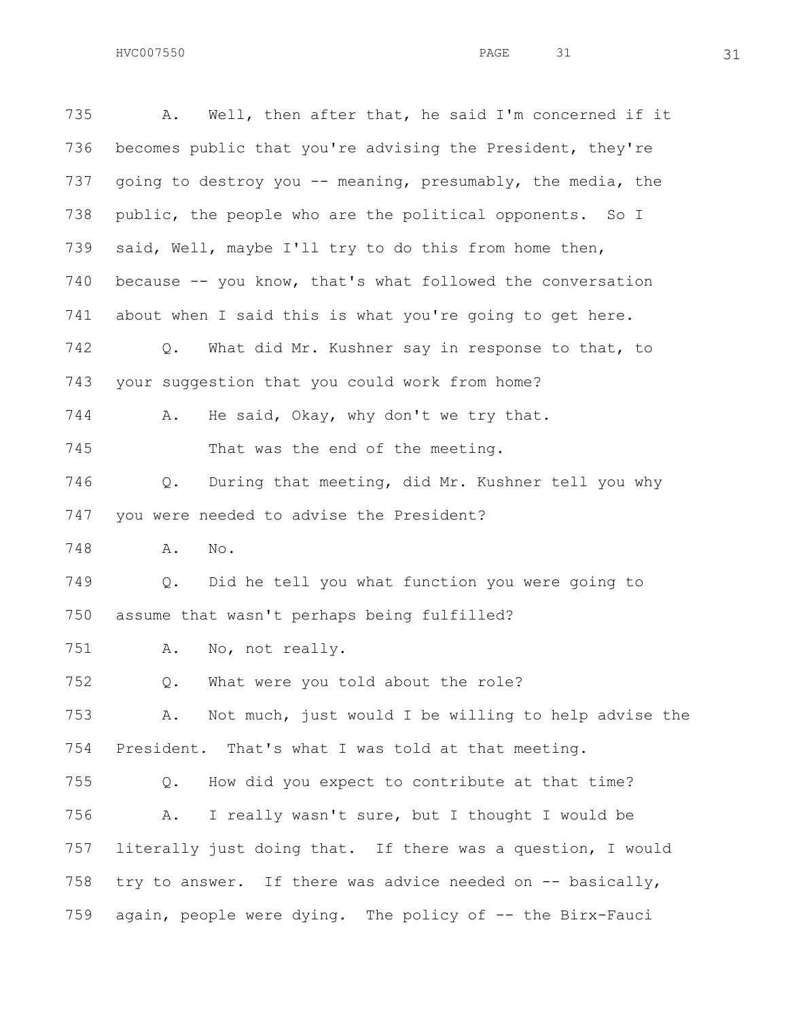A. Well, then after that, he said I'm concerned if it becomes public that you're advising the President, they're 737 going to destroy you -- meaning, presumably, the media, the 738 public, the people who are the political opponents. So I said, Well, maybe I'll try to do this from home then, because -- you know, that's what followed the conversation about when I said this is what you're going to get here. Q. What did Mr. Kushner say in response to that, to your suggestion that you could work from home? A. He said, Okay, why don't we try that. 745 That was the end of the meeting. Q. During that meeting, did Mr. Kushner tell you why you were needed to advise the President? A. No. Q. Did he tell you what function you were going to assume that wasn't perhaps being fulfilled? A. No, not really. Q. What were you told about the role? A. Not much, just would I be willing to help advise the President. That's what I was told at that meeting. Q. How did you expect to contribute at that time? A. I really wasn't sure, but I thought I would be literally just doing that. If there was a question, I would 758 try to answer. If there was advice needed on -- basically, again, people were dying. The policy of -- the Birx-Fauci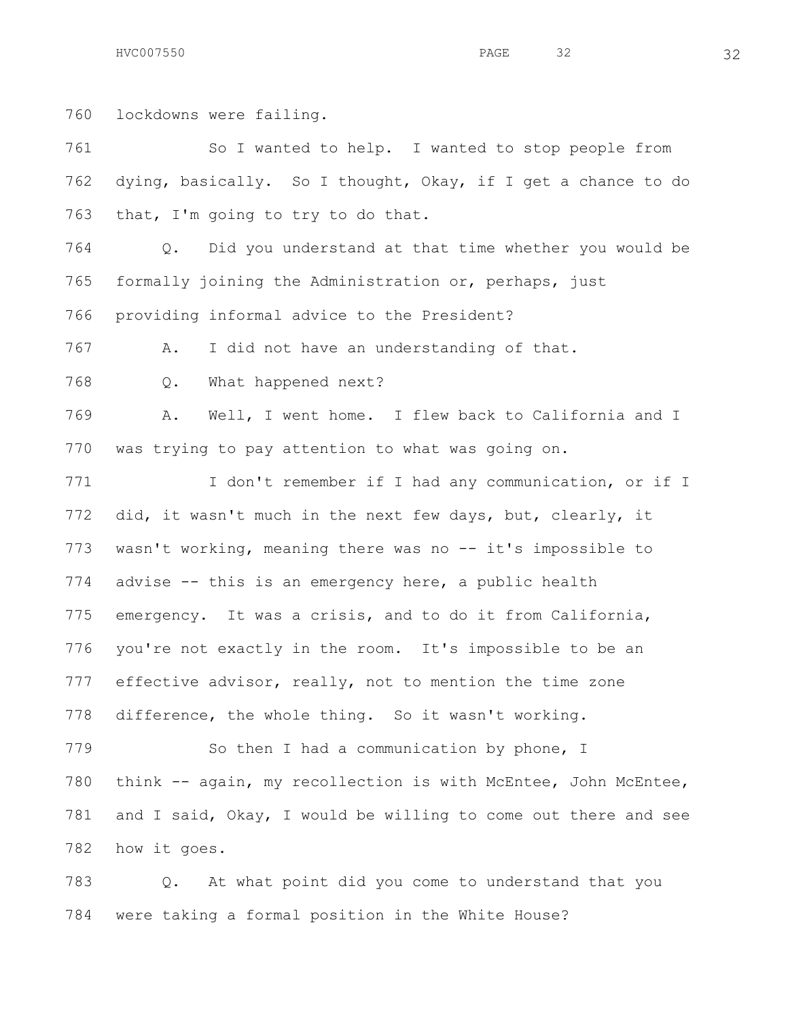lockdowns were failing. So I wanted to help. I wanted to stop people from dying, basically. So I thought, Okay, if I get a chance to do that, I'm going to try to do that. Q. Did you understand at that time whether you would be formally joining the Administration or, perhaps, just providing informal advice to the President? A. I did not have an understanding of that. Q. What happened next? A. Well, I went home. I flew back to California and I was trying to pay attention to what was going on. 771 I don't remember if I had any communication, or if I did, it wasn't much in the next few days, but, clearly, it wasn't working, meaning there was no -- it's impossible to advise -- this is an emergency here, a public health emergency. It was a crisis, and to do it from California, you're not exactly in the room. It's impossible to be an effective advisor, really, not to mention the time zone difference, the whole thing. So it wasn't working. 779 So then I had a communication by phone, I 780 think -- again, my recollection is with McEntee, John McEntee, and I said, Okay, I would be willing to come out there and see how it goes.

 Q. At what point did you come to understand that you were taking a formal position in the White House?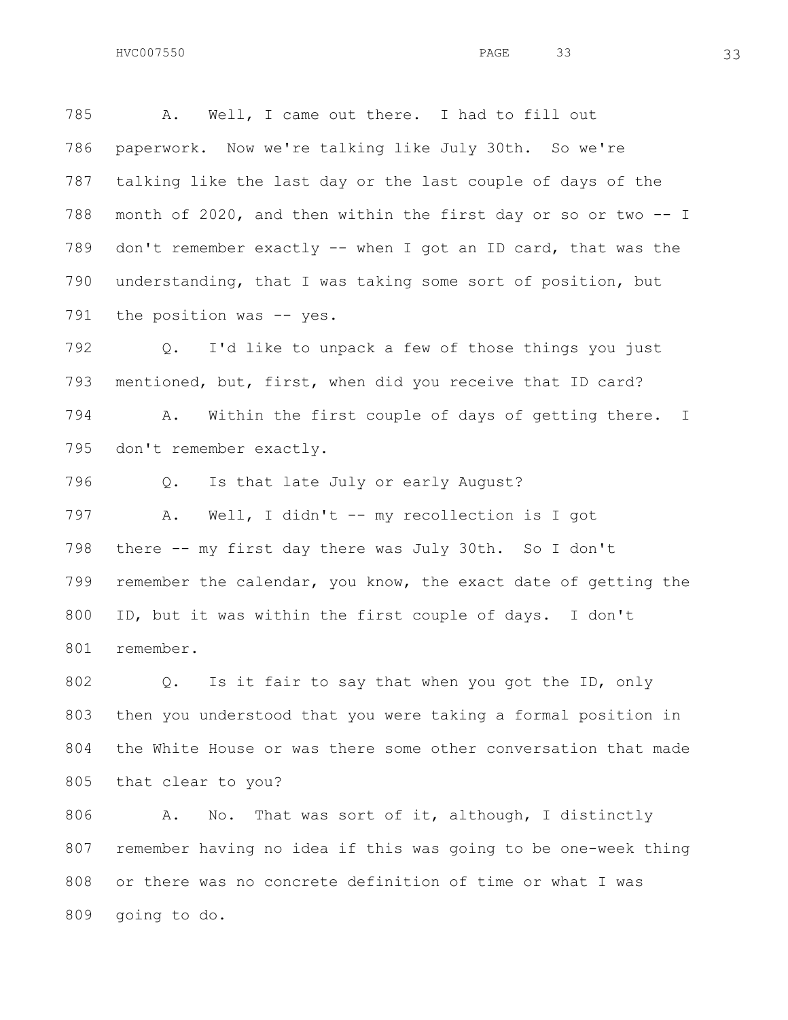A. Well, I came out there. I had to fill out paperwork. Now we're talking like July 30th. So we're talking like the last day or the last couple of days of the month of 2020, and then within the first day or so or two -- I don't remember exactly -- when I got an ID card, that was the

791 the position was -- yes.

 Q. I'd like to unpack a few of those things you just mentioned, but, first, when did you receive that ID card? A. Within the first couple of days of getting there. I don't remember exactly.

understanding, that I was taking some sort of position, but

Q. Is that late July or early August?

 A. Well, I didn't -- my recollection is I got there -- my first day there was July 30th. So I don't remember the calendar, you know, the exact date of getting the ID, but it was within the first couple of days. I don't remember.

 Q. Is it fair to say that when you got the ID, only then you understood that you were taking a formal position in the White House or was there some other conversation that made that clear to you?

 A. No. That was sort of it, although, I distinctly remember having no idea if this was going to be one-week thing or there was no concrete definition of time or what I was going to do.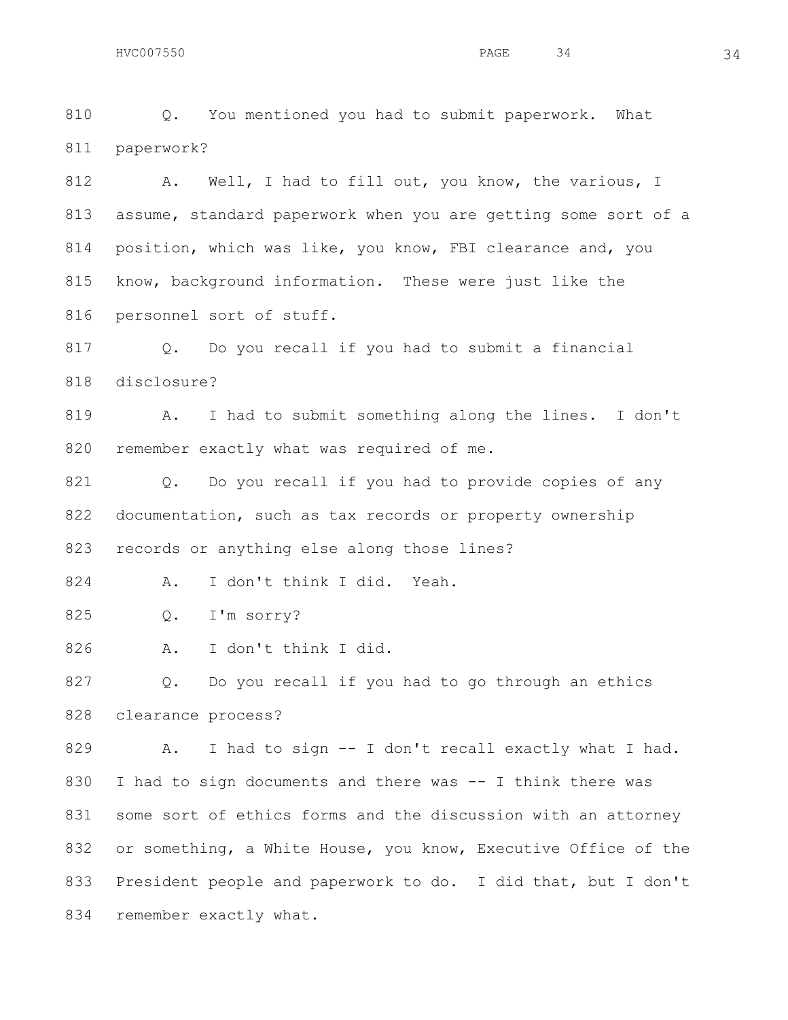Q. You mentioned you had to submit paperwork. What paperwork?

812 A. Well, I had to fill out, you know, the various, I assume, standard paperwork when you are getting some sort of a position, which was like, you know, FBI clearance and, you know, background information. These were just like the personnel sort of stuff.

817 0. Do you recall if you had to submit a financial disclosure?

 A. I had to submit something along the lines. I don't 820 remember exactly what was required of me.

821 Q. Do you recall if you had to provide copies of any 822 documentation, such as tax records or property ownership records or anything else along those lines?

A. I don't think I did. Yeah.

Q. I'm sorry?

A. I don't think I did.

 Q. Do you recall if you had to go through an ethics clearance process?

 A. I had to sign -- I don't recall exactly what I had. I had to sign documents and there was -- I think there was some sort of ethics forms and the discussion with an attorney or something, a White House, you know, Executive Office of the President people and paperwork to do. I did that, but I don't 834 remember exactly what.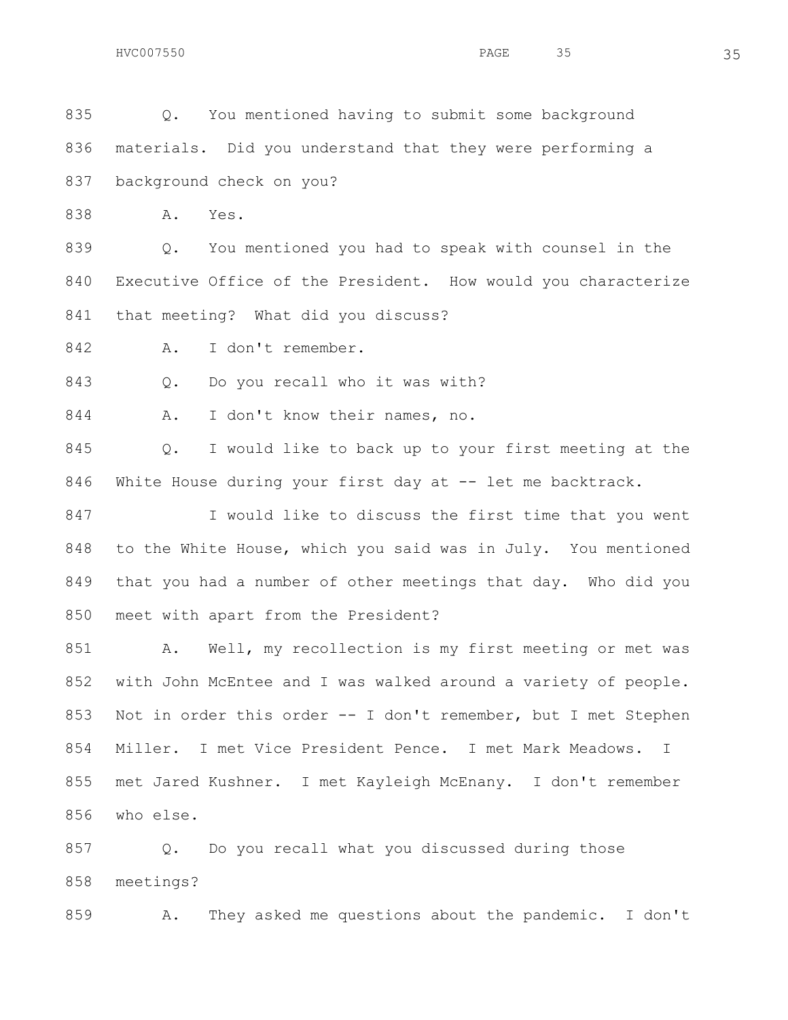Q. You mentioned having to submit some background materials. Did you understand that they were performing a background check on you?

A. Yes.

 Q. You mentioned you had to speak with counsel in the Executive Office of the President. How would you characterize that meeting? What did you discuss?

A. I don't remember.

843 Q. Do you recall who it was with?

844 A. I don't know their names, no.

 Q. I would like to back up to your first meeting at the 846 White House during your first day at -- let me backtrack.

847 I would like to discuss the first time that you went to the White House, which you said was in July. You mentioned that you had a number of other meetings that day. Who did you meet with apart from the President?

851 A. Well, my recollection is my first meeting or met was with John McEntee and I was walked around a variety of people. Not in order this order -- I don't remember, but I met Stephen Miller. I met Vice President Pence. I met Mark Meadows. I met Jared Kushner. I met Kayleigh McEnany. I don't remember who else.

 Q. Do you recall what you discussed during those meetings?

A. They asked me questions about the pandemic. I don't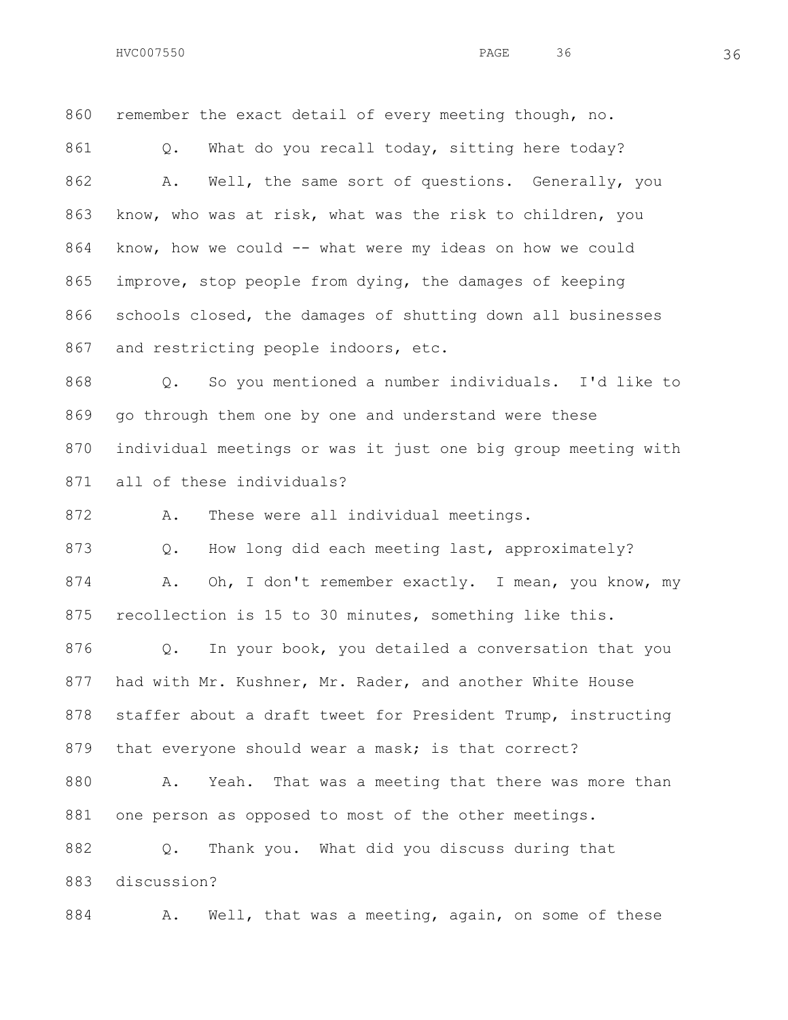remember the exact detail of every meeting though, no. 861 Q. What do you recall today, sitting here today? A. Well, the same sort of questions. Generally, you 863 know, who was at risk, what was the risk to children, you 864 know, how we could -- what were my ideas on how we could improve, stop people from dying, the damages of keeping schools closed, the damages of shutting down all businesses 867 and restricting people indoors, etc.

 Q. So you mentioned a number individuals. I'd like to go through them one by one and understand were these individual meetings or was it just one big group meeting with all of these individuals?

A. These were all individual meetings.

873 Q. How long did each meeting last, approximately? 874 A. Oh, I don't remember exactly. I mean, you know, my recollection is 15 to 30 minutes, something like this.

 Q. In your book, you detailed a conversation that you had with Mr. Kushner, Mr. Rader, and another White House staffer about a draft tweet for President Trump, instructing 879 that everyone should wear a mask; is that correct? 880 A. Yeah. That was a meeting that there was more than one person as opposed to most of the other meetings. Q. Thank you. What did you discuss during that discussion?

884 A. Well, that was a meeting, again, on some of these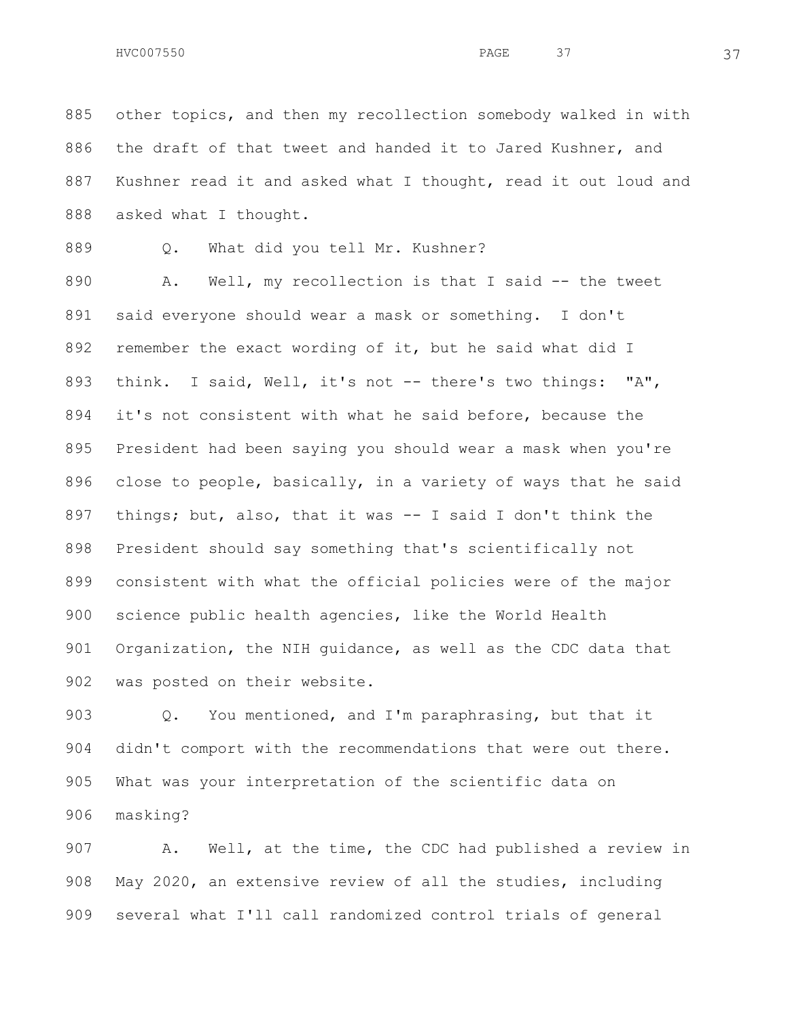other topics, and then my recollection somebody walked in with the draft of that tweet and handed it to Jared Kushner, and Kushner read it and asked what I thought, read it out loud and 888 asked what I thought.

Q. What did you tell Mr. Kushner?

 A. Well, my recollection is that I said -- the tweet said everyone should wear a mask or something. I don't remember the exact wording of it, but he said what did I think. I said, Well, it's not -- there's two things: "A", it's not consistent with what he said before, because the President had been saying you should wear a mask when you're close to people, basically, in a variety of ways that he said things; but, also, that it was -- I said I don't think the President should say something that's scientifically not consistent with what the official policies were of the major science public health agencies, like the World Health Organization, the NIH guidance, as well as the CDC data that was posted on their website.

 Q. You mentioned, and I'm paraphrasing, but that it didn't comport with the recommendations that were out there. What was your interpretation of the scientific data on masking?

 A. Well, at the time, the CDC had published a review in May 2020, an extensive review of all the studies, including several what I'll call randomized control trials of general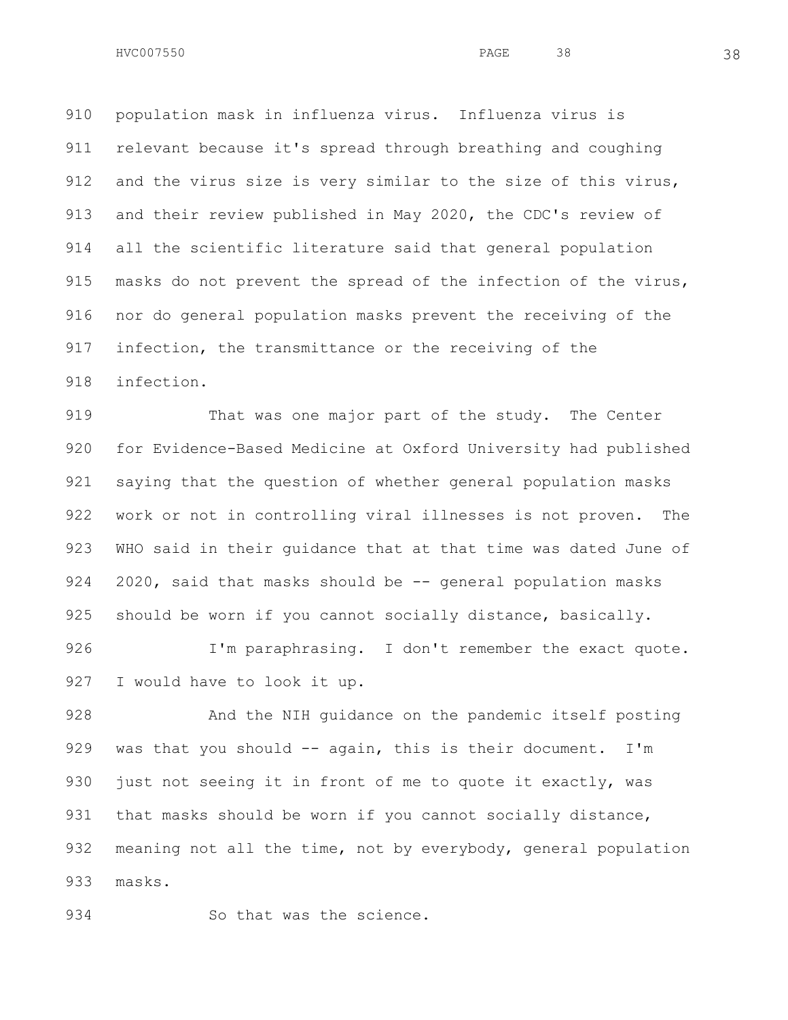$HVC007550$  38 38

 population mask in influenza virus. Influenza virus is relevant because it's spread through breathing and coughing and the virus size is very similar to the size of this virus, 913 and their review published in May 2020, the CDC's review of all the scientific literature said that general population masks do not prevent the spread of the infection of the virus, nor do general population masks prevent the receiving of the infection, the transmittance or the receiving of the infection.

919 That was one major part of the study. The Center for Evidence-Based Medicine at Oxford University had published saying that the question of whether general population masks work or not in controlling viral illnesses is not proven. The WHO said in their guidance that at that time was dated June of 924 2020, said that masks should be -- general population masks 925 should be worn if you cannot socially distance, basically.

926 I'm paraphrasing. I don't remember the exact quote. I would have to look it up.

 And the NIH guidance on the pandemic itself posting 929 was that you should -- again, this is their document. I'm just not seeing it in front of me to quote it exactly, was 931 that masks should be worn if you cannot socially distance, meaning not all the time, not by everybody, general population masks.

934 So that was the science.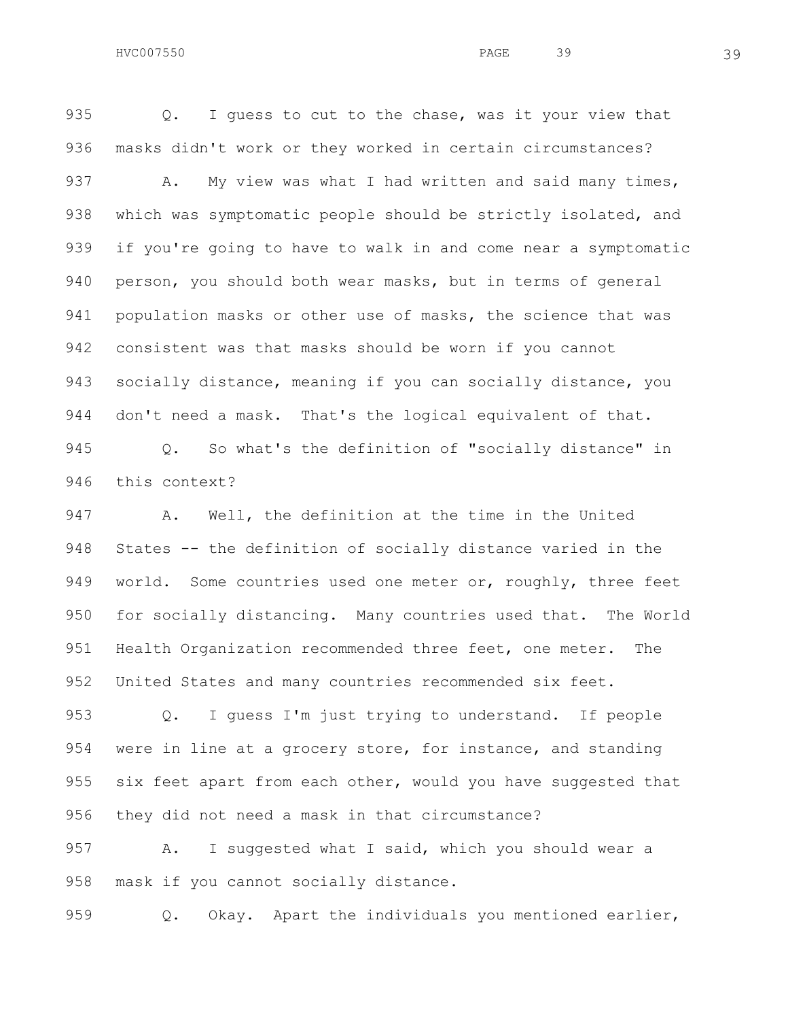935 Q. I quess to cut to the chase, was it your view that masks didn't work or they worked in certain circumstances? 937 A. My view was what I had written and said many times, 938 which was symptomatic people should be strictly isolated, and if you're going to have to walk in and come near a symptomatic person, you should both wear masks, but in terms of general population masks or other use of masks, the science that was consistent was that masks should be worn if you cannot socially distance, meaning if you can socially distance, you 944 don't need a mask. That's the logical equivalent of that. Q. So what's the definition of "socially distance" in

this context?

 A. Well, the definition at the time in the United States -- the definition of socially distance varied in the 949 world. Some countries used one meter or, roughly, three feet for socially distancing. Many countries used that. The World 951 Health Organization recommended three feet, one meter. The United States and many countries recommended six feet.

 Q. I guess I'm just trying to understand. If people were in line at a grocery store, for instance, and standing 955 six feet apart from each other, would you have suggested that they did not need a mask in that circumstance?

957 A. I suggested what I said, which you should wear a mask if you cannot socially distance.

Q. Okay. Apart the individuals you mentioned earlier,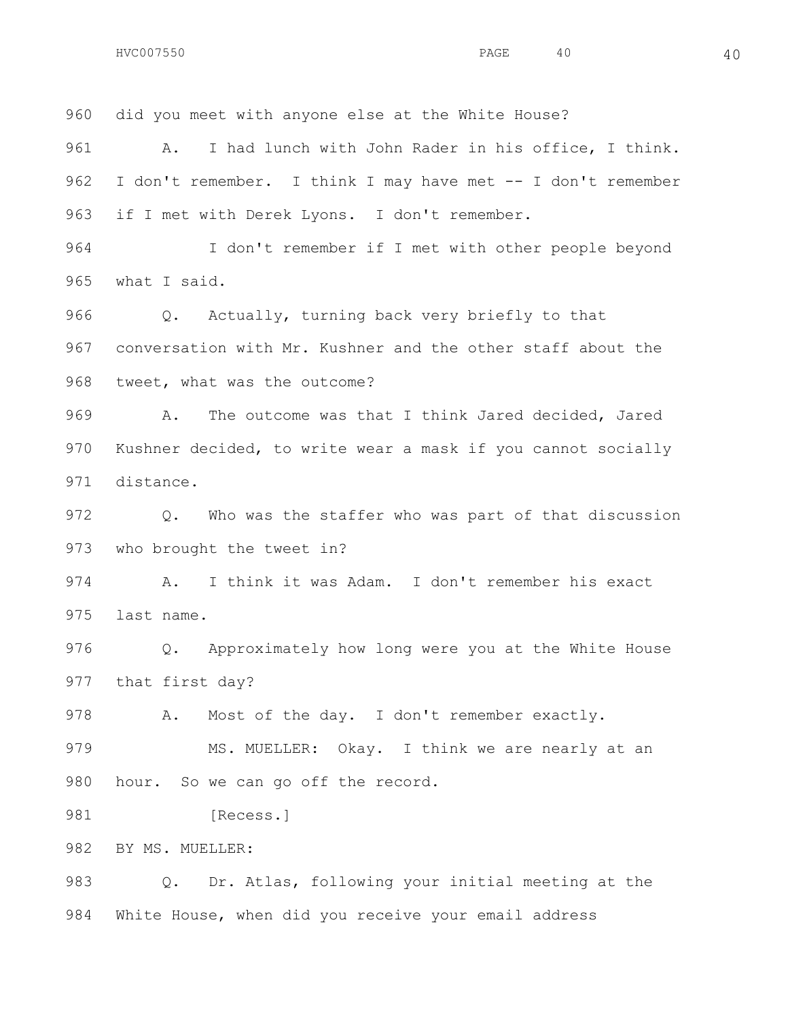did you meet with anyone else at the White House? A. I had lunch with John Rader in his office, I think. I don't remember. I think I may have met -- I don't remember if I met with Derek Lyons. I don't remember. I don't remember if I met with other people beyond what I said. Q. Actually, turning back very briefly to that conversation with Mr. Kushner and the other staff about the tweet, what was the outcome? A. The outcome was that I think Jared decided, Jared Kushner decided, to write wear a mask if you cannot socially distance. Q. Who was the staffer who was part of that discussion who brought the tweet in? A. I think it was Adam. I don't remember his exact last name. Q. Approximately how long were you at the White House that first day? A. Most of the day. I don't remember exactly. 979 MS. MUELLER: Okay. I think we are nearly at an 980 hour. So we can go off the record. 981 [Recess.] BY MS. MUELLER: Q. Dr. Atlas, following your initial meeting at the

White House, when did you receive your email address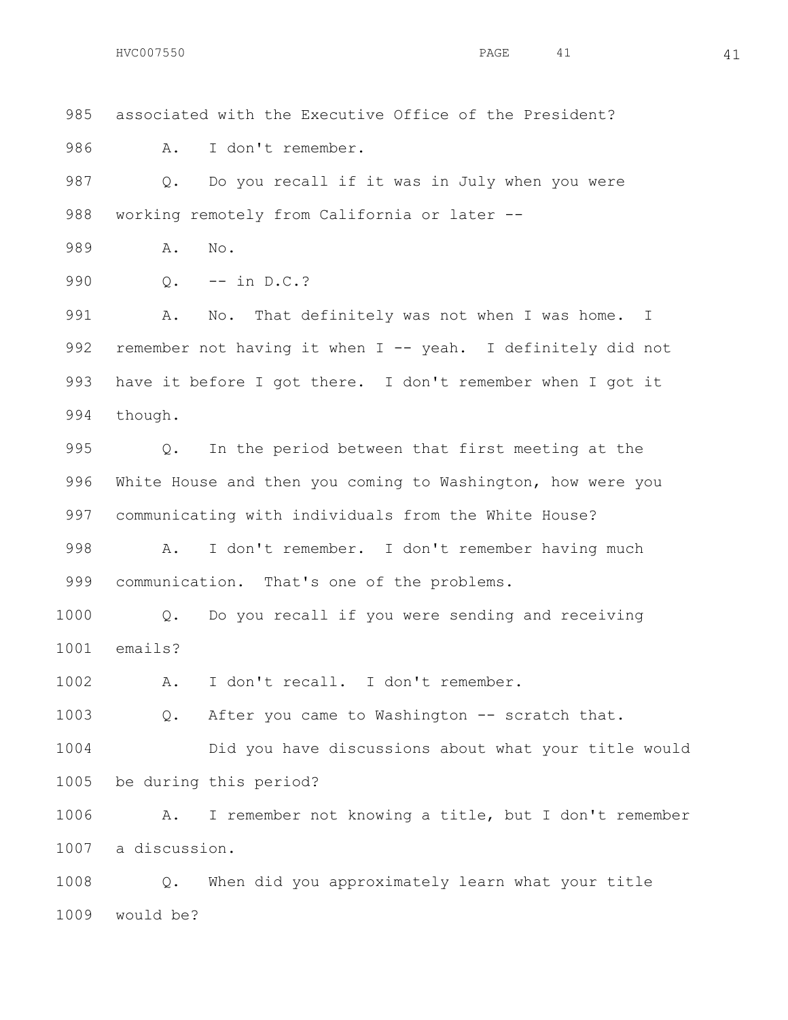would be?

 associated with the Executive Office of the President? A. I don't remember. Q. Do you recall if it was in July when you were 988 working remotely from California or later -- A. No. 990 0. -- in D.C.? A. No. That definitely was not when I was home. I 992 remember not having it when I -- yeah. I definitely did not have it before I got there. I don't remember when I got it though. Q. In the period between that first meeting at the White House and then you coming to Washington, how were you communicating with individuals from the White House? A. I don't remember. I don't remember having much communication. That's one of the problems. Q. Do you recall if you were sending and receiving emails? A. I don't recall. I don't remember. Q. After you came to Washington -- scratch that. Did you have discussions about what your title would be during this period? A. I remember not knowing a title, but I don't remember a discussion. Q. When did you approximately learn what your title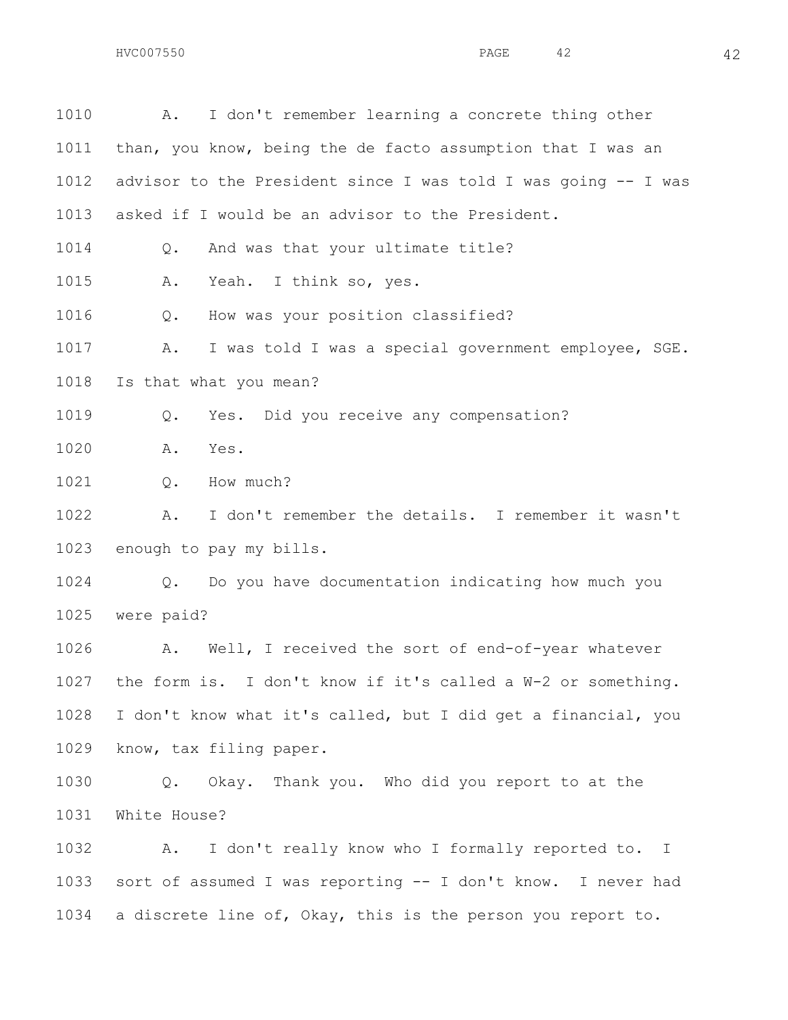| 1010 | I don't remember learning a concrete thing other<br>Α.            |
|------|-------------------------------------------------------------------|
| 1011 | than, you know, being the de facto assumption that I was an       |
| 1012 | advisor to the President since I was told I was going -- I was    |
| 1013 | asked if I would be an advisor to the President.                  |
| 1014 | And was that your ultimate title?<br>$Q$ .                        |
| 1015 | Yeah. I think so, yes.<br>Α.                                      |
| 1016 | How was your position classified?<br>Q.                           |
| 1017 | I was told I was a special government employee, SGE.<br>Α.        |
| 1018 | Is that what you mean?                                            |
| 1019 | Yes. Did you receive any compensation?<br>Q.                      |
| 1020 | Yes.<br>Α.                                                        |
| 1021 | How much?<br>$Q$ .                                                |
| 1022 | I don't remember the details. I remember it wasn't<br>Α.          |
| 1023 | enough to pay my bills.                                           |
| 1024 | Do you have documentation indicating how much you<br>Q.           |
| 1025 | were paid?                                                        |
| 1026 | Well, I received the sort of end-of-year whatever<br>Α.           |
|      | 1027 the form is. I don't know if it's called a W-2 or something. |
| 1028 | I don't know what it's called, but I did get a financial, you     |
| 1029 | know, tax filing paper.                                           |
| 1030 | Okay. Thank you. Who did you report to at the<br>Q.               |
| 1031 | White House?                                                      |
| 1032 | I don't really know who I formally reported to. I<br>Α.           |
| 1033 | sort of assumed I was reporting -- I don't know. I never had      |
| 1034 | a discrete line of, Okay, this is the person you report to.       |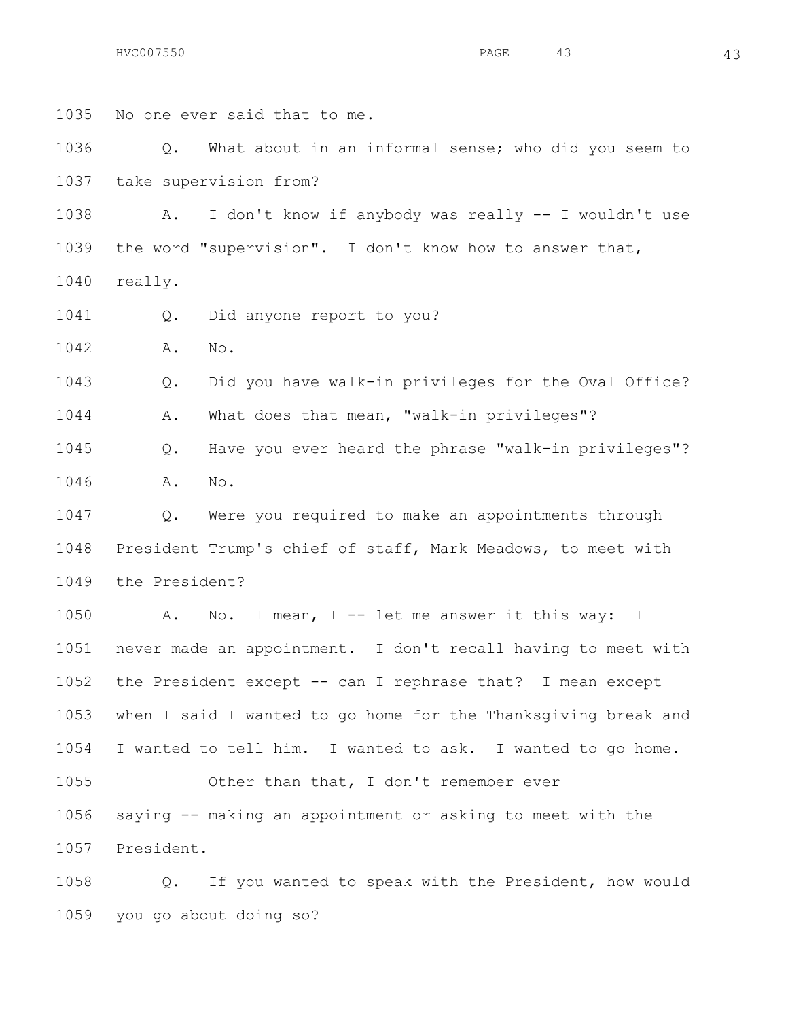No one ever said that to me.

 Q. What about in an informal sense; who did you seem to take supervision from?

 A. I don't know if anybody was really -- I wouldn't use the word "supervision". I don't know how to answer that, really.

Q. Did anyone report to you?

A. No.

 Q. Did you have walk-in privileges for the Oval Office? A. What does that mean, "walk-in privileges"?

 Q. Have you ever heard the phrase "walk-in privileges"? A. No.

 Q. Were you required to make an appointments through President Trump's chief of staff, Mark Meadows, to meet with the President?

1050 A. No. I mean, I -- let me answer it this way: I never made an appointment. I don't recall having to meet with the President except -- can I rephrase that? I mean except when I said I wanted to go home for the Thanksgiving break and I wanted to tell him. I wanted to ask. I wanted to go home. Other than that, I don't remember ever saying -- making an appointment or asking to meet with the President.

 Q. If you wanted to speak with the President, how would you go about doing so?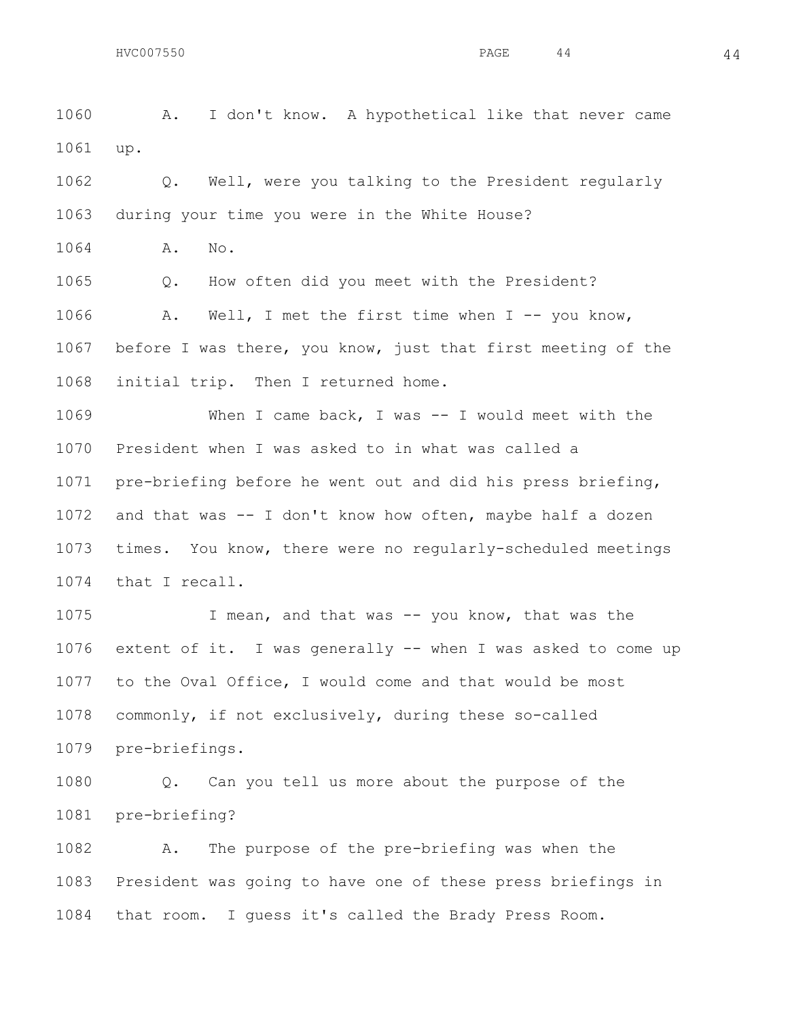A. I don't know. A hypothetical like that never came

up.

 Q. Well, were you talking to the President regularly during your time you were in the White House?

A. No.

Q. How often did you meet with the President?

 A. Well, I met the first time when I -- you know, before I was there, you know, just that first meeting of the initial trip. Then I returned home.

 When I came back, I was -- I would meet with the President when I was asked to in what was called a pre-briefing before he went out and did his press briefing, and that was -- I don't know how often, maybe half a dozen times. You know, there were no regularly-scheduled meetings that I recall.

 I mean, and that was -- you know, that was the extent of it. I was generally -- when I was asked to come up to the Oval Office, I would come and that would be most commonly, if not exclusively, during these so-called pre-briefings.

 Q. Can you tell us more about the purpose of the pre-briefing?

 A. The purpose of the pre-briefing was when the President was going to have one of these press briefings in that room. I guess it's called the Brady Press Room.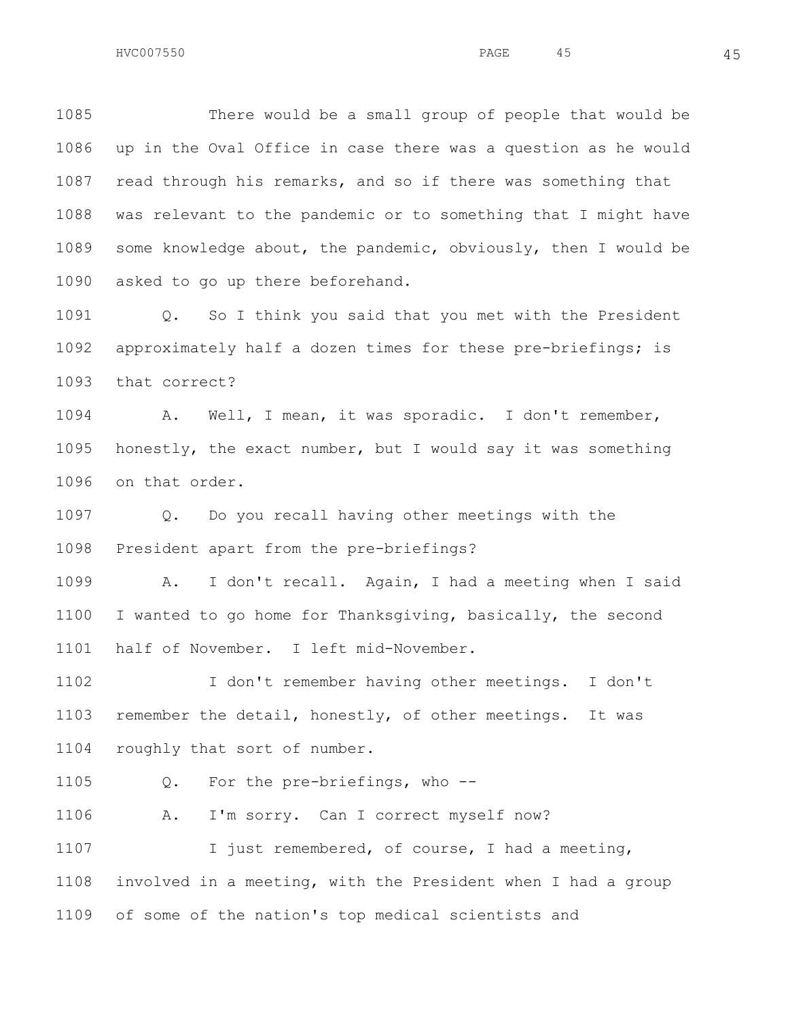There would be a small group of people that would be up in the Oval Office in case there was a question as he would read through his remarks, and so if there was something that was relevant to the pandemic or to something that I might have some knowledge about, the pandemic, obviously, then I would be asked to go up there beforehand.

 Q. So I think you said that you met with the President approximately half a dozen times for these pre-briefings; is that correct?

 A. Well, I mean, it was sporadic. I don't remember, honestly, the exact number, but I would say it was something on that order.

 Q. Do you recall having other meetings with the President apart from the pre-briefings?

 A. I don't recall. Again, I had a meeting when I said I wanted to go home for Thanksgiving, basically, the second half of November. I left mid-November.

 I don't remember having other meetings. I don't remember the detail, honestly, of other meetings. It was roughly that sort of number.

Q. For the pre-briefings, who --

A. I'm sorry. Can I correct myself now?

 I just remembered, of course, I had a meeting, involved in a meeting, with the President when I had a group of some of the nation's top medical scientists and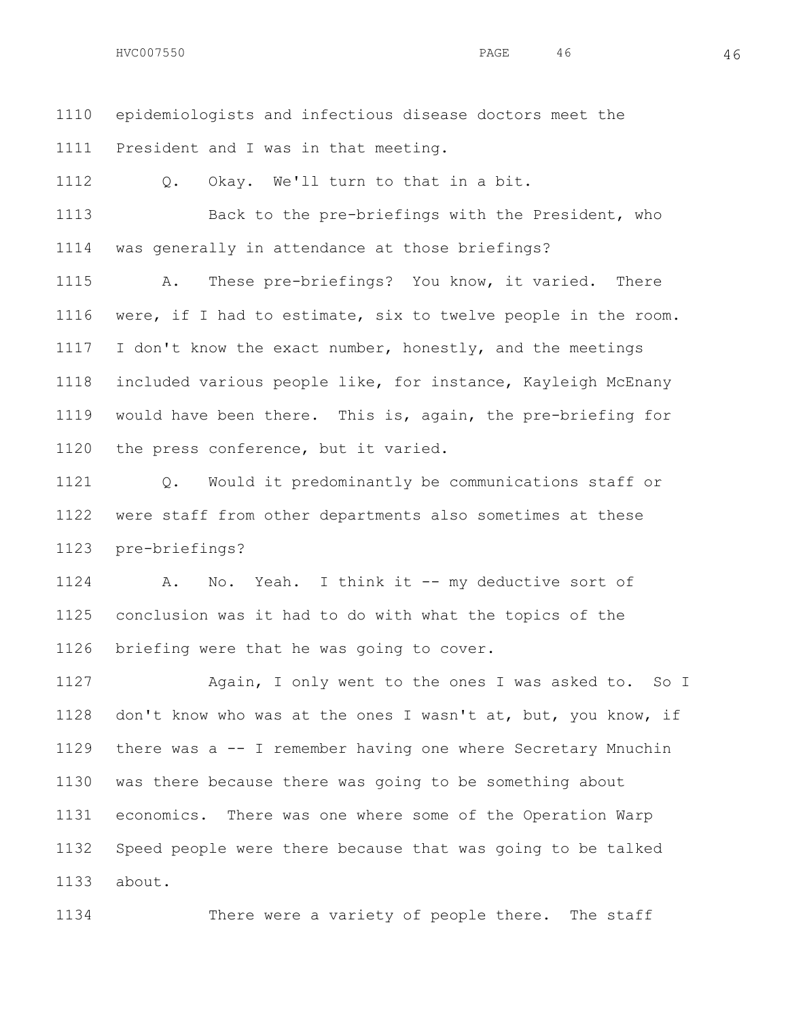epidemiologists and infectious disease doctors meet the President and I was in that meeting.

Q. Okay. We'll turn to that in a bit.

 Back to the pre-briefings with the President, who was generally in attendance at those briefings?

 A. These pre-briefings? You know, it varied. There were, if I had to estimate, six to twelve people in the room. 1117 I don't know the exact number, honestly, and the meetings included various people like, for instance, Kayleigh McEnany would have been there. This is, again, the pre-briefing for the press conference, but it varied.

 Q. Would it predominantly be communications staff or were staff from other departments also sometimes at these pre-briefings?

 A. No. Yeah. I think it -- my deductive sort of conclusion was it had to do with what the topics of the briefing were that he was going to cover.

 Again, I only went to the ones I was asked to. So I don't know who was at the ones I wasn't at, but, you know, if there was a -- I remember having one where Secretary Mnuchin was there because there was going to be something about economics. There was one where some of the Operation Warp Speed people were there because that was going to be talked about.

There were a variety of people there. The staff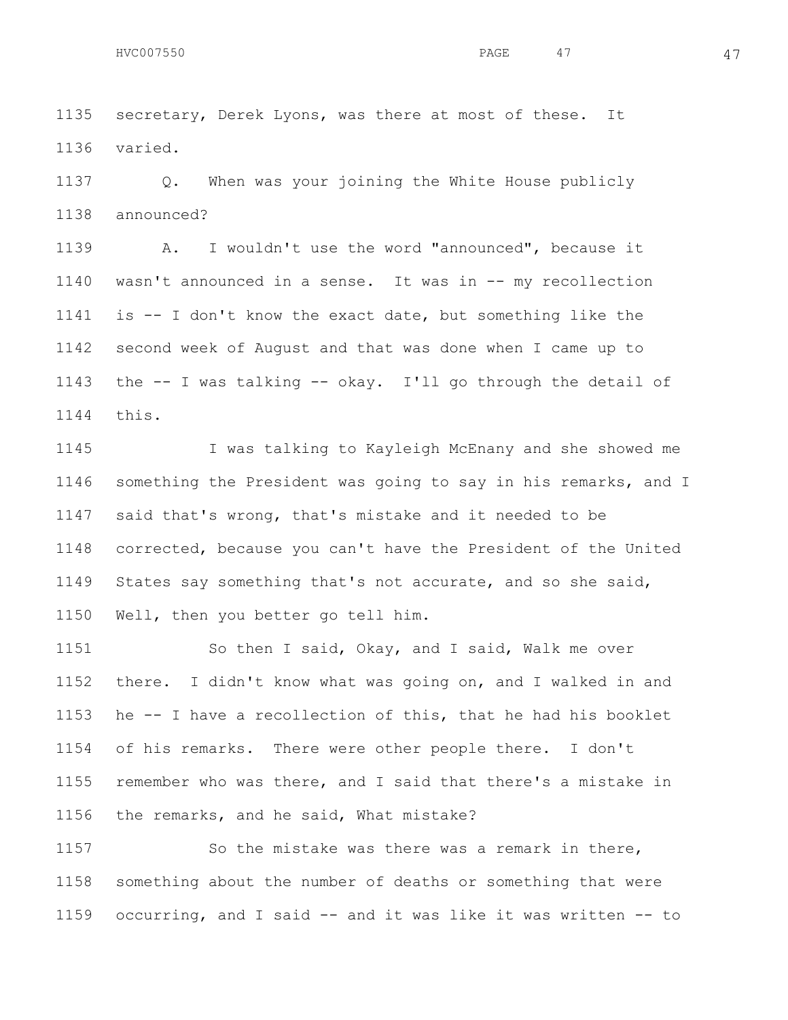secretary, Derek Lyons, was there at most of these. It

varied.

 Q. When was your joining the White House publicly announced?

 A. I wouldn't use the word "announced", because it wasn't announced in a sense. It was in -- my recollection is -- I don't know the exact date, but something like the second week of August and that was done when I came up to the -- I was talking -- okay. I'll go through the detail of this.

 I was talking to Kayleigh McEnany and she showed me something the President was going to say in his remarks, and I said that's wrong, that's mistake and it needed to be corrected, because you can't have the President of the United States say something that's not accurate, and so she said, Well, then you better go tell him.

1151 So then I said, Okay, and I said, Walk me over there. I didn't know what was going on, and I walked in and he -- I have a recollection of this, that he had his booklet of his remarks. There were other people there. I don't remember who was there, and I said that there's a mistake in the remarks, and he said, What mistake?

 So the mistake was there was a remark in there, something about the number of deaths or something that were occurring, and I said -- and it was like it was written -- to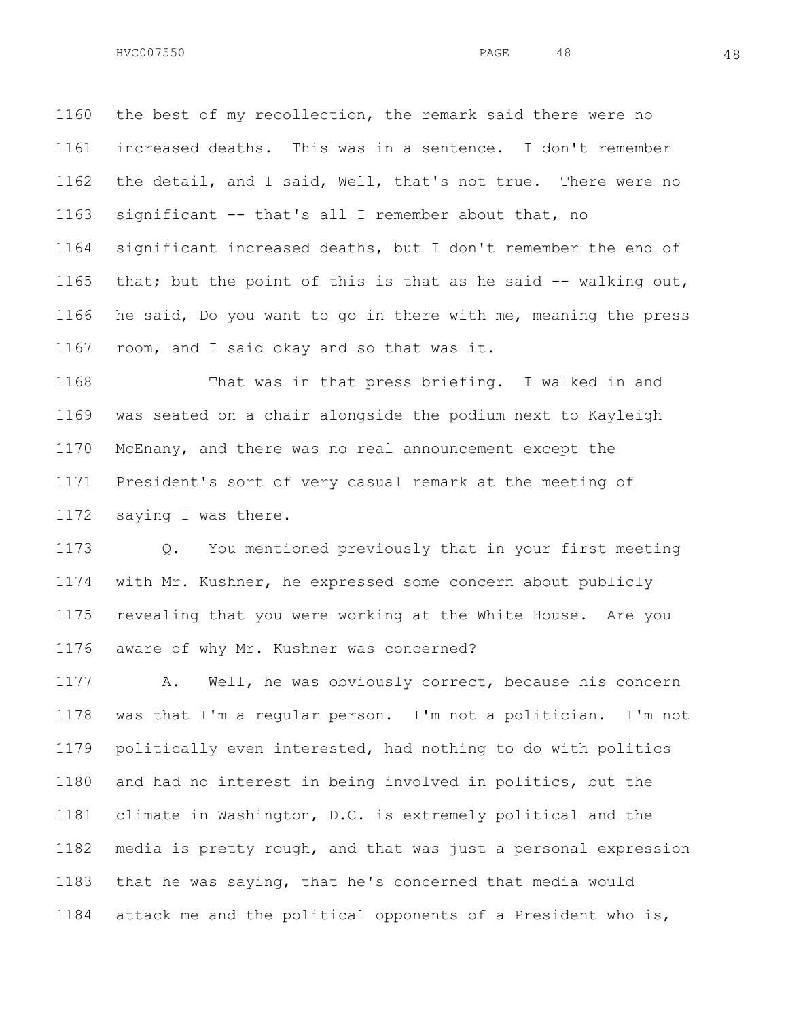the best of my recollection, the remark said there were no increased deaths. This was in a sentence. I don't remember the detail, and I said, Well, that's not true. There were no significant -- that's all I remember about that, no significant increased deaths, but I don't remember the end of that; but the point of this is that as he said -- walking out, he said, Do you want to go in there with me, meaning the press room, and I said okay and so that was it.

 That was in that press briefing. I walked in and was seated on a chair alongside the podium next to Kayleigh McEnany, and there was no real announcement except the President's sort of very casual remark at the meeting of saying I was there.

 Q. You mentioned previously that in your first meeting with Mr. Kushner, he expressed some concern about publicly revealing that you were working at the White House. Are you aware of why Mr. Kushner was concerned?

 A. Well, he was obviously correct, because his concern was that I'm a regular person. I'm not a politician. I'm not politically even interested, had nothing to do with politics and had no interest in being involved in politics, but the climate in Washington, D.C. is extremely political and the media is pretty rough, and that was just a personal expression that he was saying, that he's concerned that media would attack me and the political opponents of a President who is,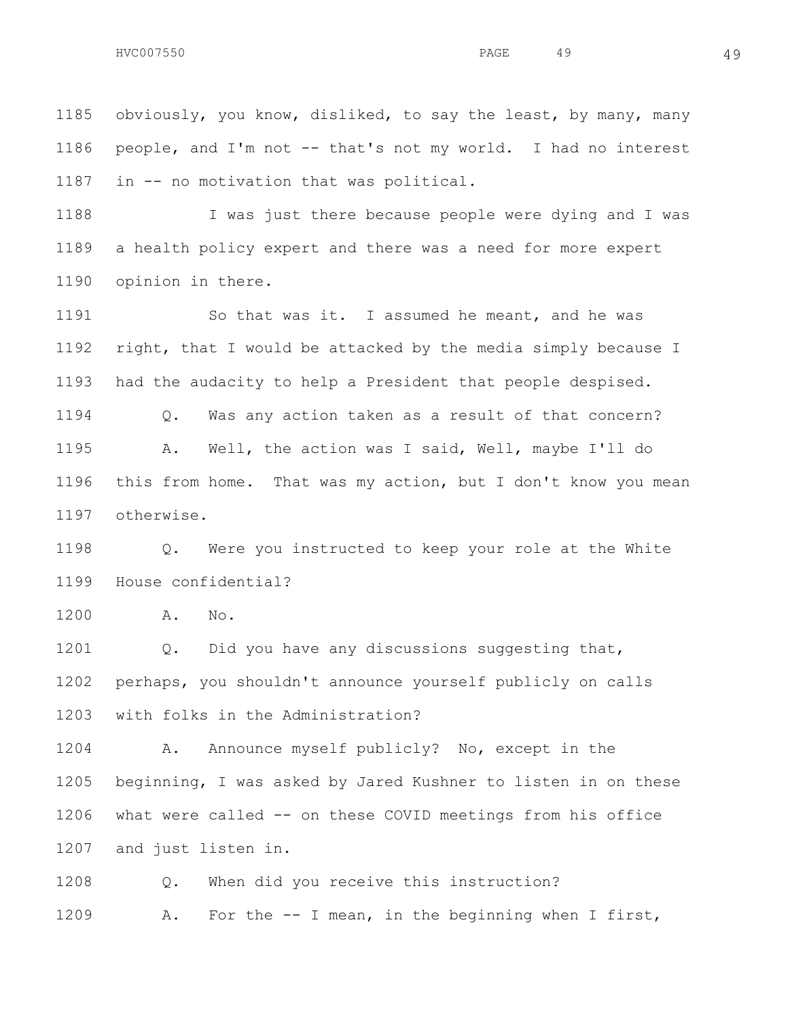obviously, you know, disliked, to say the least, by many, many people, and I'm not -- that's not my world. I had no interest in -- no motivation that was political.

 I was just there because people were dying and I was a health policy expert and there was a need for more expert opinion in there.

 So that was it. I assumed he meant, and he was right, that I would be attacked by the media simply because I had the audacity to help a President that people despised. Q. Was any action taken as a result of that concern? A. Well, the action was I said, Well, maybe I'll do this from home. That was my action, but I don't know you mean otherwise.

 Q. Were you instructed to keep your role at the White House confidential?

A. No.

1201 Q. Did you have any discussions suggesting that, perhaps, you shouldn't announce yourself publicly on calls with folks in the Administration?

 A. Announce myself publicly? No, except in the beginning, I was asked by Jared Kushner to listen in on these what were called -- on these COVID meetings from his office and just listen in.

 Q. When did you receive this instruction? A. For the -- I mean, in the beginning when I first,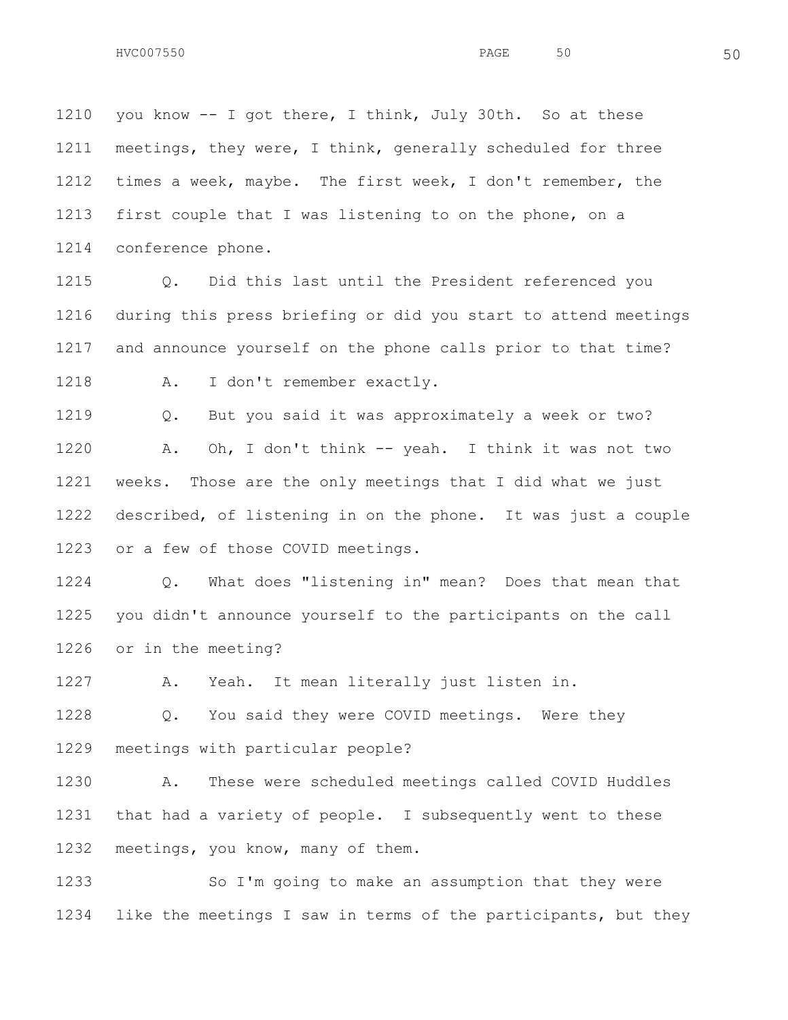1210 you know -- I got there, I think, July 30th. So at these meetings, they were, I think, generally scheduled for three times a week, maybe. The first week, I don't remember, the first couple that I was listening to on the phone, on a conference phone.

 Q. Did this last until the President referenced you during this press briefing or did you start to attend meetings and announce yourself on the phone calls prior to that time?

A. I don't remember exactly.

 Q. But you said it was approximately a week or two? A. Oh, I don't think -- yeah. I think it was not two weeks. Those are the only meetings that I did what we just described, of listening in on the phone. It was just a couple or a few of those COVID meetings.

 Q. What does "listening in" mean? Does that mean that you didn't announce yourself to the participants on the call or in the meeting?

A. Yeah. It mean literally just listen in.

 Q. You said they were COVID meetings. Were they meetings with particular people?

 A. These were scheduled meetings called COVID Huddles that had a variety of people. I subsequently went to these meetings, you know, many of them.

 So I'm going to make an assumption that they were like the meetings I saw in terms of the participants, but they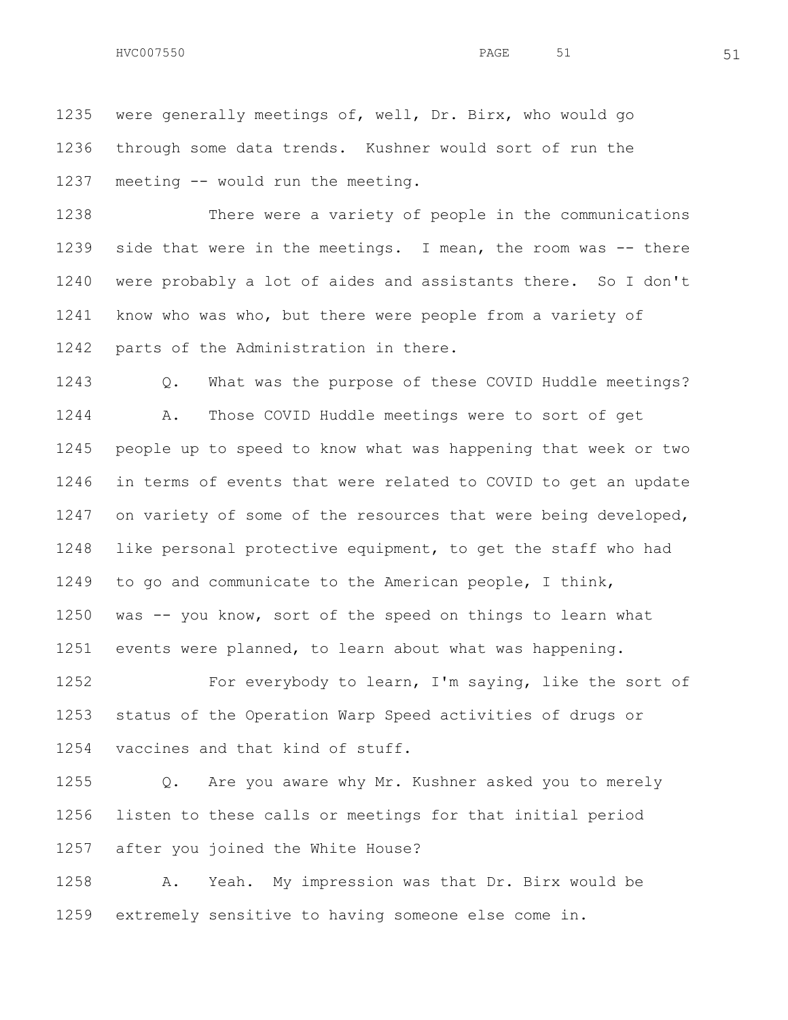were generally meetings of, well, Dr. Birx, who would go through some data trends. Kushner would sort of run the meeting -- would run the meeting.

 There were a variety of people in the communications side that were in the meetings. I mean, the room was -- there were probably a lot of aides and assistants there. So I don't know who was who, but there were people from a variety of parts of the Administration in there.

 Q. What was the purpose of these COVID Huddle meetings? A. Those COVID Huddle meetings were to sort of get people up to speed to know what was happening that week or two in terms of events that were related to COVID to get an update 1247 on variety of some of the resources that were being developed, like personal protective equipment, to get the staff who had to go and communicate to the American people, I think, was -- you know, sort of the speed on things to learn what events were planned, to learn about what was happening.

1252 For everybody to learn, I'm saying, like the sort of status of the Operation Warp Speed activities of drugs or vaccines and that kind of stuff.

 Q. Are you aware why Mr. Kushner asked you to merely listen to these calls or meetings for that initial period after you joined the White House?

 A. Yeah. My impression was that Dr. Birx would be extremely sensitive to having someone else come in.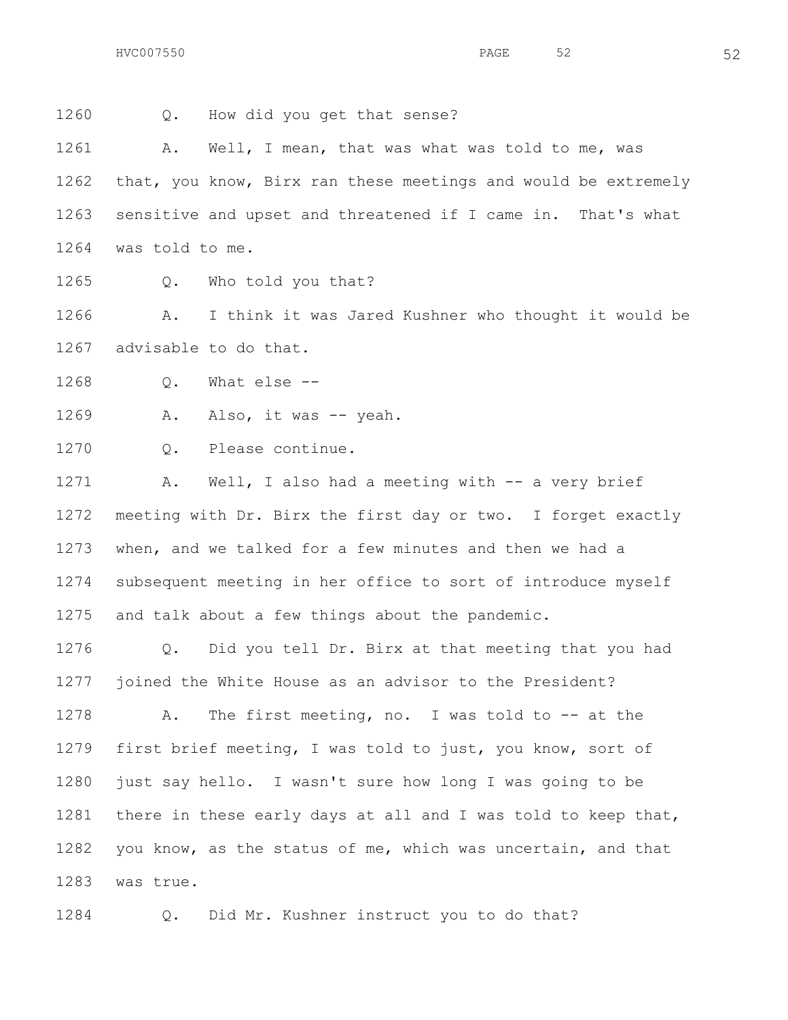Q. How did you get that sense?

1261 A. Well, I mean, that was what was told to me, was that, you know, Birx ran these meetings and would be extremely sensitive and upset and threatened if I came in. That's what was told to me.

1265 O. Who told you that?

 A. I think it was Jared Kushner who thought it would be advisable to do that.

Q. What else --

1269 A. Also, it was -- yeah.

Q. Please continue.

 A. Well, I also had a meeting with -- a very brief meeting with Dr. Birx the first day or two. I forget exactly when, and we talked for a few minutes and then we had a subsequent meeting in her office to sort of introduce myself and talk about a few things about the pandemic.

 Q. Did you tell Dr. Birx at that meeting that you had joined the White House as an advisor to the President?

 A. The first meeting, no. I was told to -- at the first brief meeting, I was told to just, you know, sort of just say hello. I wasn't sure how long I was going to be there in these early days at all and I was told to keep that, you know, as the status of me, which was uncertain, and that was true.

Q. Did Mr. Kushner instruct you to do that?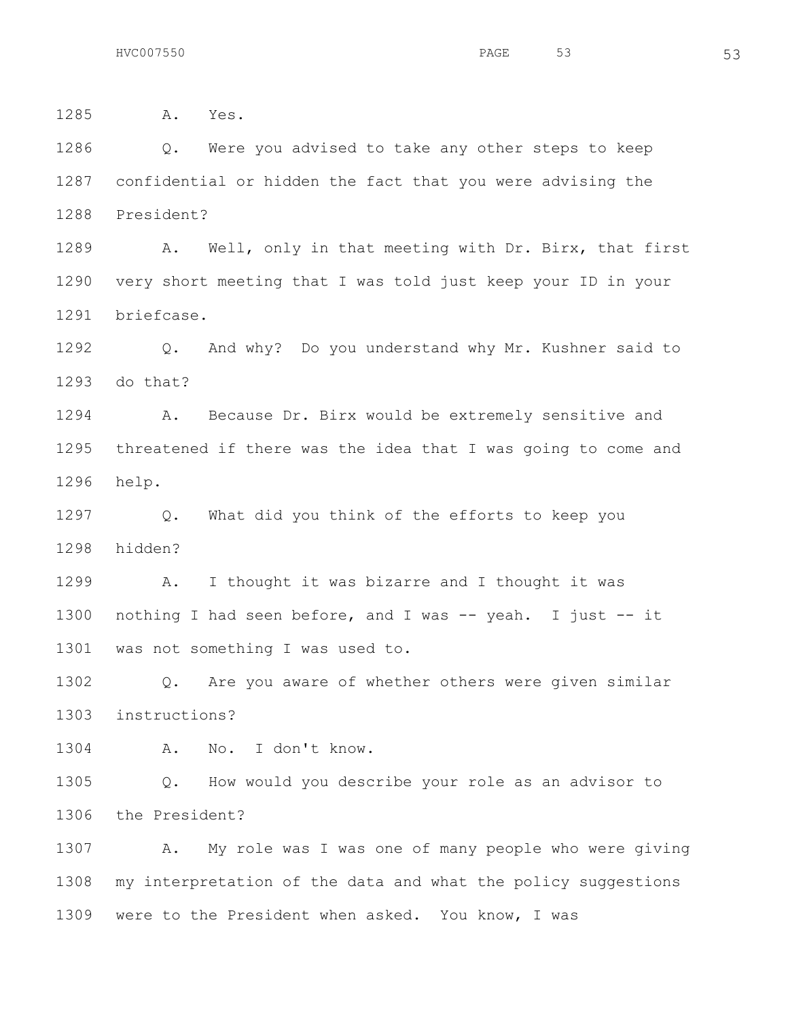A. Yes. Q. Were you advised to take any other steps to keep confidential or hidden the fact that you were advising the President? A. Well, only in that meeting with Dr. Birx, that first very short meeting that I was told just keep your ID in your briefcase. Q. And why? Do you understand why Mr. Kushner said to do that? A. Because Dr. Birx would be extremely sensitive and threatened if there was the idea that I was going to come and help. Q. What did you think of the efforts to keep you hidden? A. I thought it was bizarre and I thought it was nothing I had seen before, and I was -- yeah. I just -- it was not something I was used to. Q. Are you aware of whether others were given similar instructions? A. No. I don't know. Q. How would you describe your role as an advisor to the President? A. My role was I was one of many people who were giving my interpretation of the data and what the policy suggestions were to the President when asked. You know, I was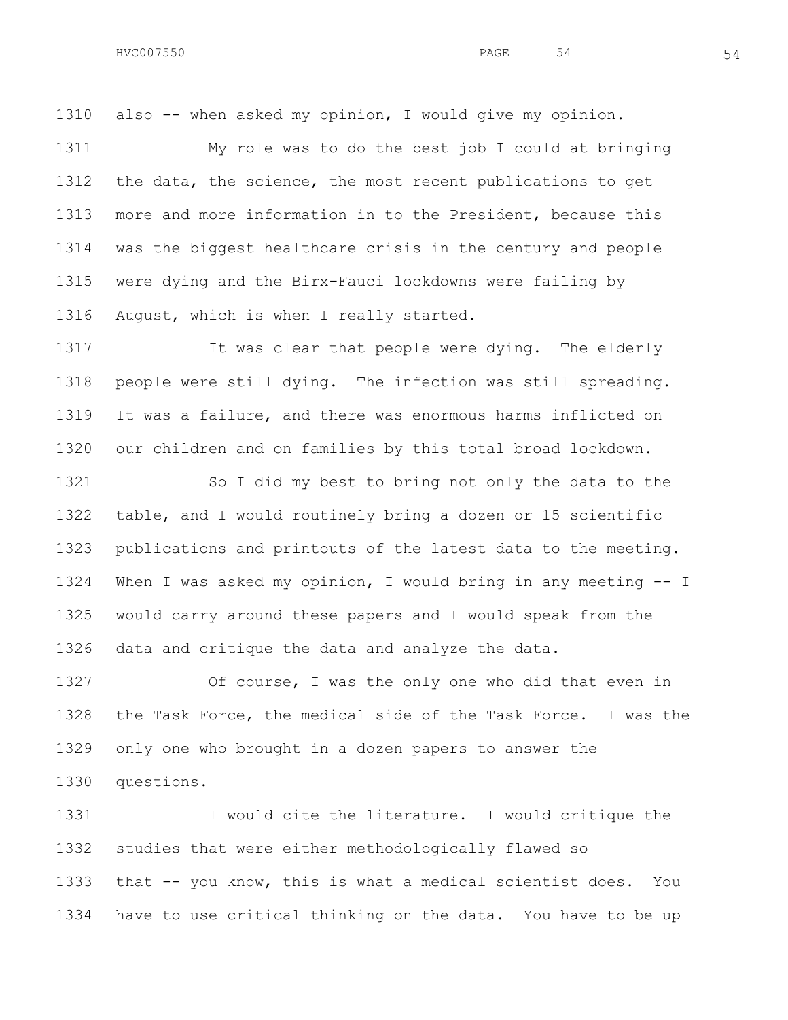also -- when asked my opinion, I would give my opinion.

 My role was to do the best job I could at bringing the data, the science, the most recent publications to get more and more information in to the President, because this was the biggest healthcare crisis in the century and people were dying and the Birx-Fauci lockdowns were failing by August, which is when I really started.

1317 It was clear that people were dying. The elderly people were still dying. The infection was still spreading. It was a failure, and there was enormous harms inflicted on our children and on families by this total broad lockdown.

1321 So I did my best to bring not only the data to the table, and I would routinely bring a dozen or 15 scientific publications and printouts of the latest data to the meeting. When I was asked my opinion, I would bring in any meeting -- I would carry around these papers and I would speak from the data and critique the data and analyze the data.

 Of course, I was the only one who did that even in the Task Force, the medical side of the Task Force. I was the only one who brought in a dozen papers to answer the questions.

 I would cite the literature. I would critique the studies that were either methodologically flawed so that -- you know, this is what a medical scientist does. You have to use critical thinking on the data. You have to be up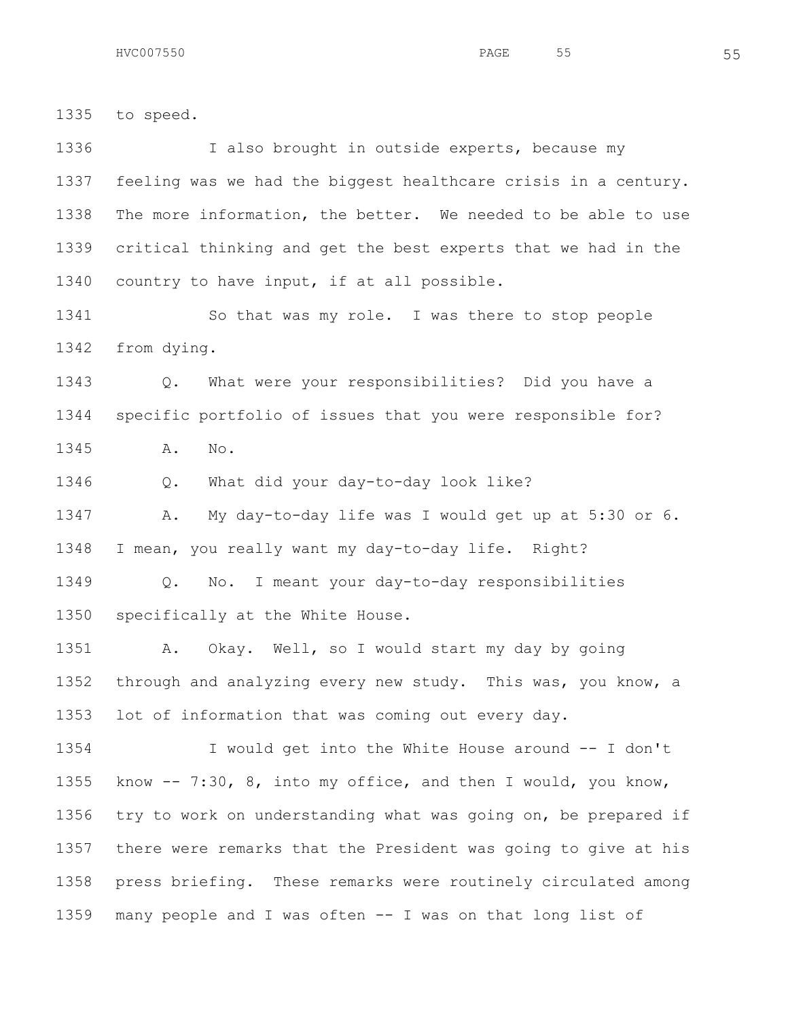to speed. 1336 I also brought in outside experts, because my feeling was we had the biggest healthcare crisis in a century. The more information, the better. We needed to be able to use critical thinking and get the best experts that we had in the country to have input, if at all possible. So that was my role. I was there to stop people from dying. Q. What were your responsibilities? Did you have a specific portfolio of issues that you were responsible for? A. No. Q. What did your day-to-day look like? A. My day-to-day life was I would get up at 5:30 or 6. I mean, you really want my day-to-day life. Right? Q. No. I meant your day-to-day responsibilities specifically at the White House. A. Okay. Well, so I would start my day by going through and analyzing every new study. This was, you know, a lot of information that was coming out every day. I would get into the White House around -- I don't know -- 7:30, 8, into my office, and then I would, you know, try to work on understanding what was going on, be prepared if there were remarks that the President was going to give at his press briefing. These remarks were routinely circulated among many people and I was often -- I was on that long list of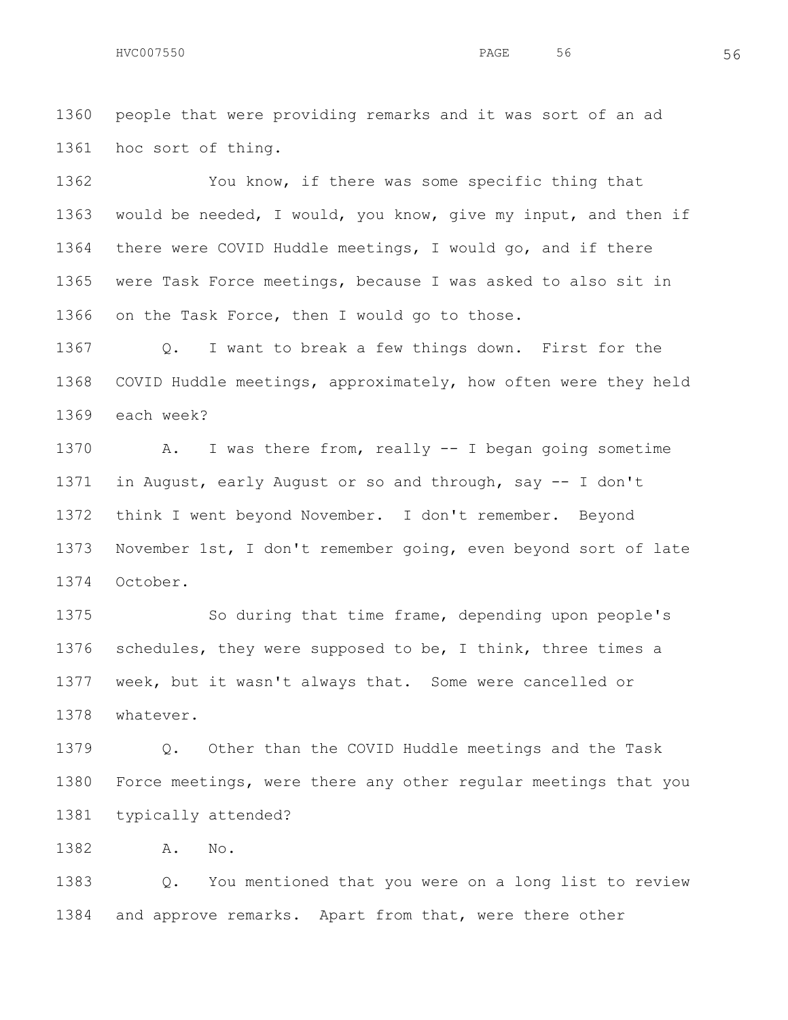people that were providing remarks and it was sort of an ad hoc sort of thing.

 You know, if there was some specific thing that would be needed, I would, you know, give my input, and then if there were COVID Huddle meetings, I would go, and if there were Task Force meetings, because I was asked to also sit in on the Task Force, then I would go to those.

 Q. I want to break a few things down. First for the COVID Huddle meetings, approximately, how often were they held each week?

 A. I was there from, really -- I began going sometime in August, early August or so and through, say -- I don't think I went beyond November. I don't remember. Beyond November 1st, I don't remember going, even beyond sort of late October.

 So during that time frame, depending upon people's schedules, they were supposed to be, I think, three times a week, but it wasn't always that. Some were cancelled or whatever.

 Q. Other than the COVID Huddle meetings and the Task Force meetings, were there any other regular meetings that you typically attended?

A. No.

 Q. You mentioned that you were on a long list to review and approve remarks. Apart from that, were there other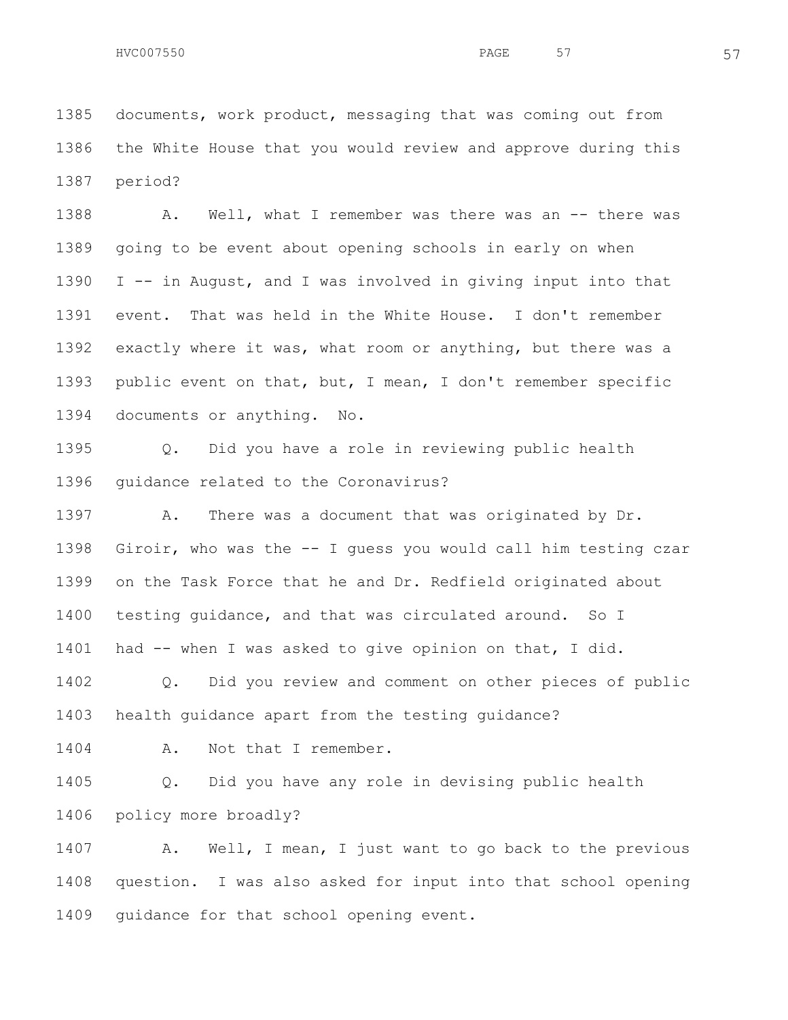documents, work product, messaging that was coming out from the White House that you would review and approve during this period?

1388 A. Well, what I remember was there was an -- there was going to be event about opening schools in early on when I -- in August, and I was involved in giving input into that event. That was held in the White House. I don't remember exactly where it was, what room or anything, but there was a public event on that, but, I mean, I don't remember specific documents or anything. No.

 Q. Did you have a role in reviewing public health guidance related to the Coronavirus?

1397 A. There was a document that was originated by Dr. Giroir, who was the -- I guess you would call him testing czar on the Task Force that he and Dr. Redfield originated about testing guidance, and that was circulated around. So I had -- when I was asked to give opinion on that, I did.

 Q. Did you review and comment on other pieces of public health guidance apart from the testing guidance?

1404 A. Not that I remember.

 Q. Did you have any role in devising public health policy more broadly?

 A. Well, I mean, I just want to go back to the previous question. I was also asked for input into that school opening guidance for that school opening event.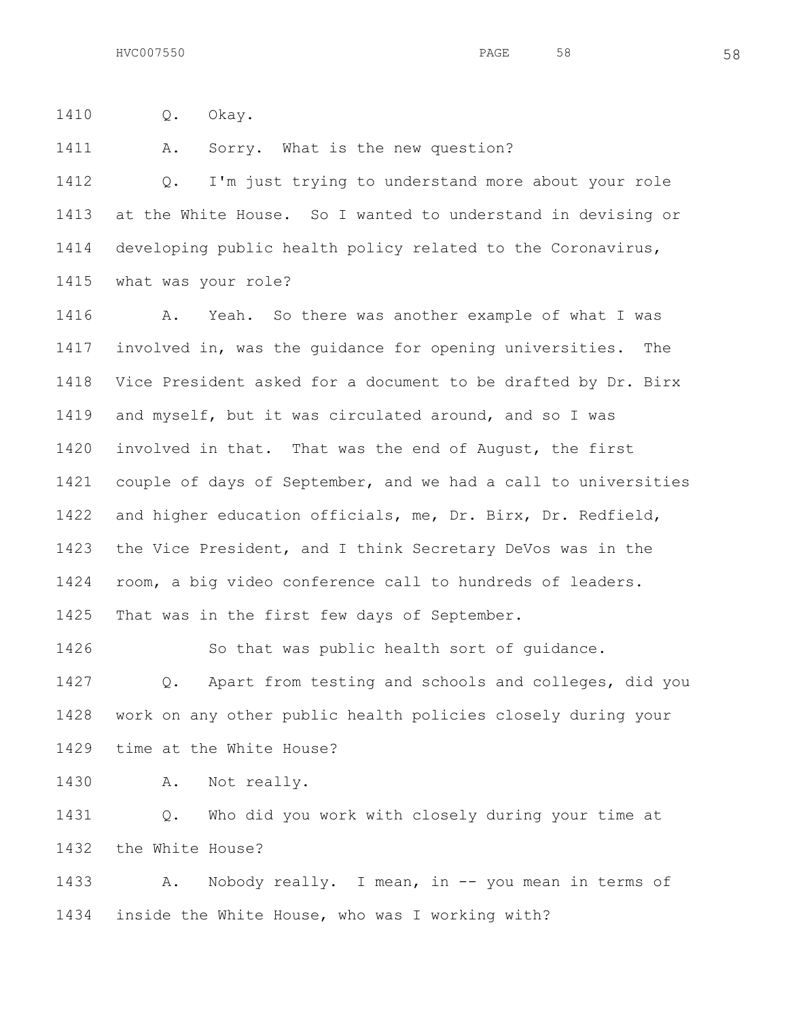Q. Okay.

A. Sorry. What is the new question?

 Q. I'm just trying to understand more about your role at the White House. So I wanted to understand in devising or developing public health policy related to the Coronavirus, what was your role?

 A. Yeah. So there was another example of what I was involved in, was the guidance for opening universities. The Vice President asked for a document to be drafted by Dr. Birx and myself, but it was circulated around, and so I was involved in that. That was the end of August, the first couple of days of September, and we had a call to universities and higher education officials, me, Dr. Birx, Dr. Redfield, the Vice President, and I think Secretary DeVos was in the room, a big video conference call to hundreds of leaders. That was in the first few days of September.

 So that was public health sort of guidance. Q. Apart from testing and schools and colleges, did you work on any other public health policies closely during your time at the White House?

1430 A. Not really.

 Q. Who did you work with closely during your time at the White House?

 A. Nobody really. I mean, in -- you mean in terms of inside the White House, who was I working with?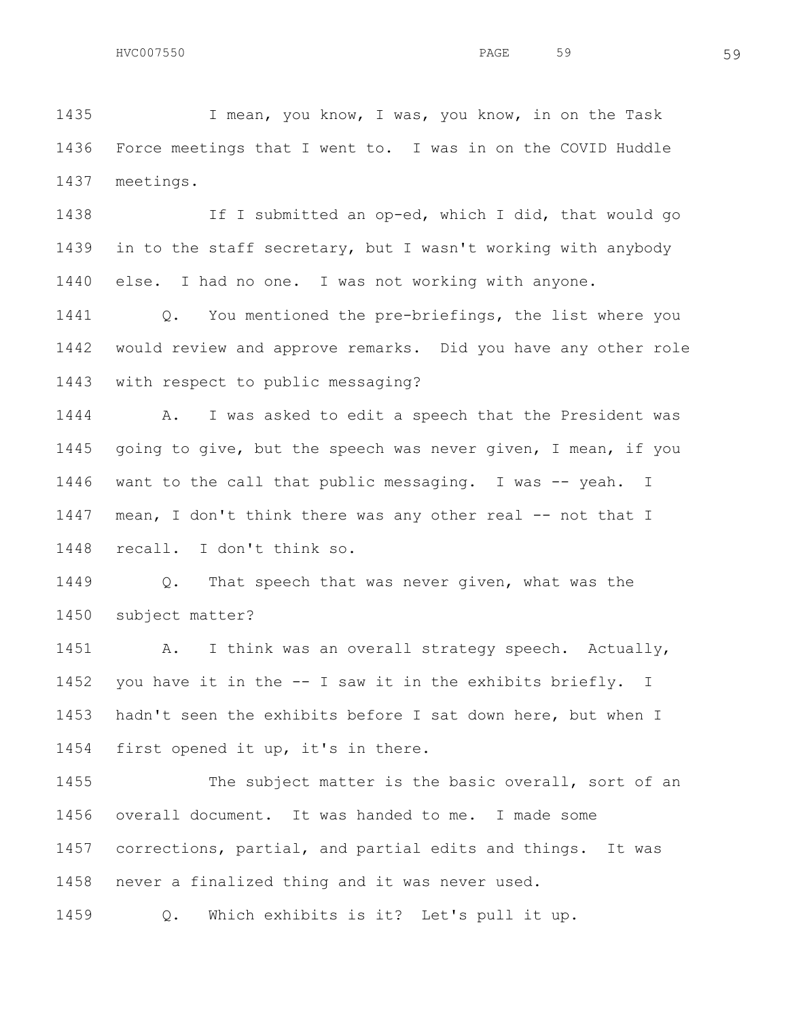I mean, you know, I was, you know, in on the Task Force meetings that I went to. I was in on the COVID Huddle meetings.

 If I submitted an op-ed, which I did, that would go in to the staff secretary, but I wasn't working with anybody else. I had no one. I was not working with anyone.

 Q. You mentioned the pre-briefings, the list where you would review and approve remarks. Did you have any other role with respect to public messaging?

 A. I was asked to edit a speech that the President was going to give, but the speech was never given, I mean, if you want to the call that public messaging. I was -- yeah. I 1447 mean, I don't think there was any other real -- not that I recall. I don't think so.

 Q. That speech that was never given, what was the subject matter?

1451 A. I think was an overall strategy speech. Actually, you have it in the -- I saw it in the exhibits briefly. I hadn't seen the exhibits before I sat down here, but when I first opened it up, it's in there.

1455 The subject matter is the basic overall, sort of an overall document. It was handed to me. I made some corrections, partial, and partial edits and things. It was never a finalized thing and it was never used. Q. Which exhibits is it? Let's pull it up.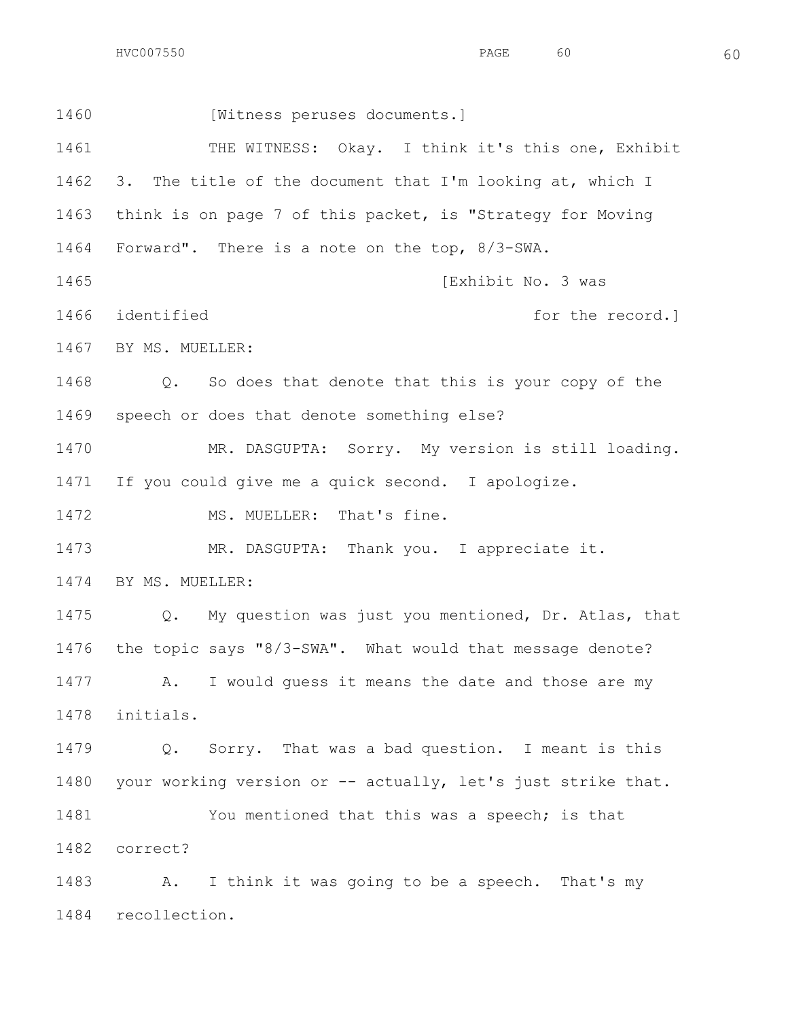$HVC007550$  60

1460 [Witness peruses documents.] 1461 THE WITNESS: Okay. I think it's this one, Exhibit 3. The title of the document that I'm looking at, which I think is on page 7 of this packet, is "Strategy for Moving Forward". There is a note on the top, 8/3-SWA. **Intervention Community** (Exhibit No. 3 was 1466 identified **for the record.**  BY MS. MUELLER: Q. So does that denote that this is your copy of the speech or does that denote something else? MR. DASGUPTA: Sorry. My version is still loading. If you could give me a quick second. I apologize. 1472 MS. MUELLER: That's fine. MR. DASGUPTA: Thank you. I appreciate it. BY MS. MUELLER: Q. My question was just you mentioned, Dr. Atlas, that the topic says "8/3-SWA". What would that message denote? A. I would guess it means the date and those are my initials. Q. Sorry. That was a bad question. I meant is this 1480 your working version or -- actually, let's just strike that. 1481 You mentioned that this was a speech; is that correct? A. I think it was going to be a speech. That's my

recollection.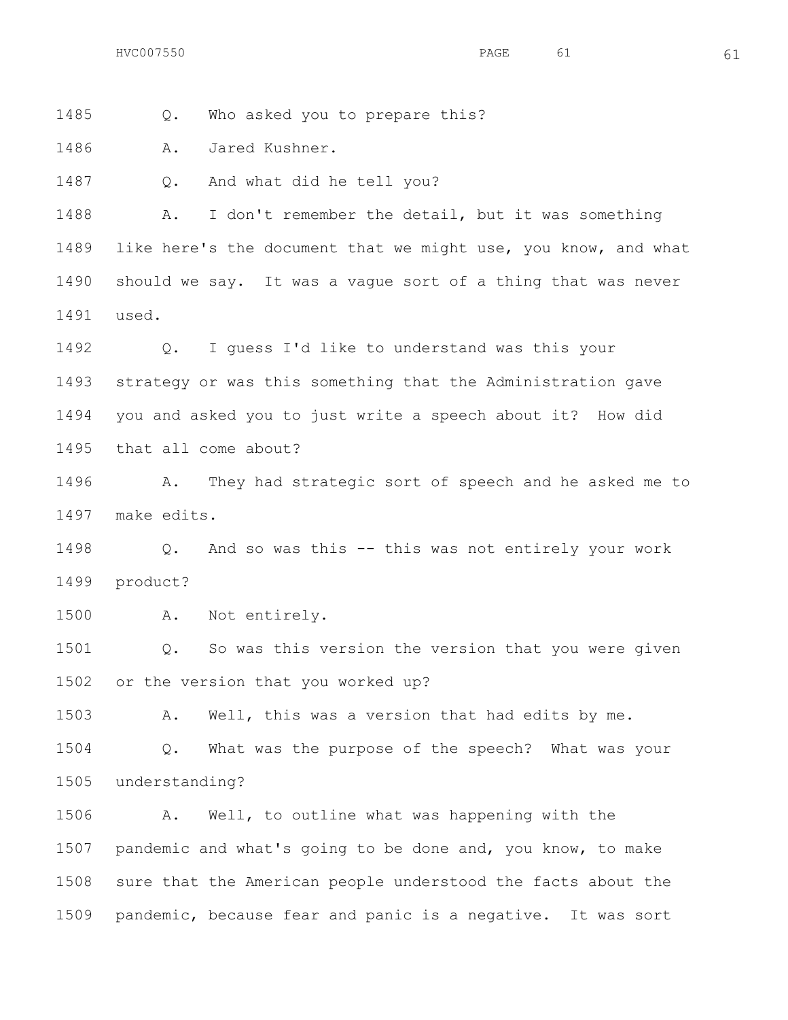Q. Who asked you to prepare this?

A. Jared Kushner.

Q. And what did he tell you?

 A. I don't remember the detail, but it was something like here's the document that we might use, you know, and what should we say. It was a vague sort of a thing that was never used.

 Q. I guess I'd like to understand was this your strategy or was this something that the Administration gave you and asked you to just write a speech about it? How did that all come about?

 A. They had strategic sort of speech and he asked me to make edits.

 Q. And so was this -- this was not entirely your work product?

A. Not entirely.

 Q. So was this version the version that you were given or the version that you worked up?

A. Well, this was a version that had edits by me.

 Q. What was the purpose of the speech? What was your understanding?

 A. Well, to outline what was happening with the pandemic and what's going to be done and, you know, to make sure that the American people understood the facts about the pandemic, because fear and panic is a negative. It was sort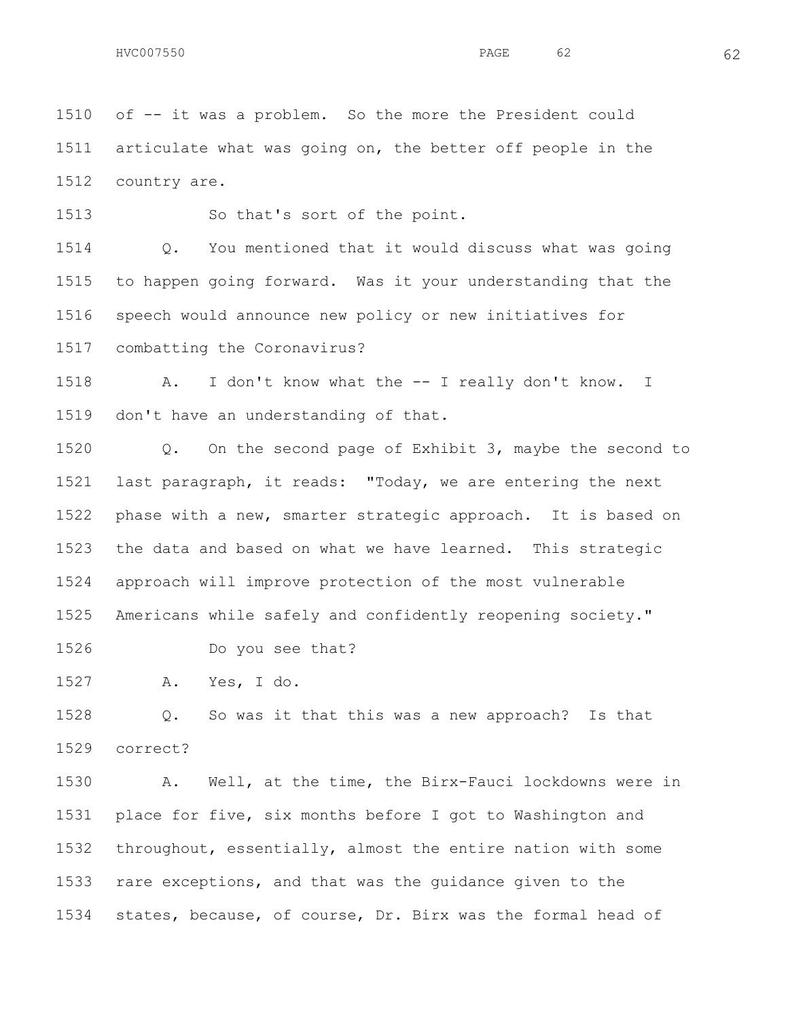of -- it was a problem. So the more the President could articulate what was going on, the better off people in the country are.

So that's sort of the point.

 Q. You mentioned that it would discuss what was going to happen going forward. Was it your understanding that the speech would announce new policy or new initiatives for combatting the Coronavirus?

 A. I don't know what the -- I really don't know. I don't have an understanding of that.

 Q. On the second page of Exhibit 3, maybe the second to last paragraph, it reads: "Today, we are entering the next phase with a new, smarter strategic approach. It is based on the data and based on what we have learned. This strategic approach will improve protection of the most vulnerable Americans while safely and confidently reopening society."

Do you see that?

A. Yes, I do.

 Q. So was it that this was a new approach? Is that correct?

 A. Well, at the time, the Birx-Fauci lockdowns were in place for five, six months before I got to Washington and throughout, essentially, almost the entire nation with some rare exceptions, and that was the guidance given to the states, because, of course, Dr. Birx was the formal head of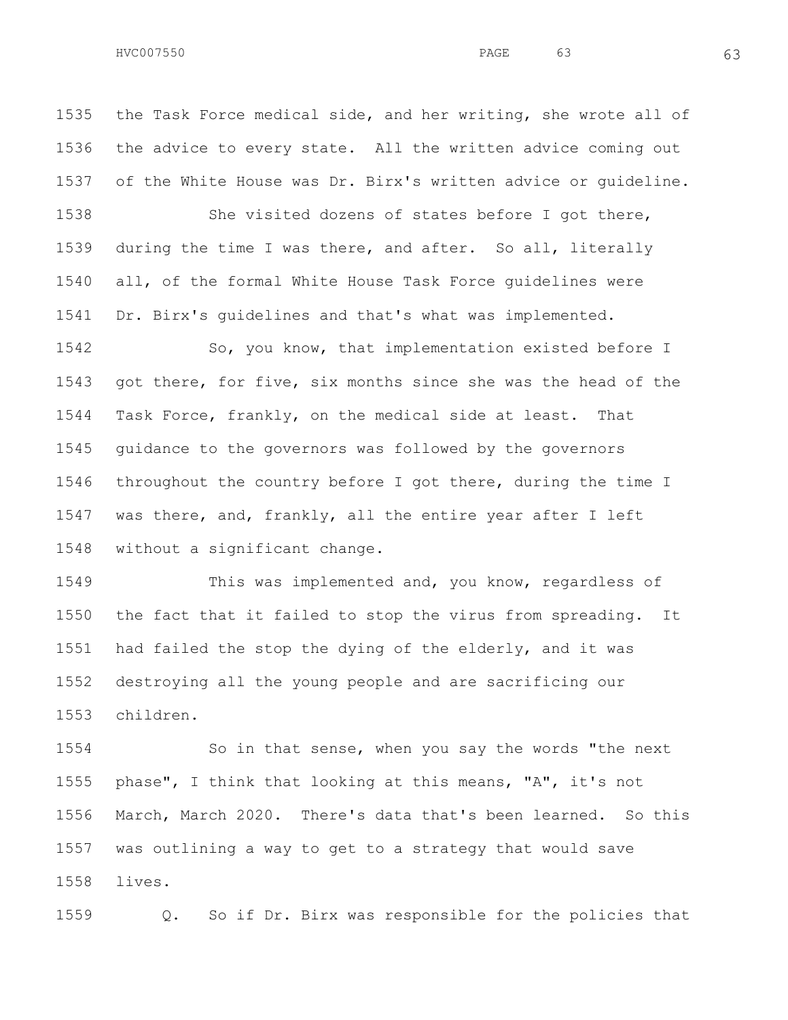the Task Force medical side, and her writing, she wrote all of the advice to every state. All the written advice coming out of the White House was Dr. Birx's written advice or guideline.

 She visited dozens of states before I got there, during the time I was there, and after. So all, literally all, of the formal White House Task Force guidelines were Dr. Birx's guidelines and that's what was implemented.

 So, you know, that implementation existed before I got there, for five, six months since she was the head of the Task Force, frankly, on the medical side at least. That guidance to the governors was followed by the governors throughout the country before I got there, during the time I was there, and, frankly, all the entire year after I left without a significant change.

 This was implemented and, you know, regardless of the fact that it failed to stop the virus from spreading. It had failed the stop the dying of the elderly, and it was destroying all the young people and are sacrificing our children.

 So in that sense, when you say the words "the next phase", I think that looking at this means, "A", it's not March, March 2020. There's data that's been learned. So this was outlining a way to get to a strategy that would save lives.

Q. So if Dr. Birx was responsible for the policies that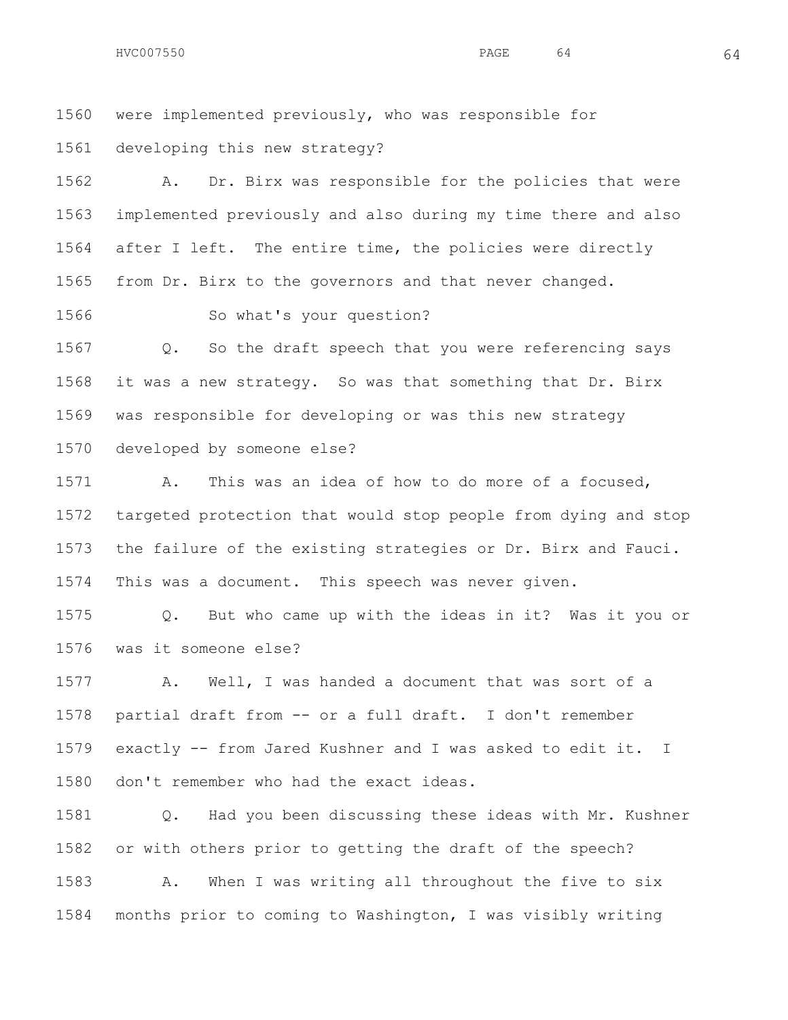were implemented previously, who was responsible for

developing this new strategy?

 A. Dr. Birx was responsible for the policies that were implemented previously and also during my time there and also after I left. The entire time, the policies were directly from Dr. Birx to the governors and that never changed.

So what's your question?

 Q. So the draft speech that you were referencing says it was a new strategy. So was that something that Dr. Birx was responsible for developing or was this new strategy developed by someone else?

 A. This was an idea of how to do more of a focused, targeted protection that would stop people from dying and stop the failure of the existing strategies or Dr. Birx and Fauci. This was a document. This speech was never given.

 Q. But who came up with the ideas in it? Was it you or was it someone else?

 A. Well, I was handed a document that was sort of a partial draft from -- or a full draft. I don't remember exactly -- from Jared Kushner and I was asked to edit it. I don't remember who had the exact ideas.

 Q. Had you been discussing these ideas with Mr. Kushner or with others prior to getting the draft of the speech?

 A. When I was writing all throughout the five to six months prior to coming to Washington, I was visibly writing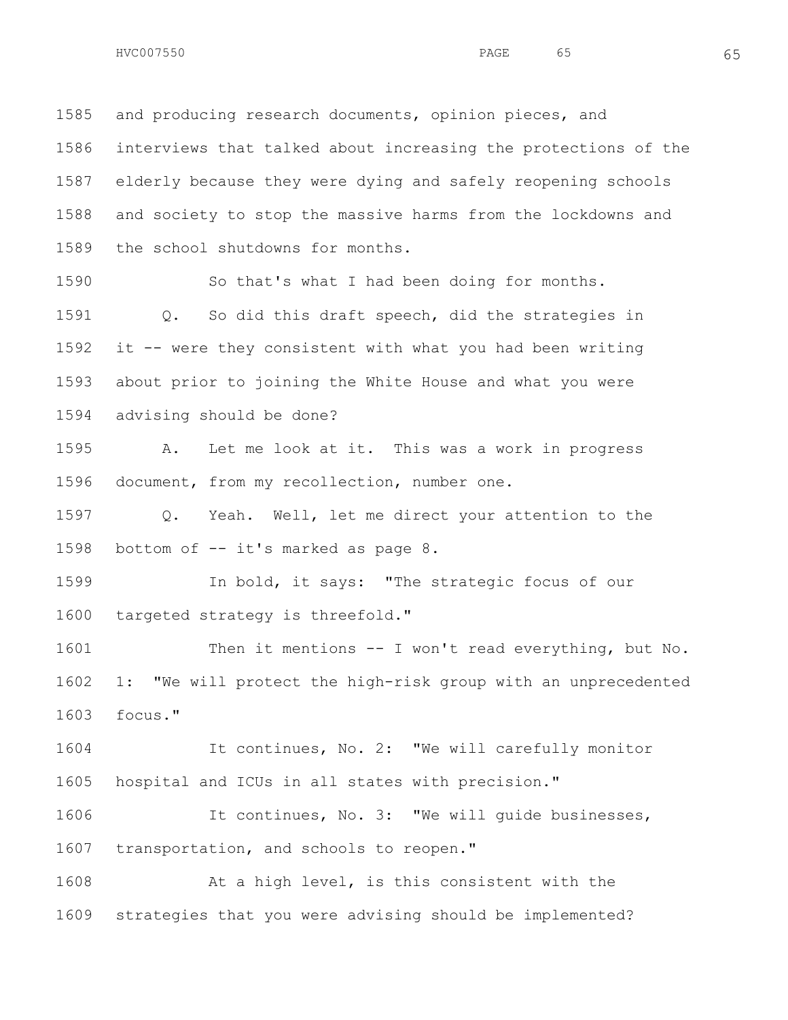and producing research documents, opinion pieces, and interviews that talked about increasing the protections of the elderly because they were dying and safely reopening schools and society to stop the massive harms from the lockdowns and the school shutdowns for months.

 So that's what I had been doing for months. Q. So did this draft speech, did the strategies in it -- were they consistent with what you had been writing about prior to joining the White House and what you were advising should be done?

 A. Let me look at it. This was a work in progress document, from my recollection, number one.

 Q. Yeah. Well, let me direct your attention to the bottom of -- it's marked as page 8.

 In bold, it says: "The strategic focus of our targeted strategy is threefold."

1601 Then it mentions -- I won't read everything, but No. 1: "We will protect the high-risk group with an unprecedented focus."

 It continues, No. 2: "We will carefully monitor hospital and ICUs in all states with precision."

 It continues, No. 3: "We will guide businesses, 1607 transportation, and schools to reopen."

 At a high level, is this consistent with the strategies that you were advising should be implemented?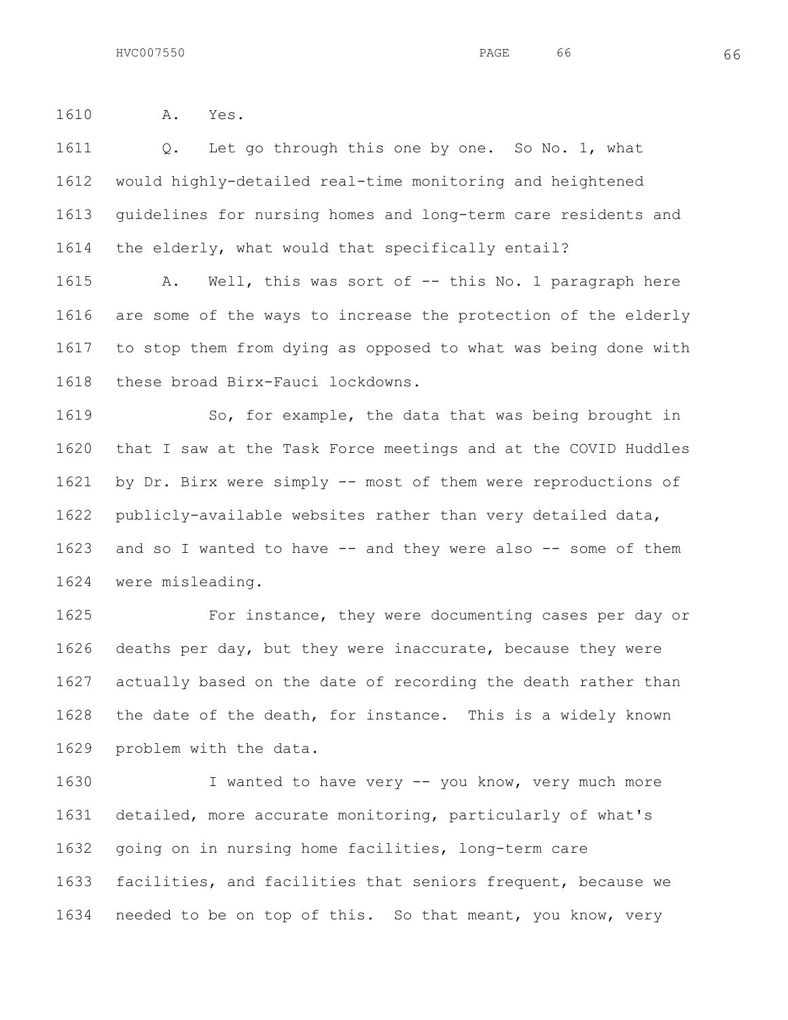A. Yes.

1611 Q. Let go through this one by one. So No. 1, what would highly-detailed real-time monitoring and heightened guidelines for nursing homes and long-term care residents and the elderly, what would that specifically entail?

 A. Well, this was sort of -- this No. 1 paragraph here are some of the ways to increase the protection of the elderly to stop them from dying as opposed to what was being done with these broad Birx-Fauci lockdowns.

1619 So, for example, the data that was being brought in that I saw at the Task Force meetings and at the COVID Huddles by Dr. Birx were simply -- most of them were reproductions of publicly-available websites rather than very detailed data, and so I wanted to have -- and they were also -- some of them were misleading.

 For instance, they were documenting cases per day or deaths per day, but they were inaccurate, because they were actually based on the date of recording the death rather than the date of the death, for instance. This is a widely known problem with the data.

 I wanted to have very -- you know, very much more detailed, more accurate monitoring, particularly of what's going on in nursing home facilities, long-term care facilities, and facilities that seniors frequent, because we needed to be on top of this. So that meant, you know, very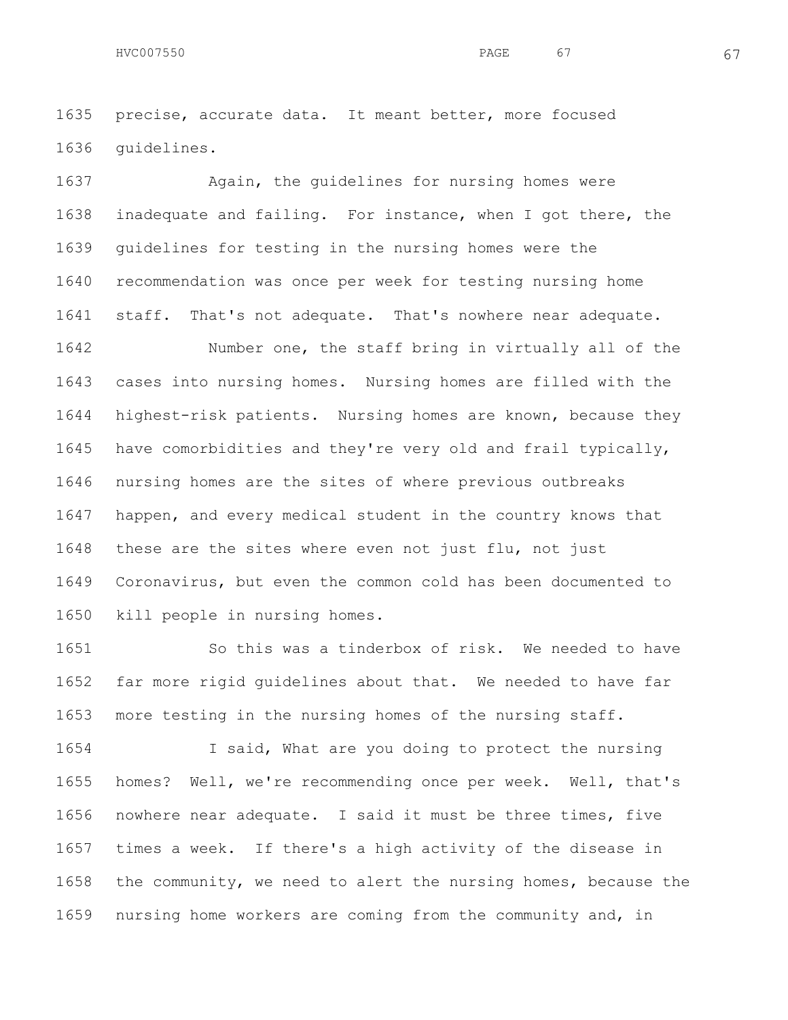precise, accurate data. It meant better, more focused guidelines.

1637 Again, the guidelines for nursing homes were inadequate and failing. For instance, when I got there, the guidelines for testing in the nursing homes were the recommendation was once per week for testing nursing home staff. That's not adequate. That's nowhere near adequate.

 Number one, the staff bring in virtually all of the cases into nursing homes. Nursing homes are filled with the highest-risk patients. Nursing homes are known, because they have comorbidities and they're very old and frail typically, nursing homes are the sites of where previous outbreaks happen, and every medical student in the country knows that these are the sites where even not just flu, not just Coronavirus, but even the common cold has been documented to kill people in nursing homes.

1651 So this was a tinderbox of risk. We needed to have far more rigid guidelines about that. We needed to have far more testing in the nursing homes of the nursing staff.

 I said, What are you doing to protect the nursing homes? Well, we're recommending once per week. Well, that's nowhere near adequate. I said it must be three times, five times a week. If there's a high activity of the disease in the community, we need to alert the nursing homes, because the nursing home workers are coming from the community and, in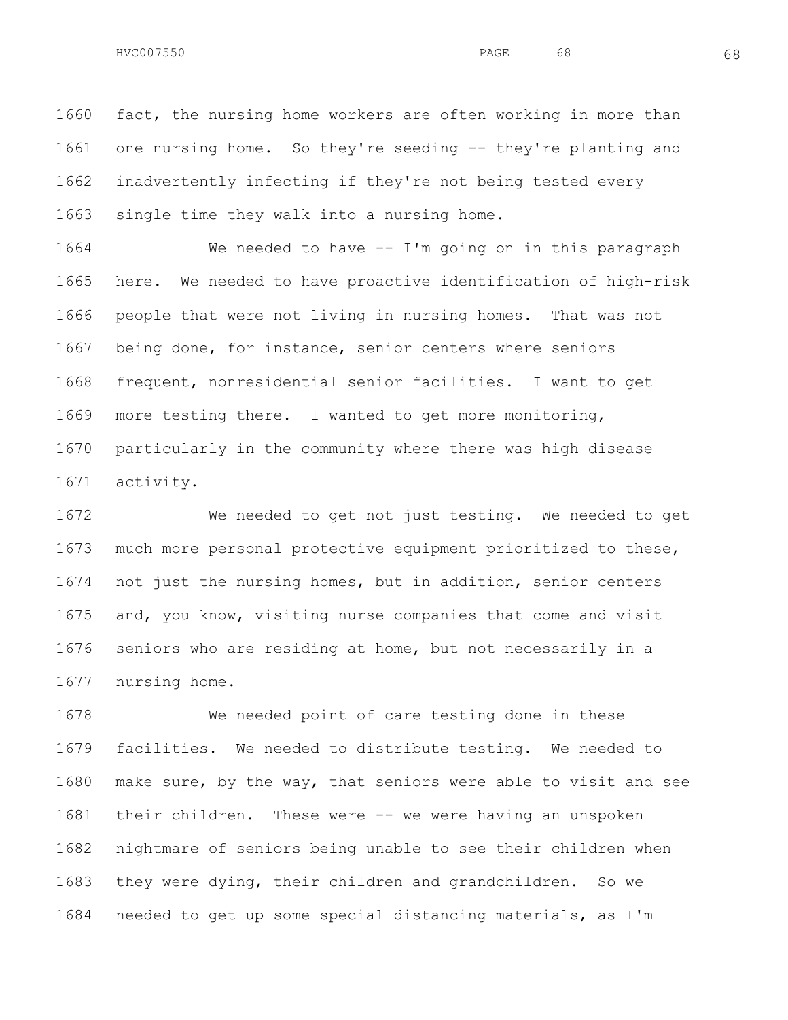fact, the nursing home workers are often working in more than one nursing home. So they're seeding -- they're planting and inadvertently infecting if they're not being tested every single time they walk into a nursing home.

 We needed to have -- I'm going on in this paragraph here. We needed to have proactive identification of high-risk people that were not living in nursing homes. That was not being done, for instance, senior centers where seniors frequent, nonresidential senior facilities. I want to get more testing there. I wanted to get more monitoring, particularly in the community where there was high disease activity.

 We needed to get not just testing. We needed to get much more personal protective equipment prioritized to these, not just the nursing homes, but in addition, senior centers and, you know, visiting nurse companies that come and visit seniors who are residing at home, but not necessarily in a nursing home.

 We needed point of care testing done in these facilities. We needed to distribute testing. We needed to make sure, by the way, that seniors were able to visit and see their children. These were -- we were having an unspoken nightmare of seniors being unable to see their children when they were dying, their children and grandchildren. So we needed to get up some special distancing materials, as I'm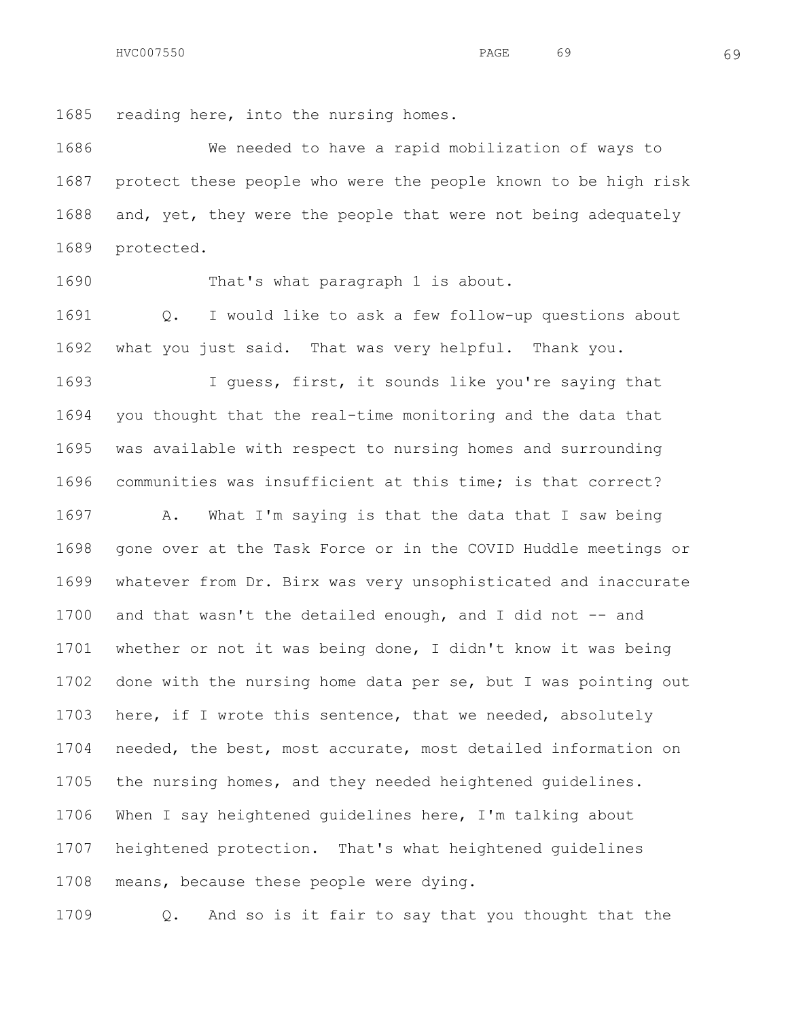HVC007550 69 RAGE 69

reading here, into the nursing homes.

 We needed to have a rapid mobilization of ways to protect these people who were the people known to be high risk and, yet, they were the people that were not being adequately protected.

1690 That's what paragraph 1 is about.

 Q. I would like to ask a few follow-up questions about what you just said. That was very helpful. Thank you.

 I guess, first, it sounds like you're saying that you thought that the real-time monitoring and the data that was available with respect to nursing homes and surrounding communities was insufficient at this time; is that correct?

 A. What I'm saying is that the data that I saw being gone over at the Task Force or in the COVID Huddle meetings or whatever from Dr. Birx was very unsophisticated and inaccurate and that wasn't the detailed enough, and I did not -- and whether or not it was being done, I didn't know it was being done with the nursing home data per se, but I was pointing out here, if I wrote this sentence, that we needed, absolutely needed, the best, most accurate, most detailed information on the nursing homes, and they needed heightened guidelines. When I say heightened guidelines here, I'm talking about heightened protection. That's what heightened guidelines means, because these people were dying.

Q. And so is it fair to say that you thought that the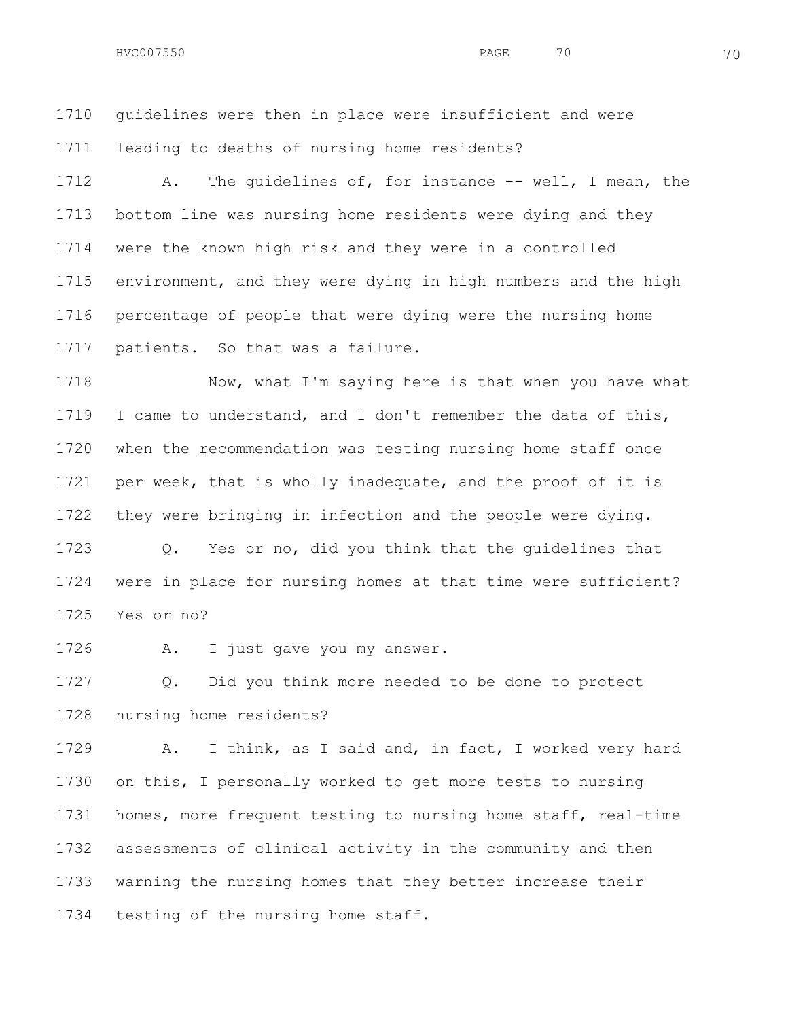guidelines were then in place were insufficient and were leading to deaths of nursing home residents?

 A. The guidelines of, for instance -- well, I mean, the bottom line was nursing home residents were dying and they were the known high risk and they were in a controlled environment, and they were dying in high numbers and the high percentage of people that were dying were the nursing home patients. So that was a failure.

1718 Now, what I'm saying here is that when you have what I came to understand, and I don't remember the data of this, when the recommendation was testing nursing home staff once per week, that is wholly inadequate, and the proof of it is they were bringing in infection and the people were dying.

 Q. Yes or no, did you think that the guidelines that were in place for nursing homes at that time were sufficient? Yes or no?

A. I just gave you my answer.

 Q. Did you think more needed to be done to protect nursing home residents?

 A. I think, as I said and, in fact, I worked very hard on this, I personally worked to get more tests to nursing homes, more frequent testing to nursing home staff, real-time assessments of clinical activity in the community and then warning the nursing homes that they better increase their testing of the nursing home staff.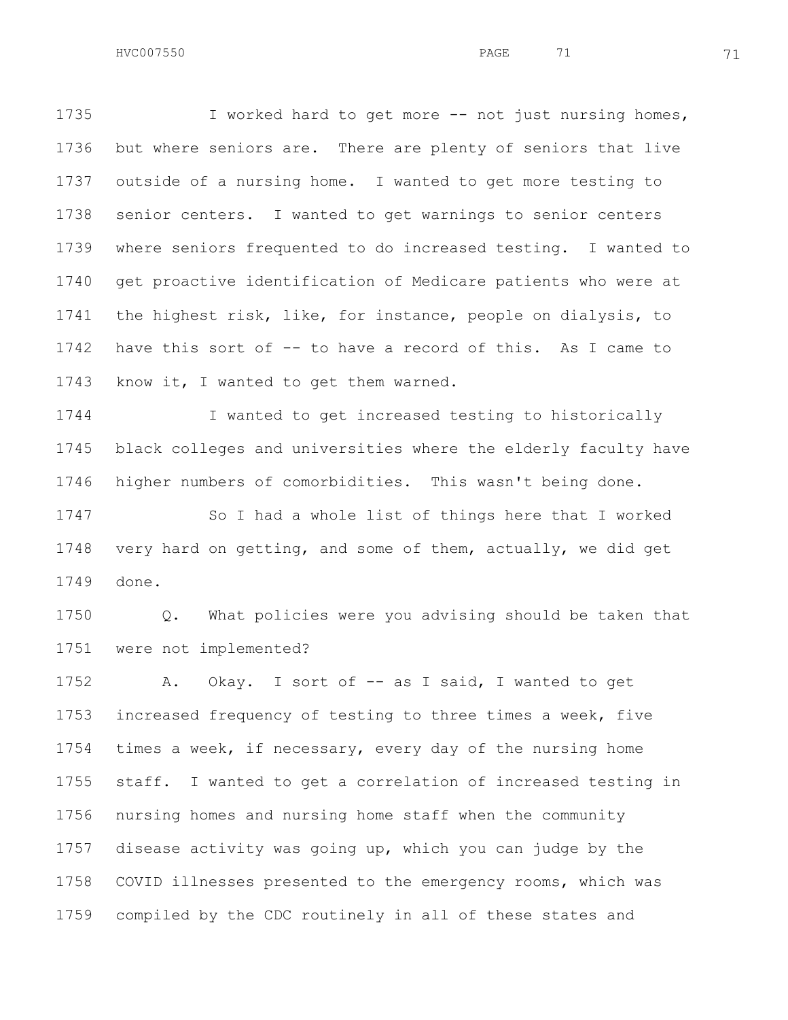I worked hard to get more -- not just nursing homes, but where seniors are. There are plenty of seniors that live outside of a nursing home. I wanted to get more testing to senior centers. I wanted to get warnings to senior centers where seniors frequented to do increased testing. I wanted to get proactive identification of Medicare patients who were at the highest risk, like, for instance, people on dialysis, to have this sort of -- to have a record of this. As I came to know it, I wanted to get them warned.

 I wanted to get increased testing to historically black colleges and universities where the elderly faculty have higher numbers of comorbidities. This wasn't being done. So I had a whole list of things here that I worked very hard on getting, and some of them, actually, we did get

done.

 Q. What policies were you advising should be taken that were not implemented?

1752 A. Okay. I sort of -- as I said, I wanted to get increased frequency of testing to three times a week, five times a week, if necessary, every day of the nursing home staff. I wanted to get a correlation of increased testing in nursing homes and nursing home staff when the community disease activity was going up, which you can judge by the COVID illnesses presented to the emergency rooms, which was compiled by the CDC routinely in all of these states and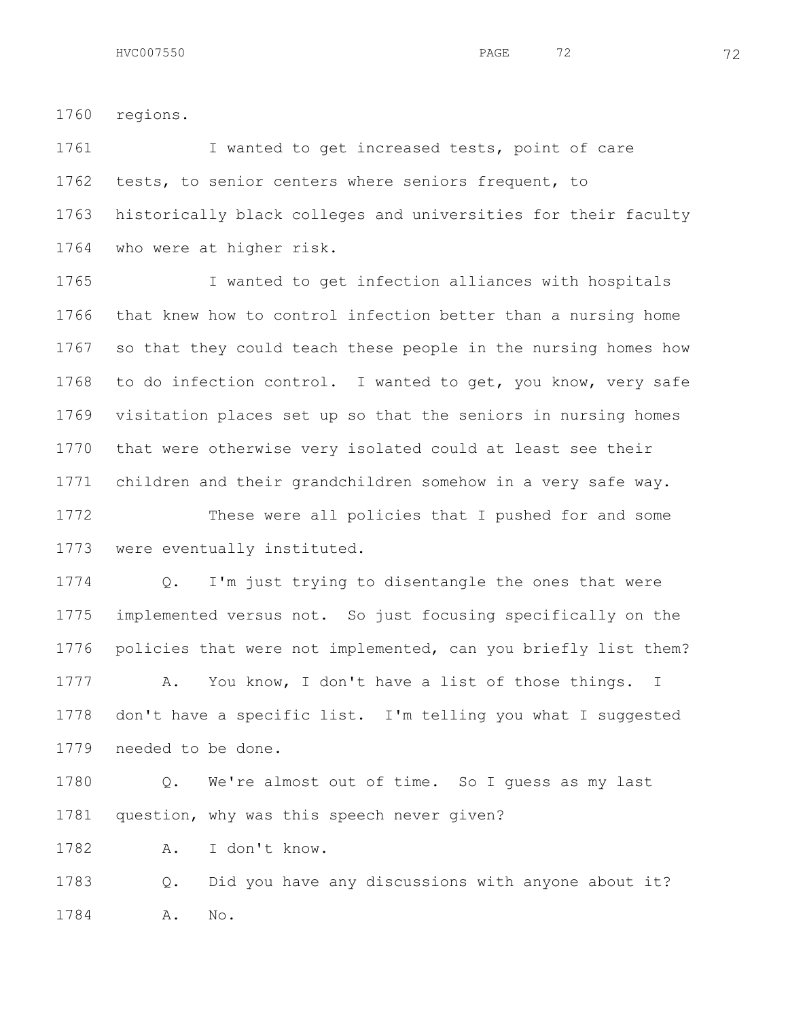regions.

 I wanted to get increased tests, point of care tests, to senior centers where seniors frequent, to historically black colleges and universities for their faculty who were at higher risk.

 I wanted to get infection alliances with hospitals that knew how to control infection better than a nursing home so that they could teach these people in the nursing homes how to do infection control. I wanted to get, you know, very safe visitation places set up so that the seniors in nursing homes that were otherwise very isolated could at least see their children and their grandchildren somehow in a very safe way. These were all policies that I pushed for and some

were eventually instituted.

 Q. I'm just trying to disentangle the ones that were implemented versus not. So just focusing specifically on the policies that were not implemented, can you briefly list them? A. You know, I don't have a list of those things. I don't have a specific list. I'm telling you what I suggested needed to be done.

 Q. We're almost out of time. So I guess as my last question, why was this speech never given?

A. I don't know.

 Q. Did you have any discussions with anyone about it? A. No.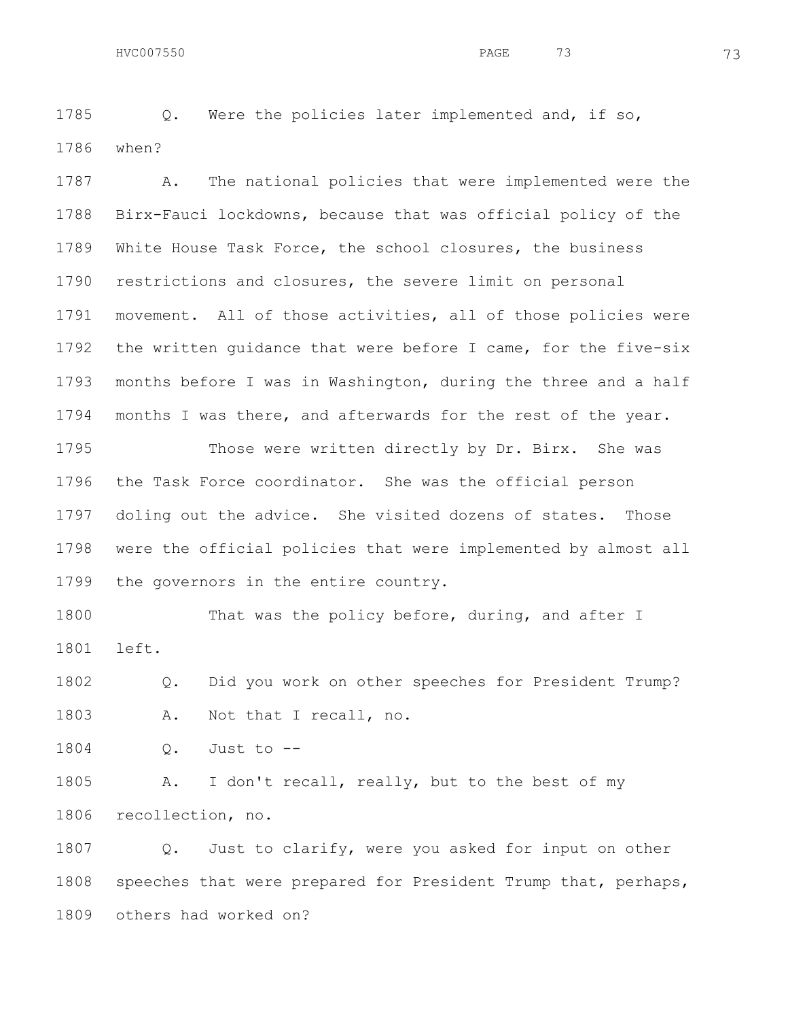Q. Were the policies later implemented and, if so, when?

 A. The national policies that were implemented were the Birx-Fauci lockdowns, because that was official policy of the White House Task Force, the school closures, the business restrictions and closures, the severe limit on personal movement. All of those activities, all of those policies were the written guidance that were before I came, for the five-six months before I was in Washington, during the three and a half months I was there, and afterwards for the rest of the year.

1795 Those were written directly by Dr. Birx. She was the Task Force coordinator. She was the official person doling out the advice. She visited dozens of states. Those were the official policies that were implemented by almost all the governors in the entire country.

1800 That was the policy before, during, and after I left.

 Q. Did you work on other speeches for President Trump? A. Not that I recall, no.

Q. Just to --

 A. I don't recall, really, but to the best of my recollection, no.

1807 Q. Just to clarify, were you asked for input on other speeches that were prepared for President Trump that, perhaps, others had worked on?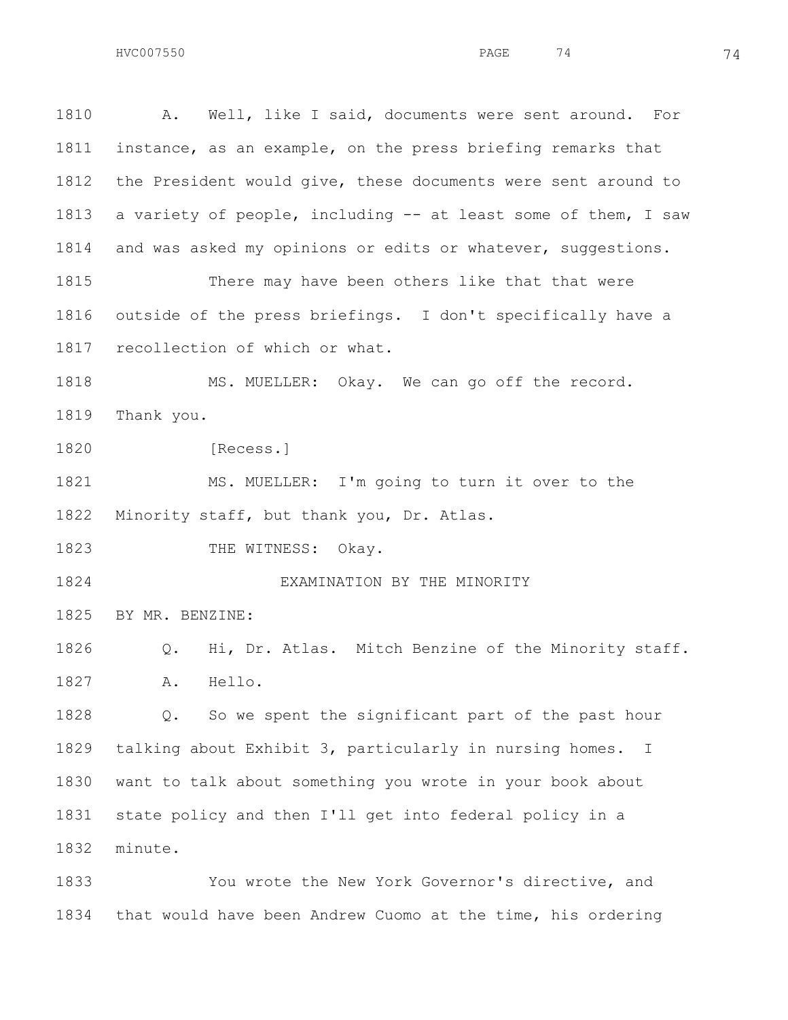A. Well, like I said, documents were sent around. For instance, as an example, on the press briefing remarks that the President would give, these documents were sent around to a variety of people, including -- at least some of them, I saw and was asked my opinions or edits or whatever, suggestions. There may have been others like that that were outside of the press briefings. I don't specifically have a recollection of which or what. 1818 MS. MUELLER: Okay. We can go off the record. Thank you. [Recess.] 1821 MS. MUELLER: I'm going to turn it over to the Minority staff, but thank you, Dr. Atlas. 1823 THE WITNESS: Okay. EXAMINATION BY THE MINORITY BY MR. BENZINE: Q. Hi, Dr. Atlas. Mitch Benzine of the Minority staff. A. Hello. Q. So we spent the significant part of the past hour talking about Exhibit 3, particularly in nursing homes. I want to talk about something you wrote in your book about state policy and then I'll get into federal policy in a minute. You wrote the New York Governor's directive, and

that would have been Andrew Cuomo at the time, his ordering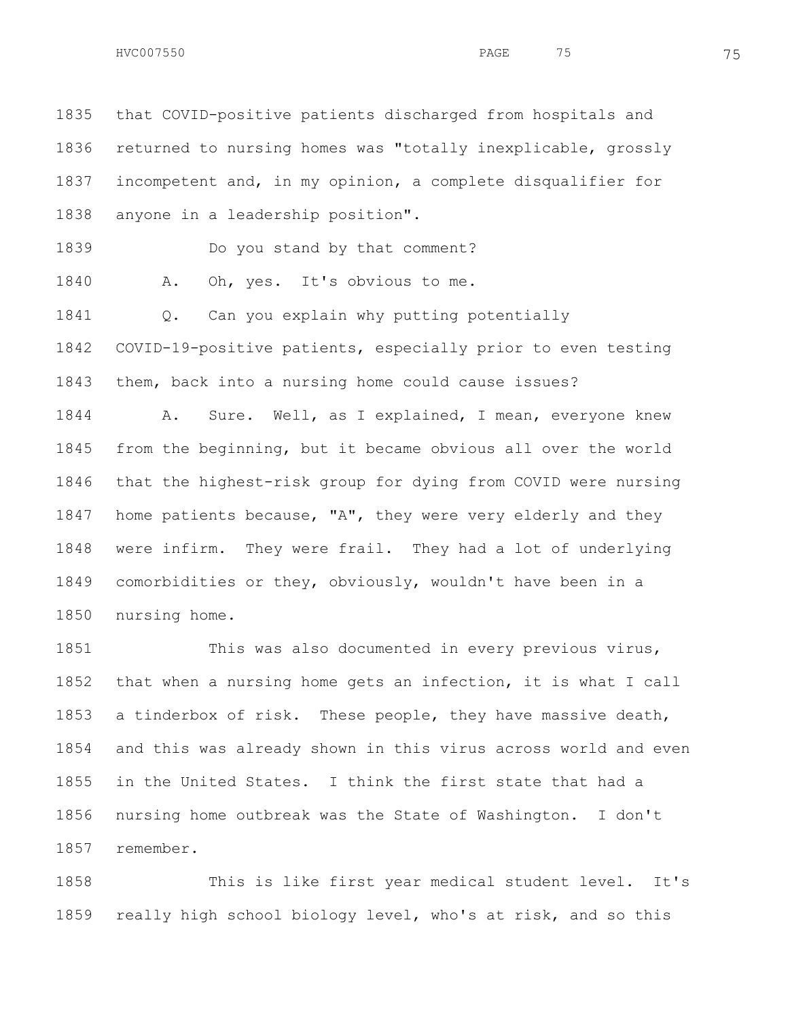that COVID-positive patients discharged from hospitals and returned to nursing homes was "totally inexplicable, grossly incompetent and, in my opinion, a complete disqualifier for anyone in a leadership position". Do you stand by that comment? 1840 A. Oh, yes. It's obvious to me. Q. Can you explain why putting potentially COVID-19-positive patients, especially prior to even testing them, back into a nursing home could cause issues? A. Sure. Well, as I explained, I mean, everyone knew from the beginning, but it became obvious all over the world that the highest-risk group for dying from COVID were nursing home patients because, "A", they were very elderly and they were infirm. They were frail. They had a lot of underlying comorbidities or they, obviously, wouldn't have been in a

nursing home.

1851 This was also documented in every previous virus, that when a nursing home gets an infection, it is what I call a tinderbox of risk. These people, they have massive death, and this was already shown in this virus across world and even in the United States. I think the first state that had a nursing home outbreak was the State of Washington. I don't remember.

 This is like first year medical student level. It's really high school biology level, who's at risk, and so this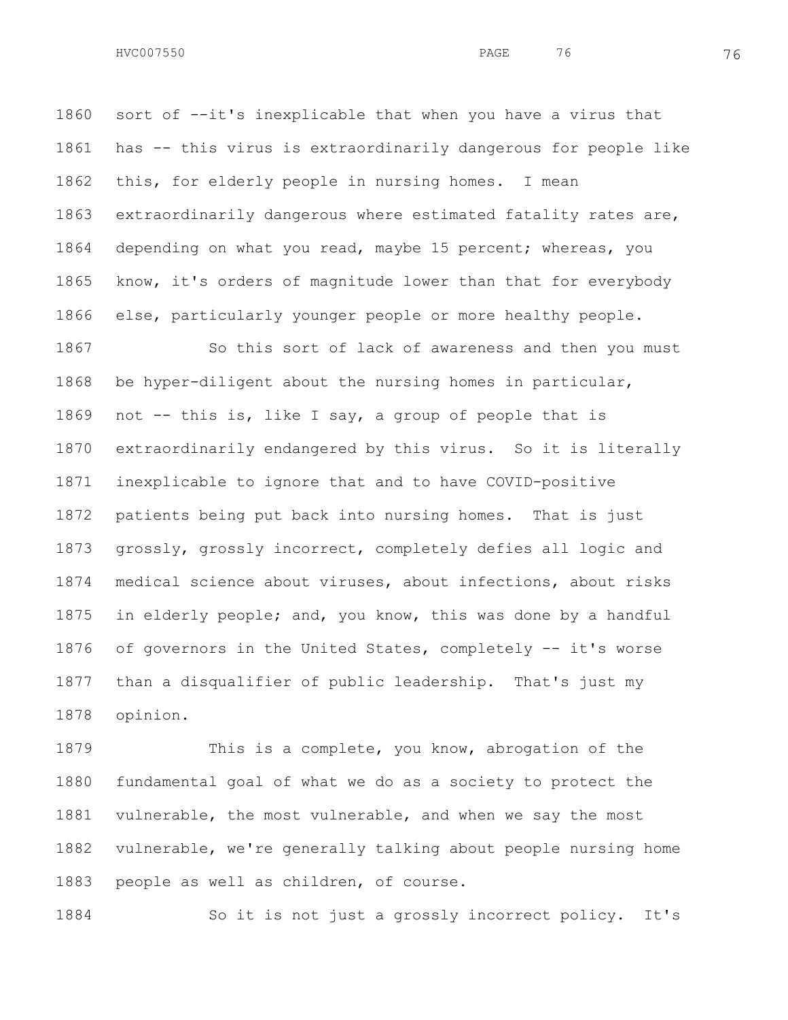sort of --it's inexplicable that when you have a virus that has -- this virus is extraordinarily dangerous for people like this, for elderly people in nursing homes. I mean extraordinarily dangerous where estimated fatality rates are, depending on what you read, maybe 15 percent; whereas, you know, it's orders of magnitude lower than that for everybody else, particularly younger people or more healthy people.

1867 So this sort of lack of awareness and then you must be hyper-diligent about the nursing homes in particular, not -- this is, like I say, a group of people that is extraordinarily endangered by this virus. So it is literally inexplicable to ignore that and to have COVID-positive patients being put back into nursing homes. That is just grossly, grossly incorrect, completely defies all logic and medical science about viruses, about infections, about risks in elderly people; and, you know, this was done by a handful of governors in the United States, completely -- it's worse than a disqualifier of public leadership. That's just my opinion.

 This is a complete, you know, abrogation of the fundamental goal of what we do as a society to protect the vulnerable, the most vulnerable, and when we say the most vulnerable, we're generally talking about people nursing home people as well as children, of course.

So it is not just a grossly incorrect policy. It's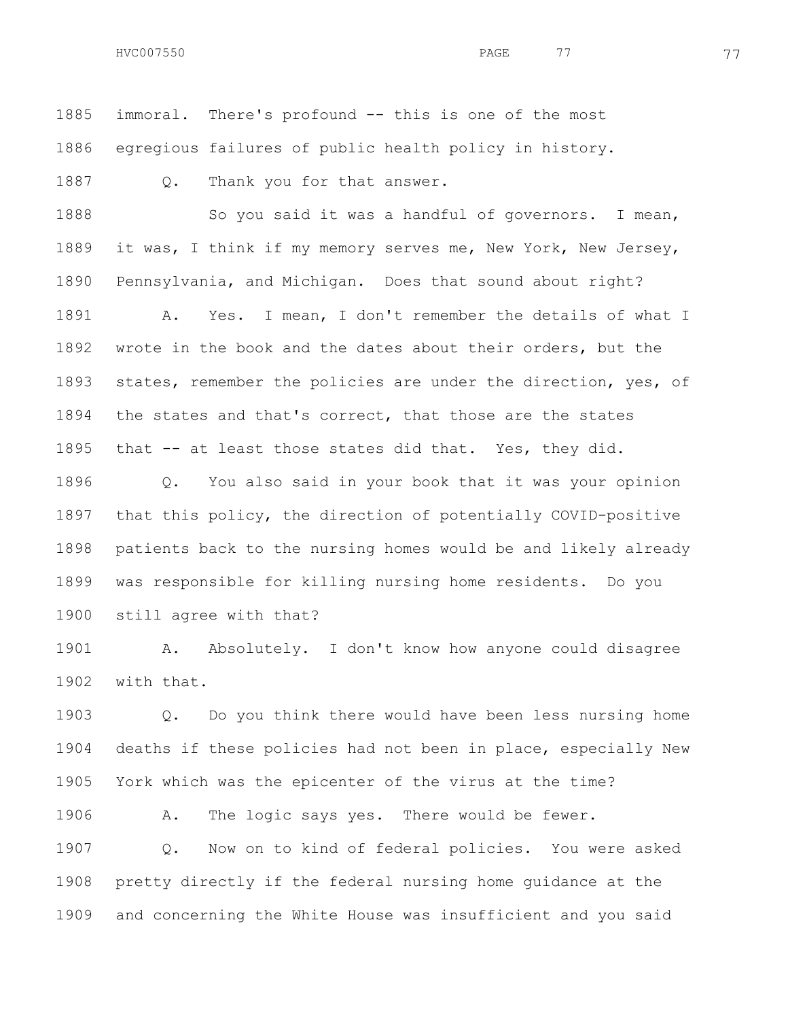immoral. There's profound -- this is one of the most

egregious failures of public health policy in history.

1887 Q. Thank you for that answer.

1888 So you said it was a handful of governors. I mean, it was, I think if my memory serves me, New York, New Jersey, Pennsylvania, and Michigan. Does that sound about right? A. Yes. I mean, I don't remember the details of what I wrote in the book and the dates about their orders, but the states, remember the policies are under the direction, yes, of the states and that's correct, that those are the states that -- at least those states did that. Yes, they did.

 Q. You also said in your book that it was your opinion that this policy, the direction of potentially COVID-positive patients back to the nursing homes would be and likely already was responsible for killing nursing home residents. Do you still agree with that?

 A. Absolutely. I don't know how anyone could disagree with that.

 Q. Do you think there would have been less nursing home deaths if these policies had not been in place, especially New York which was the epicenter of the virus at the time?

 A. The logic says yes. There would be fewer. Q. Now on to kind of federal policies. You were asked pretty directly if the federal nursing home guidance at the and concerning the White House was insufficient and you said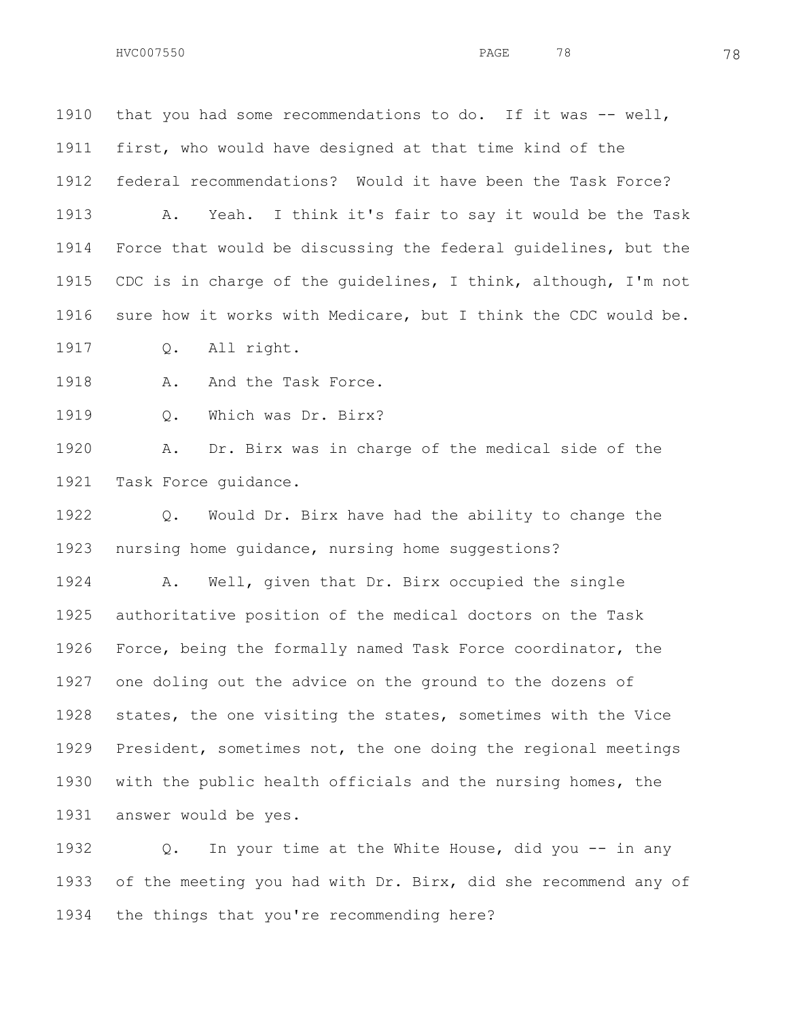1910 that you had some recommendations to do. If it was -- well, first, who would have designed at that time kind of the federal recommendations? Would it have been the Task Force? A. Yeah. I think it's fair to say it would be the Task Force that would be discussing the federal guidelines, but the CDC is in charge of the guidelines, I think, although, I'm not sure how it works with Medicare, but I think the CDC would be.

Q. All right.

1918 A. And the Task Force.

Q. Which was Dr. Birx?

 A. Dr. Birx was in charge of the medical side of the Task Force guidance.

 Q. Would Dr. Birx have had the ability to change the nursing home guidance, nursing home suggestions?

 A. Well, given that Dr. Birx occupied the single authoritative position of the medical doctors on the Task Force, being the formally named Task Force coordinator, the one doling out the advice on the ground to the dozens of states, the one visiting the states, sometimes with the Vice President, sometimes not, the one doing the regional meetings with the public health officials and the nursing homes, the answer would be yes.

 Q. In your time at the White House, did you -- in any of the meeting you had with Dr. Birx, did she recommend any of the things that you're recommending here?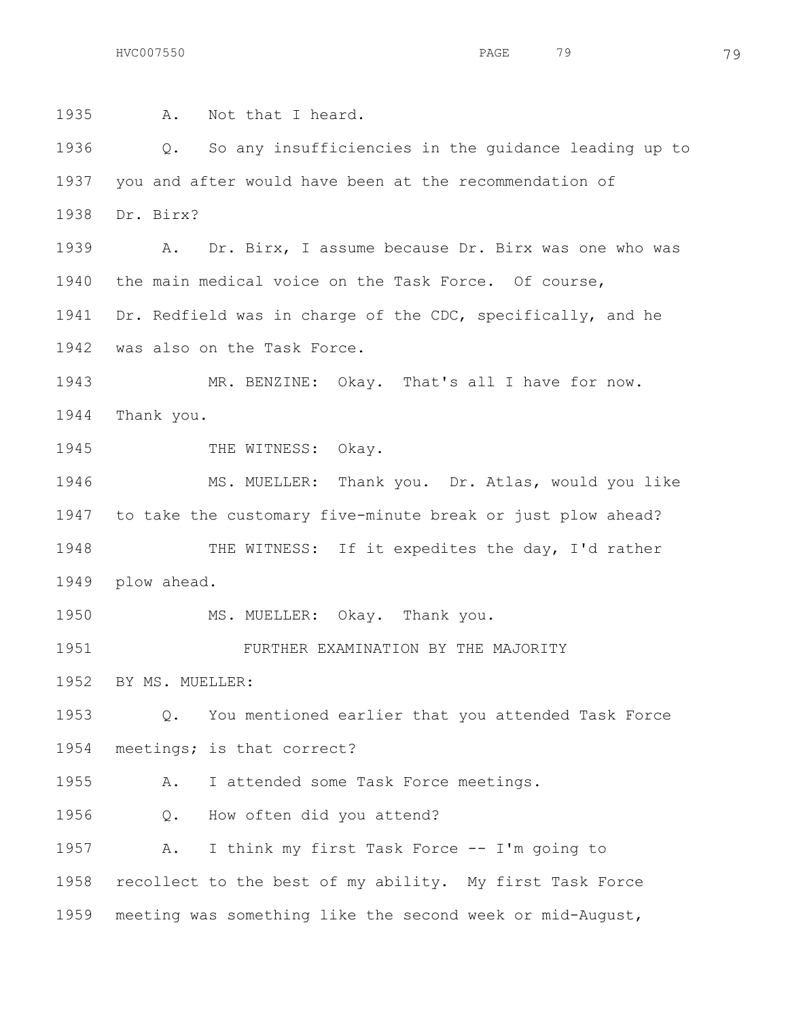A. Not that I heard. Q. So any insufficiencies in the guidance leading up to you and after would have been at the recommendation of Dr. Birx? A. Dr. Birx, I assume because Dr. Birx was one who was the main medical voice on the Task Force. Of course, Dr. Redfield was in charge of the CDC, specifically, and he was also on the Task Force. MR. BENZINE: Okay. That's all I have for now. Thank you. 1945 THE WITNESS: Okay. 1946 MS. MUELLER: Thank you. Dr. Atlas, would you like to take the customary five-minute break or just plow ahead? 1948 THE WITNESS: If it expedites the day, I'd rather plow ahead. MS. MUELLER: Okay. Thank you. FURTHER EXAMINATION BY THE MAJORITY BY MS. MUELLER: Q. You mentioned earlier that you attended Task Force meetings; is that correct? A. I attended some Task Force meetings. Q. How often did you attend? A. I think my first Task Force -- I'm going to recollect to the best of my ability. My first Task Force meeting was something like the second week or mid-August,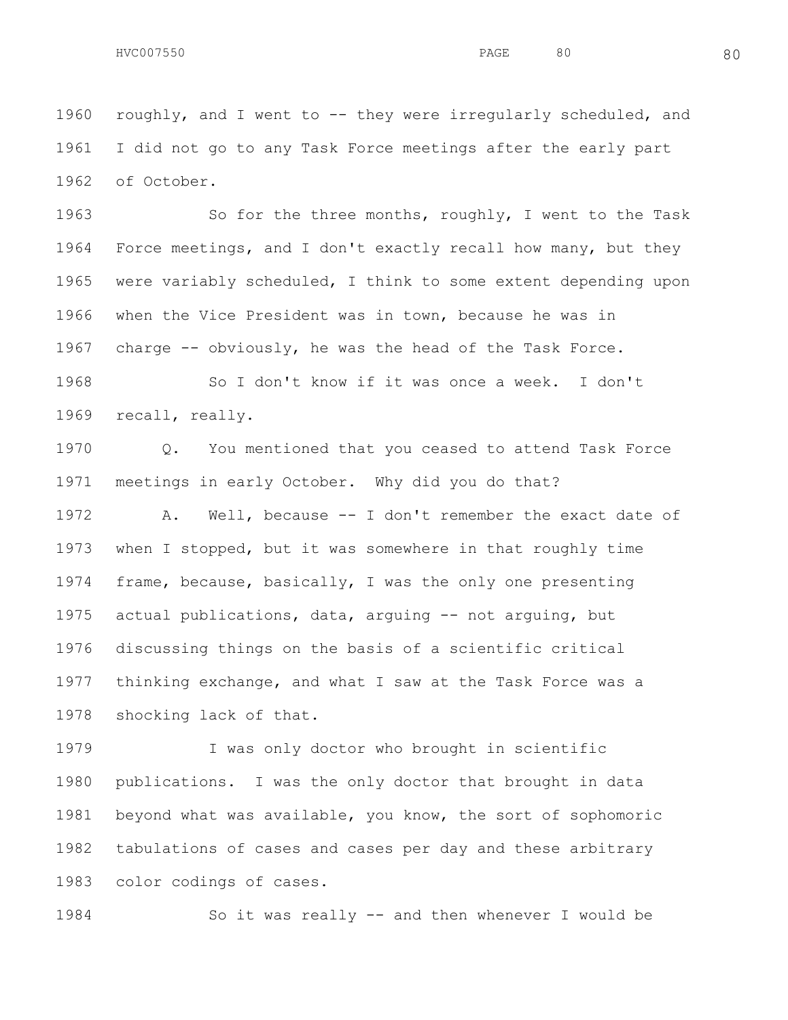roughly, and I went to -- they were irregularly scheduled, and I did not go to any Task Force meetings after the early part of October.

1963 So for the three months, roughly, I went to the Task Force meetings, and I don't exactly recall how many, but they were variably scheduled, I think to some extent depending upon when the Vice President was in town, because he was in charge -- obviously, he was the head of the Task Force.

 So I don't know if it was once a week. I don't recall, really.

 Q. You mentioned that you ceased to attend Task Force meetings in early October. Why did you do that?

 A. Well, because -- I don't remember the exact date of when I stopped, but it was somewhere in that roughly time frame, because, basically, I was the only one presenting actual publications, data, arguing -- not arguing, but discussing things on the basis of a scientific critical thinking exchange, and what I saw at the Task Force was a shocking lack of that.

 I was only doctor who brought in scientific publications. I was the only doctor that brought in data beyond what was available, you know, the sort of sophomoric tabulations of cases and cases per day and these arbitrary color codings of cases.

So it was really -- and then whenever I would be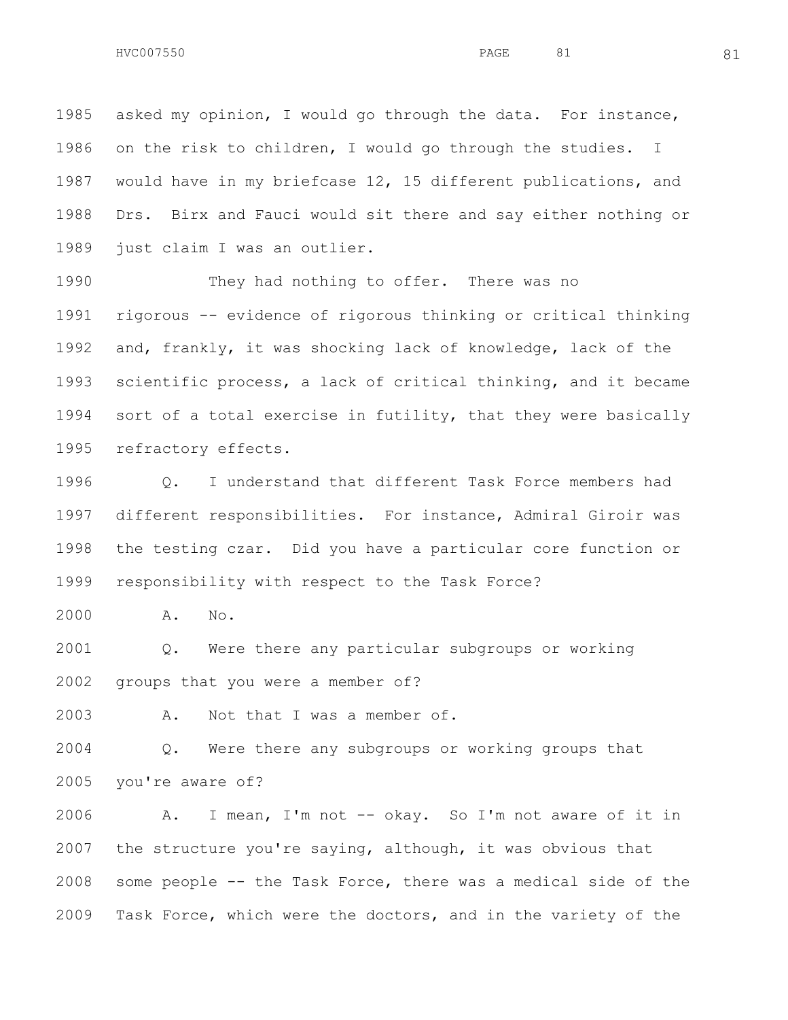asked my opinion, I would go through the data. For instance, on the risk to children, I would go through the studies. I would have in my briefcase 12, 15 different publications, and Drs. Birx and Fauci would sit there and say either nothing or just claim I was an outlier.

 They had nothing to offer. There was no rigorous -- evidence of rigorous thinking or critical thinking and, frankly, it was shocking lack of knowledge, lack of the scientific process, a lack of critical thinking, and it became sort of a total exercise in futility, that they were basically refractory effects.

 Q. I understand that different Task Force members had different responsibilities. For instance, Admiral Giroir was the testing czar. Did you have a particular core function or responsibility with respect to the Task Force?

A. No.

 Q. Were there any particular subgroups or working groups that you were a member of?

A. Not that I was a member of.

 Q. Were there any subgroups or working groups that you're aware of?

 A. I mean, I'm not -- okay. So I'm not aware of it in the structure you're saying, although, it was obvious that some people -- the Task Force, there was a medical side of the Task Force, which were the doctors, and in the variety of the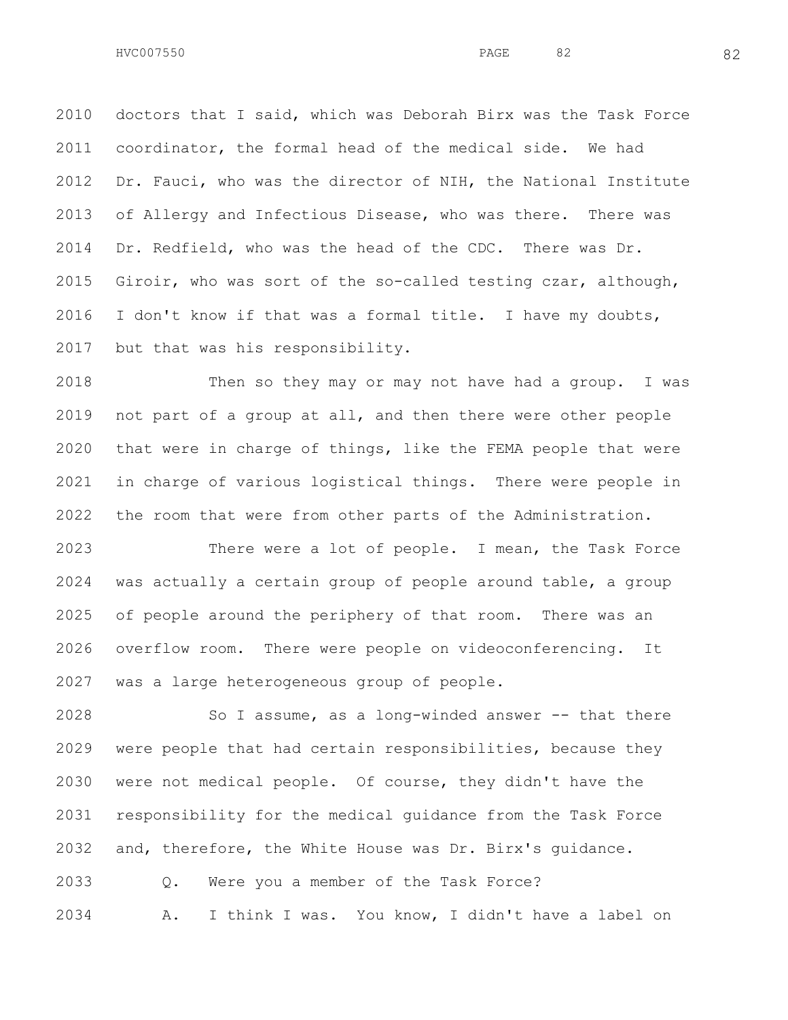doctors that I said, which was Deborah Birx was the Task Force coordinator, the formal head of the medical side. We had Dr. Fauci, who was the director of NIH, the National Institute of Allergy and Infectious Disease, who was there. There was Dr. Redfield, who was the head of the CDC. There was Dr. Giroir, who was sort of the so-called testing czar, although, I don't know if that was a formal title. I have my doubts, but that was his responsibility.

 Then so they may or may not have had a group. I was not part of a group at all, and then there were other people that were in charge of things, like the FEMA people that were in charge of various logistical things. There were people in the room that were from other parts of the Administration.

 There were a lot of people. I mean, the Task Force was actually a certain group of people around table, a group of people around the periphery of that room. There was an overflow room. There were people on videoconferencing. It was a large heterogeneous group of people.

 So I assume, as a long-winded answer -- that there were people that had certain responsibilities, because they were not medical people. Of course, they didn't have the responsibility for the medical guidance from the Task Force and, therefore, the White House was Dr. Birx's guidance. Q. Were you a member of the Task Force? A. I think I was. You know, I didn't have a label on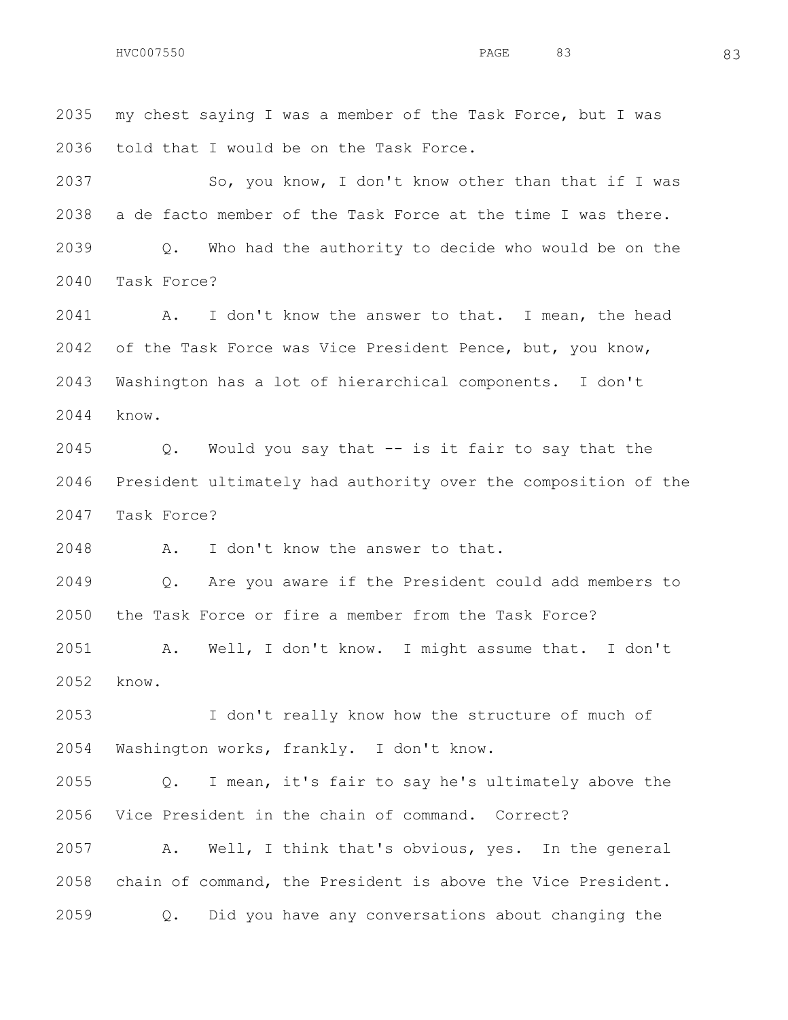my chest saying I was a member of the Task Force, but I was told that I would be on the Task Force. 2037 So, you know, I don't know other than that if I was a de facto member of the Task Force at the time I was there. Q. Who had the authority to decide who would be on the Task Force? A. I don't know the answer to that. I mean, the head of the Task Force was Vice President Pence, but, you know, Washington has a lot of hierarchical components. I don't know. Q. Would you say that -- is it fair to say that the President ultimately had authority over the composition of the Task Force? A. I don't know the answer to that. Q. Are you aware if the President could add members to the Task Force or fire a member from the Task Force? A. Well, I don't know. I might assume that. I don't know. I don't really know how the structure of much of Washington works, frankly. I don't know. Q. I mean, it's fair to say he's ultimately above the Vice President in the chain of command. Correct?

 A. Well, I think that's obvious, yes. In the general chain of command, the President is above the Vice President. Q. Did you have any conversations about changing the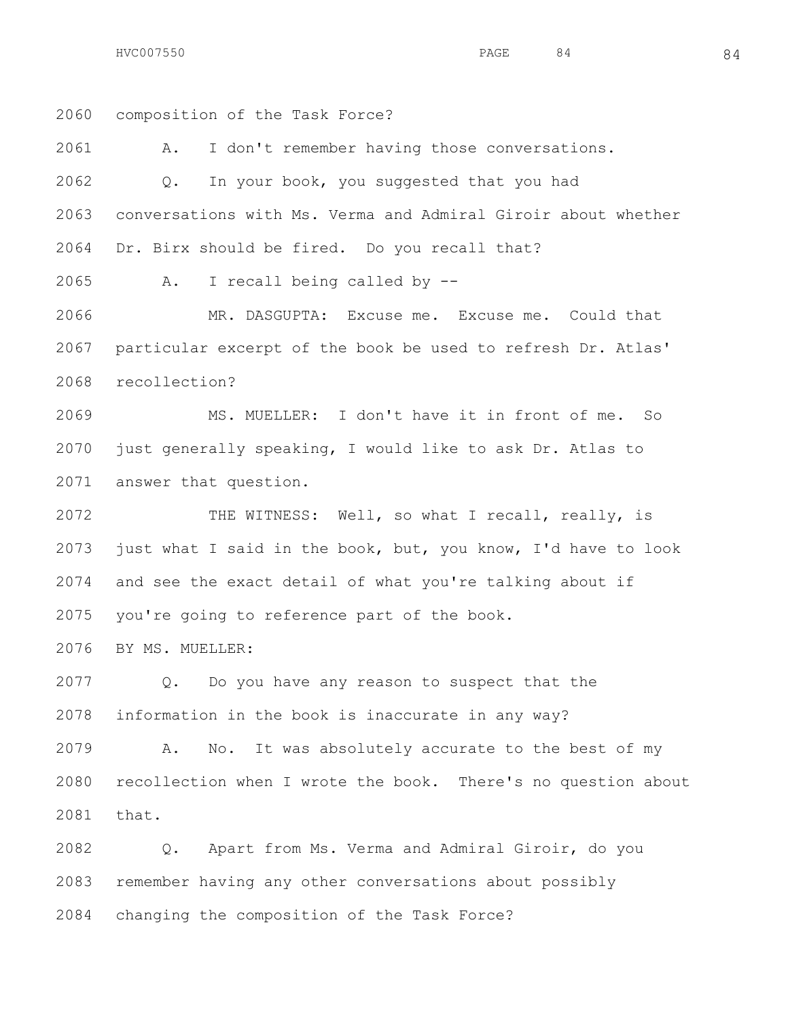$HVC007550$  84 84

 composition of the Task Force? A. I don't remember having those conversations. Q. In your book, you suggested that you had conversations with Ms. Verma and Admiral Giroir about whether Dr. Birx should be fired. Do you recall that? A. I recall being called by -- MR. DASGUPTA: Excuse me. Excuse me. Could that particular excerpt of the book be used to refresh Dr. Atlas' recollection? MS. MUELLER: I don't have it in front of me. So just generally speaking, I would like to ask Dr. Atlas to answer that question. THE WITNESS: Well, so what I recall, really, is just what I said in the book, but, you know, I'd have to look and see the exact detail of what you're talking about if you're going to reference part of the book. BY MS. MUELLER: Q. Do you have any reason to suspect that the information in the book is inaccurate in any way? A. No. It was absolutely accurate to the best of my recollection when I wrote the book. There's no question about that. Q. Apart from Ms. Verma and Admiral Giroir, do you

 remember having any other conversations about possibly changing the composition of the Task Force?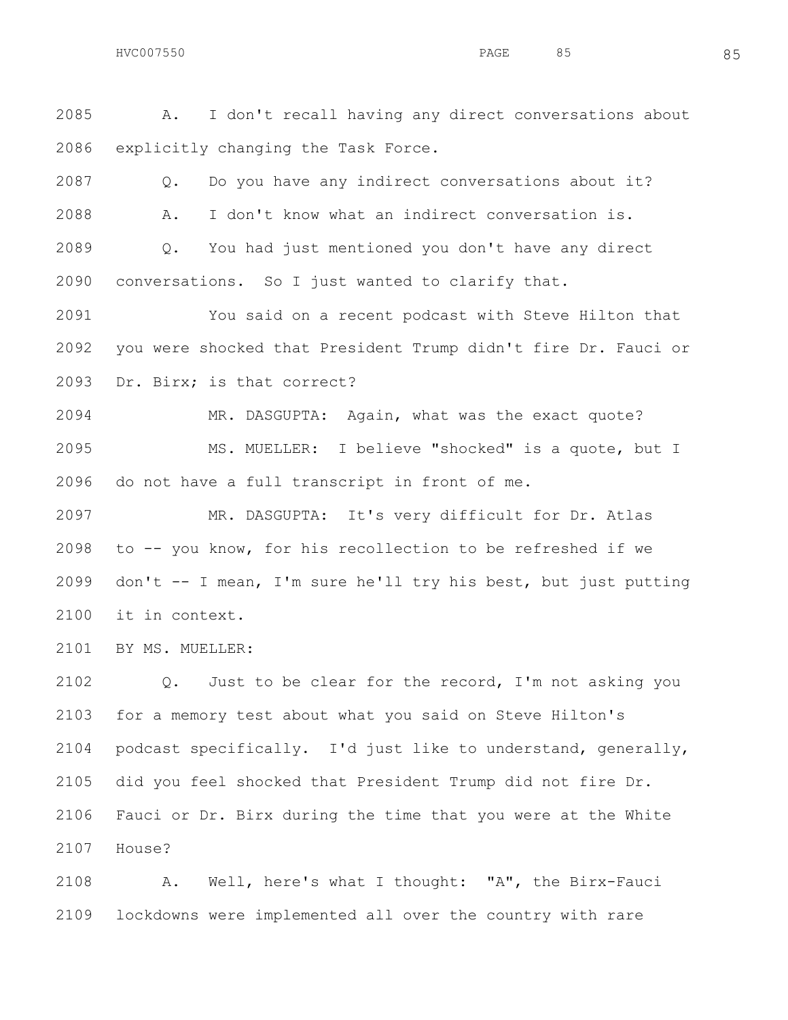A. I don't recall having any direct conversations about explicitly changing the Task Force.

 Q. Do you have any indirect conversations about it? A. I don't know what an indirect conversation is. Q. You had just mentioned you don't have any direct conversations. So I just wanted to clarify that.

 You said on a recent podcast with Steve Hilton that you were shocked that President Trump didn't fire Dr. Fauci or Dr. Birx; is that correct?

 MR. DASGUPTA: Again, what was the exact quote? MS. MUELLER: I believe "shocked" is a quote, but I do not have a full transcript in front of me.

 MR. DASGUPTA: It's very difficult for Dr. Atlas to -- you know, for his recollection to be refreshed if we don't -- I mean, I'm sure he'll try his best, but just putting it in context.

BY MS. MUELLER:

 Q. Just to be clear for the record, I'm not asking you for a memory test about what you said on Steve Hilton's podcast specifically. I'd just like to understand, generally, did you feel shocked that President Trump did not fire Dr. Fauci or Dr. Birx during the time that you were at the White House?

 A. Well, here's what I thought: "A", the Birx-Fauci lockdowns were implemented all over the country with rare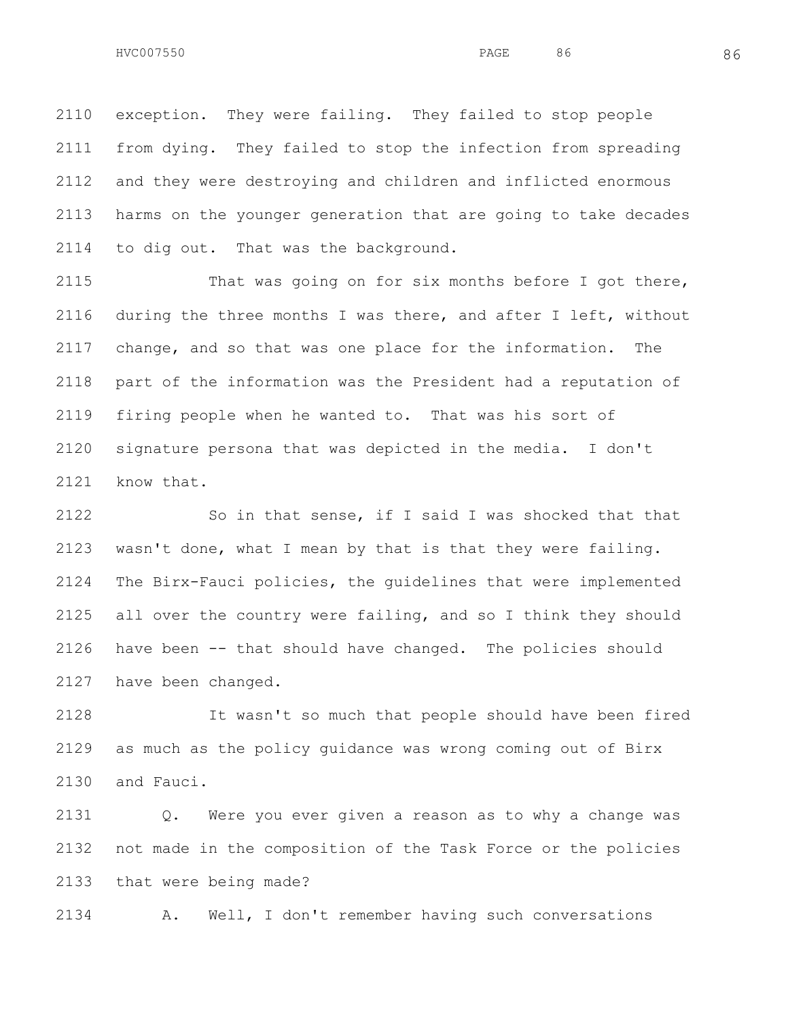exception. They were failing. They failed to stop people from dying. They failed to stop the infection from spreading and they were destroying and children and inflicted enormous harms on the younger generation that are going to take decades to dig out. That was the background.

 That was going on for six months before I got there, during the three months I was there, and after I left, without change, and so that was one place for the information. The part of the information was the President had a reputation of firing people when he wanted to. That was his sort of signature persona that was depicted in the media. I don't know that.

 So in that sense, if I said I was shocked that that wasn't done, what I mean by that is that they were failing. The Birx-Fauci policies, the guidelines that were implemented all over the country were failing, and so I think they should have been -- that should have changed. The policies should have been changed.

 It wasn't so much that people should have been fired as much as the policy guidance was wrong coming out of Birx and Fauci.

 Q. Were you ever given a reason as to why a change was not made in the composition of the Task Force or the policies that were being made?

A. Well, I don't remember having such conversations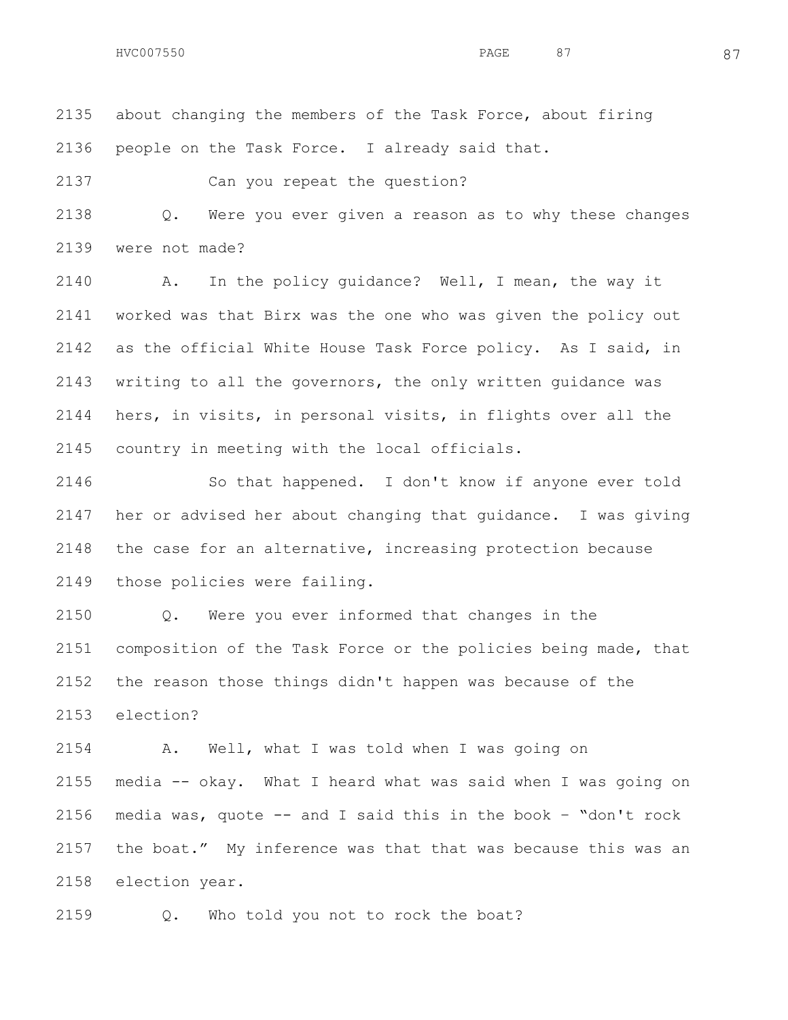about changing the members of the Task Force, about firing people on the Task Force. I already said that.

Can you repeat the question?

 Q. Were you ever given a reason as to why these changes were not made?

 A. In the policy guidance? Well, I mean, the way it worked was that Birx was the one who was given the policy out as the official White House Task Force policy. As I said, in writing to all the governors, the only written guidance was hers, in visits, in personal visits, in flights over all the country in meeting with the local officials.

 So that happened. I don't know if anyone ever told her or advised her about changing that guidance. I was giving the case for an alternative, increasing protection because those policies were failing.

 Q. Were you ever informed that changes in the composition of the Task Force or the policies being made, that the reason those things didn't happen was because of the election?

 A. Well, what I was told when I was going on media -- okay. What I heard what was said when I was going on 2156 media was, quote  $--$  and I said this in the book  $-$  "don't rock the boat." My inference was that that was because this was an election year.

Q. Who told you not to rock the boat?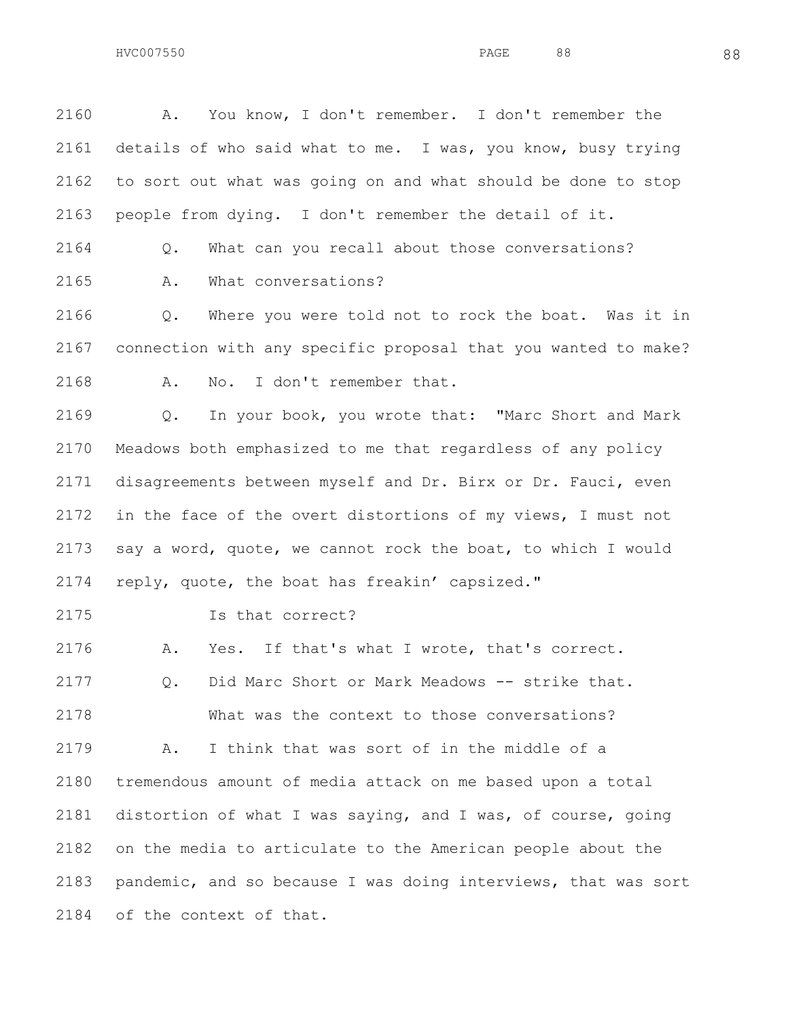A. You know, I don't remember. I don't remember the details of who said what to me. I was, you know, busy trying to sort out what was going on and what should be done to stop people from dying. I don't remember the detail of it.

Q. What can you recall about those conversations?

A. What conversations?

 Q. Where you were told not to rock the boat. Was it in connection with any specific proposal that you wanted to make? A. No. I don't remember that.

 Q. In your book, you wrote that: "Marc Short and Mark Meadows both emphasized to me that regardless of any policy disagreements between myself and Dr. Birx or Dr. Fauci, even in the face of the overt distortions of my views, I must not say a word, quote, we cannot rock the boat, to which I would reply, quote, the boat has freakin' capsized."

Is that correct?

A. Yes. If that's what I wrote, that's correct.

2177 0. Did Marc Short or Mark Meadows -- strike that. What was the context to those conversations? A. I think that was sort of in the middle of a tremendous amount of media attack on me based upon a total distortion of what I was saying, and I was, of course, going

 on the media to articulate to the American people about the pandemic, and so because I was doing interviews, that was sort of the context of that.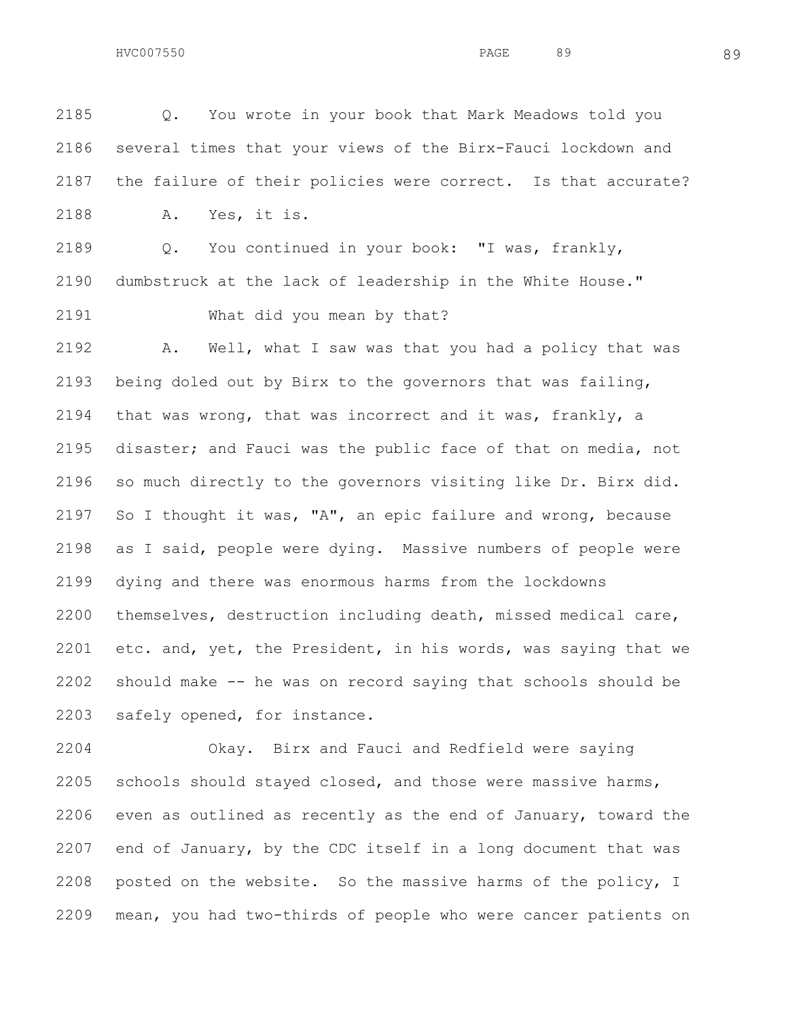Q. You wrote in your book that Mark Meadows told you several times that your views of the Birx-Fauci lockdown and the failure of their policies were correct. Is that accurate? A. Yes, it is. Q. You continued in your book: "I was, frankly, dumbstruck at the lack of leadership in the White House." What did you mean by that? A. Well, what I saw was that you had a policy that was being doled out by Birx to the governors that was failing, that was wrong, that was incorrect and it was, frankly, a disaster; and Fauci was the public face of that on media, not so much directly to the governors visiting like Dr. Birx did. So I thought it was, "A", an epic failure and wrong, because as I said, people were dying. Massive numbers of people were dying and there was enormous harms from the lockdowns themselves, destruction including death, missed medical care, etc. and, yet, the President, in his words, was saying that we

 should make -- he was on record saying that schools should be safely opened, for instance.

 Okay. Birx and Fauci and Redfield were saying schools should stayed closed, and those were massive harms, even as outlined as recently as the end of January, toward the end of January, by the CDC itself in a long document that was posted on the website. So the massive harms of the policy, I mean, you had two-thirds of people who were cancer patients on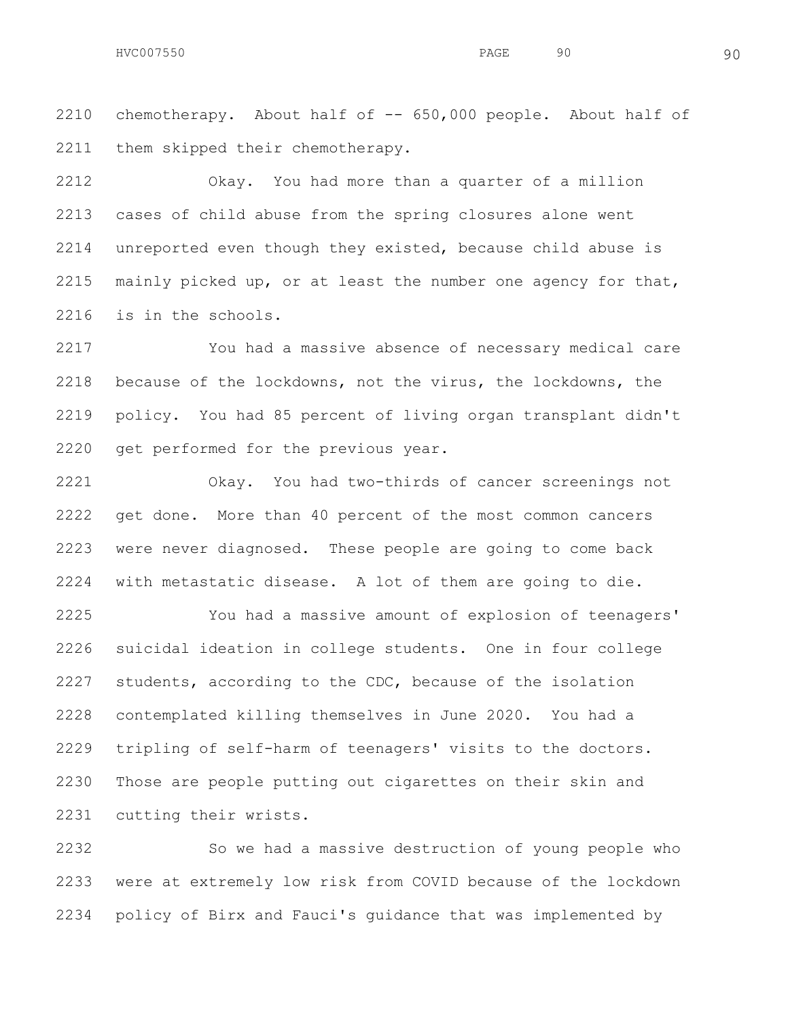chemotherapy. About half of -- 650,000 people. About half of them skipped their chemotherapy.

 Okay. You had more than a quarter of a million cases of child abuse from the spring closures alone went unreported even though they existed, because child abuse is mainly picked up, or at least the number one agency for that, is in the schools.

 You had a massive absence of necessary medical care because of the lockdowns, not the virus, the lockdowns, the policy. You had 85 percent of living organ transplant didn't get performed for the previous year.

 Okay. You had two-thirds of cancer screenings not get done. More than 40 percent of the most common cancers were never diagnosed. These people are going to come back with metastatic disease. A lot of them are going to die.

 You had a massive amount of explosion of teenagers' suicidal ideation in college students. One in four college students, according to the CDC, because of the isolation contemplated killing themselves in June 2020. You had a tripling of self-harm of teenagers' visits to the doctors. Those are people putting out cigarettes on their skin and cutting their wrists.

 So we had a massive destruction of young people who were at extremely low risk from COVID because of the lockdown policy of Birx and Fauci's guidance that was implemented by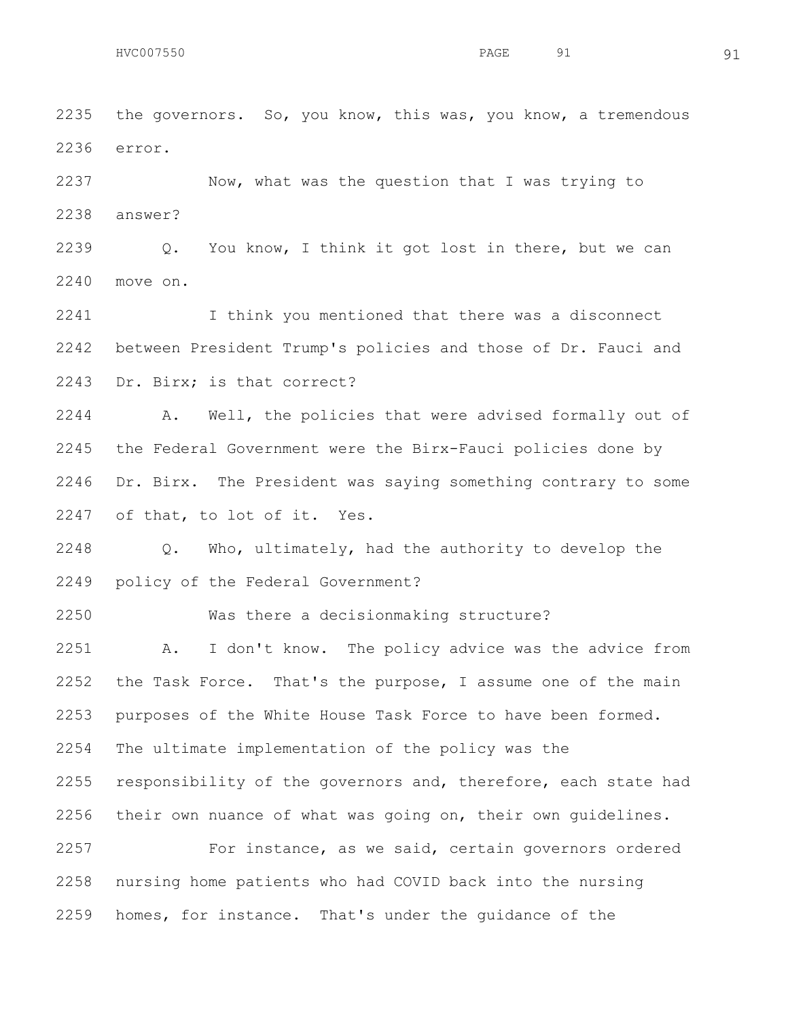the governors. So, you know, this was, you know, a tremendous error.

 Now, what was the question that I was trying to answer?

 Q. You know, I think it got lost in there, but we can move on.

 I think you mentioned that there was a disconnect between President Trump's policies and those of Dr. Fauci and Dr. Birx; is that correct?

 A. Well, the policies that were advised formally out of the Federal Government were the Birx-Fauci policies done by Dr. Birx. The President was saying something contrary to some of that, to lot of it. Yes.

 Q. Who, ultimately, had the authority to develop the policy of the Federal Government?

Was there a decisionmaking structure?

 A. I don't know. The policy advice was the advice from the Task Force. That's the purpose, I assume one of the main purposes of the White House Task Force to have been formed. The ultimate implementation of the policy was the 2255 responsibility of the governors and, therefore, each state had their own nuance of what was going on, their own guidelines. 2257 For instance, as we said, certain governors ordered nursing home patients who had COVID back into the nursing homes, for instance. That's under the guidance of the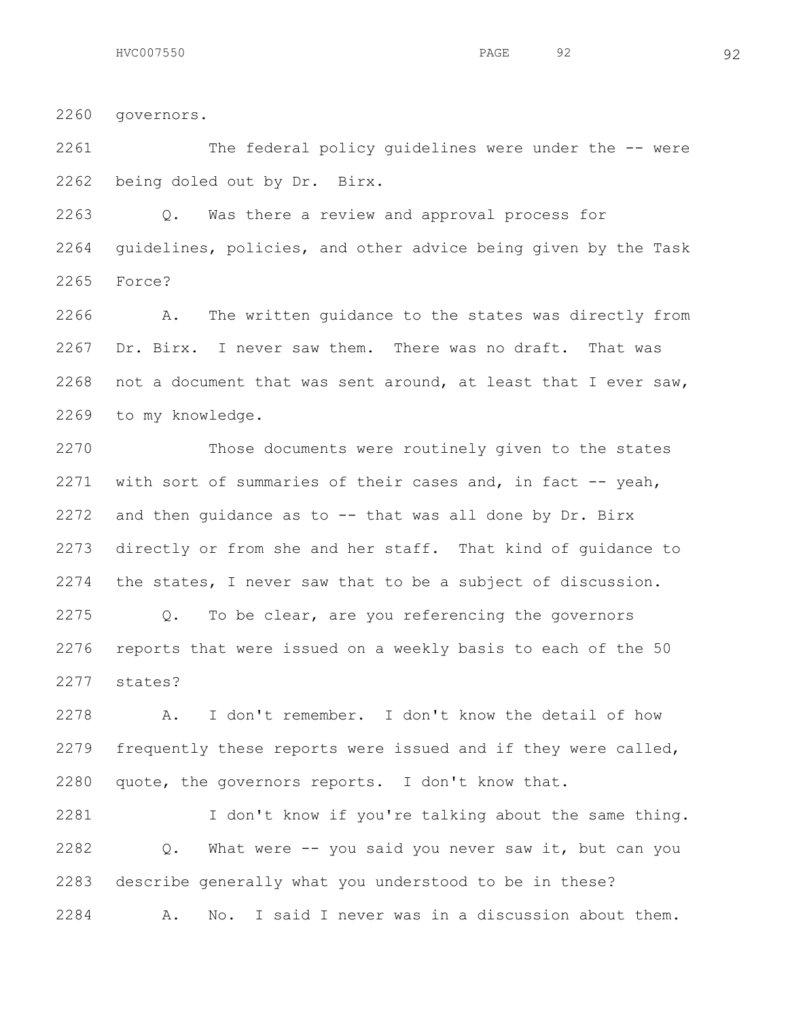governors.

The federal policy guidelines were under the -- were

being doled out by Dr. Birx.

 Q. Was there a review and approval process for guidelines, policies, and other advice being given by the Task Force?

 A. The written guidance to the states was directly from Dr. Birx. I never saw them. There was no draft. That was not a document that was sent around, at least that I ever saw, to my knowledge.

 Those documents were routinely given to the states with sort of summaries of their cases and, in fact -- yeah, and then guidance as to -- that was all done by Dr. Birx directly or from she and her staff. That kind of guidance to the states, I never saw that to be a subject of discussion. Q. To be clear, are you referencing the governors reports that were issued on a weekly basis to each of the 50 states?

 A. I don't remember. I don't know the detail of how frequently these reports were issued and if they were called, quote, the governors reports. I don't know that.

 I don't know if you're talking about the same thing. Q. What were -- you said you never saw it, but can you describe generally what you understood to be in these? A. No. I said I never was in a discussion about them.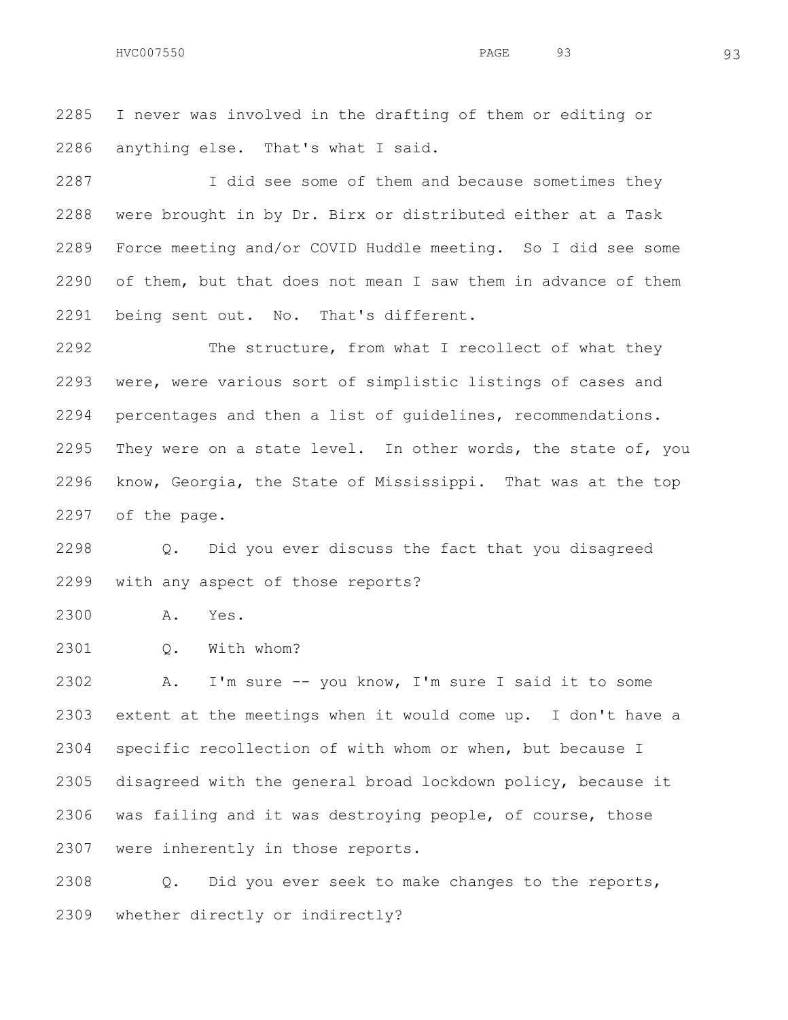HVC007550 93 93

 I never was involved in the drafting of them or editing or anything else. That's what I said.

 I did see some of them and because sometimes they were brought in by Dr. Birx or distributed either at a Task Force meeting and/or COVID Huddle meeting. So I did see some of them, but that does not mean I saw them in advance of them being sent out. No. That's different.

 The structure, from what I recollect of what they were, were various sort of simplistic listings of cases and percentages and then a list of guidelines, recommendations. 2295 They were on a state level. In other words, the state of, you know, Georgia, the State of Mississippi. That was at the top of the page.

 Q. Did you ever discuss the fact that you disagreed with any aspect of those reports?

A. Yes.

Q. With whom?

 A. I'm sure -- you know, I'm sure I said it to some extent at the meetings when it would come up. I don't have a specific recollection of with whom or when, but because I disagreed with the general broad lockdown policy, because it was failing and it was destroying people, of course, those were inherently in those reports.

 Q. Did you ever seek to make changes to the reports, whether directly or indirectly?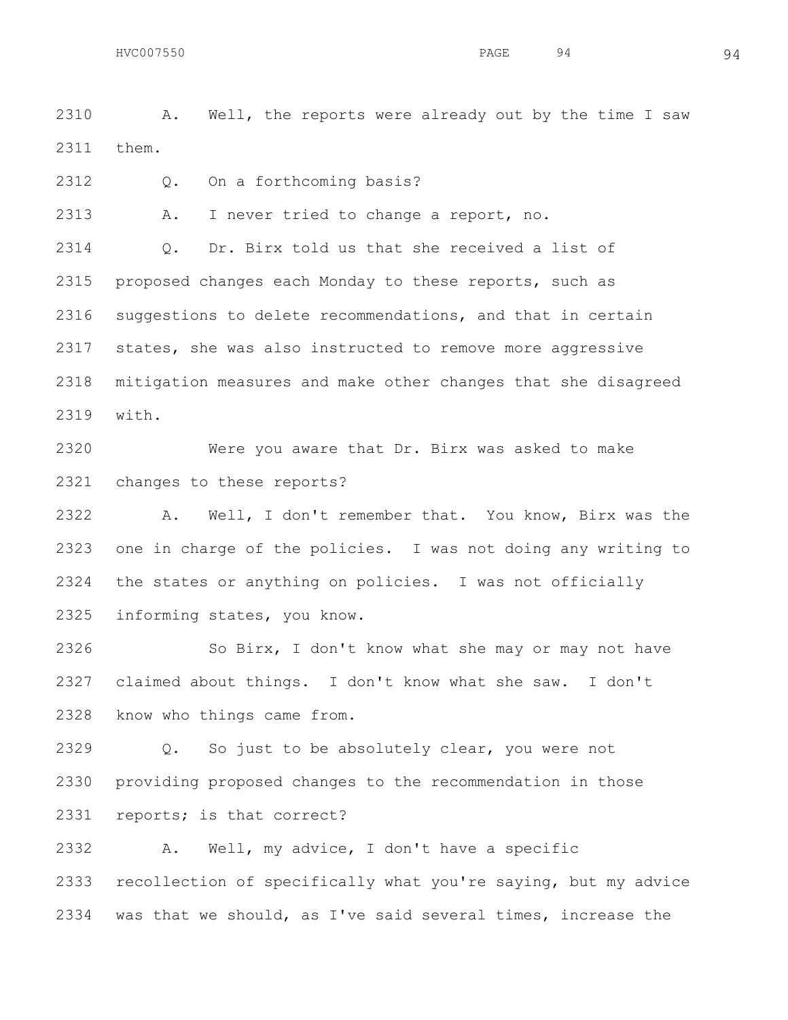A. Well, the reports were already out by the time I saw them.

Q. On a forthcoming basis?

A. I never tried to change a report, no.

 Q. Dr. Birx told us that she received a list of proposed changes each Monday to these reports, such as suggestions to delete recommendations, and that in certain states, she was also instructed to remove more aggressive mitigation measures and make other changes that she disagreed with.

 Were you aware that Dr. Birx was asked to make changes to these reports?

 A. Well, I don't remember that. You know, Birx was the one in charge of the policies. I was not doing any writing to the states or anything on policies. I was not officially informing states, you know.

 So Birx, I don't know what she may or may not have claimed about things. I don't know what she saw. I don't know who things came from.

 Q. So just to be absolutely clear, you were not providing proposed changes to the recommendation in those reports; is that correct?

 A. Well, my advice, I don't have a specific recollection of specifically what you're saying, but my advice was that we should, as I've said several times, increase the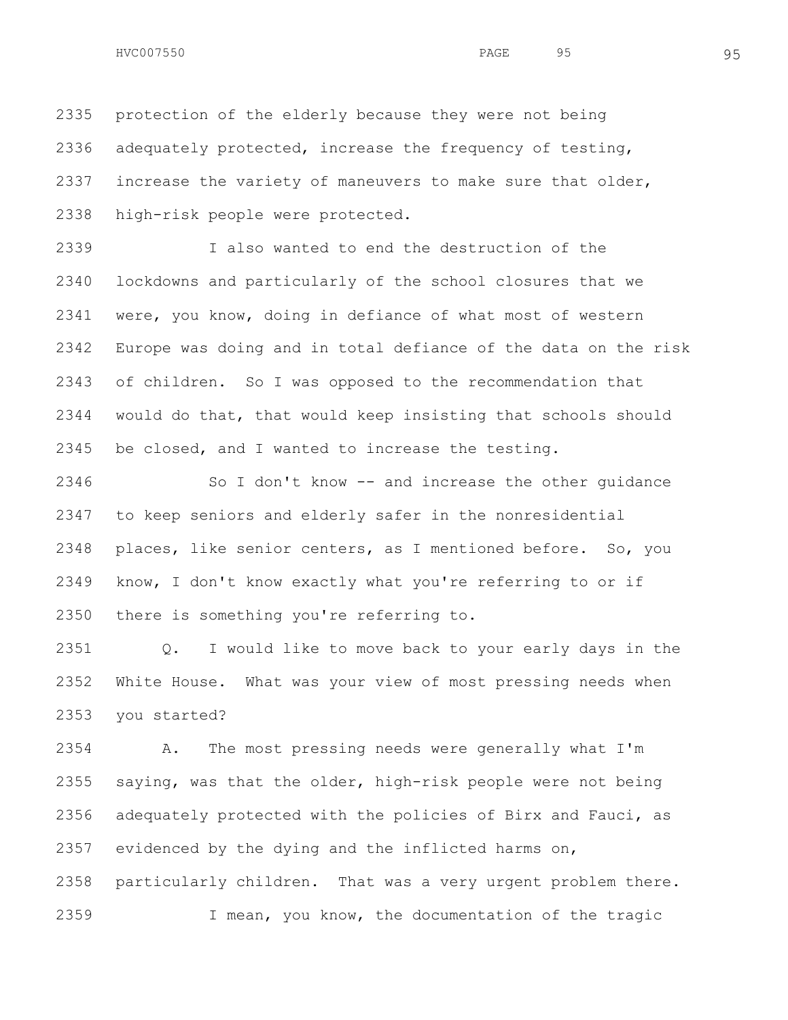protection of the elderly because they were not being adequately protected, increase the frequency of testing, increase the variety of maneuvers to make sure that older, high-risk people were protected.

 I also wanted to end the destruction of the lockdowns and particularly of the school closures that we were, you know, doing in defiance of what most of western Europe was doing and in total defiance of the data on the risk of children. So I was opposed to the recommendation that would do that, that would keep insisting that schools should be closed, and I wanted to increase the testing.

 So I don't know -- and increase the other guidance to keep seniors and elderly safer in the nonresidential places, like senior centers, as I mentioned before. So, you know, I don't know exactly what you're referring to or if there is something you're referring to.

 Q. I would like to move back to your early days in the White House. What was your view of most pressing needs when you started?

 A. The most pressing needs were generally what I'm saying, was that the older, high-risk people were not being adequately protected with the policies of Birx and Fauci, as evidenced by the dying and the inflicted harms on, particularly children. That was a very urgent problem there. I mean, you know, the documentation of the tragic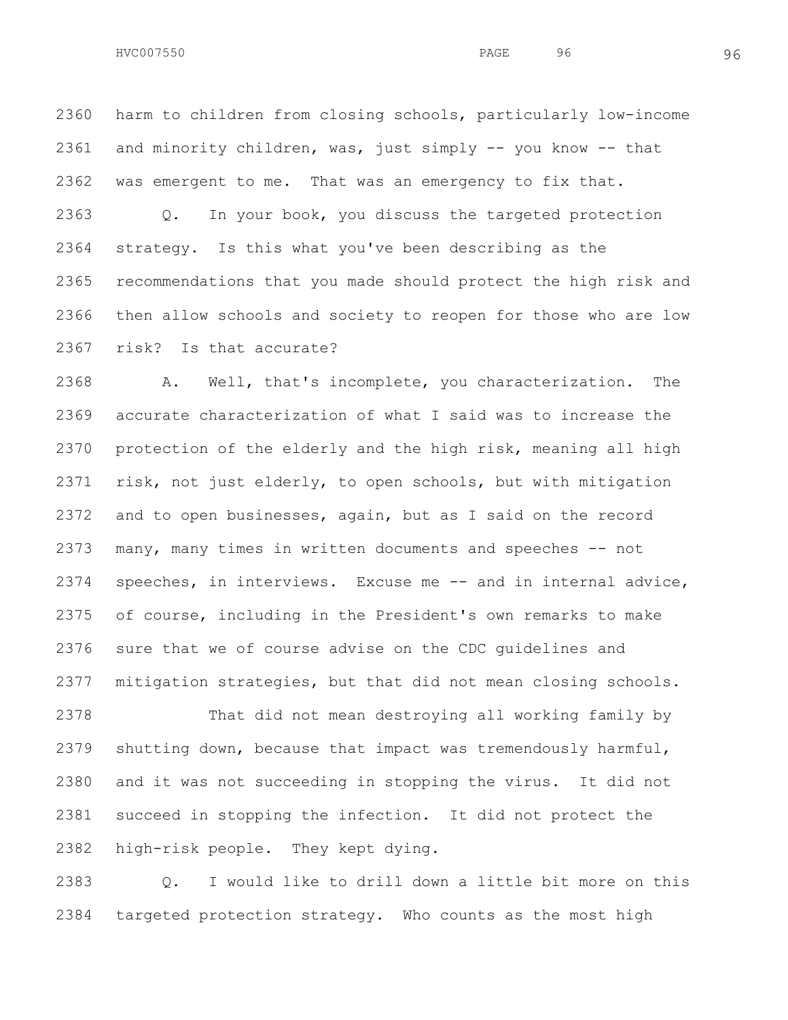HVC007550 96 96

 harm to children from closing schools, particularly low-income and minority children, was, just simply -- you know -- that was emergent to me. That was an emergency to fix that.

 Q. In your book, you discuss the targeted protection strategy. Is this what you've been describing as the recommendations that you made should protect the high risk and then allow schools and society to reopen for those who are low risk? Is that accurate?

 A. Well, that's incomplete, you characterization. The accurate characterization of what I said was to increase the protection of the elderly and the high risk, meaning all high risk, not just elderly, to open schools, but with mitigation and to open businesses, again, but as I said on the record many, many times in written documents and speeches -- not speeches, in interviews. Excuse me -- and in internal advice, of course, including in the President's own remarks to make sure that we of course advise on the CDC guidelines and mitigation strategies, but that did not mean closing schools.

 That did not mean destroying all working family by shutting down, because that impact was tremendously harmful, and it was not succeeding in stopping the virus. It did not succeed in stopping the infection. It did not protect the high-risk people. They kept dying.

 Q. I would like to drill down a little bit more on this targeted protection strategy. Who counts as the most high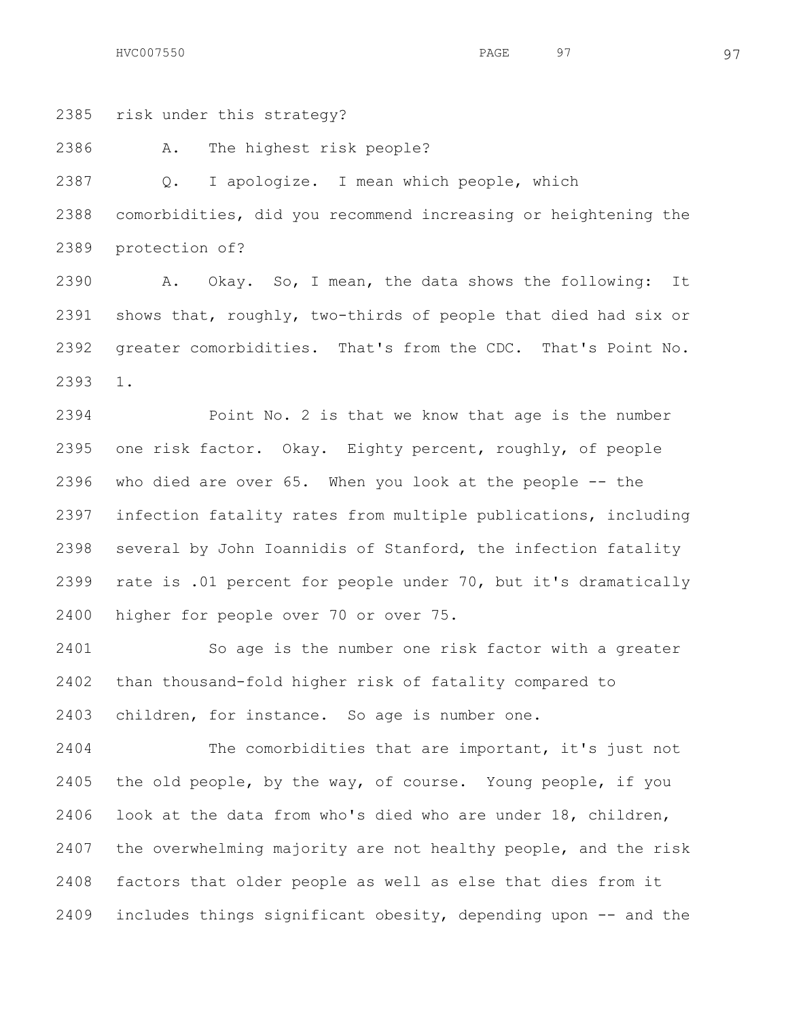risk under this strategy?

A. The highest risk people?

 Q. I apologize. I mean which people, which comorbidities, did you recommend increasing or heightening the protection of?

 A. Okay. So, I mean, the data shows the following: It shows that, roughly, two-thirds of people that died had six or greater comorbidities. That's from the CDC. That's Point No. 1.

 Point No. 2 is that we know that age is the number one risk factor. Okay. Eighty percent, roughly, of people who died are over 65. When you look at the people -- the infection fatality rates from multiple publications, including several by John Ioannidis of Stanford, the infection fatality rate is .01 percent for people under 70, but it's dramatically higher for people over 70 or over 75.

 So age is the number one risk factor with a greater than thousand-fold higher risk of fatality compared to children, for instance. So age is number one.

 The comorbidities that are important, it's just not the old people, by the way, of course. Young people, if you look at the data from who's died who are under 18, children, the overwhelming majority are not healthy people, and the risk factors that older people as well as else that dies from it includes things significant obesity, depending upon -- and the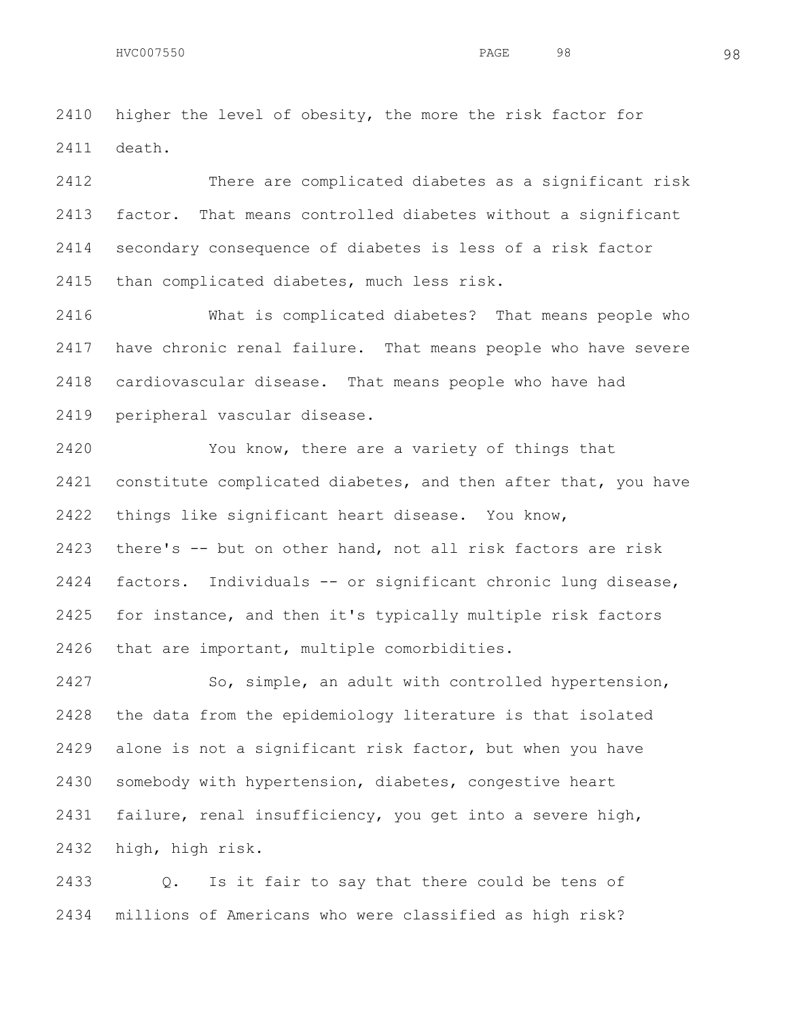higher the level of obesity, the more the risk factor for death.

 There are complicated diabetes as a significant risk factor. That means controlled diabetes without a significant secondary consequence of diabetes is less of a risk factor than complicated diabetes, much less risk.

 What is complicated diabetes? That means people who have chronic renal failure. That means people who have severe cardiovascular disease. That means people who have had peripheral vascular disease.

 You know, there are a variety of things that constitute complicated diabetes, and then after that, you have things like significant heart disease. You know, there's -- but on other hand, not all risk factors are risk factors. Individuals -- or significant chronic lung disease, for instance, and then it's typically multiple risk factors that are important, multiple comorbidities.

 So, simple, an adult with controlled hypertension, the data from the epidemiology literature is that isolated alone is not a significant risk factor, but when you have somebody with hypertension, diabetes, congestive heart failure, renal insufficiency, you get into a severe high, high, high risk.

 Q. Is it fair to say that there could be tens of millions of Americans who were classified as high risk?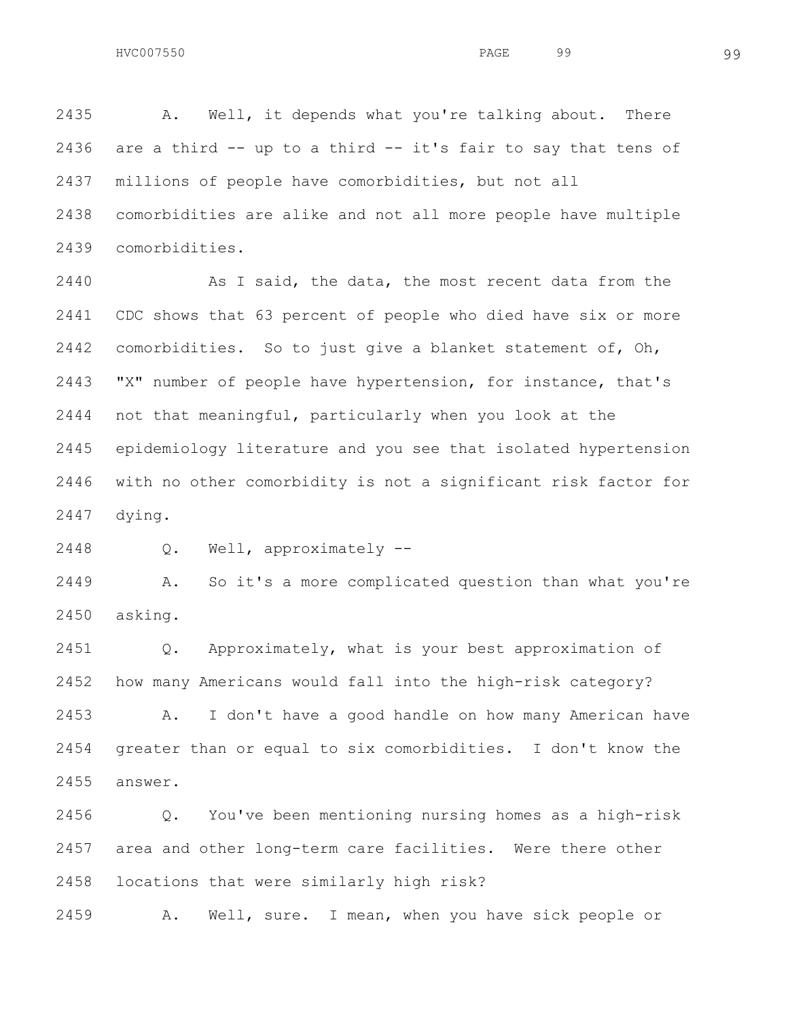A. Well, it depends what you're talking about. There are a third -- up to a third -- it's fair to say that tens of millions of people have comorbidities, but not all comorbidities are alike and not all more people have multiple comorbidities.

 As I said, the data, the most recent data from the CDC shows that 63 percent of people who died have six or more comorbidities. So to just give a blanket statement of, Oh, "X" number of people have hypertension, for instance, that's not that meaningful, particularly when you look at the epidemiology literature and you see that isolated hypertension with no other comorbidity is not a significant risk factor for dying.

Q. Well, approximately --

 A. So it's a more complicated question than what you're asking.

 Q. Approximately, what is your best approximation of how many Americans would fall into the high-risk category?

 A. I don't have a good handle on how many American have greater than or equal to six comorbidities. I don't know the answer.

 Q. You've been mentioning nursing homes as a high-risk area and other long-term care facilities. Were there other locations that were similarly high risk?

A. Well, sure. I mean, when you have sick people or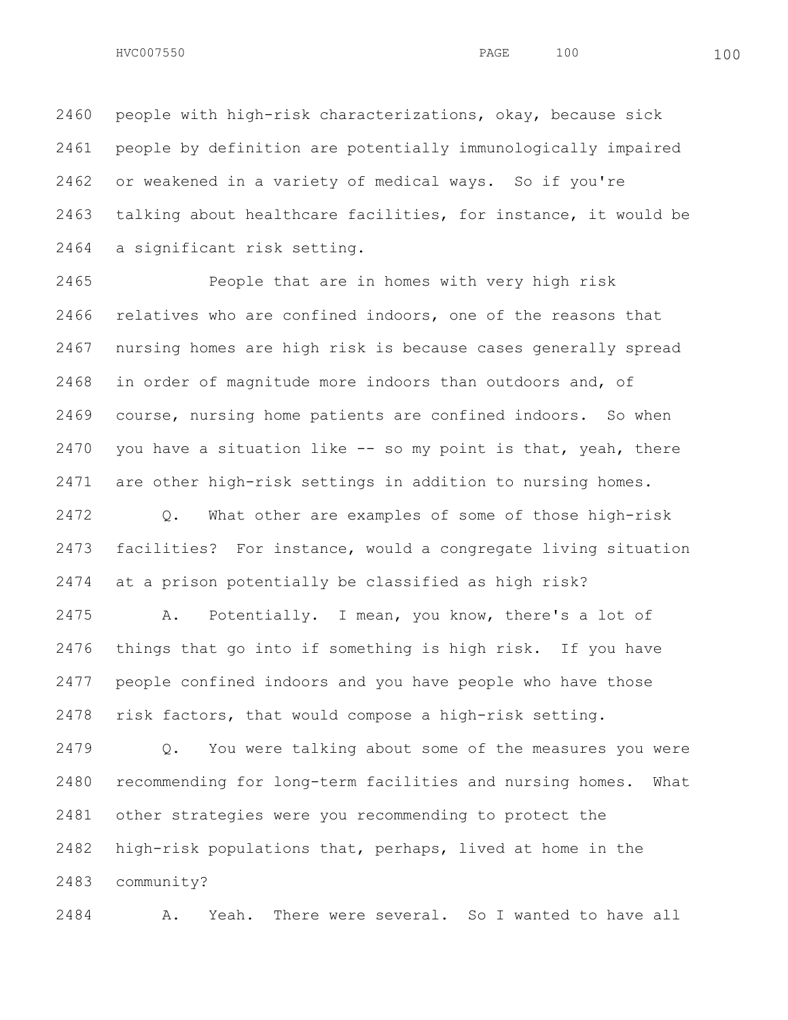people with high-risk characterizations, okay, because sick people by definition are potentially immunologically impaired or weakened in a variety of medical ways. So if you're talking about healthcare facilities, for instance, it would be a significant risk setting.

 People that are in homes with very high risk relatives who are confined indoors, one of the reasons that nursing homes are high risk is because cases generally spread in order of magnitude more indoors than outdoors and, of course, nursing home patients are confined indoors. So when you have a situation like -- so my point is that, yeah, there are other high-risk settings in addition to nursing homes.

 Q. What other are examples of some of those high-risk facilities? For instance, would a congregate living situation at a prison potentially be classified as high risk?

 A. Potentially. I mean, you know, there's a lot of things that go into if something is high risk. If you have people confined indoors and you have people who have those risk factors, that would compose a high-risk setting.

 Q. You were talking about some of the measures you were recommending for long-term facilities and nursing homes. What other strategies were you recommending to protect the high-risk populations that, perhaps, lived at home in the community?

A. Yeah. There were several. So I wanted to have all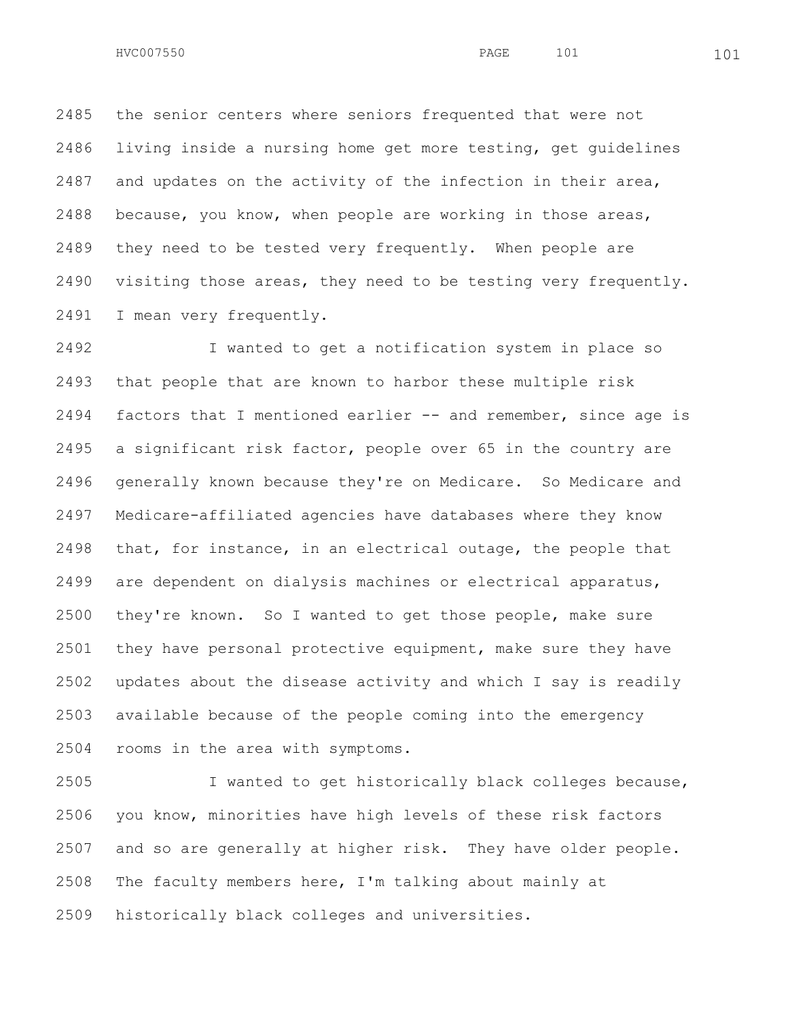the senior centers where seniors frequented that were not living inside a nursing home get more testing, get guidelines and updates on the activity of the infection in their area, because, you know, when people are working in those areas, they need to be tested very frequently. When people are visiting those areas, they need to be testing very frequently. I mean very frequently.

 I wanted to get a notification system in place so that people that are known to harbor these multiple risk factors that I mentioned earlier -- and remember, since age is a significant risk factor, people over 65 in the country are generally known because they're on Medicare. So Medicare and Medicare-affiliated agencies have databases where they know that, for instance, in an electrical outage, the people that are dependent on dialysis machines or electrical apparatus, they're known. So I wanted to get those people, make sure they have personal protective equipment, make sure they have updates about the disease activity and which I say is readily available because of the people coming into the emergency rooms in the area with symptoms.

 I wanted to get historically black colleges because, you know, minorities have high levels of these risk factors and so are generally at higher risk. They have older people. The faculty members here, I'm talking about mainly at historically black colleges and universities.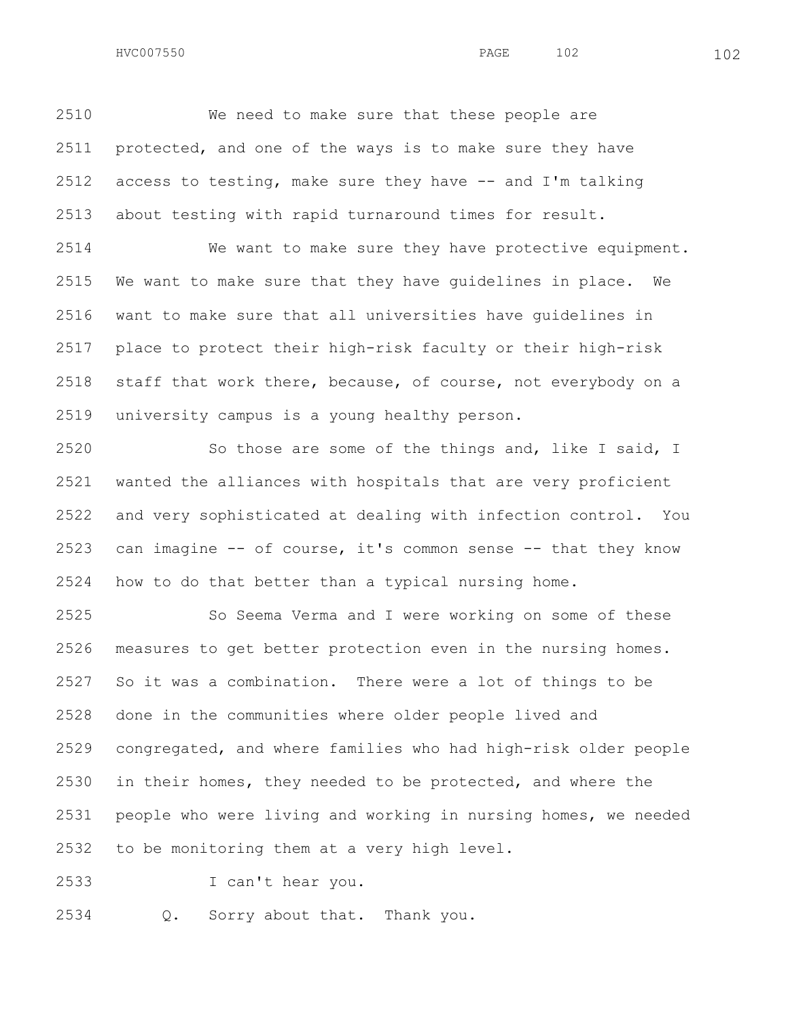We need to make sure that these people are protected, and one of the ways is to make sure they have access to testing, make sure they have -- and I'm talking about testing with rapid turnaround times for result.

 We want to make sure they have protective equipment. We want to make sure that they have guidelines in place. We want to make sure that all universities have guidelines in place to protect their high-risk faculty or their high-risk staff that work there, because, of course, not everybody on a university campus is a young healthy person.

 So those are some of the things and, like I said, I wanted the alliances with hospitals that are very proficient and very sophisticated at dealing with infection control. You can imagine -- of course, it's common sense -- that they know how to do that better than a typical nursing home.

 So Seema Verma and I were working on some of these measures to get better protection even in the nursing homes. So it was a combination. There were a lot of things to be done in the communities where older people lived and congregated, and where families who had high-risk older people in their homes, they needed to be protected, and where the people who were living and working in nursing homes, we needed to be monitoring them at a very high level.

I can't hear you.

Q. Sorry about that. Thank you.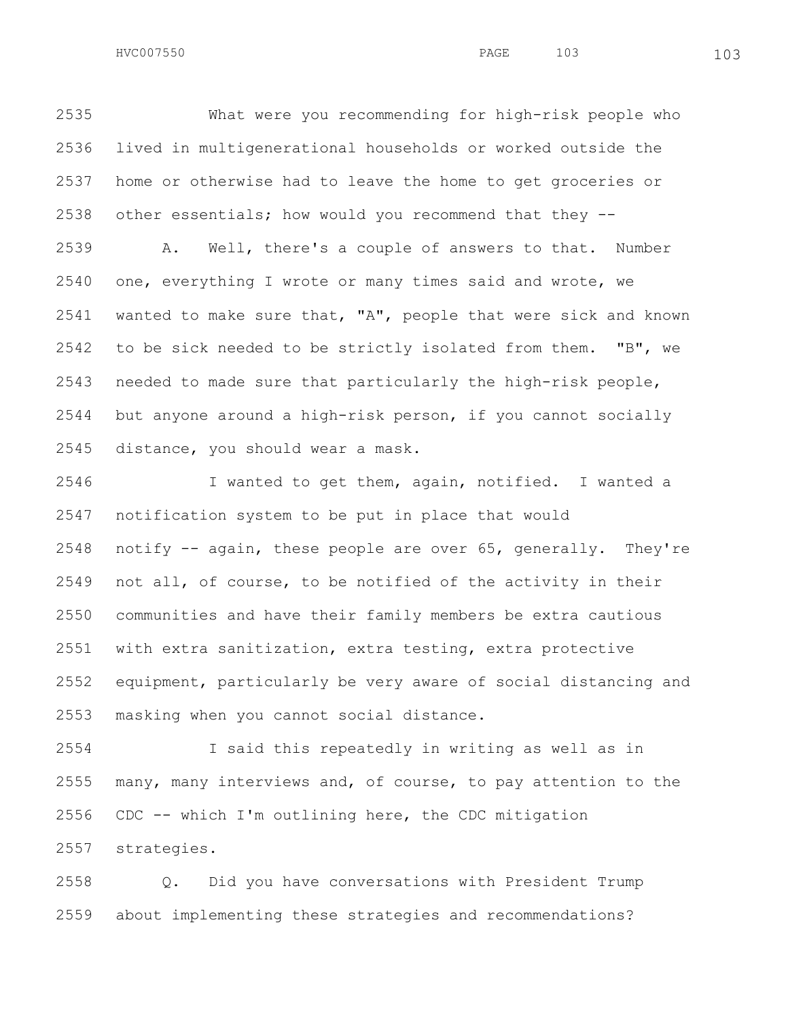What were you recommending for high-risk people who lived in multigenerational households or worked outside the home or otherwise had to leave the home to get groceries or other essentials; how would you recommend that they -- A. Well, there's a couple of answers to that. Number one, everything I wrote or many times said and wrote, we wanted to make sure that, "A", people that were sick and known to be sick needed to be strictly isolated from them. "B", we needed to made sure that particularly the high-risk people,

 but anyone around a high-risk person, if you cannot socially distance, you should wear a mask.

 I wanted to get them, again, notified. I wanted a notification system to be put in place that would notify -- again, these people are over 65, generally. They're not all, of course, to be notified of the activity in their communities and have their family members be extra cautious with extra sanitization, extra testing, extra protective equipment, particularly be very aware of social distancing and masking when you cannot social distance.

 I said this repeatedly in writing as well as in many, many interviews and, of course, to pay attention to the CDC -- which I'm outlining here, the CDC mitigation strategies.

 Q. Did you have conversations with President Trump about implementing these strategies and recommendations?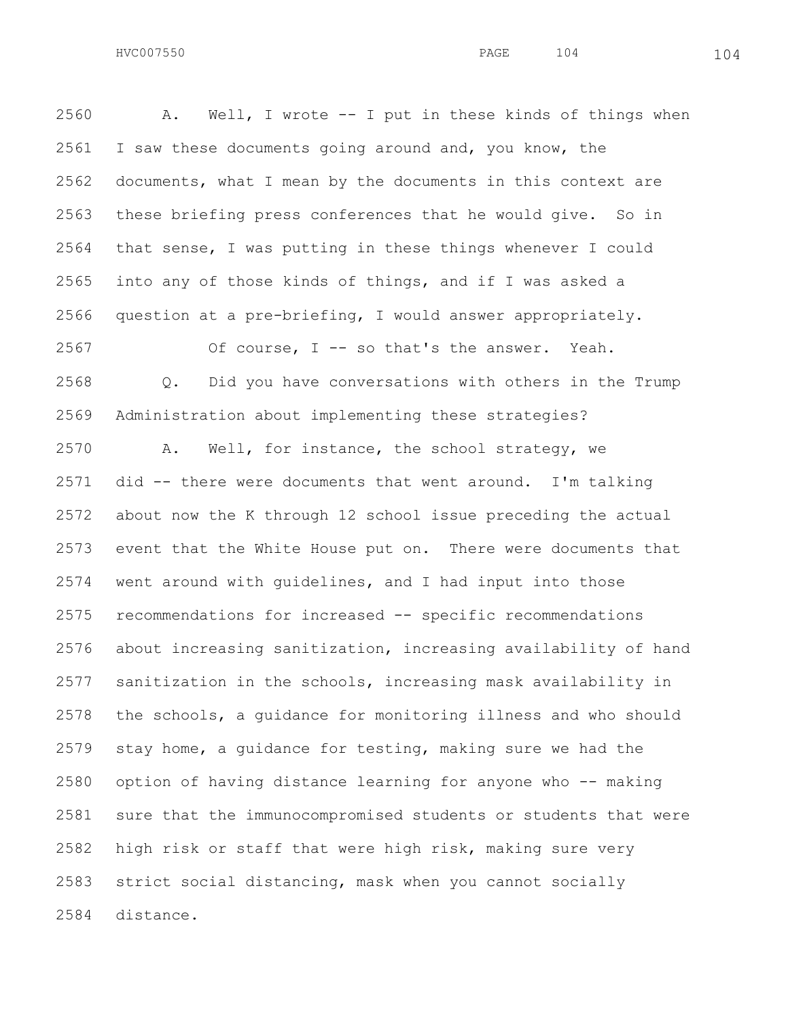A. Well, I wrote -- I put in these kinds of things when I saw these documents going around and, you know, the documents, what I mean by the documents in this context are these briefing press conferences that he would give. So in that sense, I was putting in these things whenever I could into any of those kinds of things, and if I was asked a question at a pre-briefing, I would answer appropriately. Of course, I -- so that's the answer. Yeah. Q. Did you have conversations with others in the Trump Administration about implementing these strategies? A. Well, for instance, the school strategy, we did -- there were documents that went around. I'm talking about now the K through 12 school issue preceding the actual event that the White House put on. There were documents that went around with guidelines, and I had input into those recommendations for increased -- specific recommendations about increasing sanitization, increasing availability of hand sanitization in the schools, increasing mask availability in the schools, a guidance for monitoring illness and who should stay home, a guidance for testing, making sure we had the option of having distance learning for anyone who -- making sure that the immunocompromised students or students that were high risk or staff that were high risk, making sure very strict social distancing, mask when you cannot socially

distance.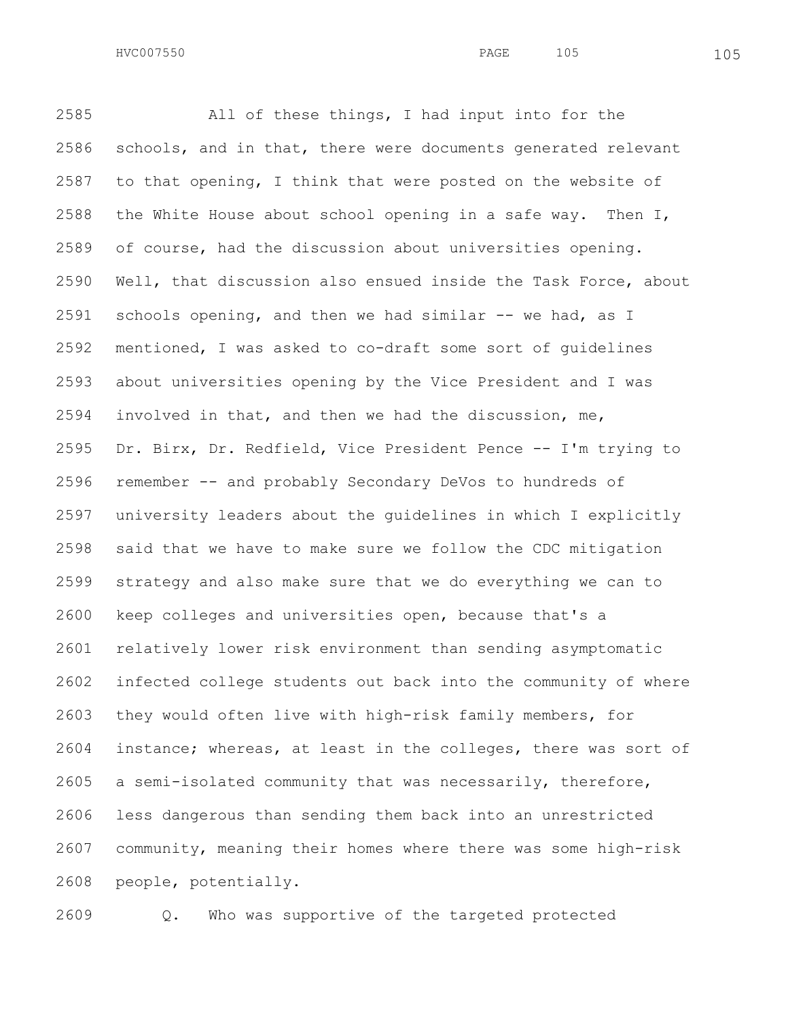All of these things, I had input into for the schools, and in that, there were documents generated relevant to that opening, I think that were posted on the website of the White House about school opening in a safe way. Then I, of course, had the discussion about universities opening. Well, that discussion also ensued inside the Task Force, about schools opening, and then we had similar -- we had, as I mentioned, I was asked to co-draft some sort of guidelines about universities opening by the Vice President and I was involved in that, and then we had the discussion, me, Dr. Birx, Dr. Redfield, Vice President Pence -- I'm trying to remember -- and probably Secondary DeVos to hundreds of university leaders about the guidelines in which I explicitly said that we have to make sure we follow the CDC mitigation strategy and also make sure that we do everything we can to keep colleges and universities open, because that's a relatively lower risk environment than sending asymptomatic infected college students out back into the community of where they would often live with high-risk family members, for instance; whereas, at least in the colleges, there was sort of a semi-isolated community that was necessarily, therefore, less dangerous than sending them back into an unrestricted community, meaning their homes where there was some high-risk people, potentially.

Q. Who was supportive of the targeted protected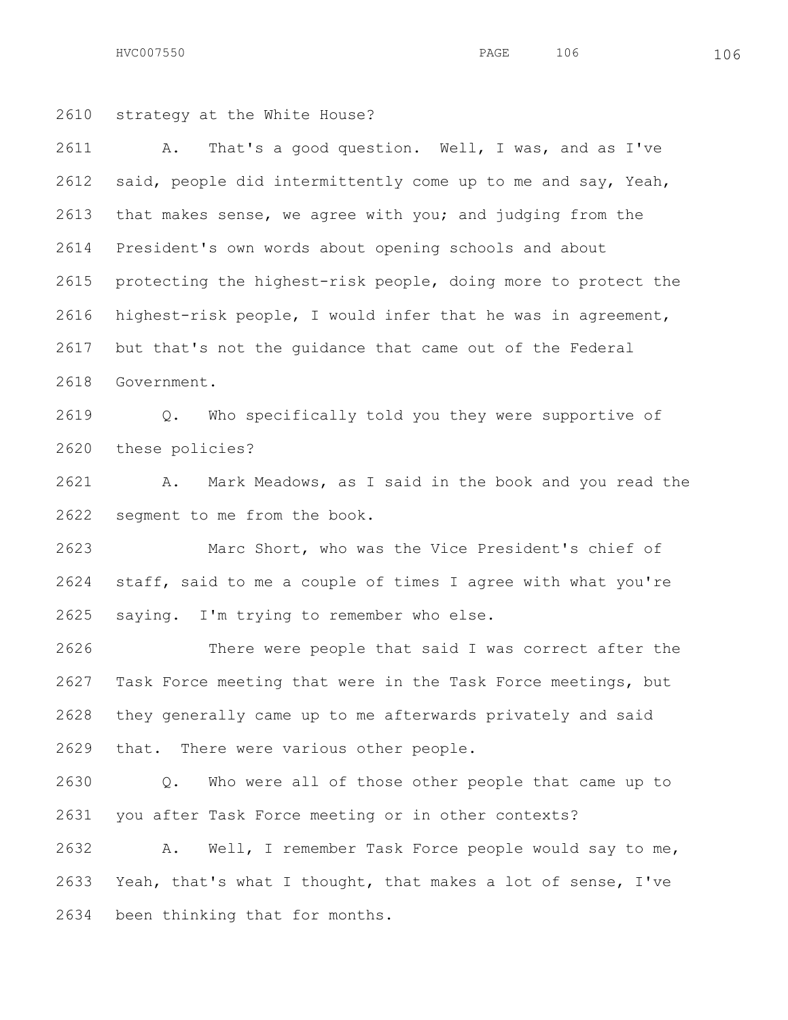HVC007550 106 200

 strategy at the White House? A. That's a good question. Well, I was, and as I've said, people did intermittently come up to me and say, Yeah, that makes sense, we agree with you; and judging from the President's own words about opening schools and about protecting the highest-risk people, doing more to protect the highest-risk people, I would infer that he was in agreement, but that's not the guidance that came out of the Federal Government. Q. Who specifically told you they were supportive of these policies? A. Mark Meadows, as I said in the book and you read the

segment to me from the book.

 Marc Short, who was the Vice President's chief of staff, said to me a couple of times I agree with what you're saying. I'm trying to remember who else.

 There were people that said I was correct after the Task Force meeting that were in the Task Force meetings, but they generally came up to me afterwards privately and said that. There were various other people.

 Q. Who were all of those other people that came up to you after Task Force meeting or in other contexts?

 A. Well, I remember Task Force people would say to me, Yeah, that's what I thought, that makes a lot of sense, I've been thinking that for months.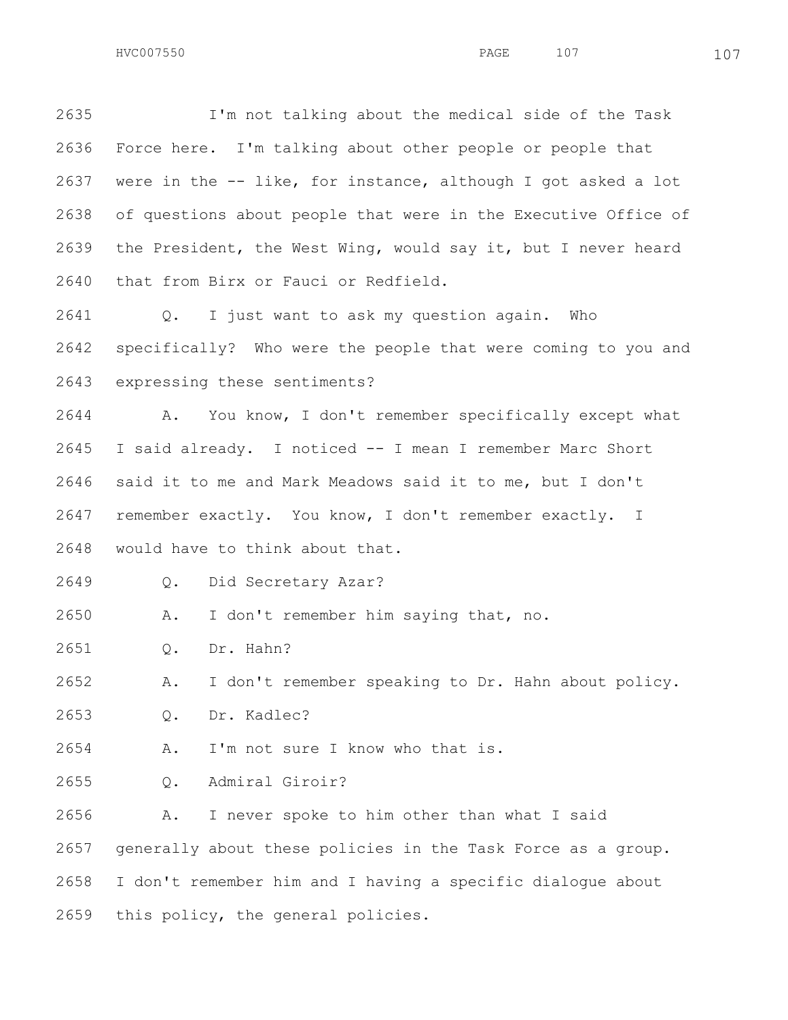I'm not talking about the medical side of the Task Force here. I'm talking about other people or people that were in the -- like, for instance, although I got asked a lot of questions about people that were in the Executive Office of the President, the West Wing, would say it, but I never heard that from Birx or Fauci or Redfield.

 Q. I just want to ask my question again. Who specifically? Who were the people that were coming to you and expressing these sentiments?

 A. You know, I don't remember specifically except what I said already. I noticed -- I mean I remember Marc Short said it to me and Mark Meadows said it to me, but I don't remember exactly. You know, I don't remember exactly. I would have to think about that.

Q. Did Secretary Azar?

A. I don't remember him saying that, no.

Q. Dr. Hahn?

A. I don't remember speaking to Dr. Hahn about policy.

Q. Dr. Kadlec?

A. I'm not sure I know who that is.

Q. Admiral Giroir?

 A. I never spoke to him other than what I said generally about these policies in the Task Force as a group. I don't remember him and I having a specific dialogue about this policy, the general policies.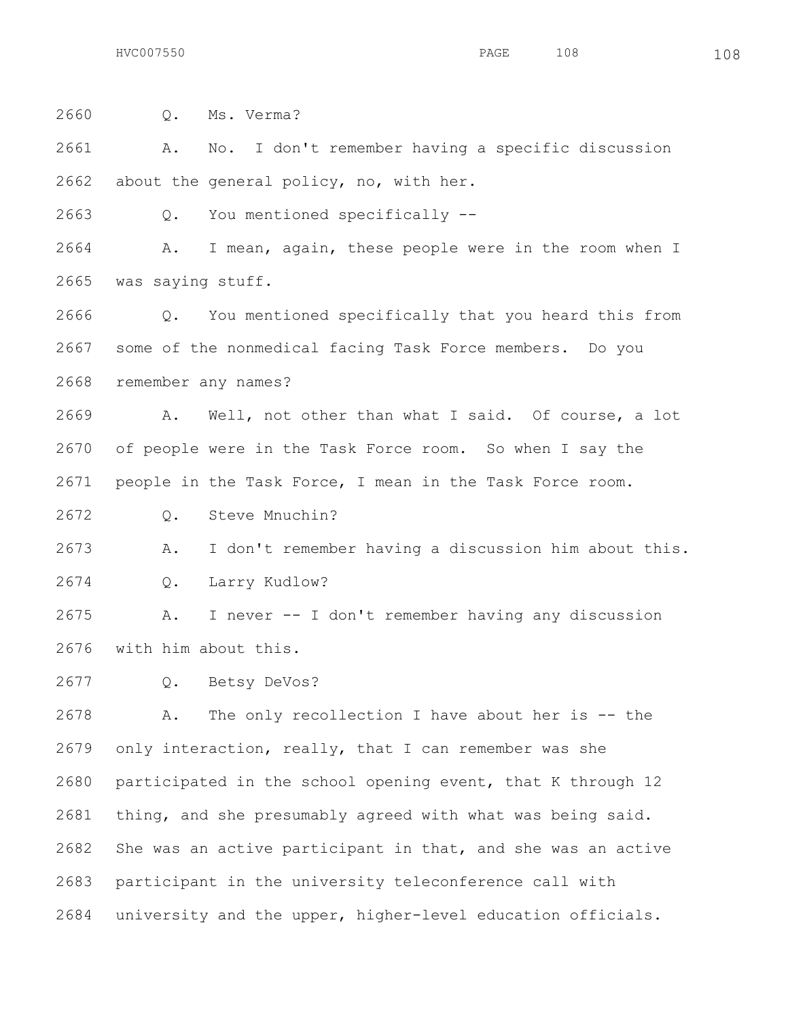Q. Ms. Verma? A. No. I don't remember having a specific discussion about the general policy, no, with her. Q. You mentioned specifically -- A. I mean, again, these people were in the room when I was saying stuff. Q. You mentioned specifically that you heard this from some of the nonmedical facing Task Force members. Do you remember any names? A. Well, not other than what I said. Of course, a lot of people were in the Task Force room. So when I say the people in the Task Force, I mean in the Task Force room. Q. Steve Mnuchin? A. I don't remember having a discussion him about this. Q. Larry Kudlow? A. I never -- I don't remember having any discussion with him about this. Q. Betsy DeVos? A. The only recollection I have about her is -- the only interaction, really, that I can remember was she participated in the school opening event, that K through 12

 She was an active participant in that, and she was an active participant in the university teleconference call with university and the upper, higher-level education officials.

thing, and she presumably agreed with what was being said.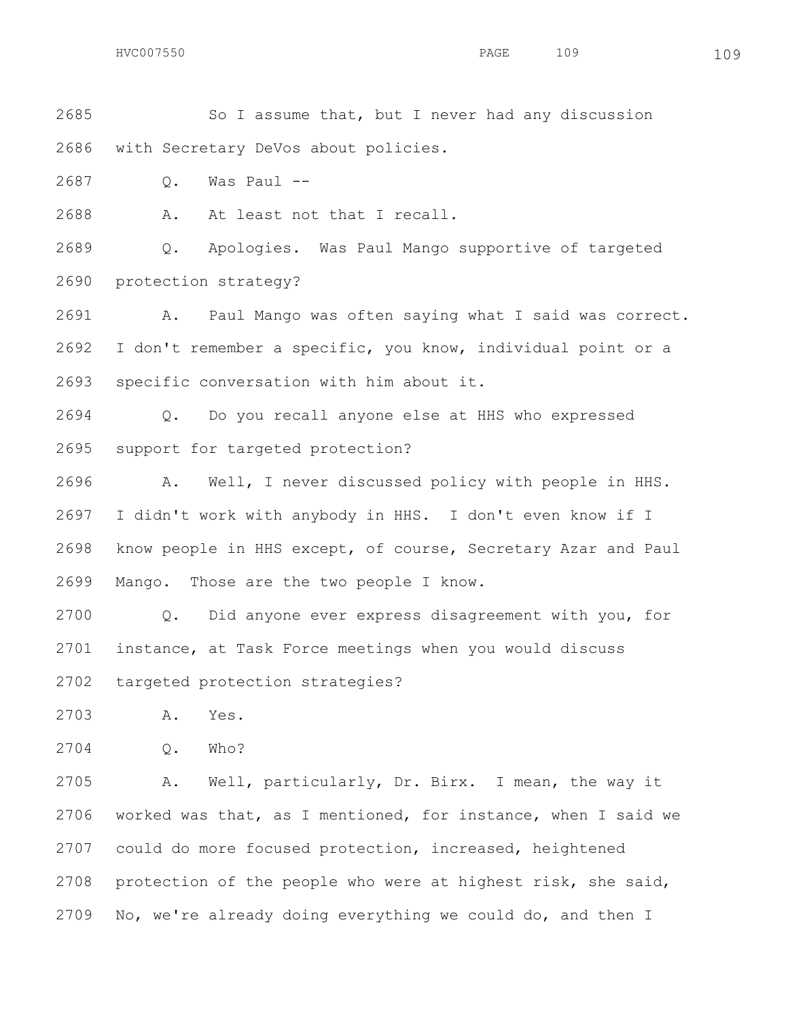So I assume that, but I never had any discussion with Secretary DeVos about policies.

Q. Was Paul --

A. At least not that I recall.

 Q. Apologies. Was Paul Mango supportive of targeted protection strategy?

 A. Paul Mango was often saying what I said was correct. I don't remember a specific, you know, individual point or a specific conversation with him about it.

 Q. Do you recall anyone else at HHS who expressed support for targeted protection?

 A. Well, I never discussed policy with people in HHS. I didn't work with anybody in HHS. I don't even know if I know people in HHS except, of course, Secretary Azar and Paul Mango. Those are the two people I know.

 Q. Did anyone ever express disagreement with you, for instance, at Task Force meetings when you would discuss targeted protection strategies?

A. Yes.

Q. Who?

 A. Well, particularly, Dr. Birx. I mean, the way it worked was that, as I mentioned, for instance, when I said we could do more focused protection, increased, heightened protection of the people who were at highest risk, she said, No, we're already doing everything we could do, and then I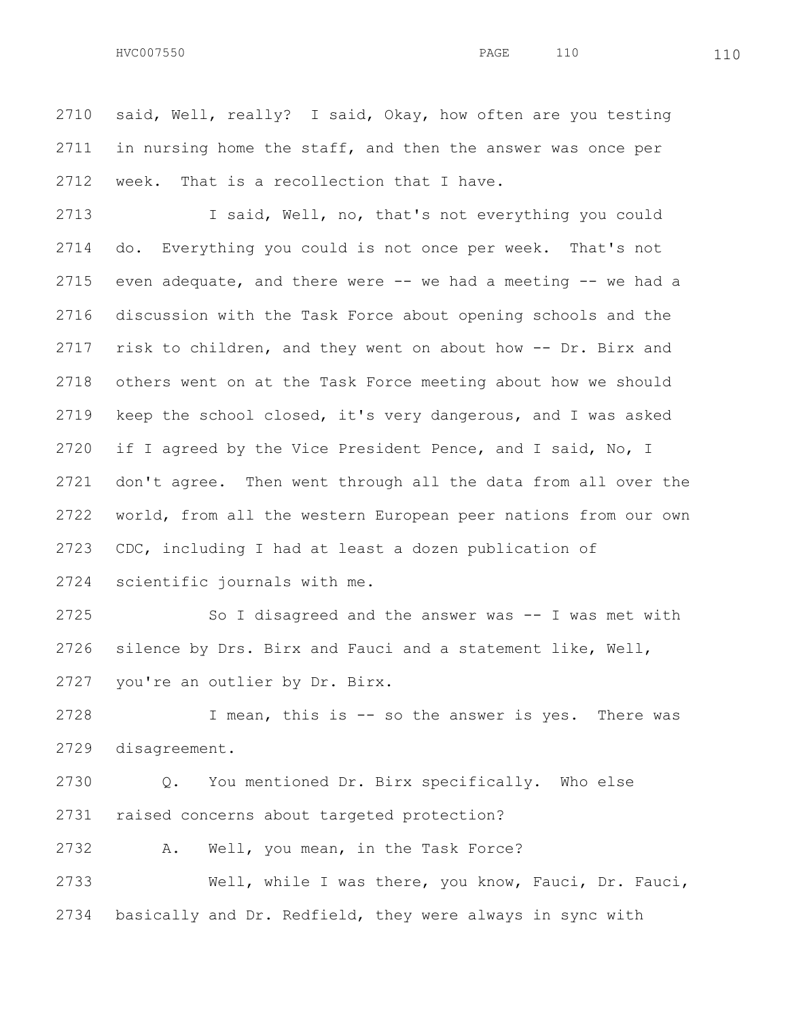said, Well, really? I said, Okay, how often are you testing 2711 in nursing home the staff, and then the answer was once per week. That is a recollection that I have.

 I said, Well, no, that's not everything you could do. Everything you could is not once per week. That's not even adequate, and there were -- we had a meeting -- we had a discussion with the Task Force about opening schools and the risk to children, and they went on about how -- Dr. Birx and others went on at the Task Force meeting about how we should keep the school closed, it's very dangerous, and I was asked 2720 if I agreed by the Vice President Pence, and I said, No, I don't agree. Then went through all the data from all over the world, from all the western European peer nations from our own CDC, including I had at least a dozen publication of scientific journals with me.

 So I disagreed and the answer was -- I was met with silence by Drs. Birx and Fauci and a statement like, Well, you're an outlier by Dr. Birx.

 I mean, this is -- so the answer is yes. There was disagreement.

 Q. You mentioned Dr. Birx specifically. Who else raised concerns about targeted protection?

A. Well, you mean, in the Task Force?

 Well, while I was there, you know, Fauci, Dr. Fauci, basically and Dr. Redfield, they were always in sync with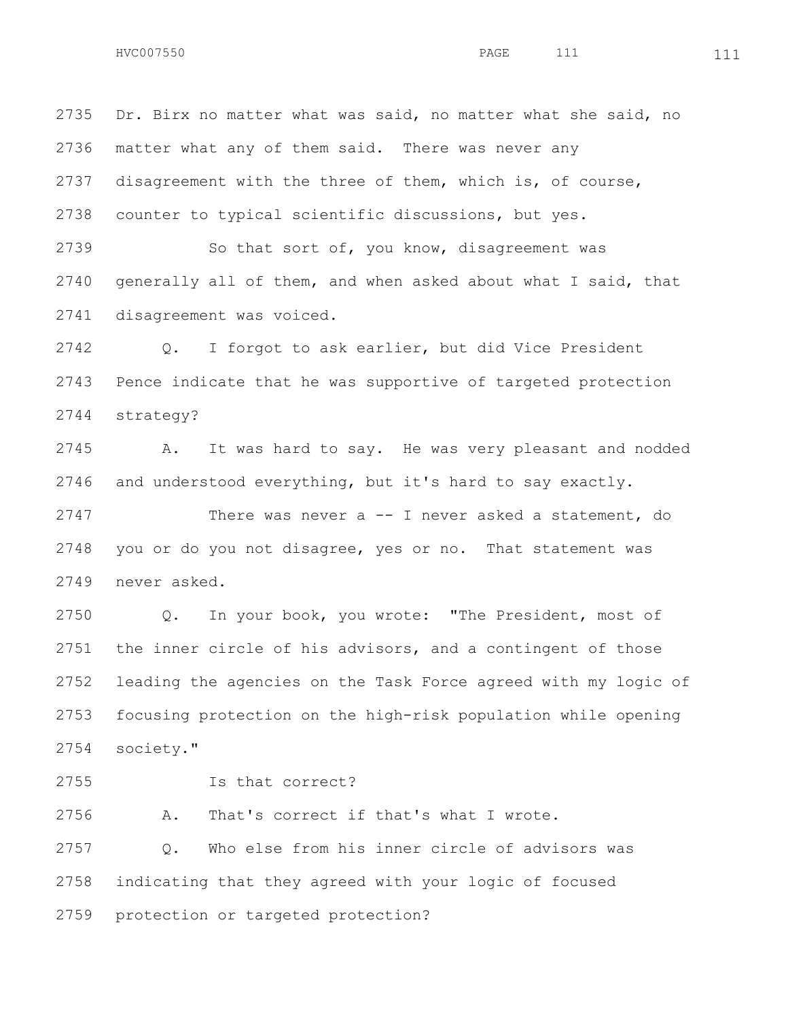Dr. Birx no matter what was said, no matter what she said, no matter what any of them said. There was never any disagreement with the three of them, which is, of course, counter to typical scientific discussions, but yes.

2739 So that sort of, you know, disagreement was generally all of them, and when asked about what I said, that disagreement was voiced.

 Q. I forgot to ask earlier, but did Vice President Pence indicate that he was supportive of targeted protection strategy?

 A. It was hard to say. He was very pleasant and nodded and understood everything, but it's hard to say exactly.

 There was never a -- I never asked a statement, do you or do you not disagree, yes or no. That statement was never asked.

 Q. In your book, you wrote: "The President, most of the inner circle of his advisors, and a contingent of those leading the agencies on the Task Force agreed with my logic of focusing protection on the high-risk population while opening society."

Is that correct?

A. That's correct if that's what I wrote.

 Q. Who else from his inner circle of advisors was indicating that they agreed with your logic of focused protection or targeted protection?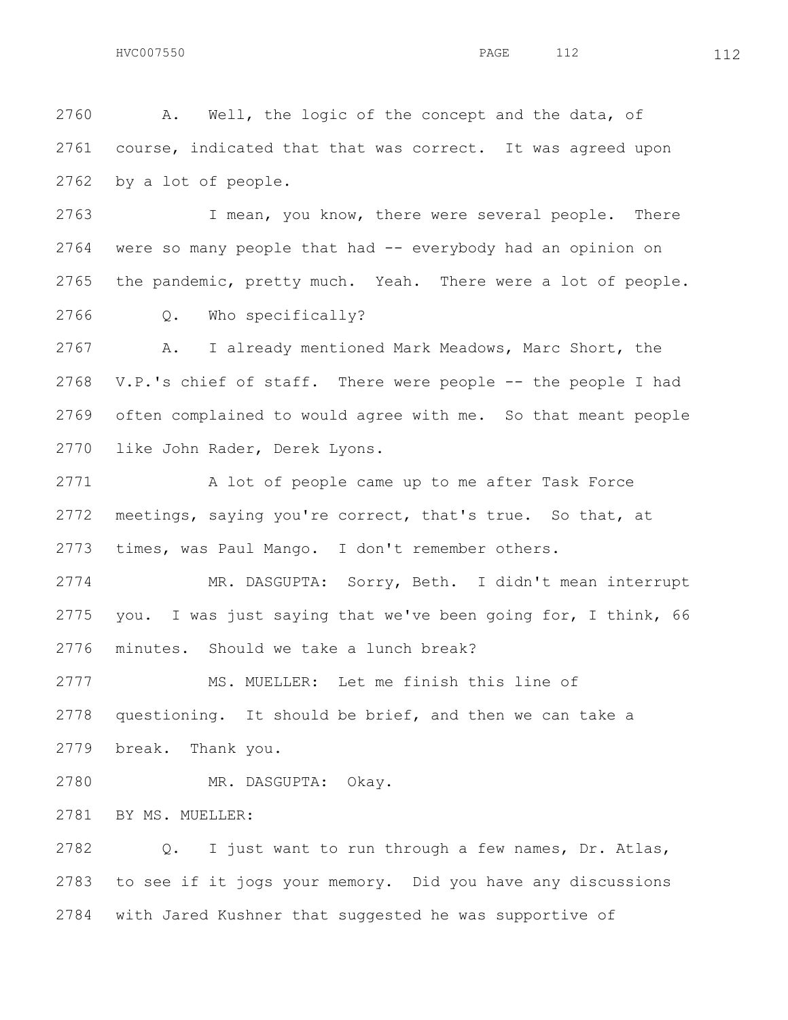A. Well, the logic of the concept and the data, of course, indicated that that was correct. It was agreed upon by a lot of people.

 I mean, you know, there were several people. There were so many people that had -- everybody had an opinion on the pandemic, pretty much. Yeah. There were a lot of people. Q. Who specifically?

 A. I already mentioned Mark Meadows, Marc Short, the V.P.'s chief of staff. There were people -- the people I had often complained to would agree with me. So that meant people like John Rader, Derek Lyons.

2771 A lot of people came up to me after Task Force meetings, saying you're correct, that's true. So that, at times, was Paul Mango. I don't remember others.

 MR. DASGUPTA: Sorry, Beth. I didn't mean interrupt you. I was just saying that we've been going for, I think, 66 minutes. Should we take a lunch break?

MS. MUELLER: Let me finish this line of

questioning. It should be brief, and then we can take a

break. Thank you.

MR. DASGUPTA: Okay.

BY MS. MUELLER:

 Q. I just want to run through a few names, Dr. Atlas, to see if it jogs your memory. Did you have any discussions with Jared Kushner that suggested he was supportive of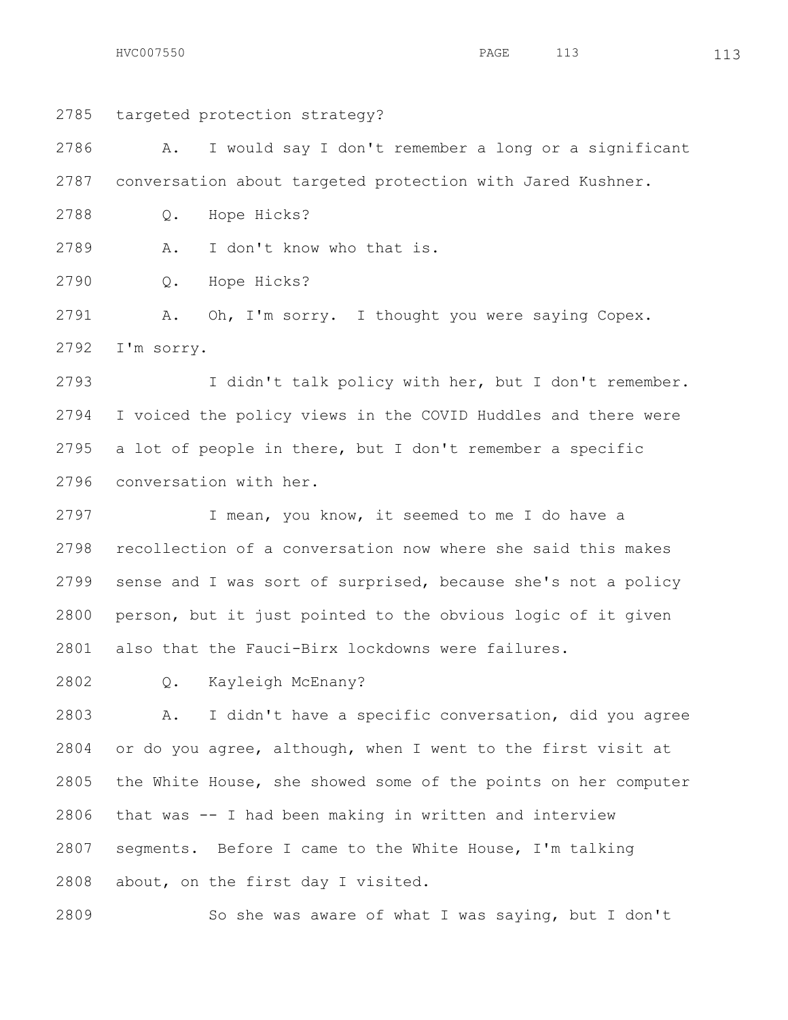HVC007550 **PAGE** 113 113

 targeted protection strategy? A. I would say I don't remember a long or a significant conversation about targeted protection with Jared Kushner. Q. Hope Hicks? A. I don't know who that is.

Q. Hope Hicks?

 A. Oh, I'm sorry. I thought you were saying Copex. I'm sorry.

 I didn't talk policy with her, but I don't remember. I voiced the policy views in the COVID Huddles and there were a lot of people in there, but I don't remember a specific conversation with her.

 I mean, you know, it seemed to me I do have a recollection of a conversation now where she said this makes sense and I was sort of surprised, because she's not a policy person, but it just pointed to the obvious logic of it given also that the Fauci-Birx lockdowns were failures.

Q. Kayleigh McEnany?

 A. I didn't have a specific conversation, did you agree or do you agree, although, when I went to the first visit at the White House, she showed some of the points on her computer that was -- I had been making in written and interview segments. Before I came to the White House, I'm talking about, on the first day I visited.

So she was aware of what I was saying, but I don't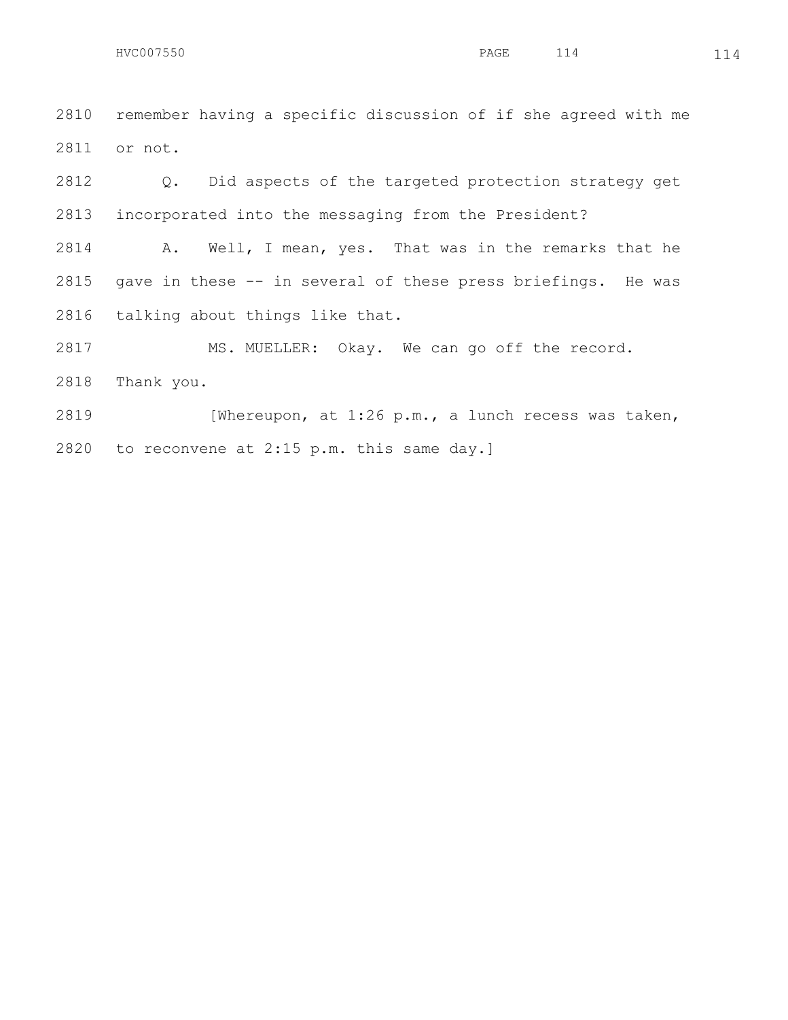remember having a specific discussion of if she agreed with me or not.

 Q. Did aspects of the targeted protection strategy get incorporated into the messaging from the President?

 A. Well, I mean, yes. That was in the remarks that he gave in these -- in several of these press briefings. He was talking about things like that.

MS. MUELLER: Okay. We can go off the record.

Thank you.

 [Whereupon, at 1:26 p.m., a lunch recess was taken, to reconvene at 2:15 p.m. this same day.]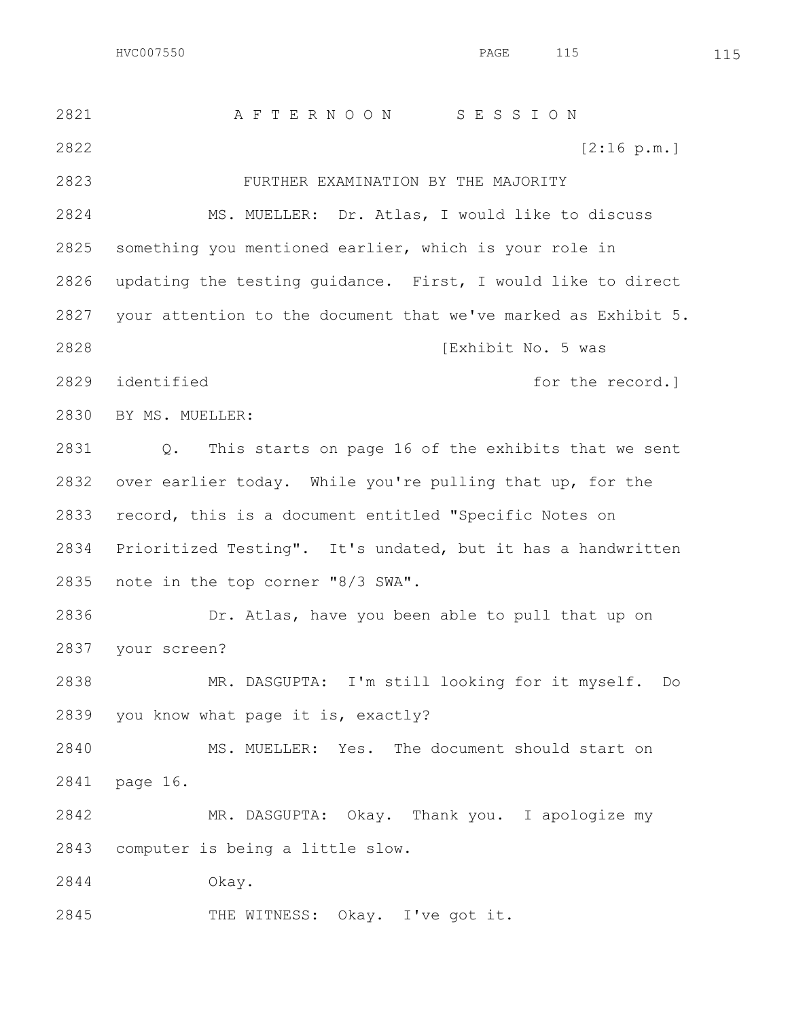A F T E R N O O N S E S S I O N [2:16 p.m.] FURTHER EXAMINATION BY THE MAJORITY MS. MUELLER: Dr. Atlas, I would like to discuss something you mentioned earlier, which is your role in updating the testing guidance. First, I would like to direct your attention to the document that we've marked as Exhibit 5. [Exhibit No. 5 was 2829 identified **for the record.**  BY MS. MUELLER: Q. This starts on page 16 of the exhibits that we sent over earlier today. While you're pulling that up, for the record, this is a document entitled "Specific Notes on Prioritized Testing". It's undated, but it has a handwritten note in the top corner "8/3 SWA". Dr. Atlas, have you been able to pull that up on your screen? MR. DASGUPTA: I'm still looking for it myself. Do you know what page it is, exactly? MS. MUELLER: Yes. The document should start on page 16. MR. DASGUPTA: Okay. Thank you. I apologize my computer is being a little slow. Okay. 2845 THE WITNESS: Okay. I've got it.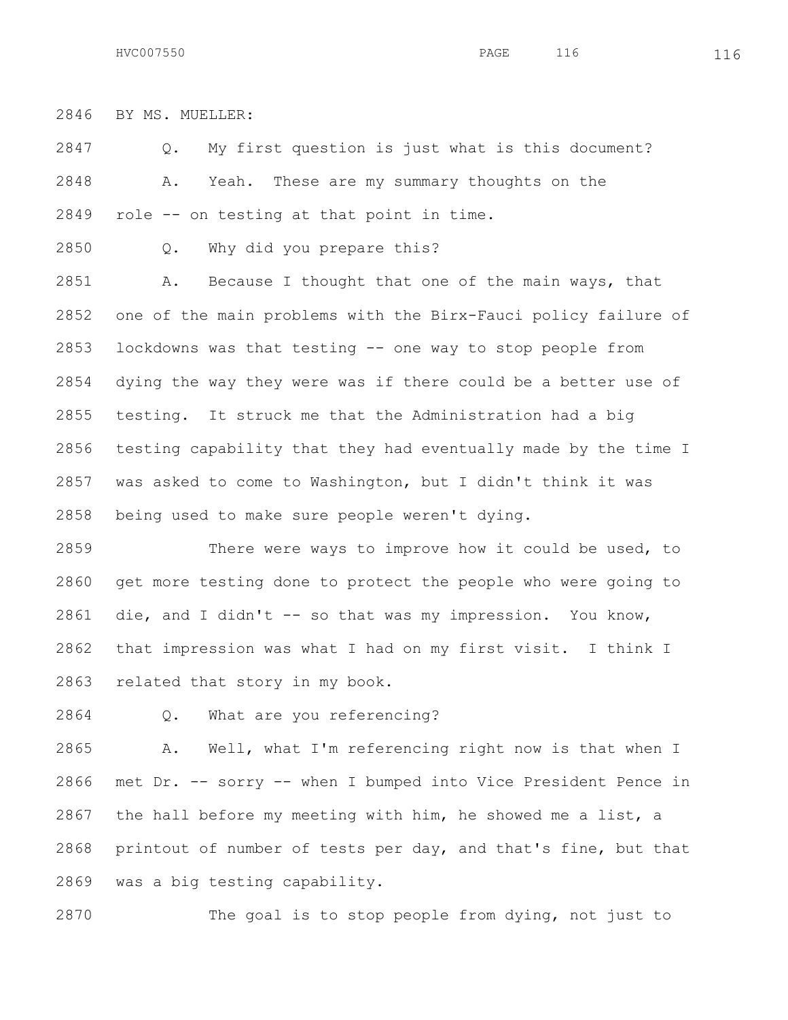BY MS. MUELLER:

 Q. My first question is just what is this document? A. Yeah. These are my summary thoughts on the role -- on testing at that point in time.

Q. Why did you prepare this?

 A. Because I thought that one of the main ways, that one of the main problems with the Birx-Fauci policy failure of lockdowns was that testing -- one way to stop people from dying the way they were was if there could be a better use of testing. It struck me that the Administration had a big testing capability that they had eventually made by the time I was asked to come to Washington, but I didn't think it was being used to make sure people weren't dying.

2859 There were ways to improve how it could be used, to get more testing done to protect the people who were going to die, and I didn't -- so that was my impression. You know, that impression was what I had on my first visit. I think I related that story in my book.

Q. What are you referencing?

 A. Well, what I'm referencing right now is that when I met Dr. -- sorry -- when I bumped into Vice President Pence in the hall before my meeting with him, he showed me a list, a printout of number of tests per day, and that's fine, but that was a big testing capability.

The goal is to stop people from dying, not just to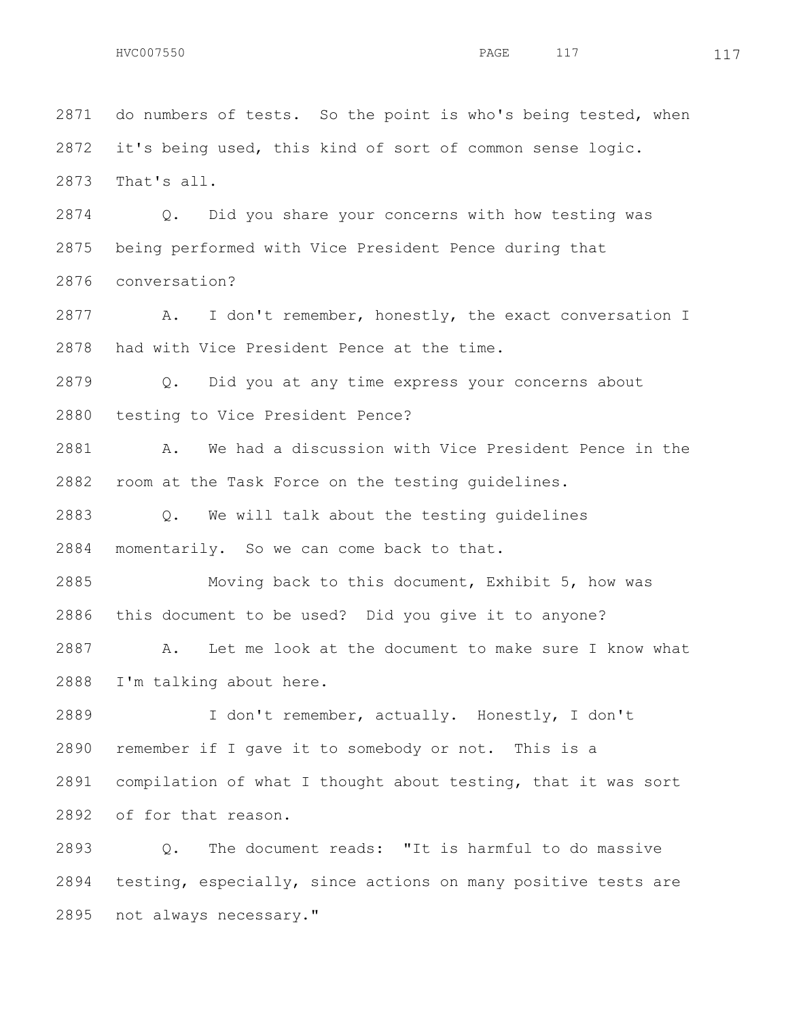do numbers of tests. So the point is who's being tested, when it's being used, this kind of sort of common sense logic. That's all. Q. Did you share your concerns with how testing was being performed with Vice President Pence during that conversation? A. I don't remember, honestly, the exact conversation I had with Vice President Pence at the time. Q. Did you at any time express your concerns about testing to Vice President Pence? A. We had a discussion with Vice President Pence in the room at the Task Force on the testing guidelines. Q. We will talk about the testing guidelines momentarily. So we can come back to that. Moving back to this document, Exhibit 5, how was this document to be used? Did you give it to anyone? A. Let me look at the document to make sure I know what I'm talking about here. I don't remember, actually. Honestly, I don't remember if I gave it to somebody or not. This is a compilation of what I thought about testing, that it was sort of for that reason.

 Q. The document reads: "It is harmful to do massive testing, especially, since actions on many positive tests are not always necessary."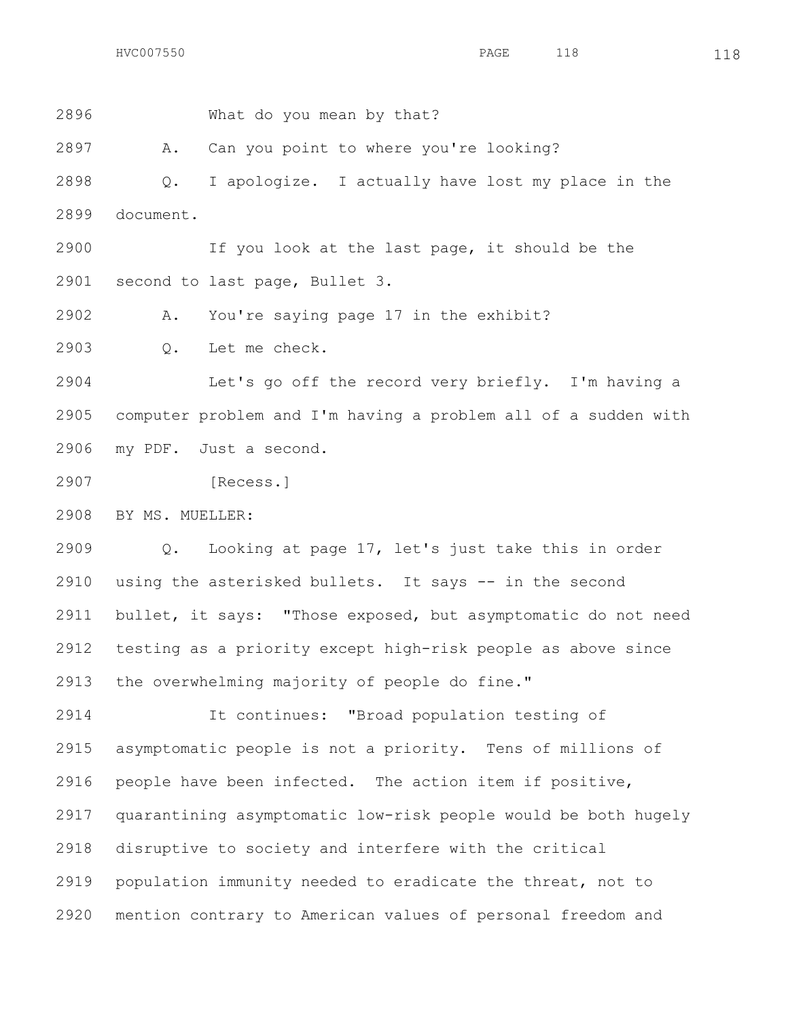What do you mean by that?

A. Can you point to where you're looking?

 Q. I apologize. I actually have lost my place in the document.

 If you look at the last page, it should be the second to last page, Bullet 3.

A. You're saying page 17 in the exhibit?

Q. Let me check.

 Let's go off the record very briefly. I'm having a computer problem and I'm having a problem all of a sudden with my PDF. Just a second.

[Recess.]

BY MS. MUELLER:

 Q. Looking at page 17, let's just take this in order 2910 using the asterisked bullets. It says -- in the second bullet, it says: "Those exposed, but asymptomatic do not need testing as a priority except high-risk people as above since the overwhelming majority of people do fine."

 It continues: "Broad population testing of asymptomatic people is not a priority. Tens of millions of people have been infected. The action item if positive, quarantining asymptomatic low-risk people would be both hugely disruptive to society and interfere with the critical population immunity needed to eradicate the threat, not to mention contrary to American values of personal freedom and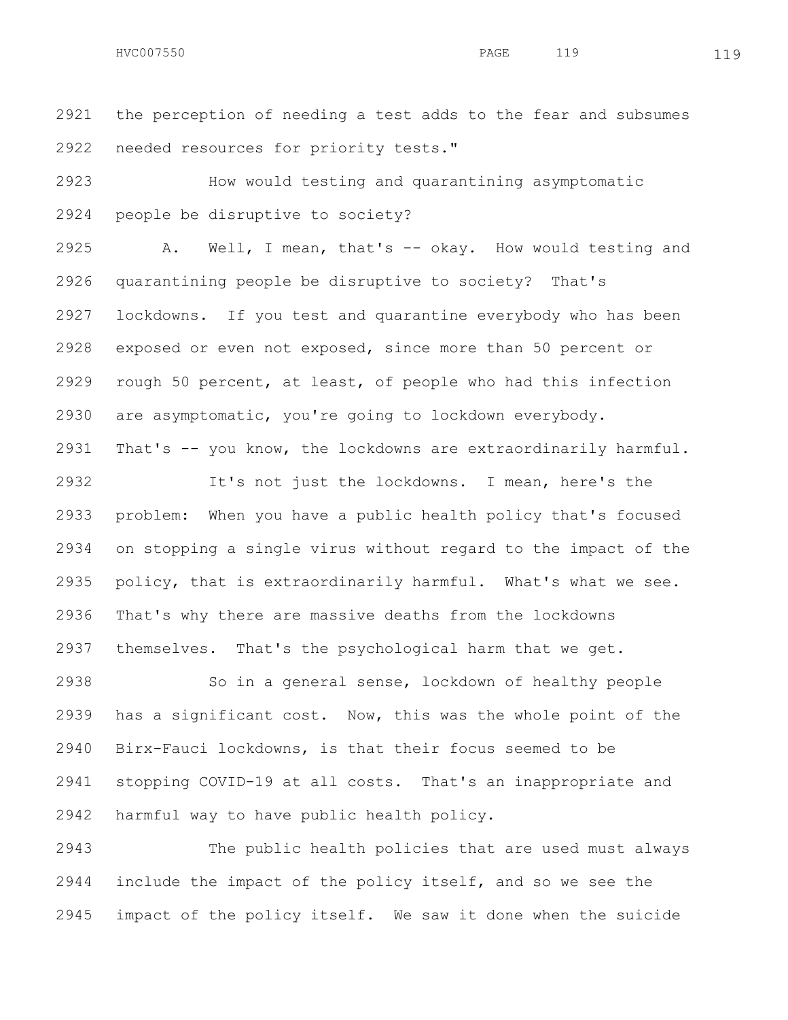the perception of needing a test adds to the fear and subsumes needed resources for priority tests."

 How would testing and quarantining asymptomatic people be disruptive to society?

 A. Well, I mean, that's -- okay. How would testing and quarantining people be disruptive to society? That's lockdowns. If you test and quarantine everybody who has been exposed or even not exposed, since more than 50 percent or rough 50 percent, at least, of people who had this infection are asymptomatic, you're going to lockdown everybody. That's -- you know, the lockdowns are extraordinarily harmful.

 It's not just the lockdowns. I mean, here's the problem: When you have a public health policy that's focused on stopping a single virus without regard to the impact of the policy, that is extraordinarily harmful. What's what we see. That's why there are massive deaths from the lockdowns themselves. That's the psychological harm that we get.

 So in a general sense, lockdown of healthy people has a significant cost. Now, this was the whole point of the Birx-Fauci lockdowns, is that their focus seemed to be stopping COVID-19 at all costs. That's an inappropriate and harmful way to have public health policy.

 The public health policies that are used must always include the impact of the policy itself, and so we see the impact of the policy itself. We saw it done when the suicide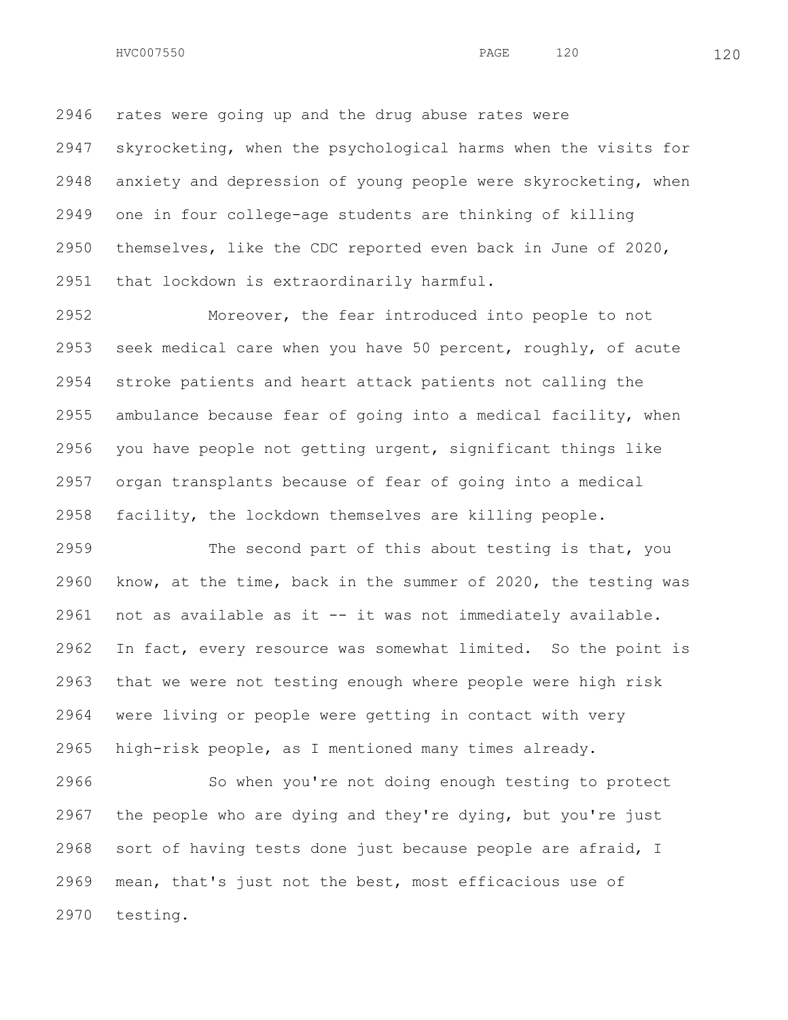rates were going up and the drug abuse rates were

 skyrocketing, when the psychological harms when the visits for anxiety and depression of young people were skyrocketing, when one in four college-age students are thinking of killing themselves, like the CDC reported even back in June of 2020, that lockdown is extraordinarily harmful.

 Moreover, the fear introduced into people to not seek medical care when you have 50 percent, roughly, of acute stroke patients and heart attack patients not calling the ambulance because fear of going into a medical facility, when you have people not getting urgent, significant things like organ transplants because of fear of going into a medical facility, the lockdown themselves are killing people.

 The second part of this about testing is that, you know, at the time, back in the summer of 2020, the testing was not as available as it -- it was not immediately available. In fact, every resource was somewhat limited. So the point is that we were not testing enough where people were high risk were living or people were getting in contact with very high-risk people, as I mentioned many times already.

 So when you're not doing enough testing to protect the people who are dying and they're dying, but you're just sort of having tests done just because people are afraid, I mean, that's just not the best, most efficacious use of testing.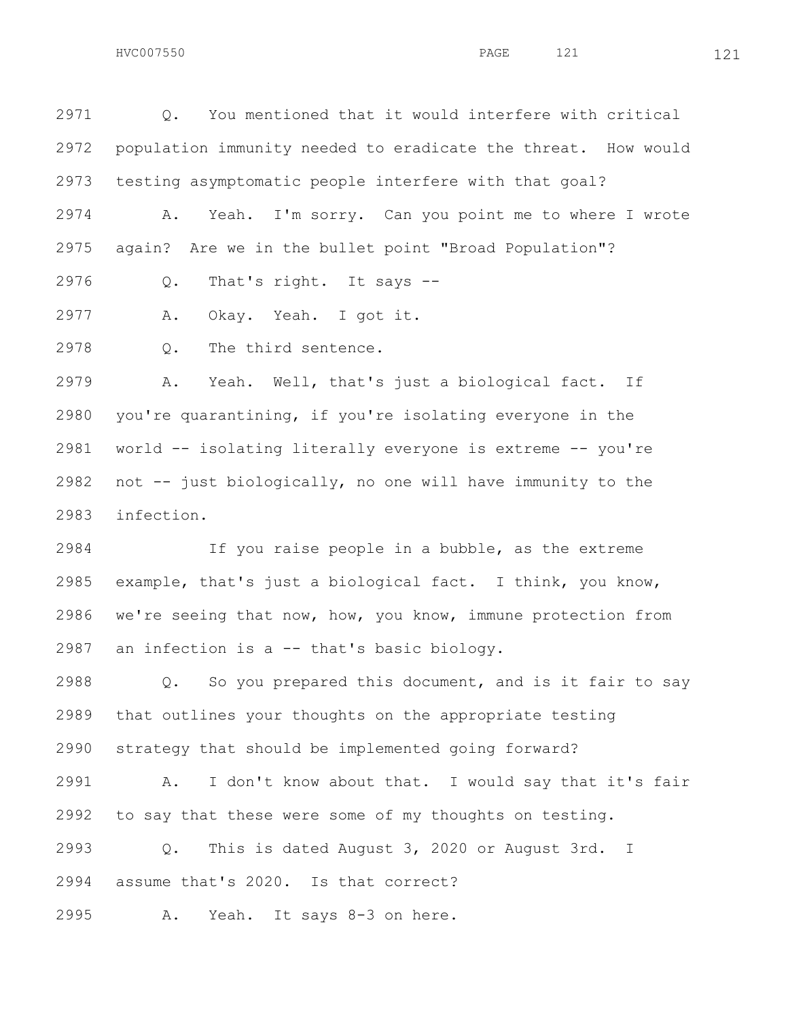Q. You mentioned that it would interfere with critical population immunity needed to eradicate the threat. How would testing asymptomatic people interfere with that goal? A. Yeah. I'm sorry. Can you point me to where I wrote

again? Are we in the bullet point "Broad Population"?

Q. That's right. It says --

A. Okay. Yeah. I got it.

Q. The third sentence.

 A. Yeah. Well, that's just a biological fact. If you're quarantining, if you're isolating everyone in the world -- isolating literally everyone is extreme -- you're not -- just biologically, no one will have immunity to the infection.

 If you raise people in a bubble, as the extreme example, that's just a biological fact. I think, you know, we're seeing that now, how, you know, immune protection from an infection is a -- that's basic biology.

 Q. So you prepared this document, and is it fair to say that outlines your thoughts on the appropriate testing strategy that should be implemented going forward?

 A. I don't know about that. I would say that it's fair to say that these were some of my thoughts on testing.

 Q. This is dated August 3, 2020 or August 3rd. I assume that's 2020. Is that correct?

A. Yeah. It says 8-3 on here.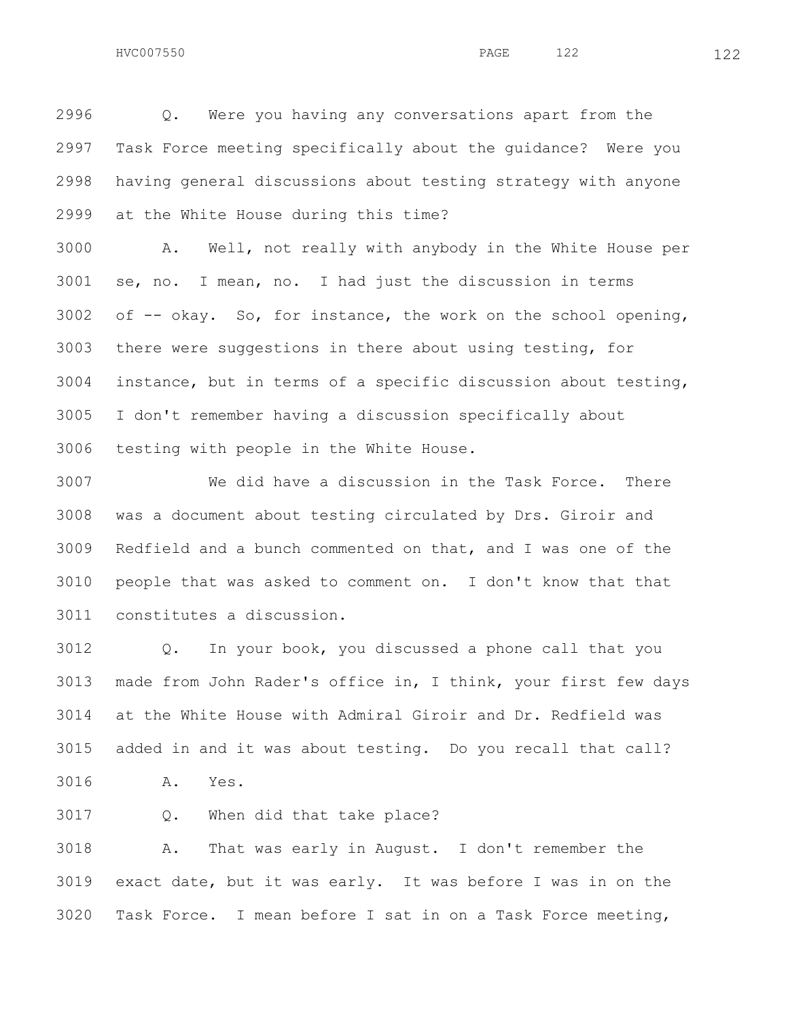Q. Were you having any conversations apart from the Task Force meeting specifically about the guidance? Were you having general discussions about testing strategy with anyone at the White House during this time?

 A. Well, not really with anybody in the White House per se, no. I mean, no. I had just the discussion in terms of  $-$  okay. So, for instance, the work on the school opening, there were suggestions in there about using testing, for instance, but in terms of a specific discussion about testing, I don't remember having a discussion specifically about testing with people in the White House.

 We did have a discussion in the Task Force. There was a document about testing circulated by Drs. Giroir and Redfield and a bunch commented on that, and I was one of the people that was asked to comment on. I don't know that that constitutes a discussion.

 Q. In your book, you discussed a phone call that you made from John Rader's office in, I think, your first few days at the White House with Admiral Giroir and Dr. Redfield was added in and it was about testing. Do you recall that call? A. Yes.

Q. When did that take place?

 A. That was early in August. I don't remember the exact date, but it was early. It was before I was in on the Task Force. I mean before I sat in on a Task Force meeting,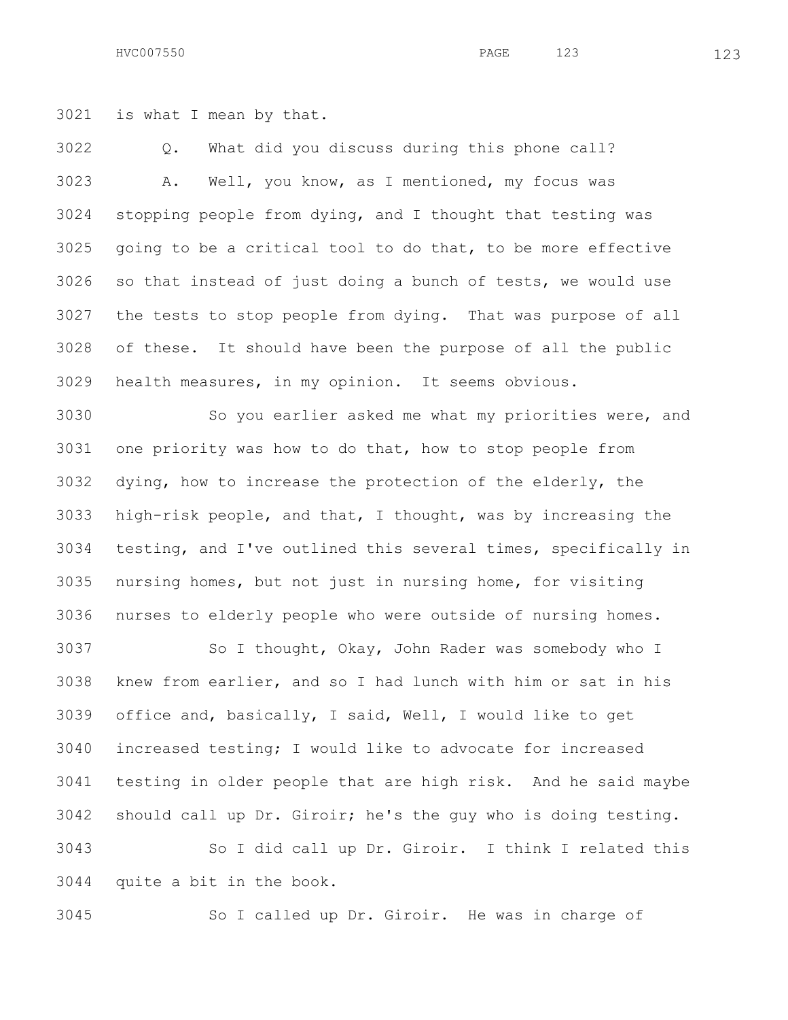HVC007550 123 **PAGE** 123 123

is what I mean by that.

 Q. What did you discuss during this phone call? A. Well, you know, as I mentioned, my focus was stopping people from dying, and I thought that testing was going to be a critical tool to do that, to be more effective so that instead of just doing a bunch of tests, we would use the tests to stop people from dying. That was purpose of all of these. It should have been the purpose of all the public health measures, in my opinion. It seems obvious.

 So you earlier asked me what my priorities were, and one priority was how to do that, how to stop people from dying, how to increase the protection of the elderly, the high-risk people, and that, I thought, was by increasing the testing, and I've outlined this several times, specifically in nursing homes, but not just in nursing home, for visiting nurses to elderly people who were outside of nursing homes.

3037 So I thought, Okay, John Rader was somebody who I knew from earlier, and so I had lunch with him or sat in his office and, basically, I said, Well, I would like to get increased testing; I would like to advocate for increased testing in older people that are high risk. And he said maybe should call up Dr. Giroir; he's the guy who is doing testing. So I did call up Dr. Giroir. I think I related this quite a bit in the book.

So I called up Dr. Giroir. He was in charge of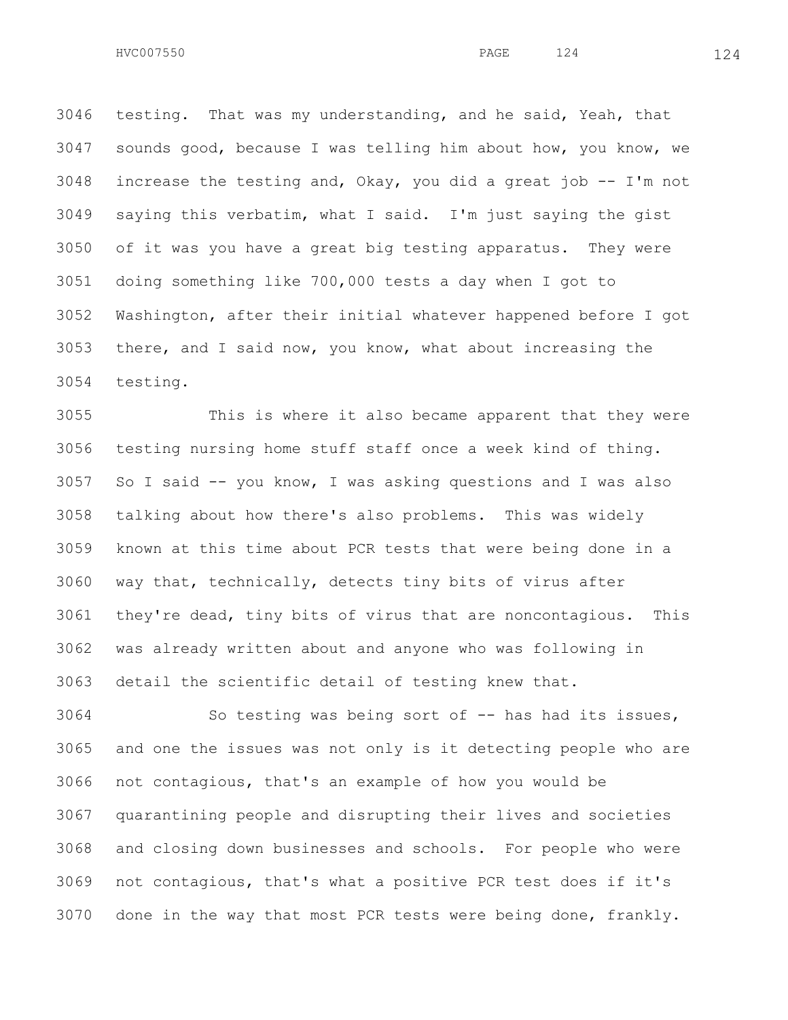testing. That was my understanding, and he said, Yeah, that sounds good, because I was telling him about how, you know, we increase the testing and, Okay, you did a great job -- I'm not saying this verbatim, what I said. I'm just saying the gist of it was you have a great big testing apparatus. They were doing something like 700,000 tests a day when I got to Washington, after their initial whatever happened before I got there, and I said now, you know, what about increasing the testing.

 This is where it also became apparent that they were testing nursing home stuff staff once a week kind of thing. So I said -- you know, I was asking questions and I was also talking about how there's also problems. This was widely known at this time about PCR tests that were being done in a way that, technically, detects tiny bits of virus after they're dead, tiny bits of virus that are noncontagious. This was already written about and anyone who was following in detail the scientific detail of testing knew that.

 So testing was being sort of -- has had its issues, and one the issues was not only is it detecting people who are not contagious, that's an example of how you would be quarantining people and disrupting their lives and societies and closing down businesses and schools. For people who were not contagious, that's what a positive PCR test does if it's done in the way that most PCR tests were being done, frankly.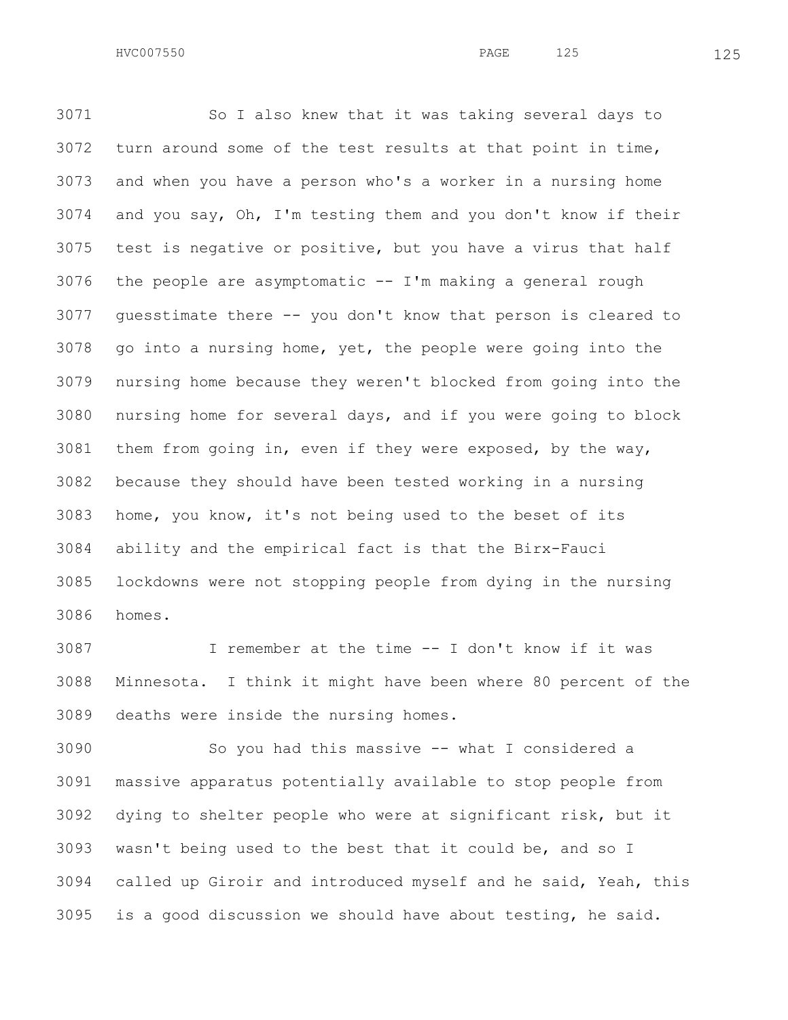So I also knew that it was taking several days to turn around some of the test results at that point in time, and when you have a person who's a worker in a nursing home and you say, Oh, I'm testing them and you don't know if their test is negative or positive, but you have a virus that half 3076 the people are asymptomatic  $--$  I'm making a general rough guesstimate there -- you don't know that person is cleared to go into a nursing home, yet, the people were going into the nursing home because they weren't blocked from going into the nursing home for several days, and if you were going to block them from going in, even if they were exposed, by the way, because they should have been tested working in a nursing home, you know, it's not being used to the beset of its ability and the empirical fact is that the Birx-Fauci lockdowns were not stopping people from dying in the nursing homes.

 I remember at the time -- I don't know if it was Minnesota. I think it might have been where 80 percent of the deaths were inside the nursing homes.

 So you had this massive -- what I considered a massive apparatus potentially available to stop people from dying to shelter people who were at significant risk, but it wasn't being used to the best that it could be, and so I called up Giroir and introduced myself and he said, Yeah, this is a good discussion we should have about testing, he said.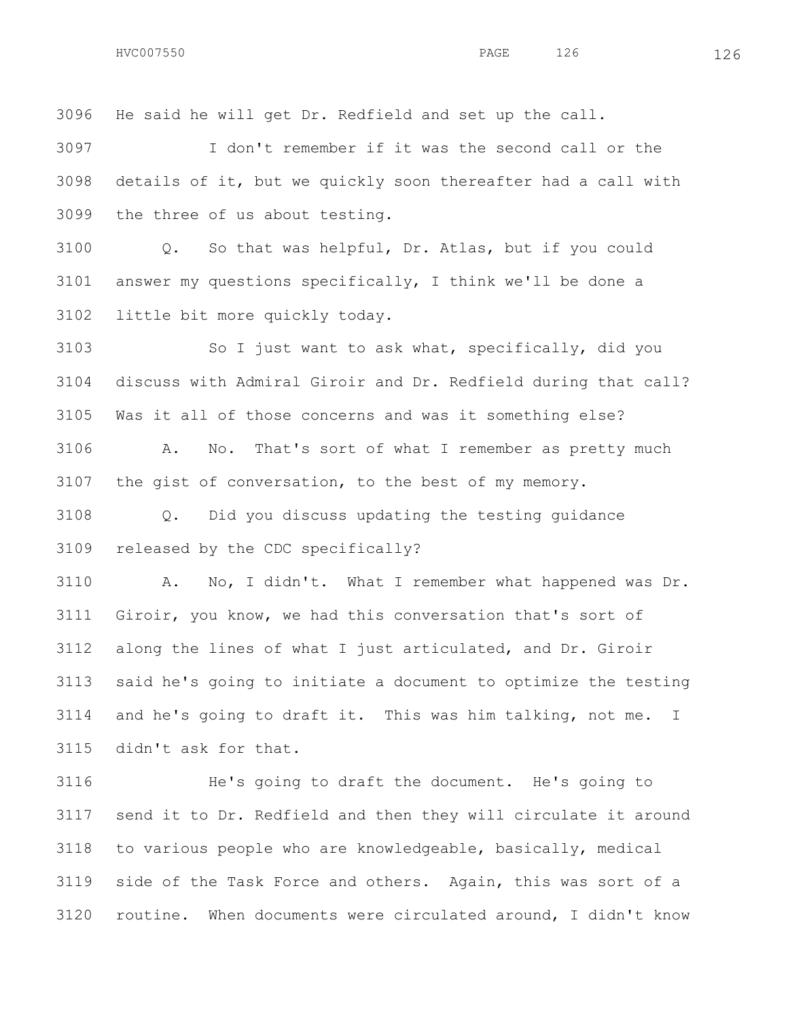He said he will get Dr. Redfield and set up the call.

 I don't remember if it was the second call or the details of it, but we quickly soon thereafter had a call with the three of us about testing.

 Q. So that was helpful, Dr. Atlas, but if you could answer my questions specifically, I think we'll be done a little bit more quickly today.

 So I just want to ask what, specifically, did you discuss with Admiral Giroir and Dr. Redfield during that call? Was it all of those concerns and was it something else? A. No. That's sort of what I remember as pretty much the gist of conversation, to the best of my memory.

 Q. Did you discuss updating the testing guidance released by the CDC specifically?

 A. No, I didn't. What I remember what happened was Dr. Giroir, you know, we had this conversation that's sort of along the lines of what I just articulated, and Dr. Giroir said he's going to initiate a document to optimize the testing and he's going to draft it. This was him talking, not me. I didn't ask for that.

 He's going to draft the document. He's going to send it to Dr. Redfield and then they will circulate it around to various people who are knowledgeable, basically, medical side of the Task Force and others. Again, this was sort of a routine. When documents were circulated around, I didn't know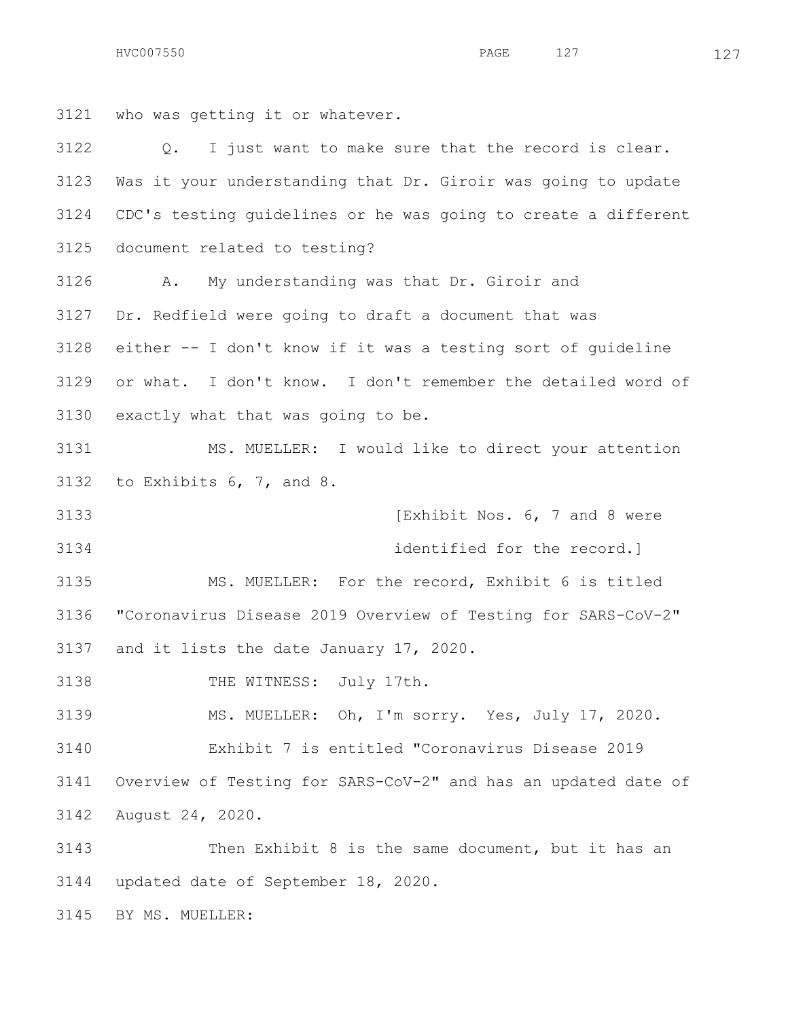who was getting it or whatever. Q. I just want to make sure that the record is clear. Was it your understanding that Dr. Giroir was going to update CDC's testing guidelines or he was going to create a different document related to testing? A. My understanding was that Dr. Giroir and Dr. Redfield were going to draft a document that was either -- I don't know if it was a testing sort of guideline or what. I don't know. I don't remember the detailed word of exactly what that was going to be. MS. MUELLER: I would like to direct your attention to Exhibits 6, 7, and 8. **IEXHIBIT NOS. 6, 7 and 8 were**  identified for the record.] MS. MUELLER: For the record, Exhibit 6 is titled "Coronavirus Disease 2019 Overview of Testing for SARS-CoV-2" and it lists the date January 17, 2020. THE WITNESS: July 17th. MS. MUELLER: Oh, I'm sorry. Yes, July 17, 2020. Exhibit 7 is entitled "Coronavirus Disease 2019 Overview of Testing for SARS-CoV-2" and has an updated date of August 24, 2020. Then Exhibit 8 is the same document, but it has an updated date of September 18, 2020. BY MS. MUELLER: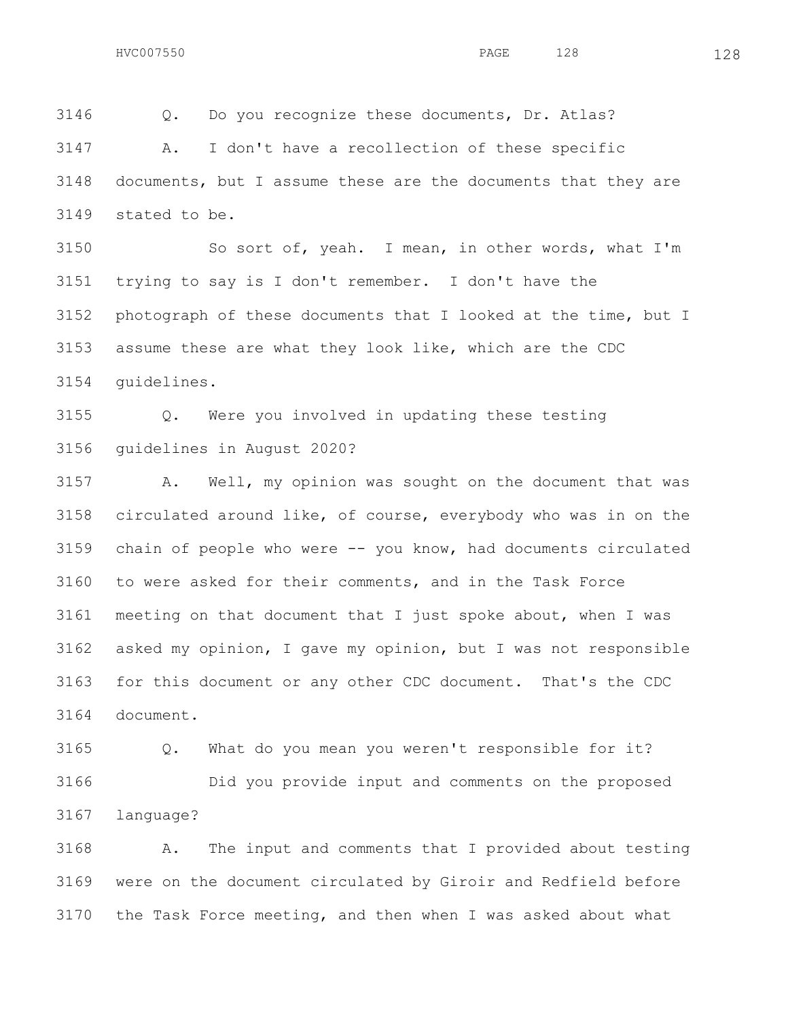Q. Do you recognize these documents, Dr. Atlas? A. I don't have a recollection of these specific documents, but I assume these are the documents that they are stated to be.

 So sort of, yeah. I mean, in other words, what I'm trying to say is I don't remember. I don't have the photograph of these documents that I looked at the time, but I assume these are what they look like, which are the CDC guidelines.

 Q. Were you involved in updating these testing guidelines in August 2020?

 A. Well, my opinion was sought on the document that was circulated around like, of course, everybody who was in on the chain of people who were -- you know, had documents circulated to were asked for their comments, and in the Task Force meeting on that document that I just spoke about, when I was asked my opinion, I gave my opinion, but I was not responsible for this document or any other CDC document. That's the CDC document.

 Q. What do you mean you weren't responsible for it? Did you provide input and comments on the proposed language?

 A. The input and comments that I provided about testing were on the document circulated by Giroir and Redfield before the Task Force meeting, and then when I was asked about what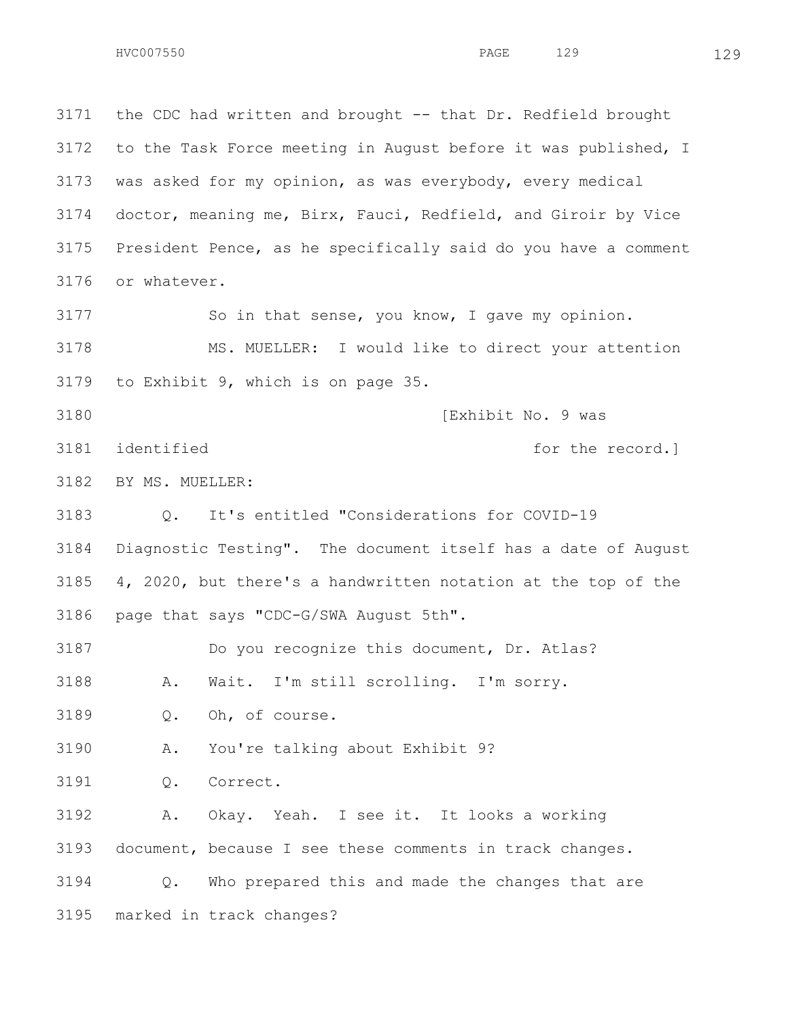the CDC had written and brought -- that Dr. Redfield brought to the Task Force meeting in August before it was published, I was asked for my opinion, as was everybody, every medical doctor, meaning me, Birx, Fauci, Redfield, and Giroir by Vice President Pence, as he specifically said do you have a comment or whatever. So in that sense, you know, I gave my opinion. MS. MUELLER: I would like to direct your attention to Exhibit 9, which is on page 35. **IExhibit No. 9 was** 3181 identified **for the record.**  BY MS. MUELLER: Q. It's entitled "Considerations for COVID-19 Diagnostic Testing". The document itself has a date of August 4, 2020, but there's a handwritten notation at the top of the page that says "CDC-G/SWA August 5th". Do you recognize this document, Dr. Atlas? A. Wait. I'm still scrolling. I'm sorry. Q. Oh, of course. A. You're talking about Exhibit 9? Q. Correct. A. Okay. Yeah. I see it. It looks a working document, because I see these comments in track changes. Q. Who prepared this and made the changes that are marked in track changes?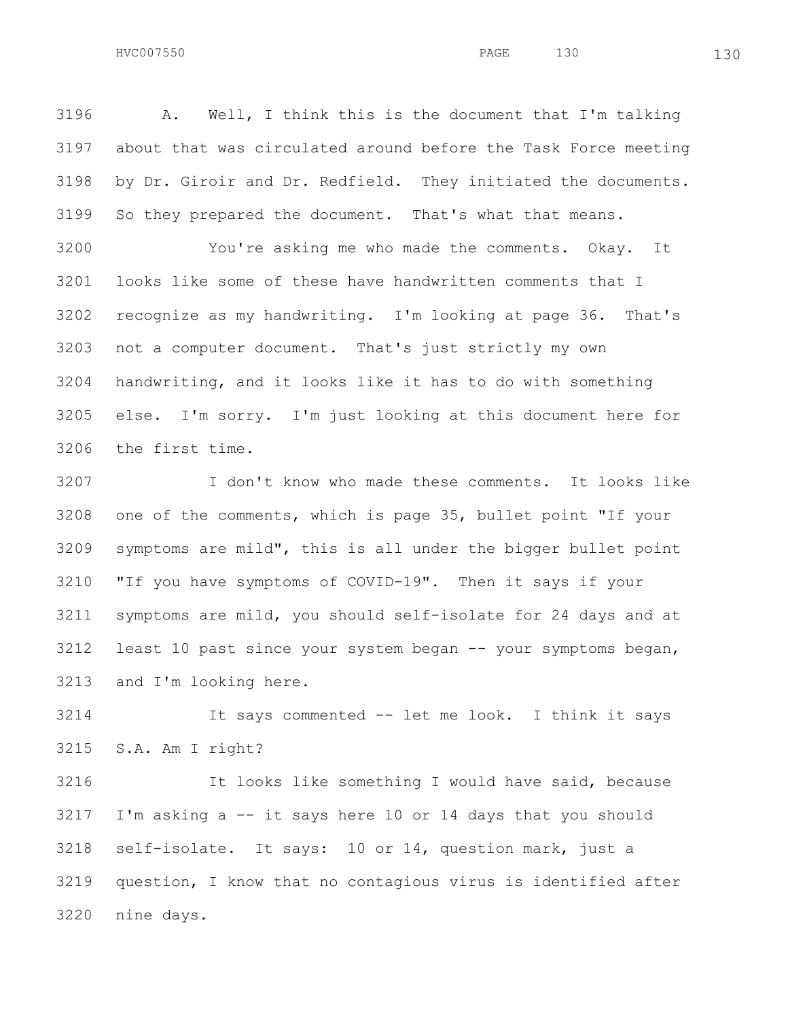A. Well, I think this is the document that I'm talking about that was circulated around before the Task Force meeting by Dr. Giroir and Dr. Redfield. They initiated the documents. So they prepared the document. That's what that means.

 You're asking me who made the comments. Okay. It looks like some of these have handwritten comments that I recognize as my handwriting. I'm looking at page 36. That's not a computer document. That's just strictly my own handwriting, and it looks like it has to do with something else. I'm sorry. I'm just looking at this document here for the first time.

 I don't know who made these comments. It looks like one of the comments, which is page 35, bullet point "If your symptoms are mild", this is all under the bigger bullet point "If you have symptoms of COVID-19". Then it says if your symptoms are mild, you should self-isolate for 24 days and at least 10 past since your system began -- your symptoms began, and I'm looking here.

 It says commented -- let me look. I think it says S.A. Am I right?

 It looks like something I would have said, because I'm asking a  $-$  it says here 10 or 14 days that you should self-isolate. It says: 10 or 14, question mark, just a question, I know that no contagious virus is identified after nine days.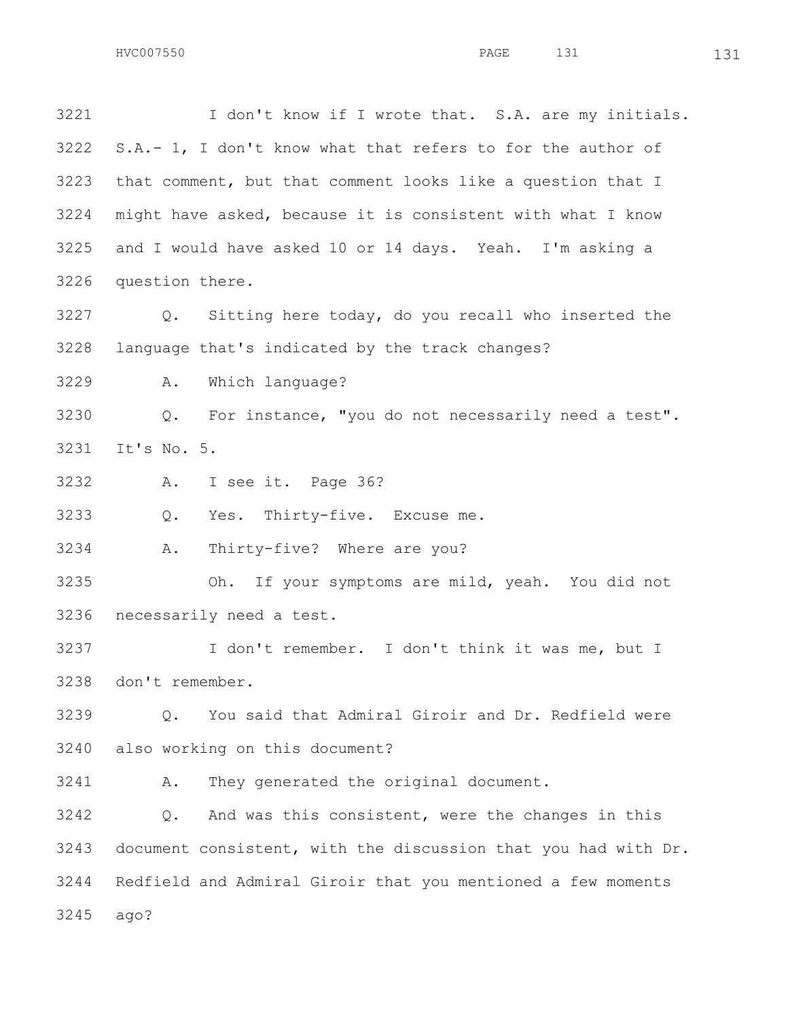I don't know if I wrote that. S.A. are my initials. S.A.- 1, I don't know what that refers to for the author of that comment, but that comment looks like a question that I might have asked, because it is consistent with what I know and I would have asked 10 or 14 days. Yeah. I'm asking a question there. Q. Sitting here today, do you recall who inserted the language that's indicated by the track changes? A. Which language? Q. For instance, "you do not necessarily need a test". It's No. 5. A. I see it. Page 36? Q. Yes. Thirty-five. Excuse me. A. Thirty-five? Where are you? Oh. If your symptoms are mild, yeah. You did not necessarily need a test. I don't remember. I don't think it was me, but I don't remember. Q. You said that Admiral Giroir and Dr. Redfield were also working on this document? A. They generated the original document. Q. And was this consistent, were the changes in this document consistent, with the discussion that you had with Dr. Redfield and Admiral Giroir that you mentioned a few moments

ago?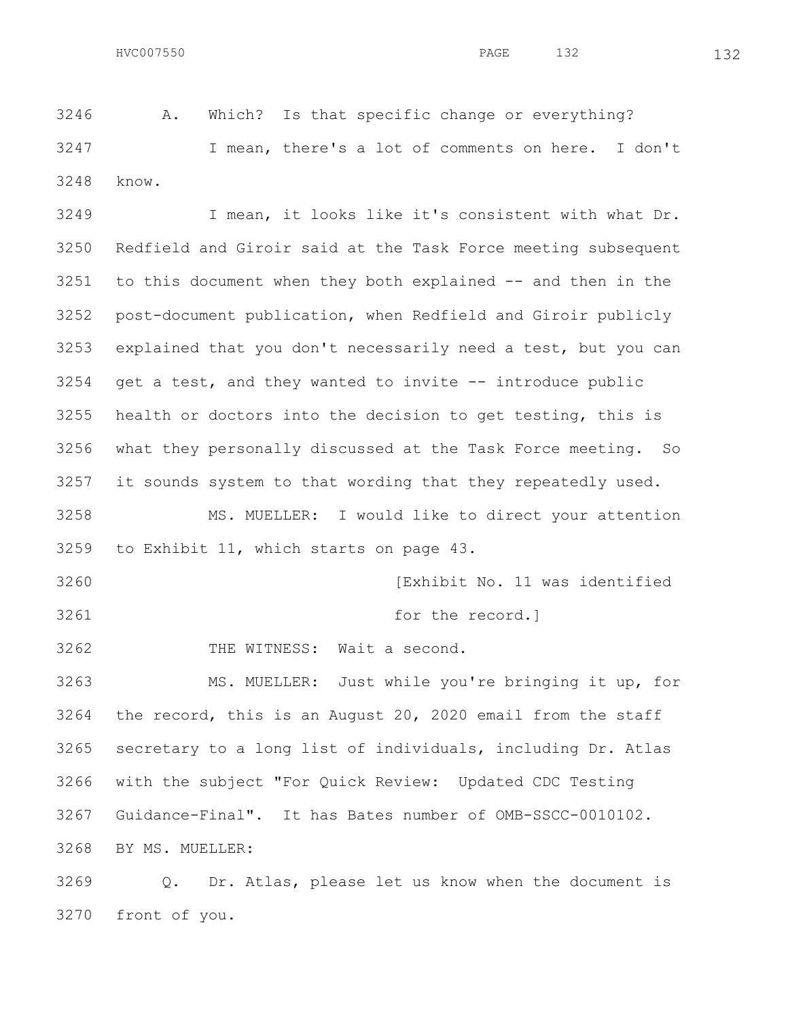A. Which? Is that specific change or everything? I mean, there's a lot of comments on here. I don't know.

 I mean, it looks like it's consistent with what Dr. Redfield and Giroir said at the Task Force meeting subsequent to this document when they both explained -- and then in the post-document publication, when Redfield and Giroir publicly explained that you don't necessarily need a test, but you can get a test, and they wanted to invite -- introduce public health or doctors into the decision to get testing, this is what they personally discussed at the Task Force meeting. So it sounds system to that wording that they repeatedly used. MS. MUELLER: I would like to direct your attention to Exhibit 11, which starts on page 43. **Intervalse Communist Communist Communist Communist Communist Communist Communist Communist Communist Communist Communist Communist Communist Communist Communist Communist Communist Communist Communist Communist Commu**  for the record.] THE WITNESS: Wait a second. MS. MUELLER: Just while you're bringing it up, for the record, this is an August 20, 2020 email from the staff secretary to a long list of individuals, including Dr. Atlas with the subject "For Quick Review: Updated CDC Testing

Guidance-Final". It has Bates number of OMB-SSCC-0010102.

BY MS. MUELLER:

 Q. Dr. Atlas, please let us know when the document is front of you.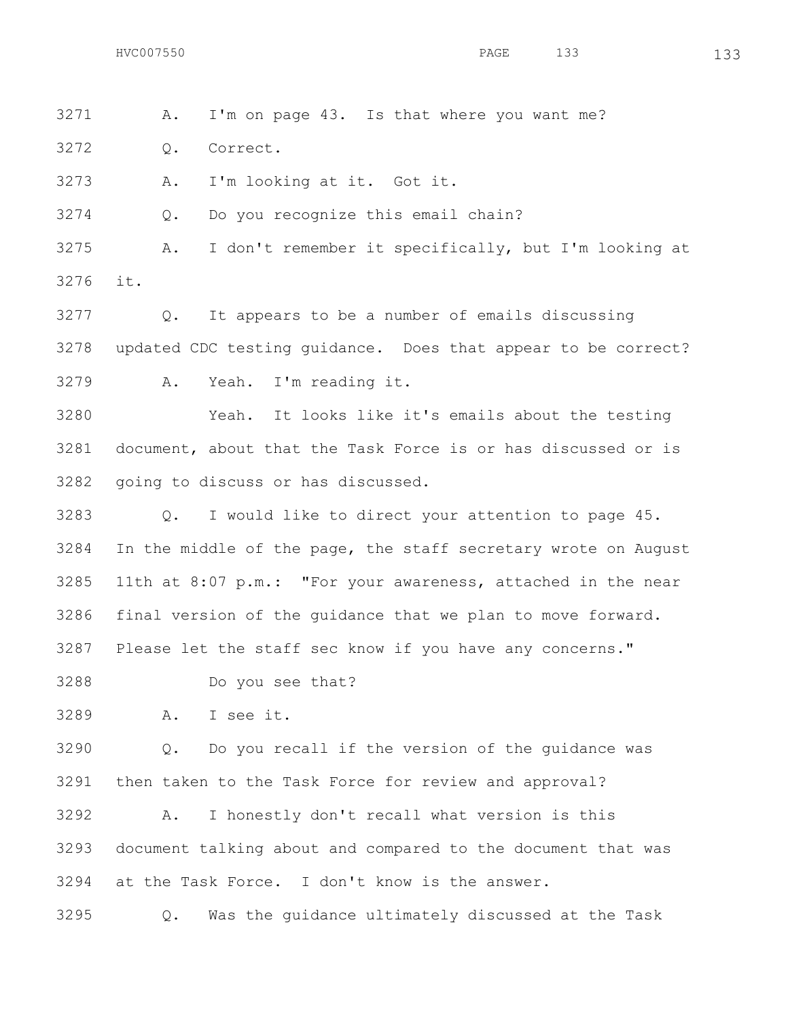A. I'm on page 43. Is that where you want me?

Q. Correct.

A. I'm looking at it. Got it.

Q. Do you recognize this email chain?

 A. I don't remember it specifically, but I'm looking at it.

 Q. It appears to be a number of emails discussing updated CDC testing guidance. Does that appear to be correct? A. Yeah. I'm reading it.

 Yeah. It looks like it's emails about the testing document, about that the Task Force is or has discussed or is going to discuss or has discussed.

 Q. I would like to direct your attention to page 45. In the middle of the page, the staff secretary wrote on August 11th at 8:07 p.m.: "For your awareness, attached in the near final version of the guidance that we plan to move forward. Please let the staff sec know if you have any concerns."

Do you see that?

A. I see it.

 Q. Do you recall if the version of the guidance was then taken to the Task Force for review and approval?

 A. I honestly don't recall what version is this document talking about and compared to the document that was at the Task Force. I don't know is the answer.

Q. Was the guidance ultimately discussed at the Task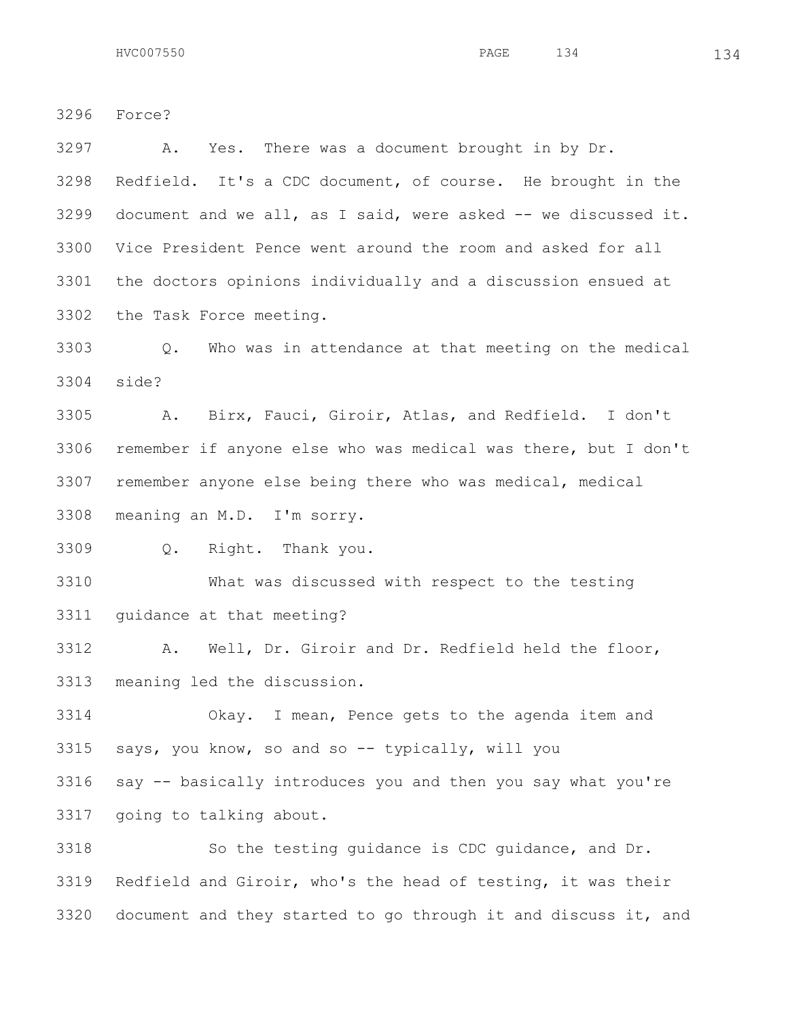Force?

 A. Yes. There was a document brought in by Dr. Redfield. It's a CDC document, of course. He brought in the document and we all, as I said, were asked  $-$  we discussed it. Vice President Pence went around the room and asked for all the doctors opinions individually and a discussion ensued at the Task Force meeting. Q. Who was in attendance at that meeting on the medical side? A. Birx, Fauci, Giroir, Atlas, and Redfield. I don't remember if anyone else who was medical was there, but I don't remember anyone else being there who was medical, medical meaning an M.D. I'm sorry. Q. Right. Thank you. What was discussed with respect to the testing guidance at that meeting? A. Well, Dr. Giroir and Dr. Redfield held the floor, meaning led the discussion. Okay. I mean, Pence gets to the agenda item and says, you know, so and so -- typically, will you say -- basically introduces you and then you say what you're

going to talking about.

 So the testing guidance is CDC guidance, and Dr. Redfield and Giroir, who's the head of testing, it was their document and they started to go through it and discuss it, and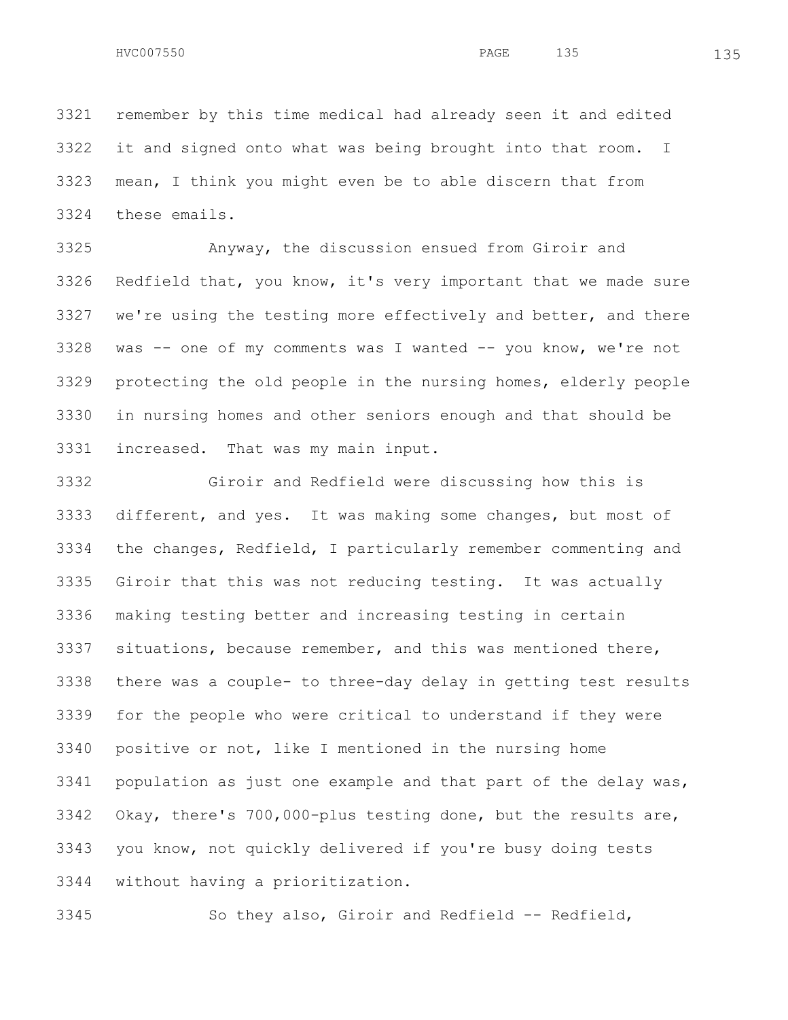remember by this time medical had already seen it and edited it and signed onto what was being brought into that room. I mean, I think you might even be to able discern that from these emails.

 Anyway, the discussion ensued from Giroir and Redfield that, you know, it's very important that we made sure we're using the testing more effectively and better, and there was -- one of my comments was I wanted -- you know, we're not protecting the old people in the nursing homes, elderly people in nursing homes and other seniors enough and that should be increased. That was my main input.

 Giroir and Redfield were discussing how this is different, and yes. It was making some changes, but most of the changes, Redfield, I particularly remember commenting and Giroir that this was not reducing testing. It was actually making testing better and increasing testing in certain situations, because remember, and this was mentioned there, there was a couple- to three-day delay in getting test results for the people who were critical to understand if they were positive or not, like I mentioned in the nursing home population as just one example and that part of the delay was, Okay, there's 700,000-plus testing done, but the results are, you know, not quickly delivered if you're busy doing tests without having a prioritization.

So they also, Giroir and Redfield -- Redfield,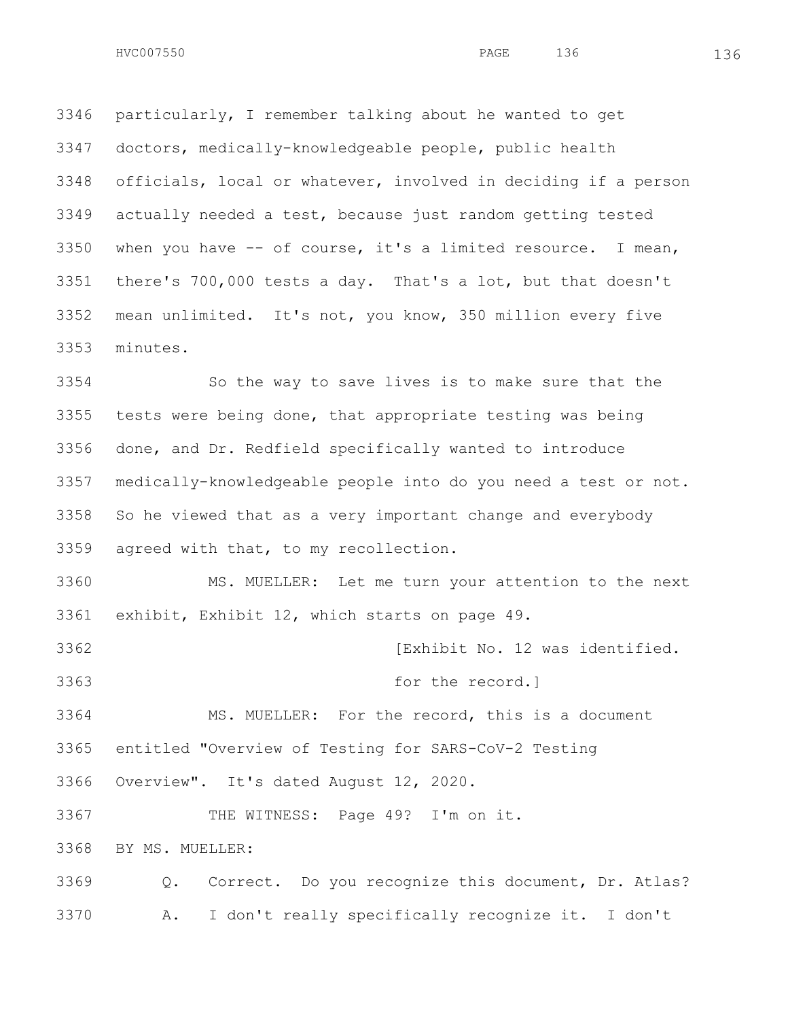particularly, I remember talking about he wanted to get doctors, medically-knowledgeable people, public health officials, local or whatever, involved in deciding if a person actually needed a test, because just random getting tested when you have -- of course, it's a limited resource. I mean, there's 700,000 tests a day. That's a lot, but that doesn't mean unlimited. It's not, you know, 350 million every five minutes.

 So the way to save lives is to make sure that the tests were being done, that appropriate testing was being done, and Dr. Redfield specifically wanted to introduce medically-knowledgeable people into do you need a test or not. So he viewed that as a very important change and everybody agreed with that, to my recollection.

 MS. MUELLER: Let me turn your attention to the next exhibit, Exhibit 12, which starts on page 49.

**[Exhibit No. 12 was identified.** [Exhibit No. 12 was identified.

for the record.]

 MS. MUELLER: For the record, this is a document entitled "Overview of Testing for SARS-CoV-2 Testing

Overview". It's dated August 12, 2020.

THE WITNESS: Page 49? I'm on it.

BY MS. MUELLER:

 Q. Correct. Do you recognize this document, Dr. Atlas? A. I don't really specifically recognize it. I don't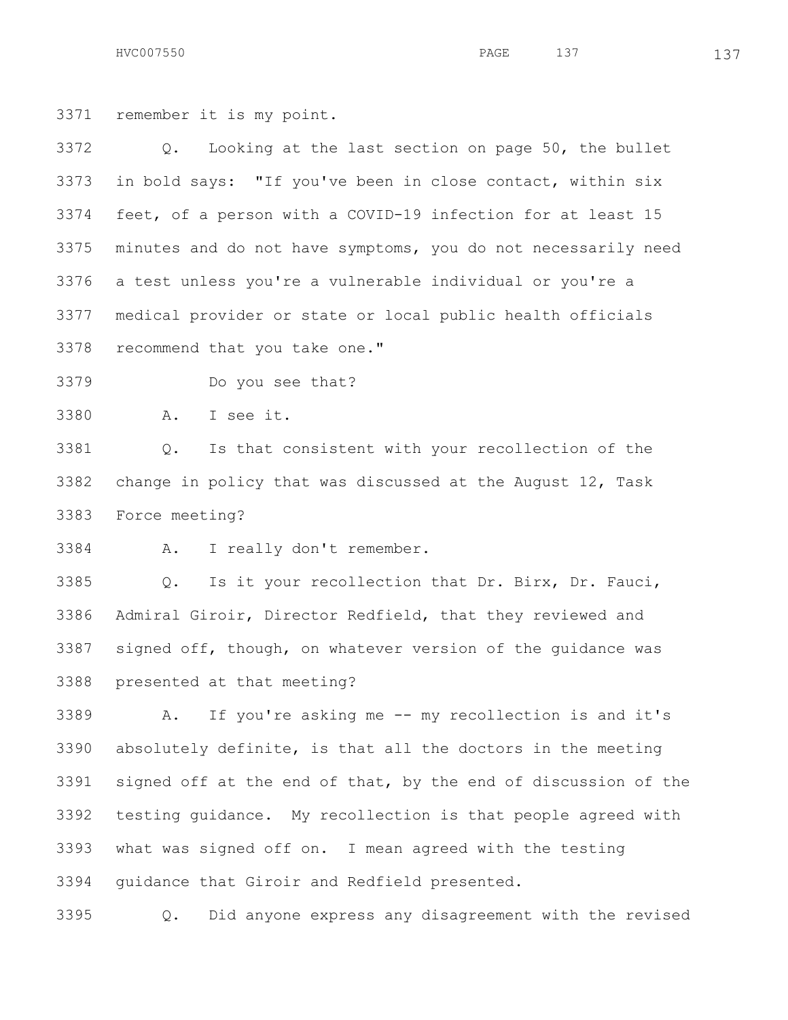HVC007550 137 PAGE 137 137

remember it is my point.

 Q. Looking at the last section on page 50, the bullet in bold says: "If you've been in close contact, within six feet, of a person with a COVID-19 infection for at least 15 minutes and do not have symptoms, you do not necessarily need a test unless you're a vulnerable individual or you're a medical provider or state or local public health officials recommend that you take one."

Do you see that?

A. I see it.

 Q. Is that consistent with your recollection of the change in policy that was discussed at the August 12, Task Force meeting?

A. I really don't remember.

 Q. Is it your recollection that Dr. Birx, Dr. Fauci, Admiral Giroir, Director Redfield, that they reviewed and signed off, though, on whatever version of the guidance was presented at that meeting?

 A. If you're asking me -- my recollection is and it's absolutely definite, is that all the doctors in the meeting signed off at the end of that, by the end of discussion of the testing guidance. My recollection is that people agreed with what was signed off on. I mean agreed with the testing guidance that Giroir and Redfield presented.

Q. Did anyone express any disagreement with the revised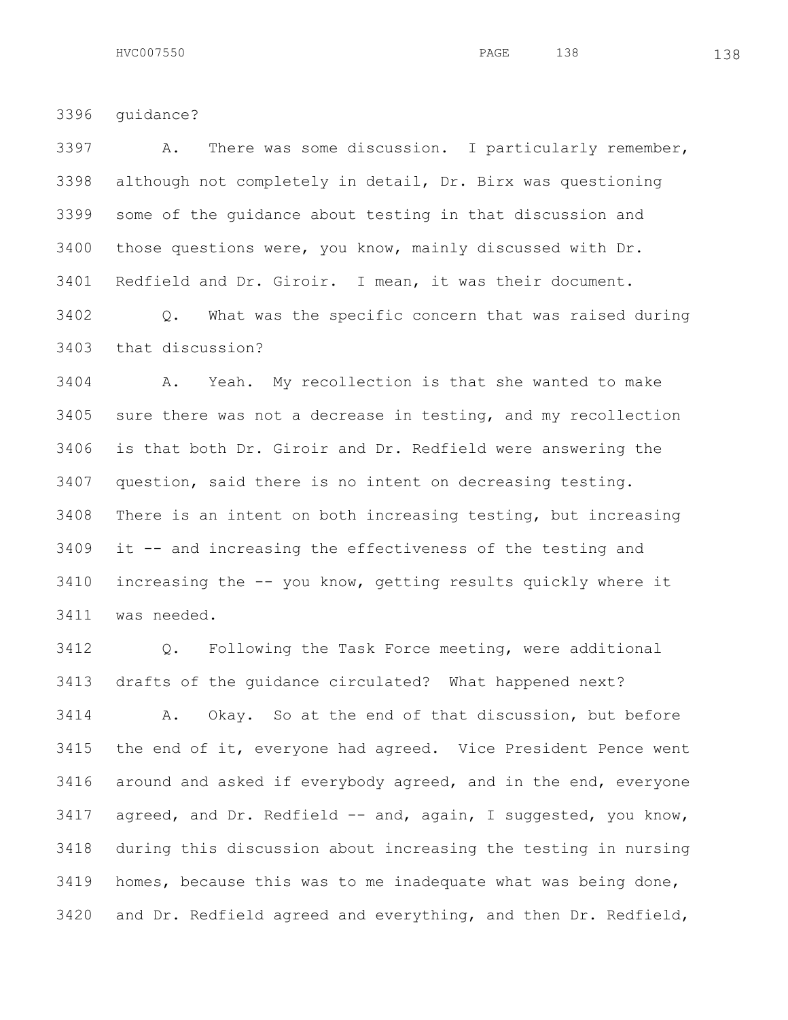guidance?

 A. There was some discussion. I particularly remember, although not completely in detail, Dr. Birx was questioning some of the guidance about testing in that discussion and those questions were, you know, mainly discussed with Dr. Redfield and Dr. Giroir. I mean, it was their document.

 Q. What was the specific concern that was raised during that discussion?

 A. Yeah. My recollection is that she wanted to make sure there was not a decrease in testing, and my recollection is that both Dr. Giroir and Dr. Redfield were answering the question, said there is no intent on decreasing testing. There is an intent on both increasing testing, but increasing it -- and increasing the effectiveness of the testing and increasing the -- you know, getting results quickly where it was needed.

 Q. Following the Task Force meeting, were additional drafts of the guidance circulated? What happened next?

 A. Okay. So at the end of that discussion, but before the end of it, everyone had agreed. Vice President Pence went around and asked if everybody agreed, and in the end, everyone 3417 agreed, and Dr. Redfield -- and, again, I suggested, you know, during this discussion about increasing the testing in nursing homes, because this was to me inadequate what was being done, and Dr. Redfield agreed and everything, and then Dr. Redfield,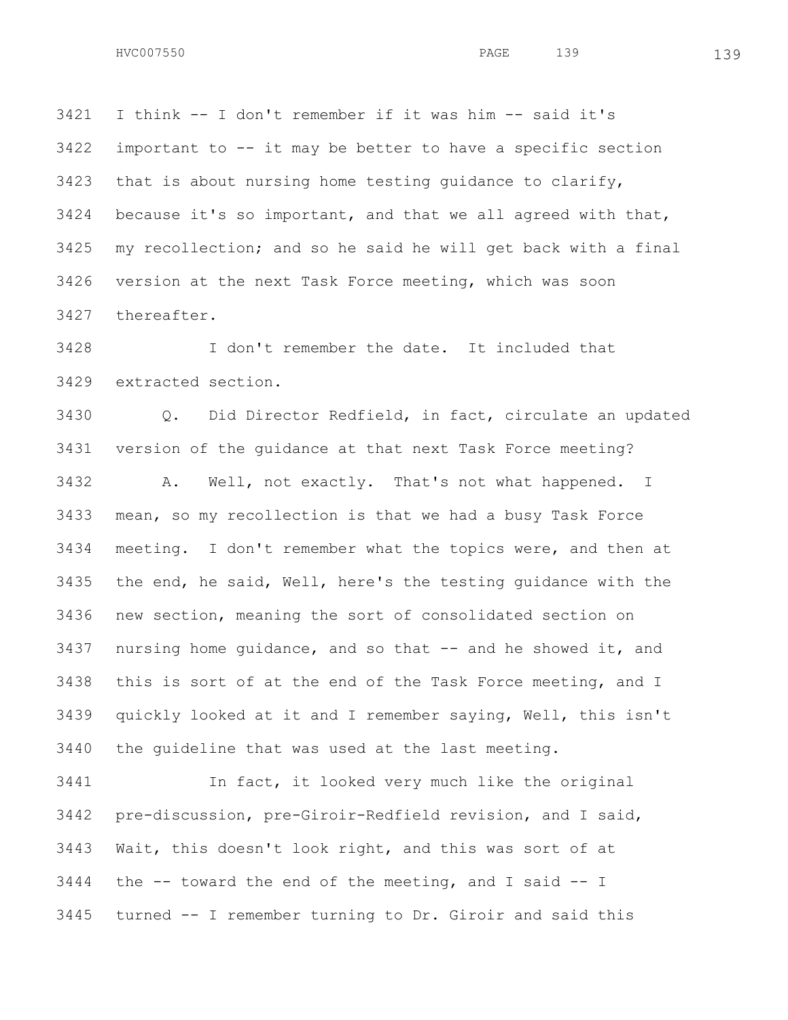I think -- I don't remember if it was him -- said it's important to -- it may be better to have a specific section that is about nursing home testing guidance to clarify, because it's so important, and that we all agreed with that, my recollection; and so he said he will get back with a final version at the next Task Force meeting, which was soon thereafter.

 I don't remember the date. It included that extracted section.

 Q. Did Director Redfield, in fact, circulate an updated version of the guidance at that next Task Force meeting? A. Well, not exactly. That's not what happened. I mean, so my recollection is that we had a busy Task Force meeting. I don't remember what the topics were, and then at the end, he said, Well, here's the testing guidance with the new section, meaning the sort of consolidated section on nursing home guidance, and so that -- and he showed it, and this is sort of at the end of the Task Force meeting, and I quickly looked at it and I remember saying, Well, this isn't the guideline that was used at the last meeting.

 In fact, it looked very much like the original pre-discussion, pre-Giroir-Redfield revision, and I said, Wait, this doesn't look right, and this was sort of at the  $-$  toward the end of the meeting, and I said  $-$  I turned -- I remember turning to Dr. Giroir and said this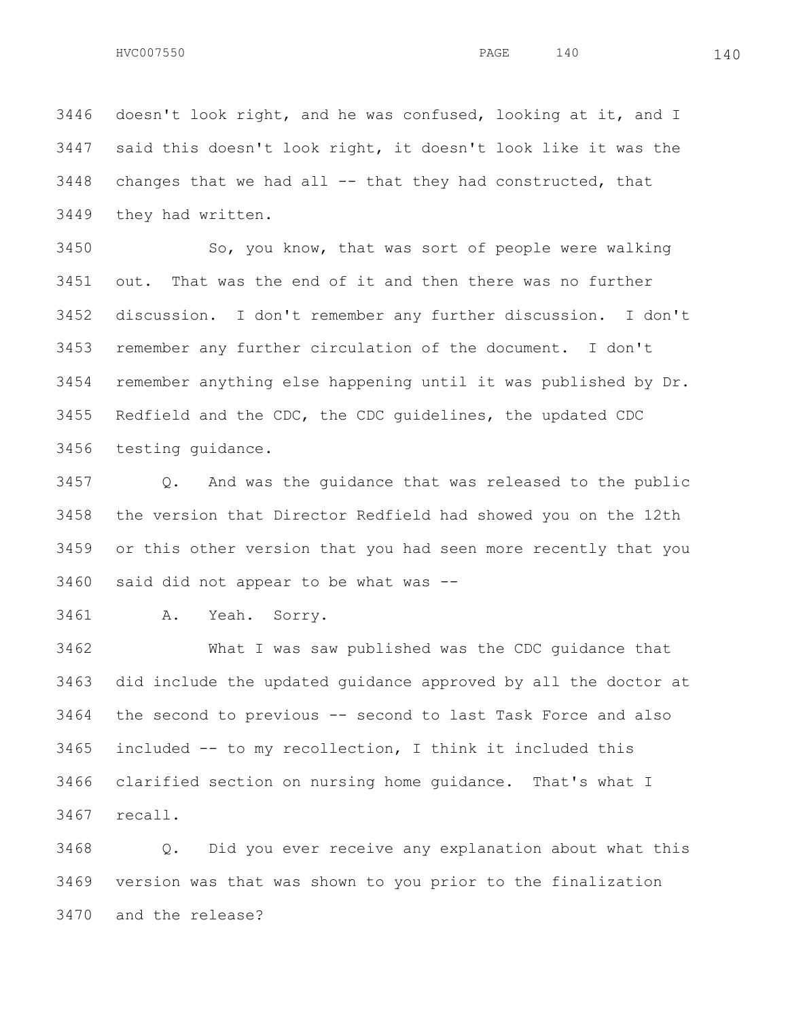doesn't look right, and he was confused, looking at it, and I said this doesn't look right, it doesn't look like it was the changes that we had all  $-$  that they had constructed, that they had written.

3450 So, you know, that was sort of people were walking out. That was the end of it and then there was no further discussion. I don't remember any further discussion. I don't remember any further circulation of the document. I don't remember anything else happening until it was published by Dr. Redfield and the CDC, the CDC guidelines, the updated CDC testing guidance.

 Q. And was the guidance that was released to the public the version that Director Redfield had showed you on the 12th or this other version that you had seen more recently that you said did not appear to be what was --

A. Yeah. Sorry.

 What I was saw published was the CDC guidance that did include the updated guidance approved by all the doctor at the second to previous -- second to last Task Force and also included -- to my recollection, I think it included this clarified section on nursing home guidance. That's what I recall.

 Q. Did you ever receive any explanation about what this version was that was shown to you prior to the finalization and the release?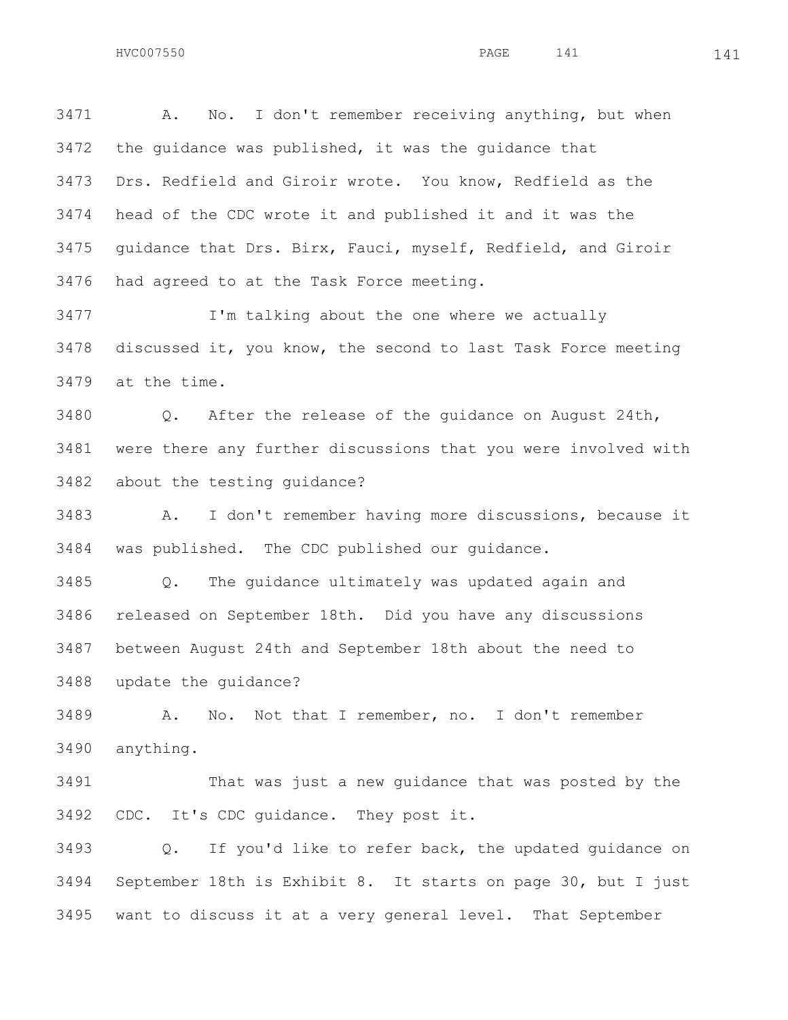A. No. I don't remember receiving anything, but when the guidance was published, it was the guidance that Drs. Redfield and Giroir wrote. You know, Redfield as the head of the CDC wrote it and published it and it was the guidance that Drs. Birx, Fauci, myself, Redfield, and Giroir had agreed to at the Task Force meeting.

 I'm talking about the one where we actually discussed it, you know, the second to last Task Force meeting at the time.

 Q. After the release of the guidance on August 24th, were there any further discussions that you were involved with about the testing guidance?

 A. I don't remember having more discussions, because it was published. The CDC published our guidance.

 Q. The guidance ultimately was updated again and released on September 18th. Did you have any discussions between August 24th and September 18th about the need to update the guidance?

 A. No. Not that I remember, no. I don't remember anything.

 That was just a new guidance that was posted by the CDC. It's CDC guidance. They post it.

 Q. If you'd like to refer back, the updated guidance on September 18th is Exhibit 8. It starts on page 30, but I just want to discuss it at a very general level. That September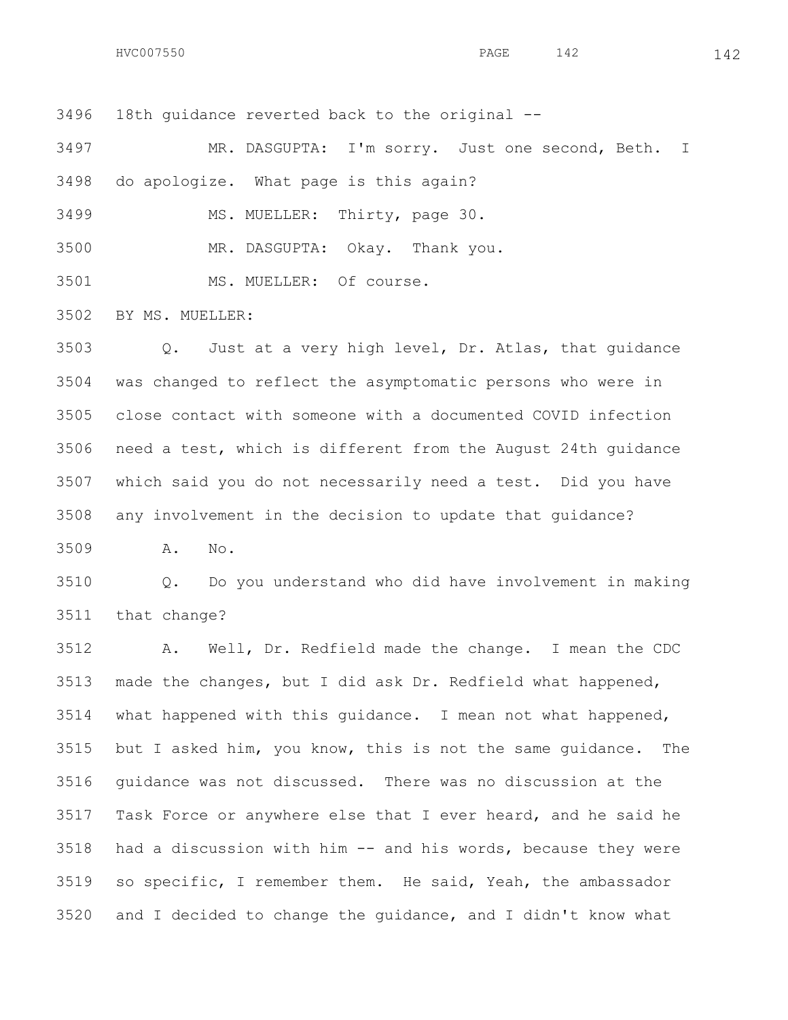18th guidance reverted back to the original --

 MR. DASGUPTA: I'm sorry. Just one second, Beth. I do apologize. What page is this again?

MS. MUELLER: Thirty, page 30.

MR. DASGUPTA: Okay. Thank you.

MS. MUELLER: Of course.

BY MS. MUELLER:

 Q. Just at a very high level, Dr. Atlas, that guidance was changed to reflect the asymptomatic persons who were in close contact with someone with a documented COVID infection need a test, which is different from the August 24th guidance which said you do not necessarily need a test. Did you have any involvement in the decision to update that guidance?

A. No.

 Q. Do you understand who did have involvement in making that change?

 A. Well, Dr. Redfield made the change. I mean the CDC made the changes, but I did ask Dr. Redfield what happened, what happened with this guidance. I mean not what happened, but I asked him, you know, this is not the same guidance. The guidance was not discussed. There was no discussion at the Task Force or anywhere else that I ever heard, and he said he had a discussion with him -- and his words, because they were so specific, I remember them. He said, Yeah, the ambassador and I decided to change the guidance, and I didn't know what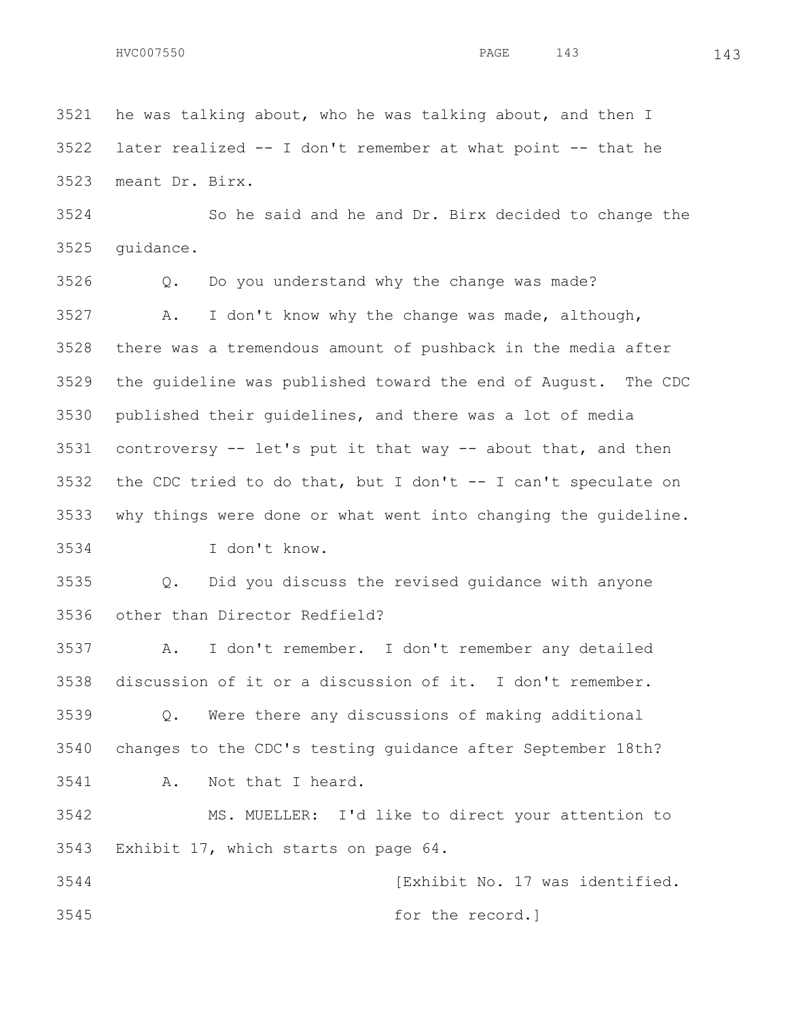he was talking about, who he was talking about, and then I later realized -- I don't remember at what point -- that he meant Dr. Birx.

 So he said and he and Dr. Birx decided to change the guidance.

 Q. Do you understand why the change was made? A. I don't know why the change was made, although, there was a tremendous amount of pushback in the media after the guideline was published toward the end of August. The CDC published their guidelines, and there was a lot of media controversy -- let's put it that way -- about that, and then the CDC tried to do that, but I don't -- I can't speculate on why things were done or what went into changing the guideline.

I don't know.

 Q. Did you discuss the revised guidance with anyone other than Director Redfield?

 A. I don't remember. I don't remember any detailed discussion of it or a discussion of it. I don't remember.

 Q. Were there any discussions of making additional changes to the CDC's testing guidance after September 18th? A. Not that I heard.

 MS. MUELLER: I'd like to direct your attention to Exhibit 17, which starts on page 64.

 [Exhibit No. 17 was identified. for the record.]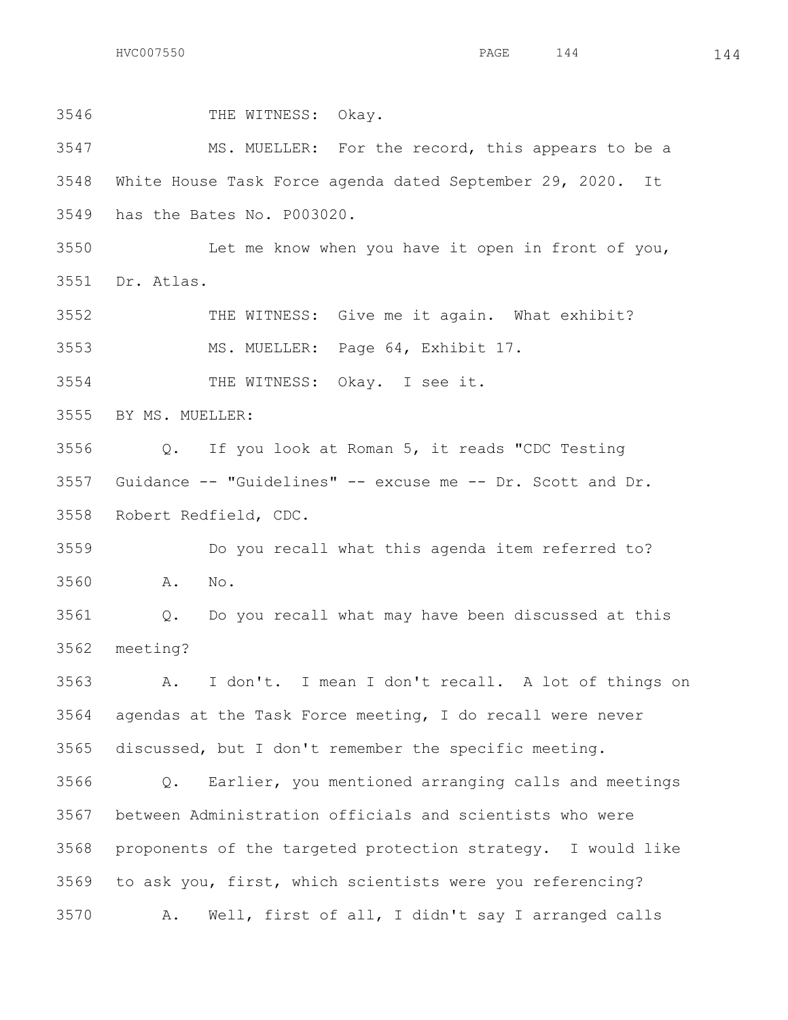$HVC007550$  144  $144$ 

 THE WITNESS: Okay. MS. MUELLER: For the record, this appears to be a White House Task Force agenda dated September 29, 2020. It has the Bates No. P003020. Let me know when you have it open in front of you, Dr. Atlas. THE WITNESS: Give me it again. What exhibit? MS. MUELLER: Page 64, Exhibit 17. THE WITNESS: Okay. I see it. BY MS. MUELLER: Q. If you look at Roman 5, it reads "CDC Testing Guidance -- "Guidelines" -- excuse me -- Dr. Scott and Dr. Robert Redfield, CDC. Do you recall what this agenda item referred to? A. No. Q. Do you recall what may have been discussed at this meeting? A. I don't. I mean I don't recall. A lot of things on agendas at the Task Force meeting, I do recall were never discussed, but I don't remember the specific meeting. Q. Earlier, you mentioned arranging calls and meetings between Administration officials and scientists who were proponents of the targeted protection strategy. I would like to ask you, first, which scientists were you referencing? A. Well, first of all, I didn't say I arranged calls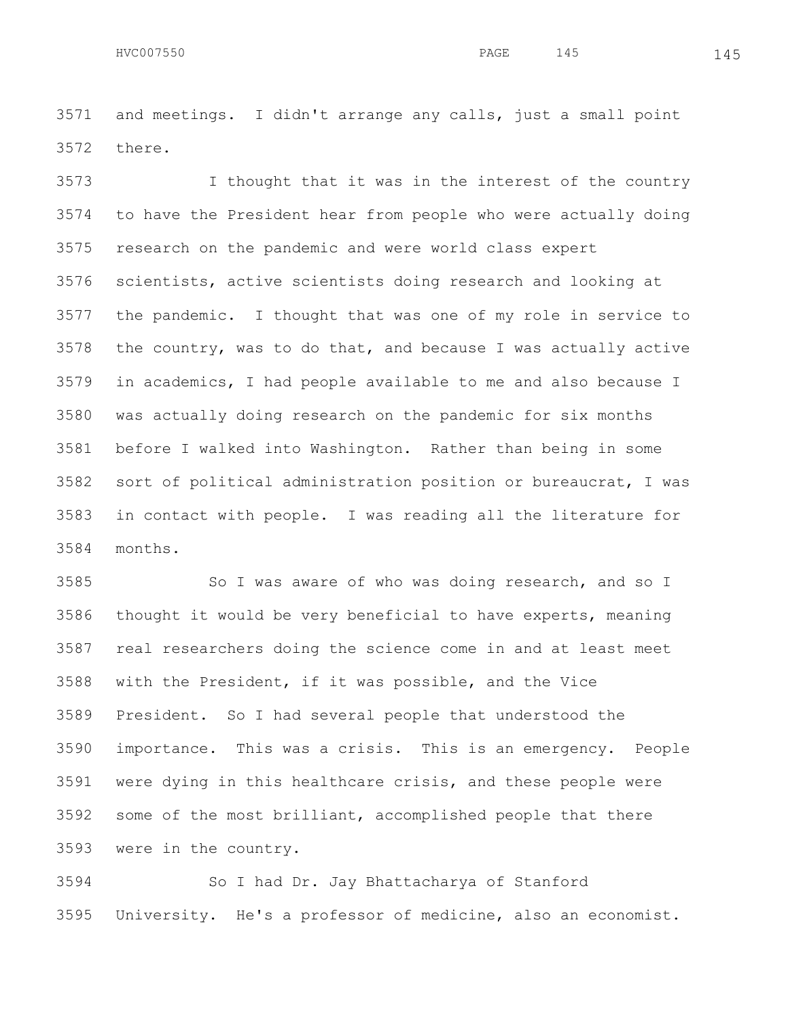and meetings. I didn't arrange any calls, just a small point there.

 I thought that it was in the interest of the country to have the President hear from people who were actually doing research on the pandemic and were world class expert scientists, active scientists doing research and looking at the pandemic. I thought that was one of my role in service to the country, was to do that, and because I was actually active in academics, I had people available to me and also because I was actually doing research on the pandemic for six months before I walked into Washington. Rather than being in some sort of political administration position or bureaucrat, I was in contact with people. I was reading all the literature for months.

3585 So I was aware of who was doing research, and so I thought it would be very beneficial to have experts, meaning real researchers doing the science come in and at least meet with the President, if it was possible, and the Vice President. So I had several people that understood the importance. This was a crisis. This is an emergency. People were dying in this healthcare crisis, and these people were some of the most brilliant, accomplished people that there were in the country.

 So I had Dr. Jay Bhattacharya of Stanford University. He's a professor of medicine, also an economist.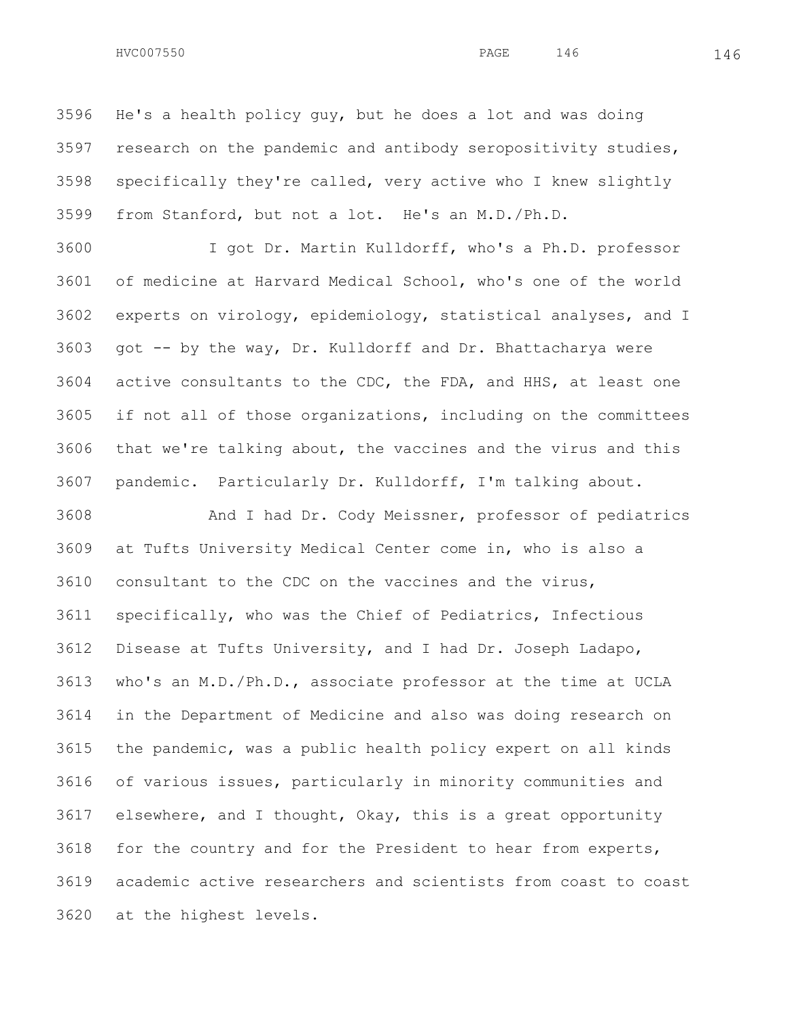He's a health policy guy, but he does a lot and was doing research on the pandemic and antibody seropositivity studies, specifically they're called, very active who I knew slightly from Stanford, but not a lot. He's an M.D./Ph.D.

 I got Dr. Martin Kulldorff, who's a Ph.D. professor of medicine at Harvard Medical School, who's one of the world experts on virology, epidemiology, statistical analyses, and I got -- by the way, Dr. Kulldorff and Dr. Bhattacharya were active consultants to the CDC, the FDA, and HHS, at least one if not all of those organizations, including on the committees that we're talking about, the vaccines and the virus and this pandemic. Particularly Dr. Kulldorff, I'm talking about.

 And I had Dr. Cody Meissner, professor of pediatrics at Tufts University Medical Center come in, who is also a consultant to the CDC on the vaccines and the virus, specifically, who was the Chief of Pediatrics, Infectious Disease at Tufts University, and I had Dr. Joseph Ladapo, who's an M.D./Ph.D., associate professor at the time at UCLA in the Department of Medicine and also was doing research on the pandemic, was a public health policy expert on all kinds of various issues, particularly in minority communities and elsewhere, and I thought, Okay, this is a great opportunity for the country and for the President to hear from experts, academic active researchers and scientists from coast to coast at the highest levels.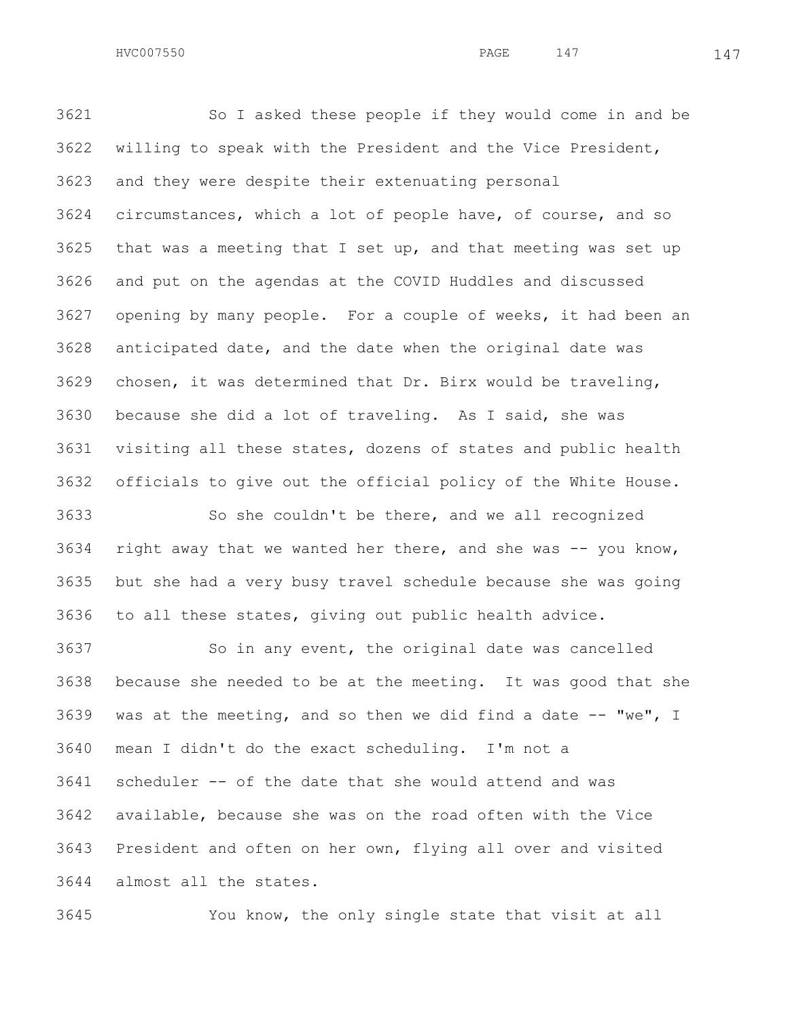So I asked these people if they would come in and be willing to speak with the President and the Vice President, and they were despite their extenuating personal circumstances, which a lot of people have, of course, and so that was a meeting that I set up, and that meeting was set up and put on the agendas at the COVID Huddles and discussed opening by many people. For a couple of weeks, it had been an anticipated date, and the date when the original date was chosen, it was determined that Dr. Birx would be traveling, because she did a lot of traveling. As I said, she was visiting all these states, dozens of states and public health officials to give out the official policy of the White House.

 So she couldn't be there, and we all recognized right away that we wanted her there, and she was -- you know, but she had a very busy travel schedule because she was going to all these states, giving out public health advice.

 So in any event, the original date was cancelled because she needed to be at the meeting. It was good that she 3639 was at the meeting, and so then we did find a date  $-$  "we", I mean I didn't do the exact scheduling. I'm not a scheduler -- of the date that she would attend and was available, because she was on the road often with the Vice President and often on her own, flying all over and visited almost all the states.

You know, the only single state that visit at all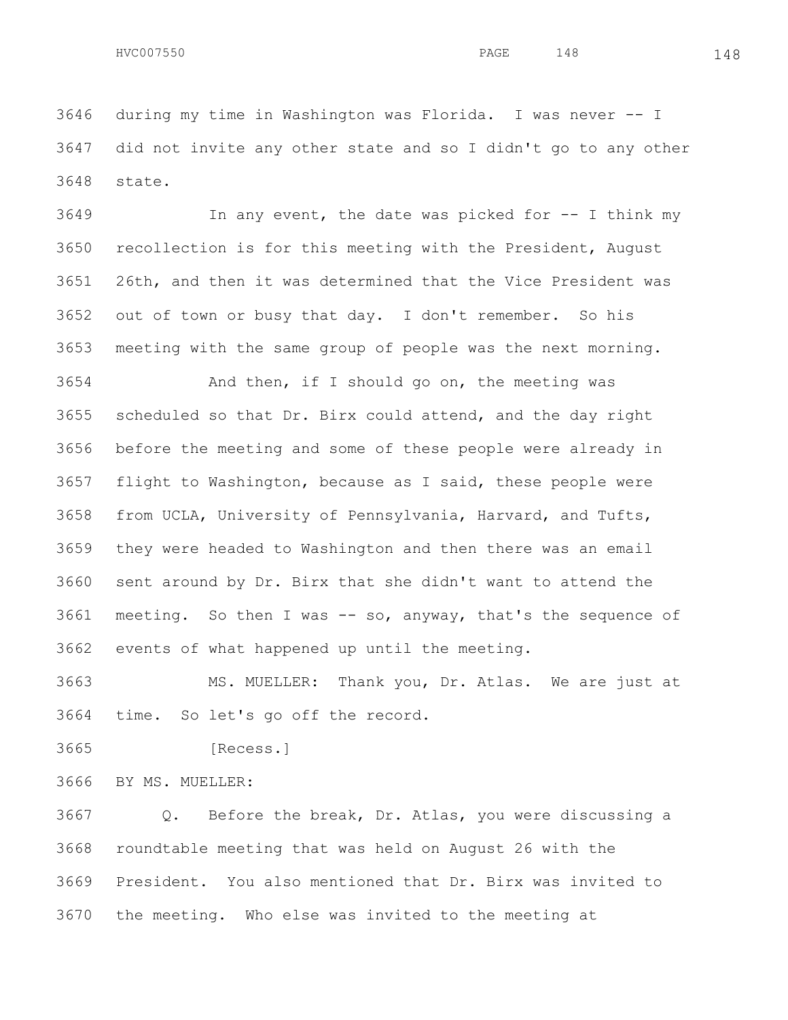In any event, the date was picked for -- I think my recollection is for this meeting with the President, August 26th, and then it was determined that the Vice President was out of town or busy that day. I don't remember. So his meeting with the same group of people was the next morning.

 And then, if I should go on, the meeting was scheduled so that Dr. Birx could attend, and the day right before the meeting and some of these people were already in flight to Washington, because as I said, these people were from UCLA, University of Pennsylvania, Harvard, and Tufts, they were headed to Washington and then there was an email sent around by Dr. Birx that she didn't want to attend the meeting. So then I was -- so, anyway, that's the sequence of events of what happened up until the meeting.

 MS. MUELLER: Thank you, Dr. Atlas. We are just at time. So let's go off the record.

[Recess.]

BY MS. MUELLER:

 Q. Before the break, Dr. Atlas, you were discussing a roundtable meeting that was held on August 26 with the President. You also mentioned that Dr. Birx was invited to the meeting. Who else was invited to the meeting at

HVC007550 148 PAGE 148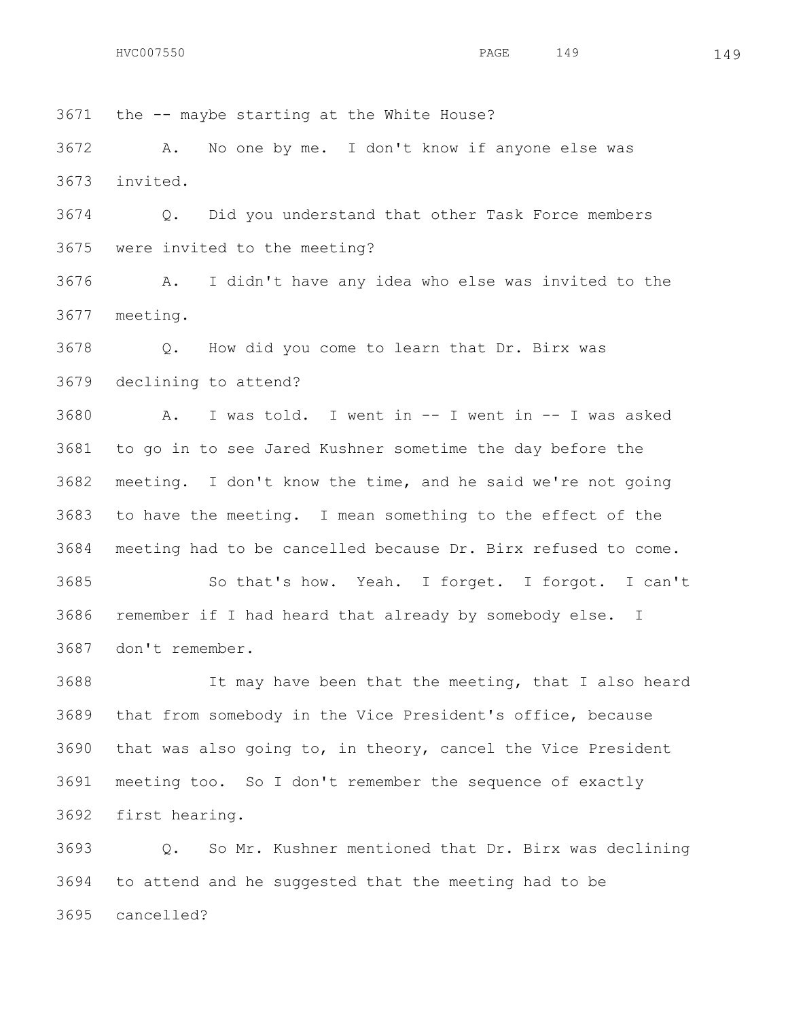the -- maybe starting at the White House?

 A. No one by me. I don't know if anyone else was invited.

 Q. Did you understand that other Task Force members were invited to the meeting?

 A. I didn't have any idea who else was invited to the meeting.

 Q. How did you come to learn that Dr. Birx was declining to attend?

 A. I was told. I went in -- I went in -- I was asked to go in to see Jared Kushner sometime the day before the meeting. I don't know the time, and he said we're not going to have the meeting. I mean something to the effect of the meeting had to be cancelled because Dr. Birx refused to come. So that's how. Yeah. I forget. I forgot. I can't remember if I had heard that already by somebody else. I don't remember.

 It may have been that the meeting, that I also heard that from somebody in the Vice President's office, because that was also going to, in theory, cancel the Vice President meeting too. So I don't remember the sequence of exactly first hearing.

 Q. So Mr. Kushner mentioned that Dr. Birx was declining to attend and he suggested that the meeting had to be cancelled?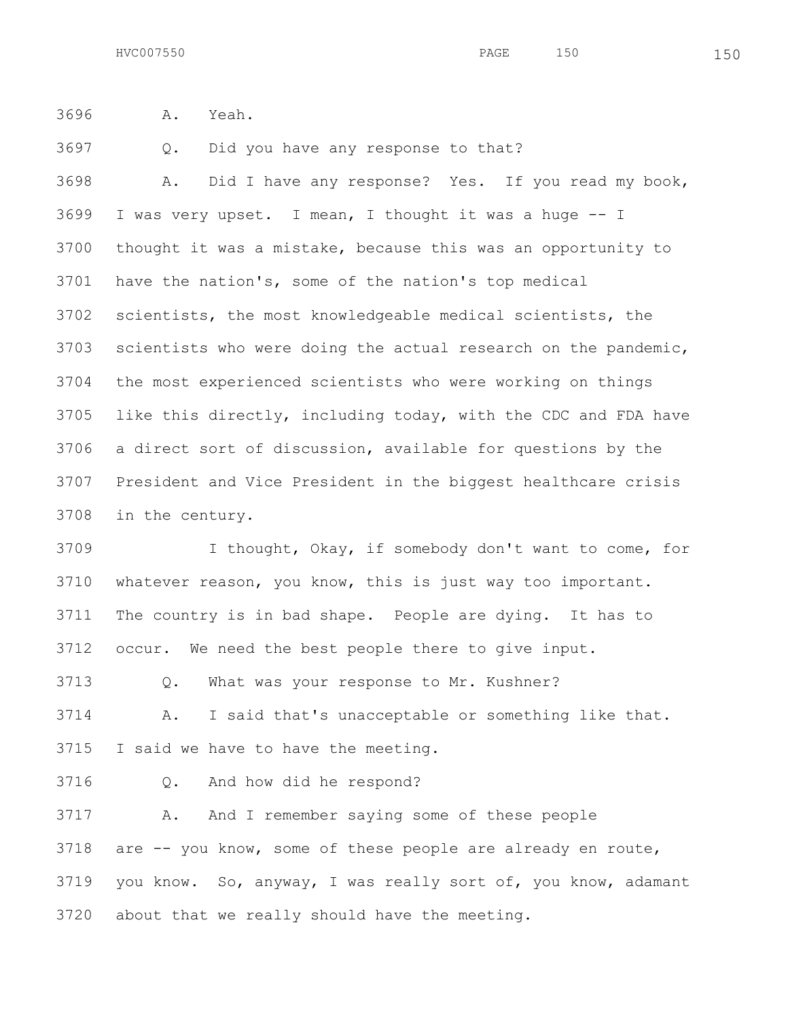A. Yeah.

Q. Did you have any response to that?

 A. Did I have any response? Yes. If you read my book, I was very upset. I mean, I thought it was a huge -- I thought it was a mistake, because this was an opportunity to have the nation's, some of the nation's top medical scientists, the most knowledgeable medical scientists, the scientists who were doing the actual research on the pandemic, the most experienced scientists who were working on things like this directly, including today, with the CDC and FDA have a direct sort of discussion, available for questions by the President and Vice President in the biggest healthcare crisis in the century.

 I thought, Okay, if somebody don't want to come, for whatever reason, you know, this is just way too important. The country is in bad shape. People are dying. It has to occur. We need the best people there to give input.

Q. What was your response to Mr. Kushner?

 A. I said that's unacceptable or something like that. I said we have to have the meeting.

Q. And how did he respond?

 A. And I remember saying some of these people are -- you know, some of these people are already en route, you know. So, anyway, I was really sort of, you know, adamant about that we really should have the meeting.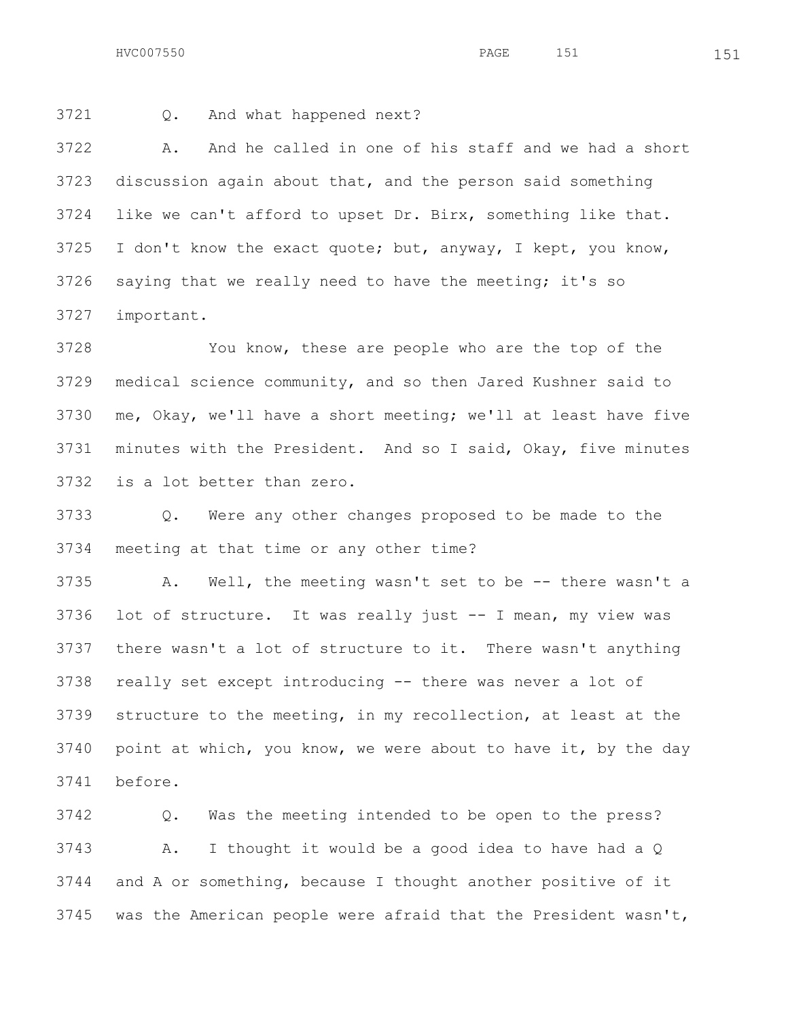HVC007550 **PAGE** 151 151

Q. And what happened next?

 A. And he called in one of his staff and we had a short discussion again about that, and the person said something like we can't afford to upset Dr. Birx, something like that. I don't know the exact quote; but, anyway, I kept, you know, saying that we really need to have the meeting; it's so important.

 You know, these are people who are the top of the medical science community, and so then Jared Kushner said to me, Okay, we'll have a short meeting; we'll at least have five minutes with the President. And so I said, Okay, five minutes is a lot better than zero.

 Q. Were any other changes proposed to be made to the meeting at that time or any other time?

 A. Well, the meeting wasn't set to be -- there wasn't a lot of structure. It was really just -- I mean, my view was there wasn't a lot of structure to it. There wasn't anything really set except introducing -- there was never a lot of structure to the meeting, in my recollection, at least at the point at which, you know, we were about to have it, by the day before.

 Q. Was the meeting intended to be open to the press? A. I thought it would be a good idea to have had a Q and A or something, because I thought another positive of it was the American people were afraid that the President wasn't,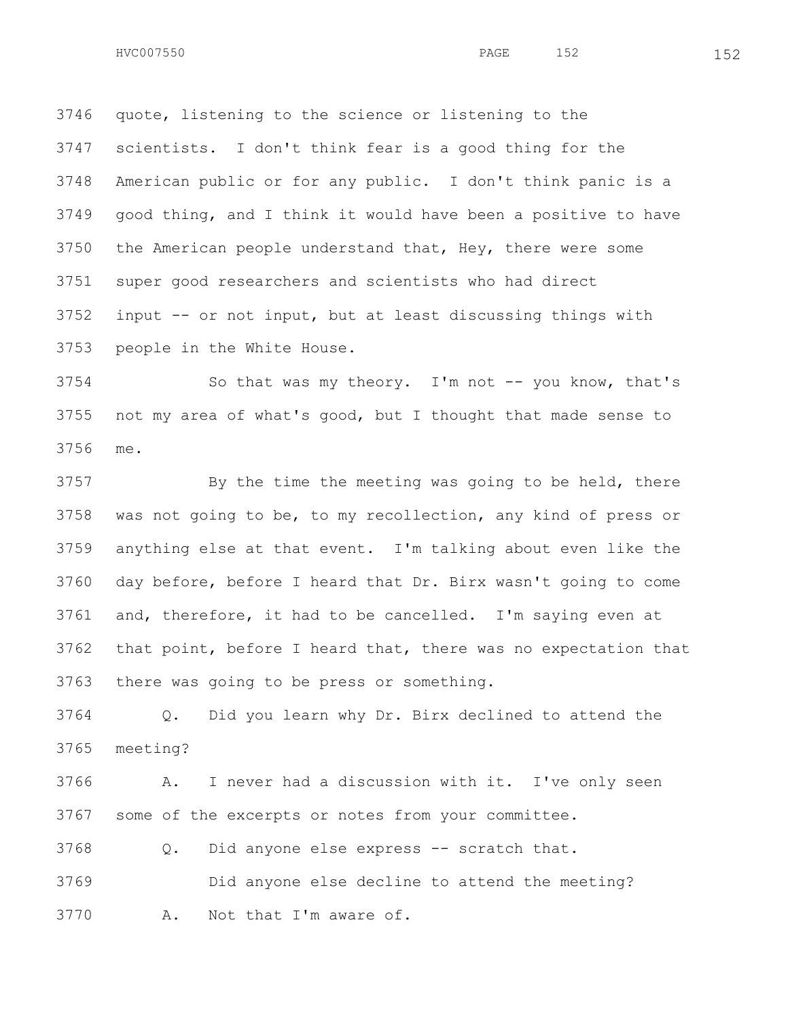quote, listening to the science or listening to the scientists. I don't think fear is a good thing for the American public or for any public. I don't think panic is a good thing, and I think it would have been a positive to have the American people understand that, Hey, there were some super good researchers and scientists who had direct input -- or not input, but at least discussing things with

people in the White House.

 So that was my theory. I'm not -- you know, that's not my area of what's good, but I thought that made sense to me.

3757 By the time the meeting was going to be held, there was not going to be, to my recollection, any kind of press or anything else at that event. I'm talking about even like the day before, before I heard that Dr. Birx wasn't going to come and, therefore, it had to be cancelled. I'm saying even at that point, before I heard that, there was no expectation that there was going to be press or something.

 Q. Did you learn why Dr. Birx declined to attend the meeting?

 A. I never had a discussion with it. I've only seen some of the excerpts or notes from your committee.

Q. Did anyone else express -- scratch that.

 Did anyone else decline to attend the meeting? A. Not that I'm aware of.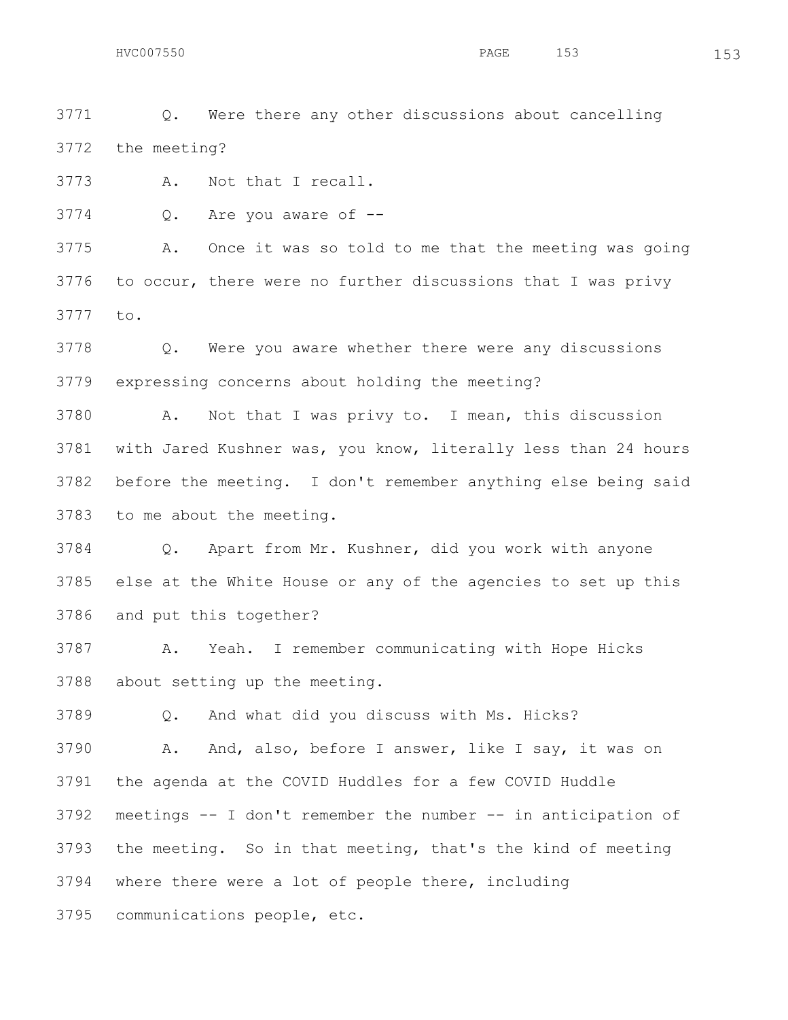Q. Were there any other discussions about cancelling the meeting?

A. Not that I recall.

Q. Are you aware of --

 A. Once it was so told to me that the meeting was going to occur, there were no further discussions that I was privy to.

 Q. Were you aware whether there were any discussions expressing concerns about holding the meeting?

 A. Not that I was privy to. I mean, this discussion with Jared Kushner was, you know, literally less than 24 hours before the meeting. I don't remember anything else being said to me about the meeting.

 Q. Apart from Mr. Kushner, did you work with anyone else at the White House or any of the agencies to set up this and put this together?

 A. Yeah. I remember communicating with Hope Hicks about setting up the meeting.

Q. And what did you discuss with Ms. Hicks?

 A. And, also, before I answer, like I say, it was on the agenda at the COVID Huddles for a few COVID Huddle meetings -- I don't remember the number -- in anticipation of the meeting. So in that meeting, that's the kind of meeting where there were a lot of people there, including communications people, etc.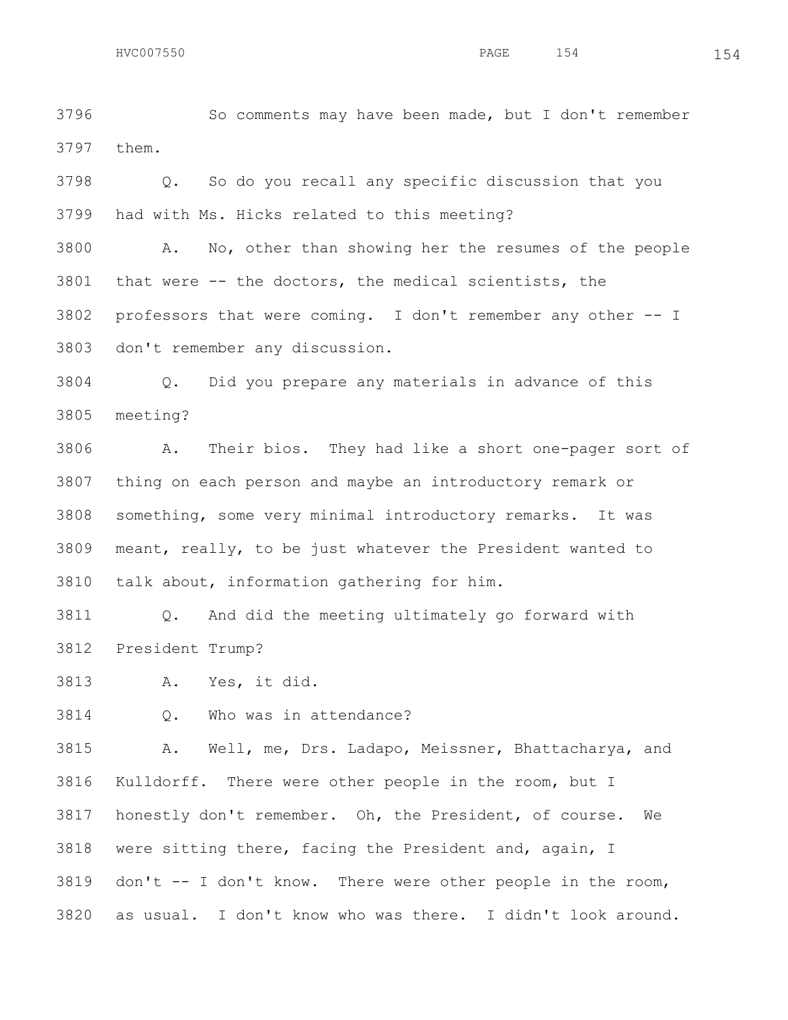So comments may have been made, but I don't remember them.

 Q. So do you recall any specific discussion that you had with Ms. Hicks related to this meeting?

 A. No, other than showing her the resumes of the people that were -- the doctors, the medical scientists, the professors that were coming. I don't remember any other -- I don't remember any discussion.

 Q. Did you prepare any materials in advance of this meeting?

 A. Their bios. They had like a short one-pager sort of thing on each person and maybe an introductory remark or something, some very minimal introductory remarks. It was meant, really, to be just whatever the President wanted to talk about, information gathering for him.

 Q. And did the meeting ultimately go forward with President Trump?

A. Yes, it did.

Q. Who was in attendance?

 A. Well, me, Drs. Ladapo, Meissner, Bhattacharya, and Kulldorff. There were other people in the room, but I honestly don't remember. Oh, the President, of course. We were sitting there, facing the President and, again, I don't -- I don't know. There were other people in the room, as usual. I don't know who was there. I didn't look around.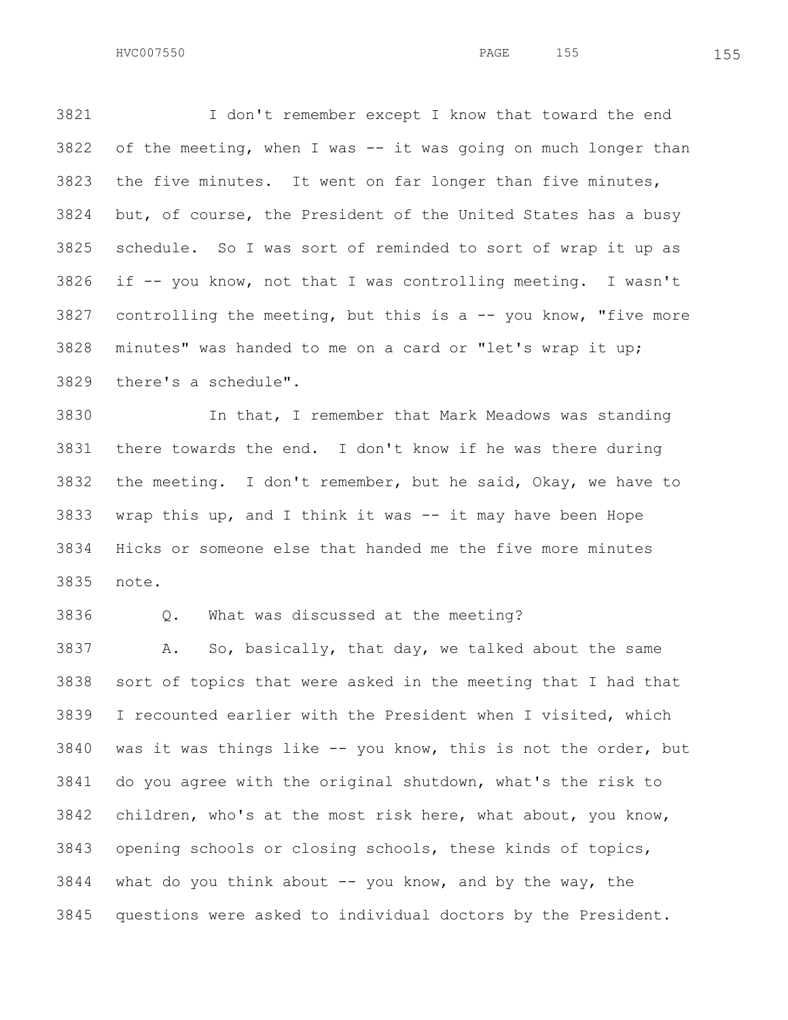I don't remember except I know that toward the end of the meeting, when I was  $-$  it was going on much longer than the five minutes. It went on far longer than five minutes, but, of course, the President of the United States has a busy schedule. So I was sort of reminded to sort of wrap it up as if -- you know, not that I was controlling meeting. I wasn't 3827 controlling the meeting, but this is  $a$  -- you know, "five more minutes" was handed to me on a card or "let's wrap it up; there's a schedule".

 In that, I remember that Mark Meadows was standing there towards the end. I don't know if he was there during the meeting. I don't remember, but he said, Okay, we have to wrap this up, and I think it was -- it may have been Hope Hicks or someone else that handed me the five more minutes note.

Q. What was discussed at the meeting?

 A. So, basically, that day, we talked about the same sort of topics that were asked in the meeting that I had that I recounted earlier with the President when I visited, which was it was things like -- you know, this is not the order, but do you agree with the original shutdown, what's the risk to children, who's at the most risk here, what about, you know, opening schools or closing schools, these kinds of topics, what do you think about  $-$  you know, and by the way, the questions were asked to individual doctors by the President.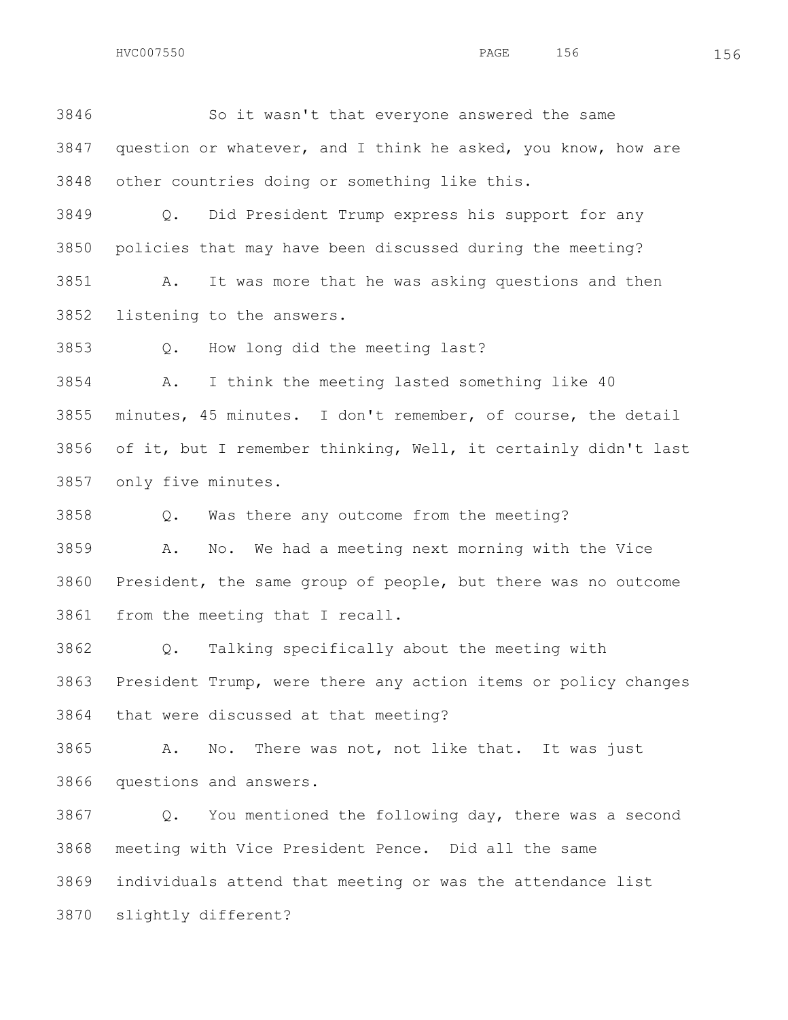HVC007550 156 156

 So it wasn't that everyone answered the same question or whatever, and I think he asked, you know, how are other countries doing or something like this.

 Q. Did President Trump express his support for any policies that may have been discussed during the meeting?

 A. It was more that he was asking questions and then listening to the answers.

Q. How long did the meeting last?

 A. I think the meeting lasted something like 40 minutes, 45 minutes. I don't remember, of course, the detail of it, but I remember thinking, Well, it certainly didn't last only five minutes.

Q. Was there any outcome from the meeting?

 A. No. We had a meeting next morning with the Vice President, the same group of people, but there was no outcome from the meeting that I recall.

 Q. Talking specifically about the meeting with President Trump, were there any action items or policy changes that were discussed at that meeting?

 A. No. There was not, not like that. It was just questions and answers.

 Q. You mentioned the following day, there was a second meeting with Vice President Pence. Did all the same individuals attend that meeting or was the attendance list slightly different?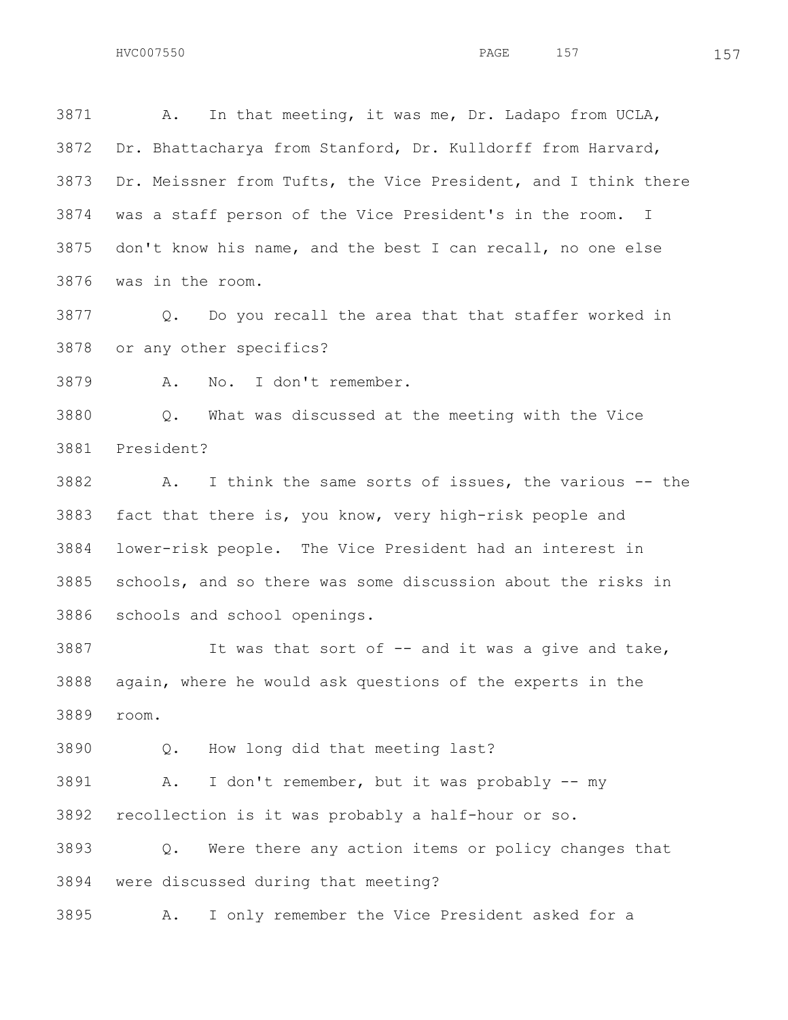A. In that meeting, it was me, Dr. Ladapo from UCLA, Dr. Bhattacharya from Stanford, Dr. Kulldorff from Harvard, Dr. Meissner from Tufts, the Vice President, and I think there was a staff person of the Vice President's in the room. I don't know his name, and the best I can recall, no one else was in the room.

 Q. Do you recall the area that that staffer worked in or any other specifics?

A. No. I don't remember.

 Q. What was discussed at the meeting with the Vice President?

 A. I think the same sorts of issues, the various -- the fact that there is, you know, very high-risk people and lower-risk people. The Vice President had an interest in schools, and so there was some discussion about the risks in schools and school openings.

 It was that sort of -- and it was a give and take, again, where he would ask questions of the experts in the room.

Q. How long did that meeting last?

 A. I don't remember, but it was probably -- my recollection is it was probably a half-hour or so.

 Q. Were there any action items or policy changes that were discussed during that meeting?

A. I only remember the Vice President asked for a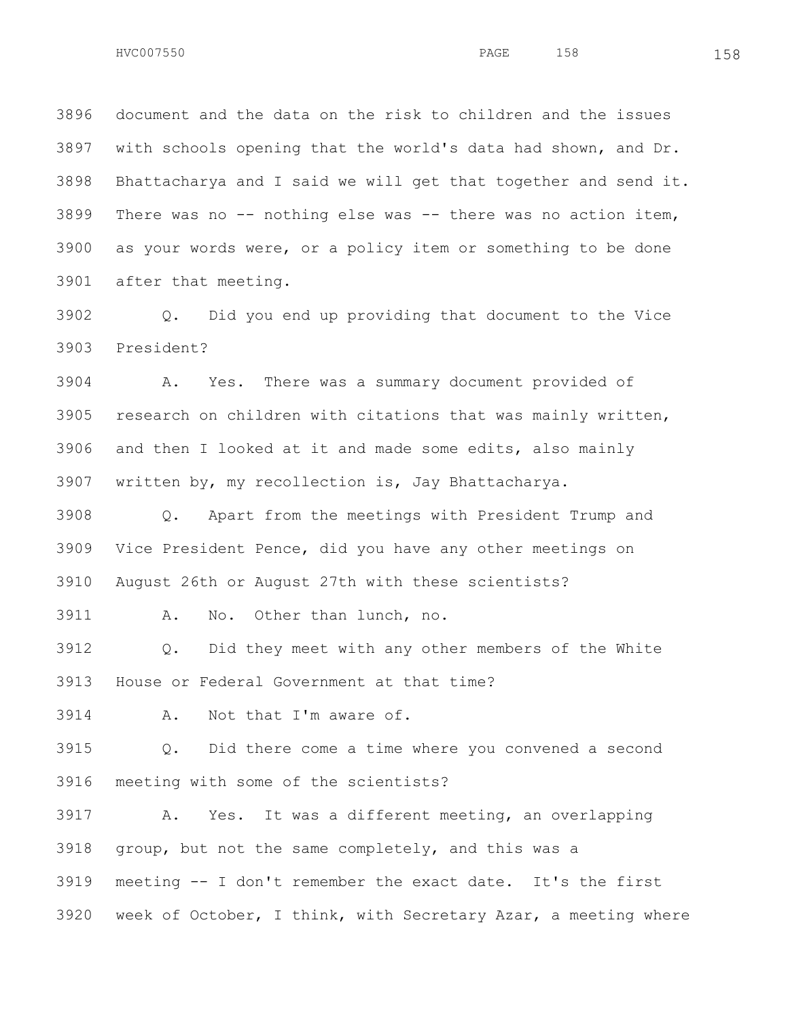document and the data on the risk to children and the issues with schools opening that the world's data had shown, and Dr. Bhattacharya and I said we will get that together and send it. There was no -- nothing else was -- there was no action item, as your words were, or a policy item or something to be done after that meeting.

 Q. Did you end up providing that document to the Vice President?

 A. Yes. There was a summary document provided of research on children with citations that was mainly written, and then I looked at it and made some edits, also mainly written by, my recollection is, Jay Bhattacharya.

 Q. Apart from the meetings with President Trump and Vice President Pence, did you have any other meetings on August 26th or August 27th with these scientists?

A. No. Other than lunch, no.

 Q. Did they meet with any other members of the White House or Federal Government at that time?

A. Not that I'm aware of.

 Q. Did there come a time where you convened a second meeting with some of the scientists?

 A. Yes. It was a different meeting, an overlapping group, but not the same completely, and this was a meeting -- I don't remember the exact date. It's the first week of October, I think, with Secretary Azar, a meeting where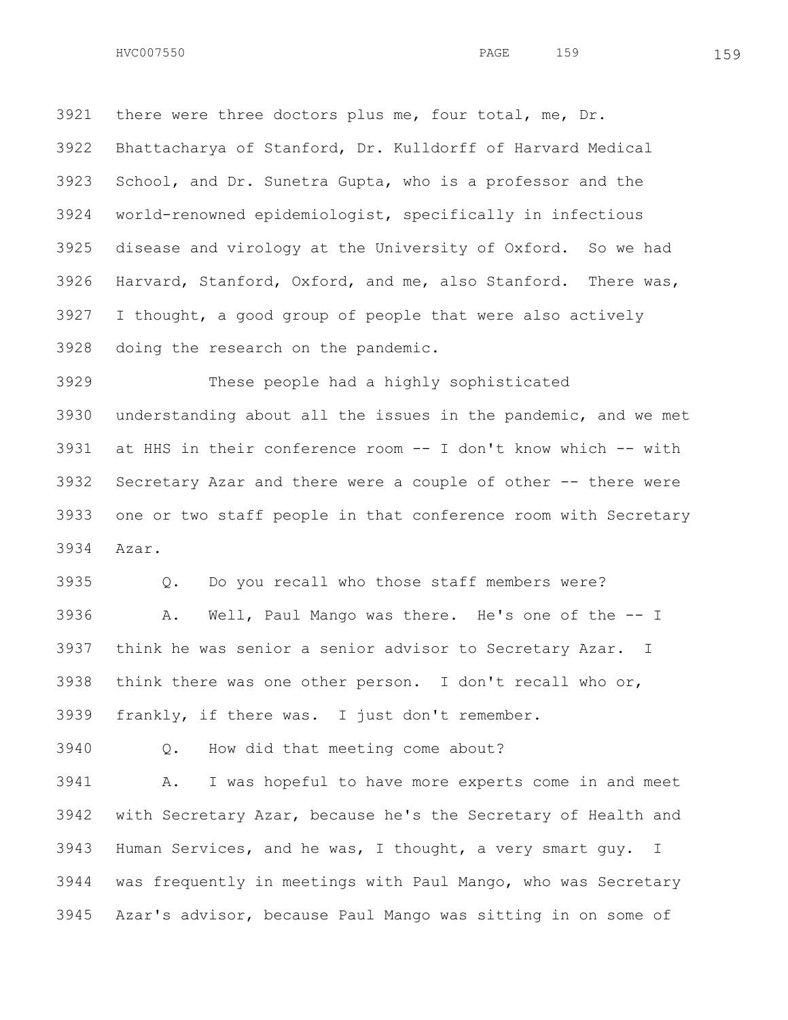there were three doctors plus me, four total, me, Dr. Bhattacharya of Stanford, Dr. Kulldorff of Harvard Medical School, and Dr. Sunetra Gupta, who is a professor and the world-renowned epidemiologist, specifically in infectious disease and virology at the University of Oxford. So we had Harvard, Stanford, Oxford, and me, also Stanford. There was, I thought, a good group of people that were also actively doing the research on the pandemic.

 These people had a highly sophisticated understanding about all the issues in the pandemic, and we met at HHS in their conference room -- I don't know which -- with Secretary Azar and there were a couple of other -- there were one or two staff people in that conference room with Secretary Azar.

 Q. Do you recall who those staff members were? A. Well, Paul Mango was there. He's one of the -- I think he was senior a senior advisor to Secretary Azar. I think there was one other person. I don't recall who or, frankly, if there was. I just don't remember.

Q. How did that meeting come about?

 A. I was hopeful to have more experts come in and meet with Secretary Azar, because he's the Secretary of Health and Human Services, and he was, I thought, a very smart guy. I was frequently in meetings with Paul Mango, who was Secretary Azar's advisor, because Paul Mango was sitting in on some of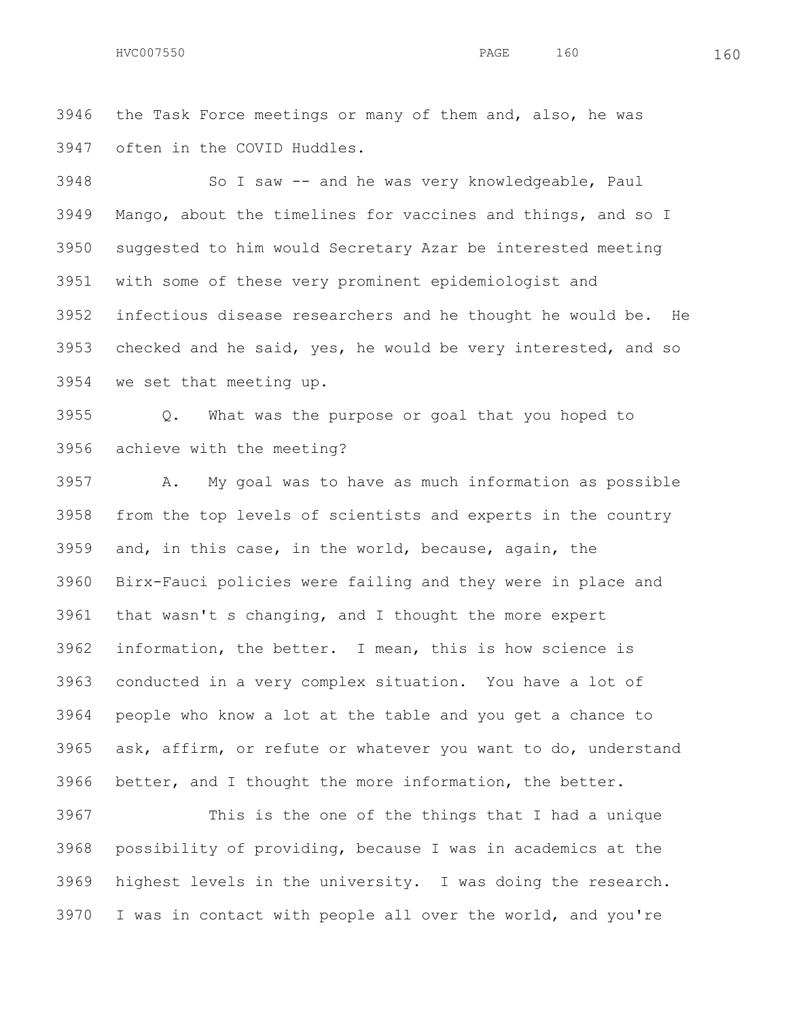the Task Force meetings or many of them and, also, he was often in the COVID Huddles.

 So I saw -- and he was very knowledgeable, Paul Mango, about the timelines for vaccines and things, and so I suggested to him would Secretary Azar be interested meeting with some of these very prominent epidemiologist and infectious disease researchers and he thought he would be. He checked and he said, yes, he would be very interested, and so we set that meeting up.

 Q. What was the purpose or goal that you hoped to achieve with the meeting?

 A. My goal was to have as much information as possible from the top levels of scientists and experts in the country and, in this case, in the world, because, again, the Birx-Fauci policies were failing and they were in place and that wasn't s changing, and I thought the more expert information, the better. I mean, this is how science is conducted in a very complex situation. You have a lot of people who know a lot at the table and you get a chance to ask, affirm, or refute or whatever you want to do, understand better, and I thought the more information, the better.

 This is the one of the things that I had a unique possibility of providing, because I was in academics at the highest levels in the university. I was doing the research. I was in contact with people all over the world, and you're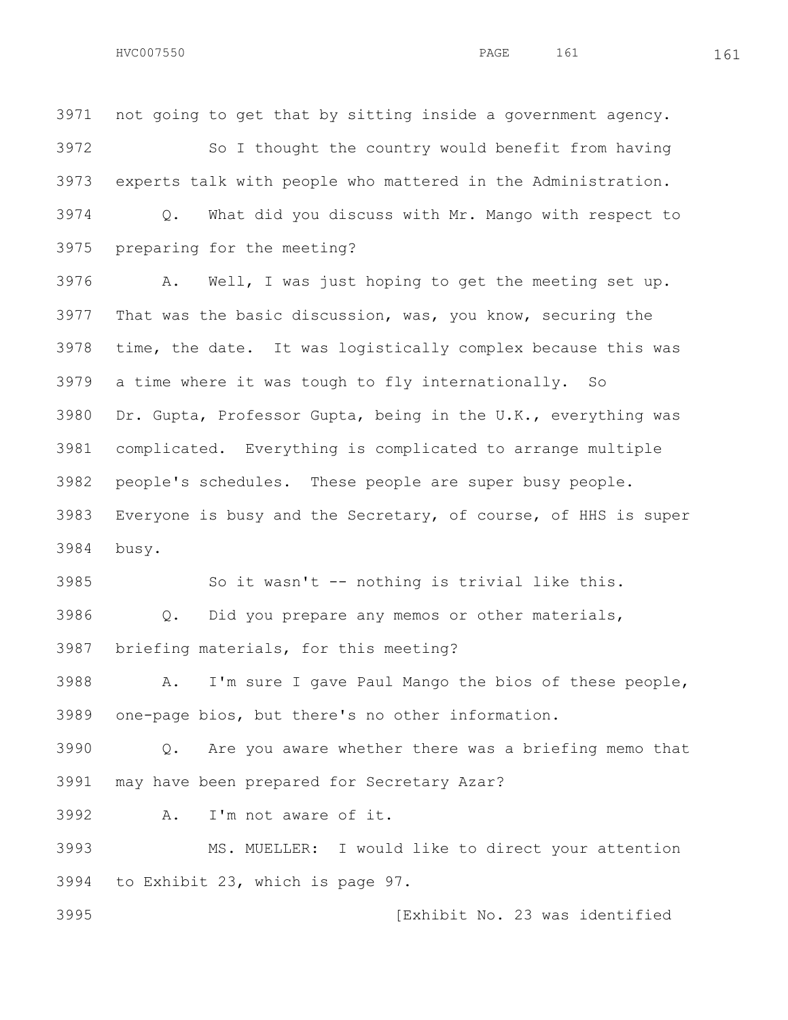HVC007550 161 PAGE 161 161

 not going to get that by sitting inside a government agency. So I thought the country would benefit from having experts talk with people who mattered in the Administration. Q. What did you discuss with Mr. Mango with respect to preparing for the meeting?

 A. Well, I was just hoping to get the meeting set up. That was the basic discussion, was, you know, securing the time, the date. It was logistically complex because this was a time where it was tough to fly internationally. So Dr. Gupta, Professor Gupta, being in the U.K., everything was complicated. Everything is complicated to arrange multiple people's schedules. These people are super busy people. Everyone is busy and the Secretary, of course, of HHS is super busy.

 So it wasn't -- nothing is trivial like this. Q. Did you prepare any memos or other materials, briefing materials, for this meeting?

 A. I'm sure I gave Paul Mango the bios of these people, one-page bios, but there's no other information.

 Q. Are you aware whether there was a briefing memo that may have been prepared for Secretary Azar?

A. I'm not aware of it.

 MS. MUELLER: I would like to direct your attention to Exhibit 23, which is page 97.

[Exhibit No. 23 was identified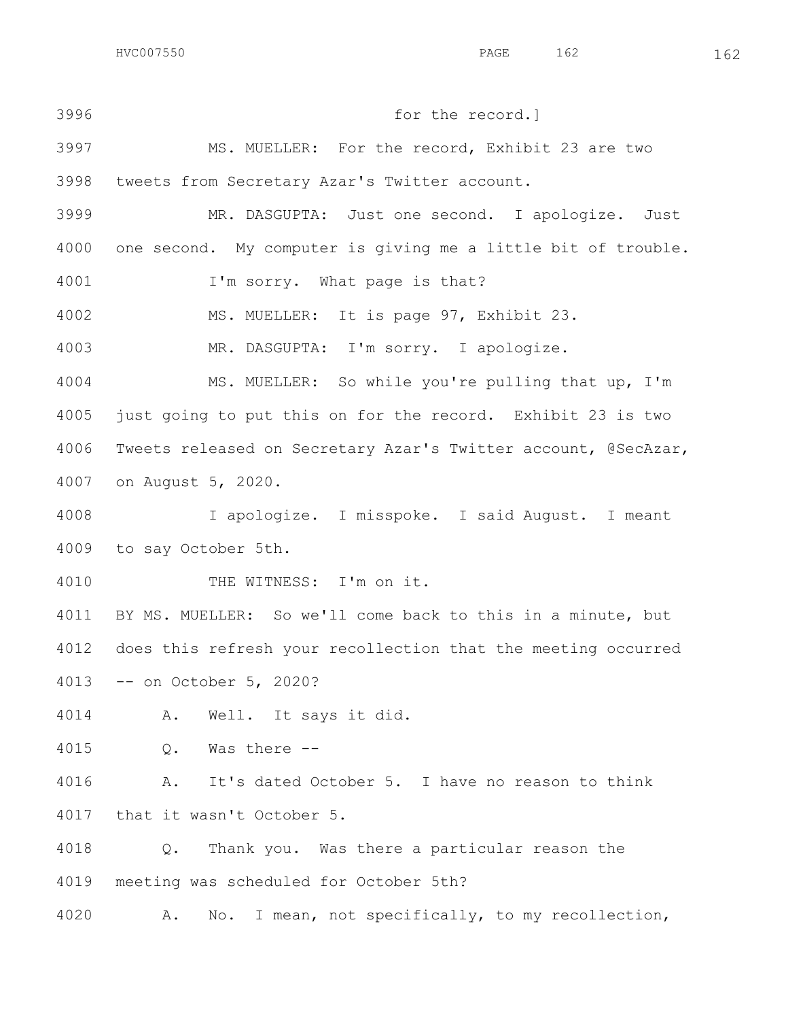for the record.] MS. MUELLER: For the record, Exhibit 23 are two tweets from Secretary Azar's Twitter account. MR. DASGUPTA: Just one second. I apologize. Just one second. My computer is giving me a little bit of trouble. I'm sorry. What page is that? MS. MUELLER: It is page 97, Exhibit 23. MR. DASGUPTA: I'm sorry. I apologize. MS. MUELLER: So while you're pulling that up, I'm just going to put this on for the record. Exhibit 23 is two Tweets released on Secretary Azar's Twitter account, @SecAzar, on August 5, 2020. I apologize. I misspoke. I said August. I meant to say October 5th. THE WITNESS: I'm on it. BY MS. MUELLER: So we'll come back to this in a minute, but does this refresh your recollection that the meeting occurred -- on October 5, 2020? A. Well. It says it did. Q. Was there -- A. It's dated October 5. I have no reason to think that it wasn't October 5. Q. Thank you. Was there a particular reason the meeting was scheduled for October 5th? A. No. I mean, not specifically, to my recollection,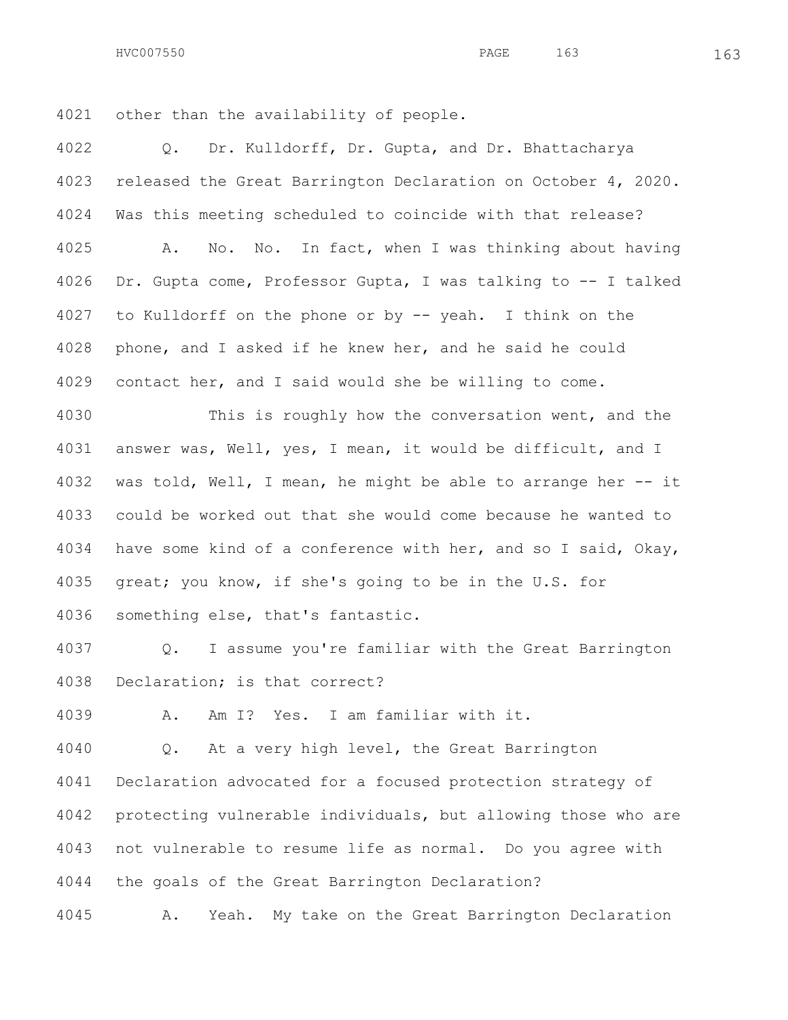HVC007550 163 163

other than the availability of people.

 Q. Dr. Kulldorff, Dr. Gupta, and Dr. Bhattacharya released the Great Barrington Declaration on October 4, 2020. Was this meeting scheduled to coincide with that release? A. No. No. In fact, when I was thinking about having Dr. Gupta come, Professor Gupta, I was talking to -- I talked to Kulldorff on the phone or by -- yeah. I think on the phone, and I asked if he knew her, and he said he could contact her, and I said would she be willing to come.

 This is roughly how the conversation went, and the answer was, Well, yes, I mean, it would be difficult, and I was told, Well, I mean, he might be able to arrange her -- it could be worked out that she would come because he wanted to have some kind of a conference with her, and so I said, Okay, great; you know, if she's going to be in the U.S. for something else, that's fantastic.

 Q. I assume you're familiar with the Great Barrington Declaration; is that correct?

A. Am I? Yes. I am familiar with it.

 Q. At a very high level, the Great Barrington Declaration advocated for a focused protection strategy of protecting vulnerable individuals, but allowing those who are not vulnerable to resume life as normal. Do you agree with the goals of the Great Barrington Declaration?

A. Yeah. My take on the Great Barrington Declaration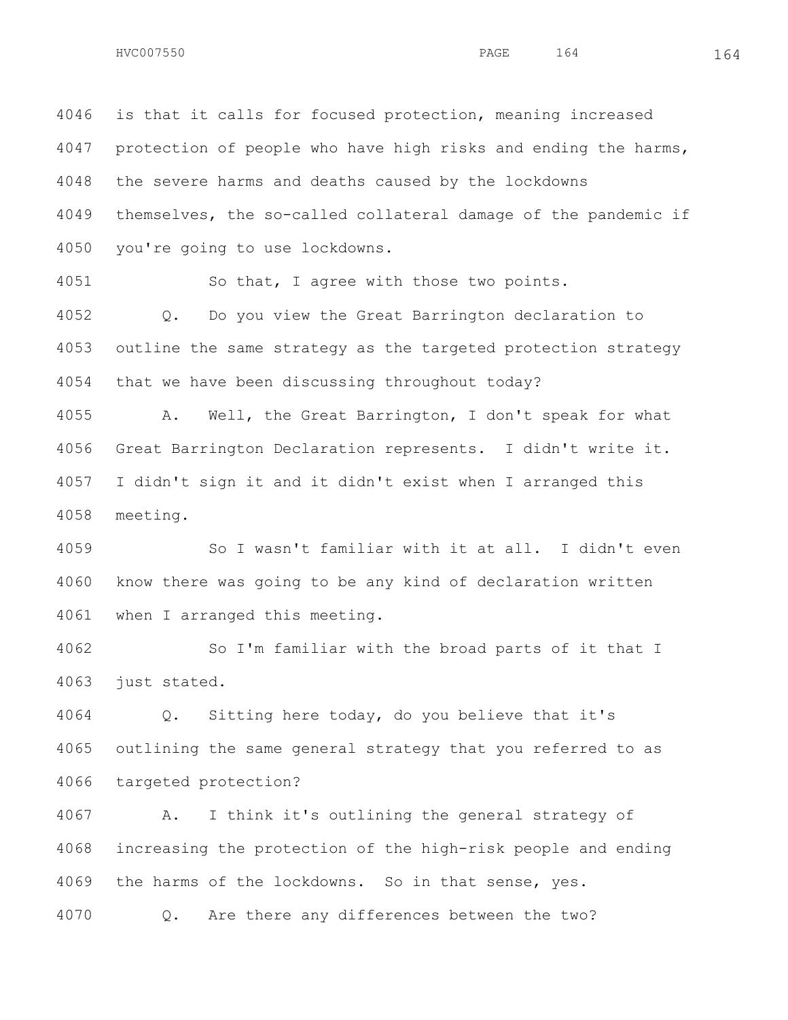is that it calls for focused protection, meaning increased 4047 protection of people who have high risks and ending the harms, the severe harms and deaths caused by the lockdowns themselves, the so-called collateral damage of the pandemic if you're going to use lockdowns.

So that, I agree with those two points.

 Q. Do you view the Great Barrington declaration to outline the same strategy as the targeted protection strategy that we have been discussing throughout today?

 A. Well, the Great Barrington, I don't speak for what Great Barrington Declaration represents. I didn't write it. I didn't sign it and it didn't exist when I arranged this meeting.

 So I wasn't familiar with it at all. I didn't even know there was going to be any kind of declaration written when I arranged this meeting.

 So I'm familiar with the broad parts of it that I just stated.

 Q. Sitting here today, do you believe that it's outlining the same general strategy that you referred to as targeted protection?

 A. I think it's outlining the general strategy of increasing the protection of the high-risk people and ending the harms of the lockdowns. So in that sense, yes. Q. Are there any differences between the two?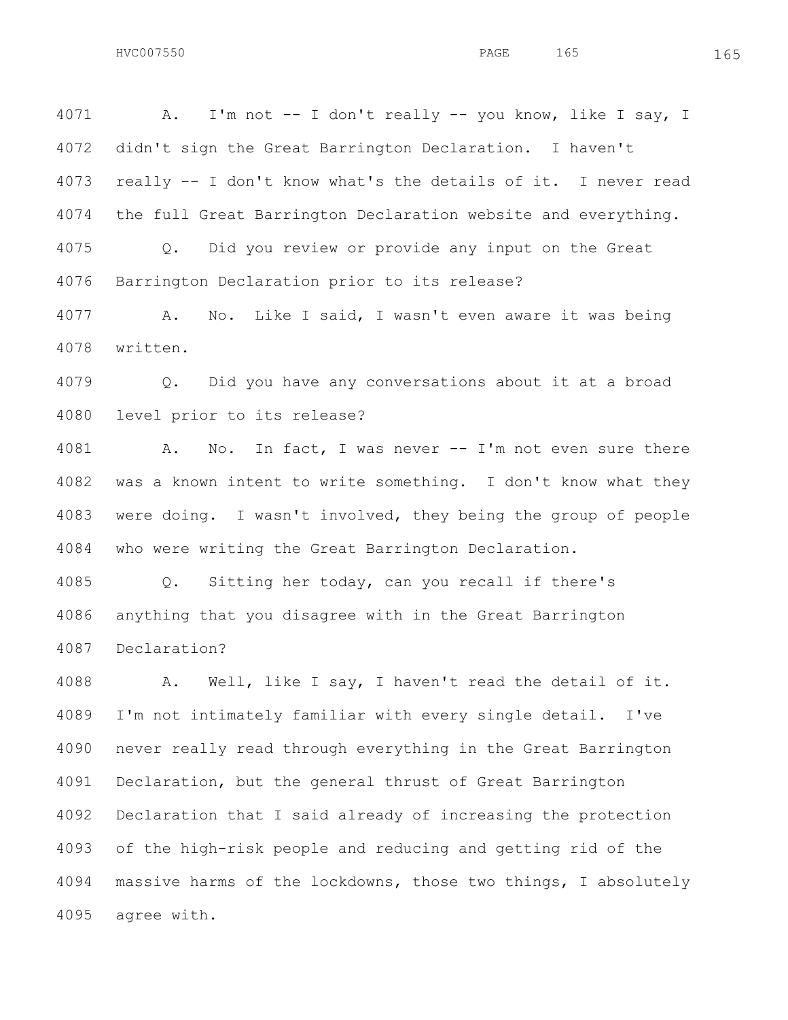A. I'm not -- I don't really -- you know, like I say, I didn't sign the Great Barrington Declaration. I haven't really -- I don't know what's the details of it. I never read the full Great Barrington Declaration website and everything. Q. Did you review or provide any input on the Great Barrington Declaration prior to its release? A. No. Like I said, I wasn't even aware it was being

written.

 Q. Did you have any conversations about it at a broad level prior to its release?

 A. No. In fact, I was never -- I'm not even sure there was a known intent to write something. I don't know what they were doing. I wasn't involved, they being the group of people who were writing the Great Barrington Declaration.

 Q. Sitting her today, can you recall if there's anything that you disagree with in the Great Barrington Declaration?

 A. Well, like I say, I haven't read the detail of it. I'm not intimately familiar with every single detail. I've never really read through everything in the Great Barrington Declaration, but the general thrust of Great Barrington Declaration that I said already of increasing the protection of the high-risk people and reducing and getting rid of the massive harms of the lockdowns, those two things, I absolutely agree with.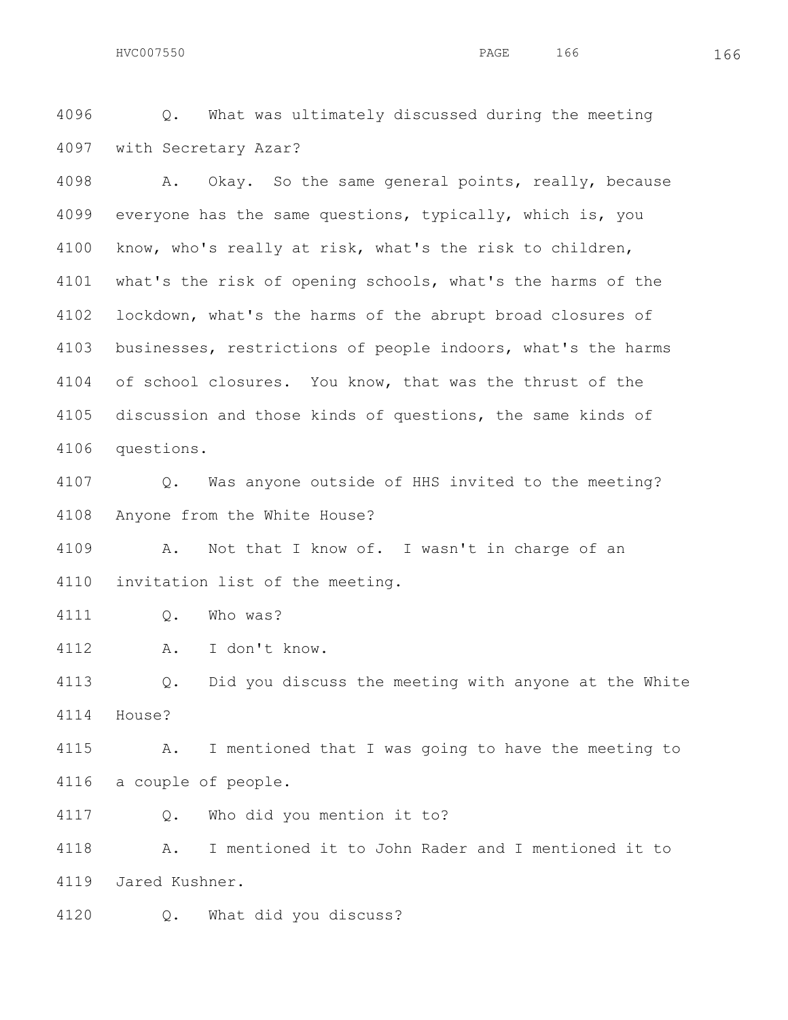Q. What was ultimately discussed during the meeting with Secretary Azar?

 A. Okay. So the same general points, really, because everyone has the same questions, typically, which is, you know, who's really at risk, what's the risk to children, what's the risk of opening schools, what's the harms of the lockdown, what's the harms of the abrupt broad closures of businesses, restrictions of people indoors, what's the harms 4104 of school closures. You know, that was the thrust of the discussion and those kinds of questions, the same kinds of questions.

 Q. Was anyone outside of HHS invited to the meeting? Anyone from the White House?

 A. Not that I know of. I wasn't in charge of an invitation list of the meeting.

Q. Who was?

A. I don't know.

 Q. Did you discuss the meeting with anyone at the White House?

 A. I mentioned that I was going to have the meeting to a couple of people.

Q. Who did you mention it to?

 A. I mentioned it to John Rader and I mentioned it to Jared Kushner.

Q. What did you discuss?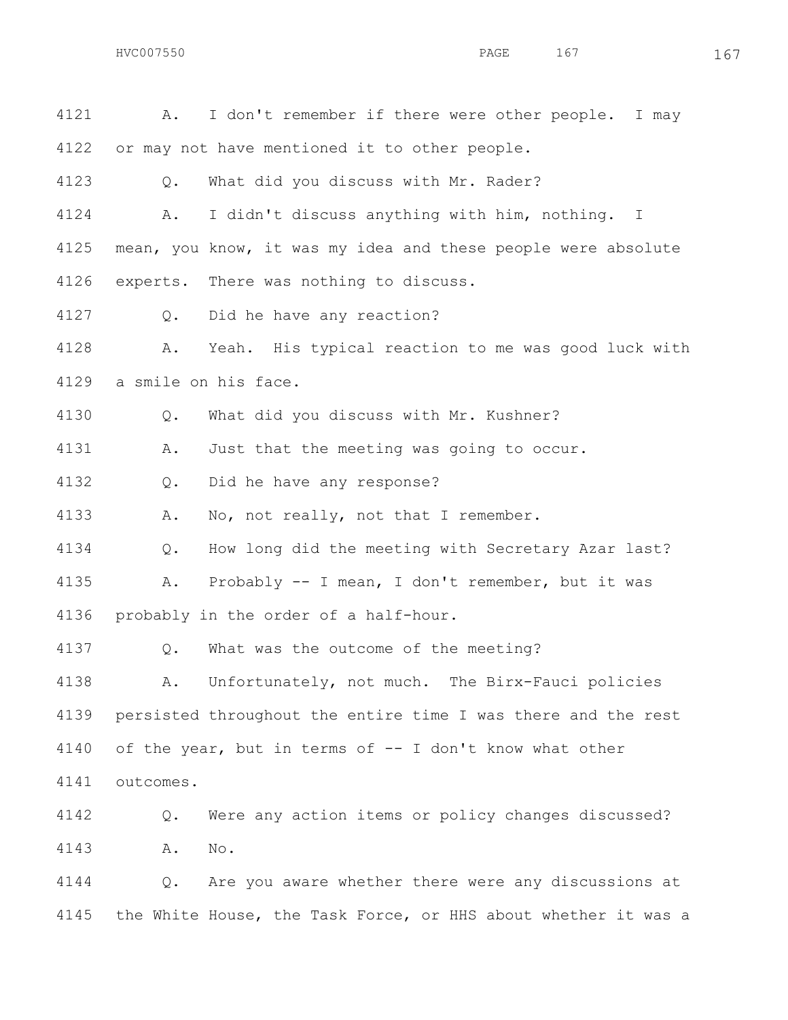| 4121 | I don't remember if there were other people. I may<br>Α.      |
|------|---------------------------------------------------------------|
| 4122 | or may not have mentioned it to other people.                 |
| 4123 | What did you discuss with Mr. Rader?<br>Q.                    |
| 4124 | I didn't discuss anything with him, nothing. I<br>Α.          |
| 4125 | mean, you know, it was my idea and these people were absolute |
| 4126 | experts. There was nothing to discuss.                        |
| 4127 | Did he have any reaction?<br>Q.                               |
| 4128 | Yeah. His typical reaction to me was good luck with<br>Α.     |
| 4129 | a smile on his face.                                          |
| 4130 | What did you discuss with Mr. Kushner?<br>Q.                  |
| 4131 | Just that the meeting was going to occur.<br>Α.               |
| 4132 | Did he have any response?<br>Q.                               |
| 4133 | No, not really, not that I remember.<br>Α.                    |
| 4134 | How long did the meeting with Secretary Azar last?<br>Q.      |
| 4135 | Probably -- I mean, I don't remember, but it was<br>Α.        |
| 4136 | probably in the order of a half-hour.                         |
| 4137 | What was the outcome of the meeting?<br>Q.                    |
| 4138 | Unfortunately, not much. The Birx-Fauci policies<br>A.        |
| 4139 | persisted throughout the entire time I was there and the rest |
| 4140 | of the year, but in terms of -- I don't know what other       |
| 4141 | outcomes.                                                     |
| 4142 | Were any action items or policy changes discussed?<br>Q.      |
| 4143 | No.<br>Α.                                                     |
| 4144 | Are you aware whether there were any discussions at<br>Q.     |

the White House, the Task Force, or HHS about whether it was a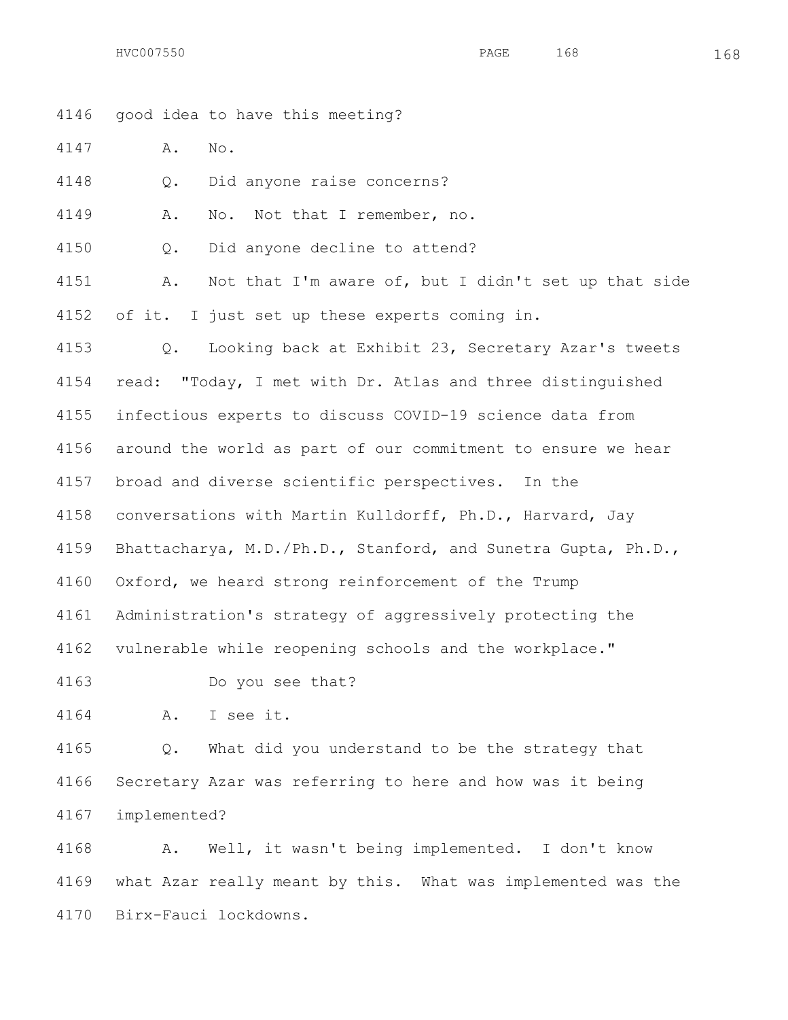HVC007550 PAGE 168 168

 good idea to have this meeting? A. No. Q. Did anyone raise concerns? A. No. Not that I remember, no. Q. Did anyone decline to attend? A. Not that I'm aware of, but I didn't set up that side of it. I just set up these experts coming in. Q. Looking back at Exhibit 23, Secretary Azar's tweets read: "Today, I met with Dr. Atlas and three distinguished infectious experts to discuss COVID-19 science data from around the world as part of our commitment to ensure we hear broad and diverse scientific perspectives. In the conversations with Martin Kulldorff, Ph.D., Harvard, Jay Bhattacharya, M.D./Ph.D., Stanford, and Sunetra Gupta, Ph.D., Oxford, we heard strong reinforcement of the Trump Administration's strategy of aggressively protecting the vulnerable while reopening schools and the workplace." Do you see that? A. I see it. Q. What did you understand to be the strategy that

 Secretary Azar was referring to here and how was it being implemented?

 A. Well, it wasn't being implemented. I don't know what Azar really meant by this. What was implemented was the Birx-Fauci lockdowns.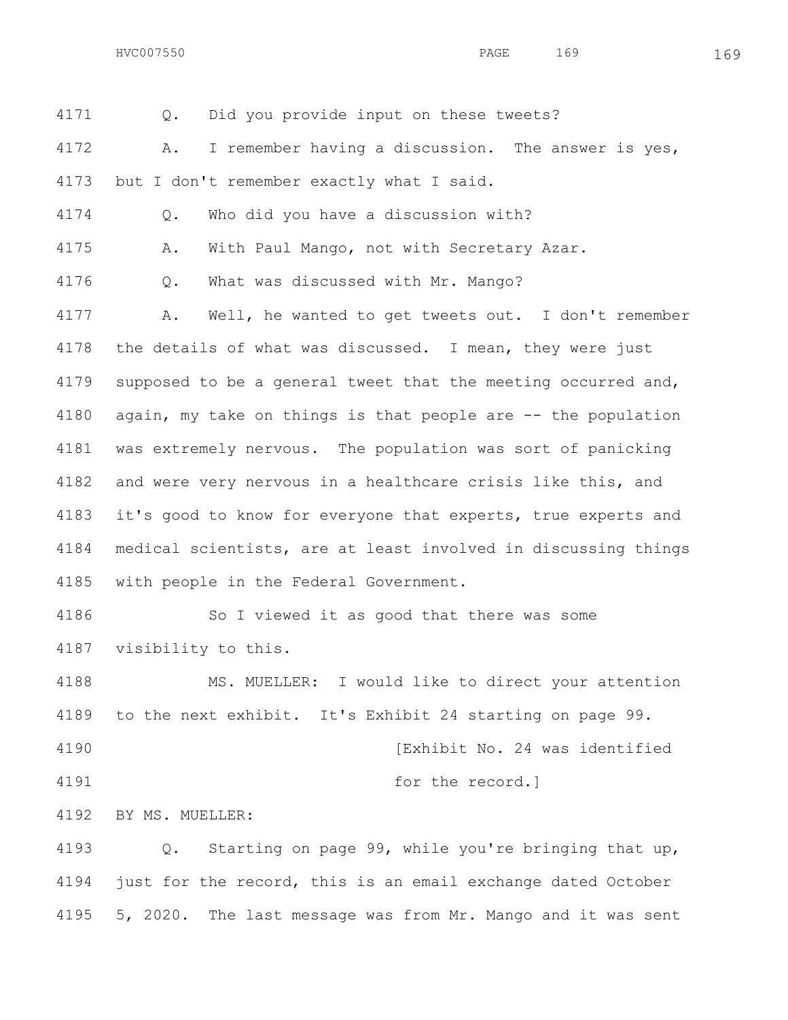HVC007550 PAGE 169 169

 Q. Did you provide input on these tweets? A. I remember having a discussion. The answer is yes, but I don't remember exactly what I said. Q. Who did you have a discussion with? A. With Paul Mango, not with Secretary Azar. Q. What was discussed with Mr. Mango? A. Well, he wanted to get tweets out. I don't remember the details of what was discussed. I mean, they were just supposed to be a general tweet that the meeting occurred and, again, my take on things is that people are -- the population was extremely nervous. The population was sort of panicking and were very nervous in a healthcare crisis like this, and it's good to know for everyone that experts, true experts and medical scientists, are at least involved in discussing things with people in the Federal Government. So I viewed it as good that there was some visibility to this. MS. MUELLER: I would like to direct your attention to the next exhibit. It's Exhibit 24 starting on page 99. **120 ISL 120 ISL 120 ISL 120 ISL 120 ISL 120 ISL 120 ISL 120 ISL 120 ISL 120 ISL 120 ISL 120 ISL 120 ISL 120 ISL 120 ISL 120 ISL 120 ISL 120 ISL 120 ISL 120 ISL 120 ISL 120 ISL 120 ISL 120 ISL 120 ISL 120 ISL 120 ISL**  for the record.] BY MS. MUELLER: Q. Starting on page 99, while you're bringing that up, just for the record, this is an email exchange dated October 5, 2020. The last message was from Mr. Mango and it was sent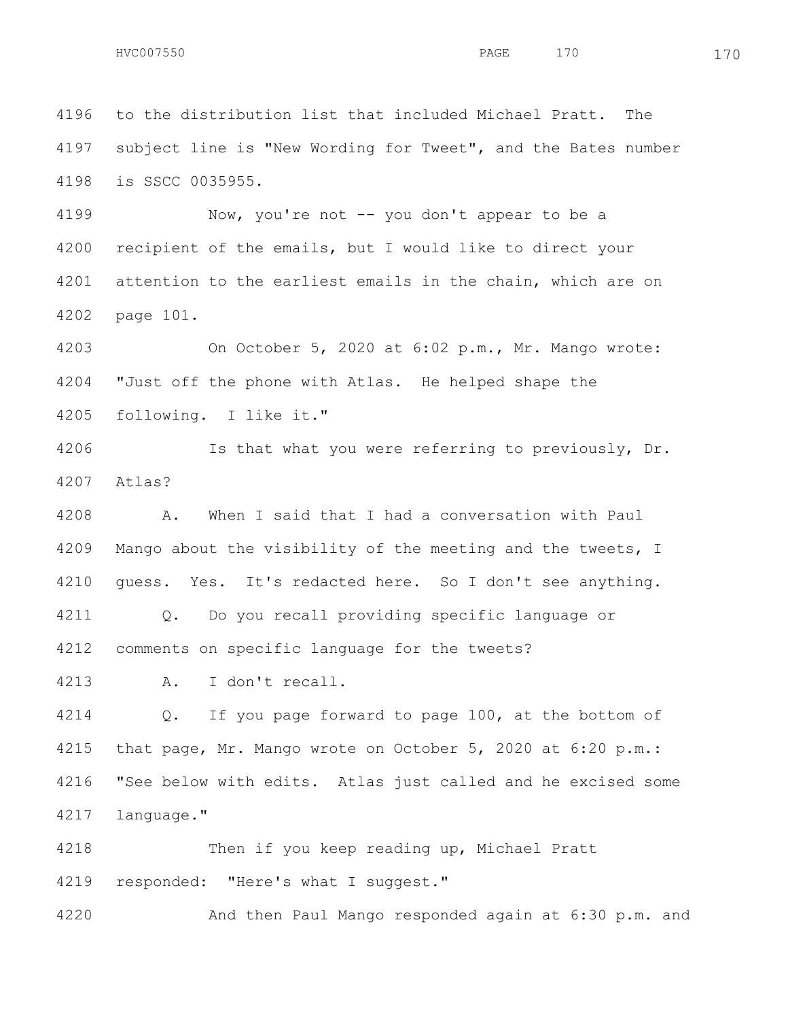to the distribution list that included Michael Pratt. The subject line is "New Wording for Tweet", and the Bates number is SSCC 0035955.

 Now, you're not -- you don't appear to be a recipient of the emails, but I would like to direct your attention to the earliest emails in the chain, which are on page 101.

 On October 5, 2020 at 6:02 p.m., Mr. Mango wrote: "Just off the phone with Atlas. He helped shape the following. I like it."

 Is that what you were referring to previously, Dr. Atlas?

 A. When I said that I had a conversation with Paul Mango about the visibility of the meeting and the tweets, I guess. Yes. It's redacted here. So I don't see anything. Q. Do you recall providing specific language or comments on specific language for the tweets?

A. I don't recall.

 Q. If you page forward to page 100, at the bottom of that page, Mr. Mango wrote on October 5, 2020 at 6:20 p.m.: "See below with edits. Atlas just called and he excised some language."

 Then if you keep reading up, Michael Pratt 4219 responded: "Here's what I suggest."

And then Paul Mango responded again at 6:30 p.m. and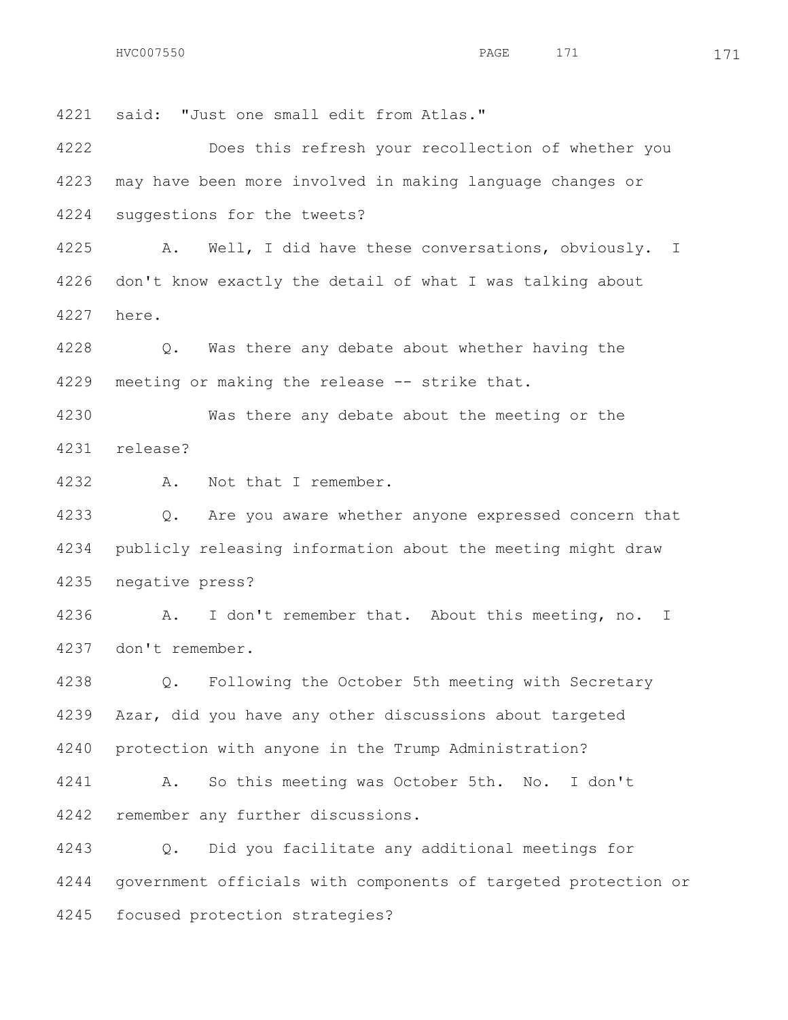said: "Just one small edit from Atlas." Does this refresh your recollection of whether you may have been more involved in making language changes or suggestions for the tweets? A. Well, I did have these conversations, obviously. I don't know exactly the detail of what I was talking about here. Q. Was there any debate about whether having the 4229 meeting or making the release -- strike that. Was there any debate about the meeting or the release? A. Not that I remember. Q. Are you aware whether anyone expressed concern that publicly releasing information about the meeting might draw negative press?

 A. I don't remember that. About this meeting, no. I don't remember.

 Q. Following the October 5th meeting with Secretary Azar, did you have any other discussions about targeted protection with anyone in the Trump Administration?

 A. So this meeting was October 5th. No. I don't remember any further discussions.

 Q. Did you facilitate any additional meetings for government officials with components of targeted protection or focused protection strategies?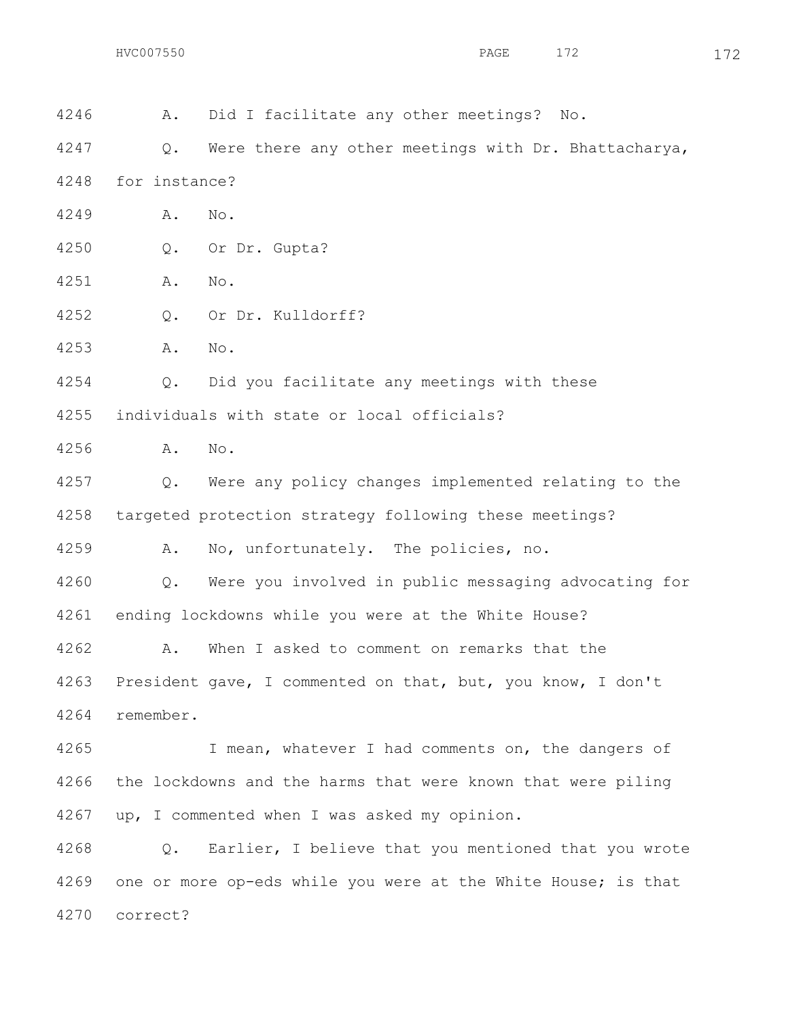A. Did I facilitate any other meetings? No. 4247 Q. Were there any other meetings with Dr. Bhattacharya, for instance? A. No. Q. Or Dr. Gupta? A. No. Q. Or Dr. Kulldorff? A. No. Q. Did you facilitate any meetings with these individuals with state or local officials? A. No. Q. Were any policy changes implemented relating to the targeted protection strategy following these meetings? A. No, unfortunately. The policies, no. Q. Were you involved in public messaging advocating for ending lockdowns while you were at the White House? A. When I asked to comment on remarks that the President gave, I commented on that, but, you know, I don't remember. I mean, whatever I had comments on, the dangers of the lockdowns and the harms that were known that were piling up, I commented when I was asked my opinion. Q. Earlier, I believe that you mentioned that you wrote one or more op-eds while you were at the White House; is that correct?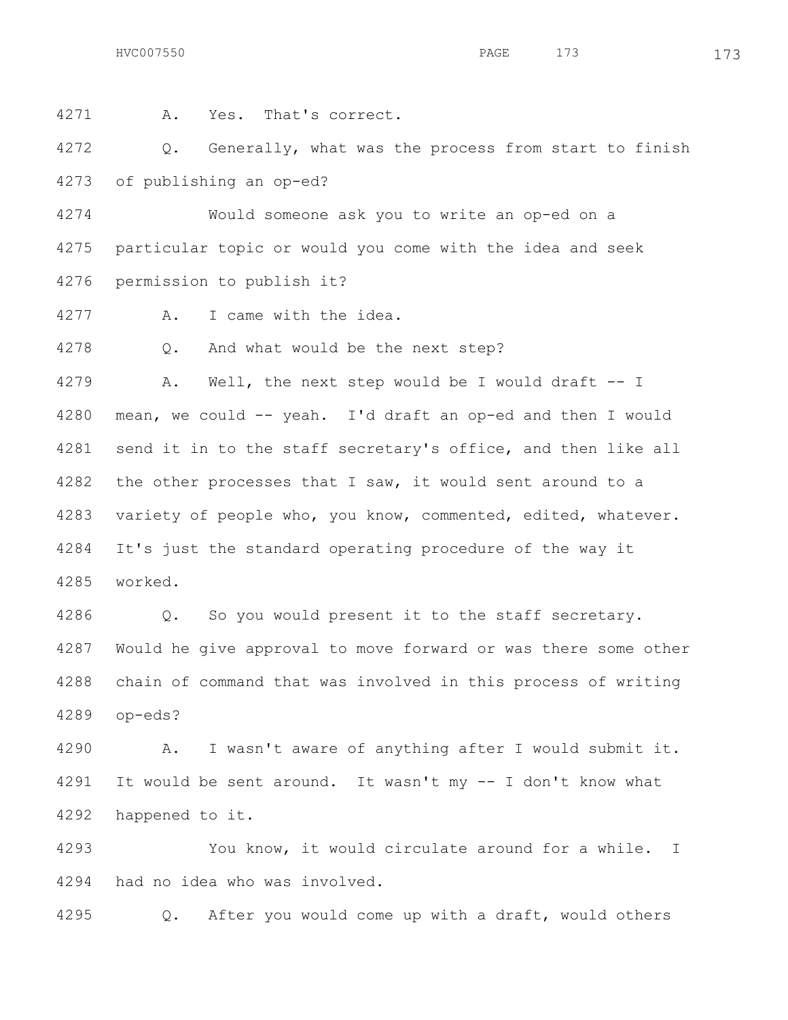A. Yes. That's correct.

4272 Q. Generally, what was the process from start to finish of publishing an op-ed?

 Would someone ask you to write an op-ed on a particular topic or would you come with the idea and seek permission to publish it?

A. I came with the idea.

Q. And what would be the next step?

 A. Well, the next step would be I would draft -- I mean, we could -- yeah. I'd draft an op-ed and then I would send it in to the staff secretary's office, and then like all 4282 the other processes that I saw, it would sent around to a variety of people who, you know, commented, edited, whatever. It's just the standard operating procedure of the way it worked.

 Q. So you would present it to the staff secretary. Would he give approval to move forward or was there some other chain of command that was involved in this process of writing op-eds?

 A. I wasn't aware of anything after I would submit it. It would be sent around. It wasn't my -- I don't know what happened to it.

 You know, it would circulate around for a while. I had no idea who was involved.

Q. After you would come up with a draft, would others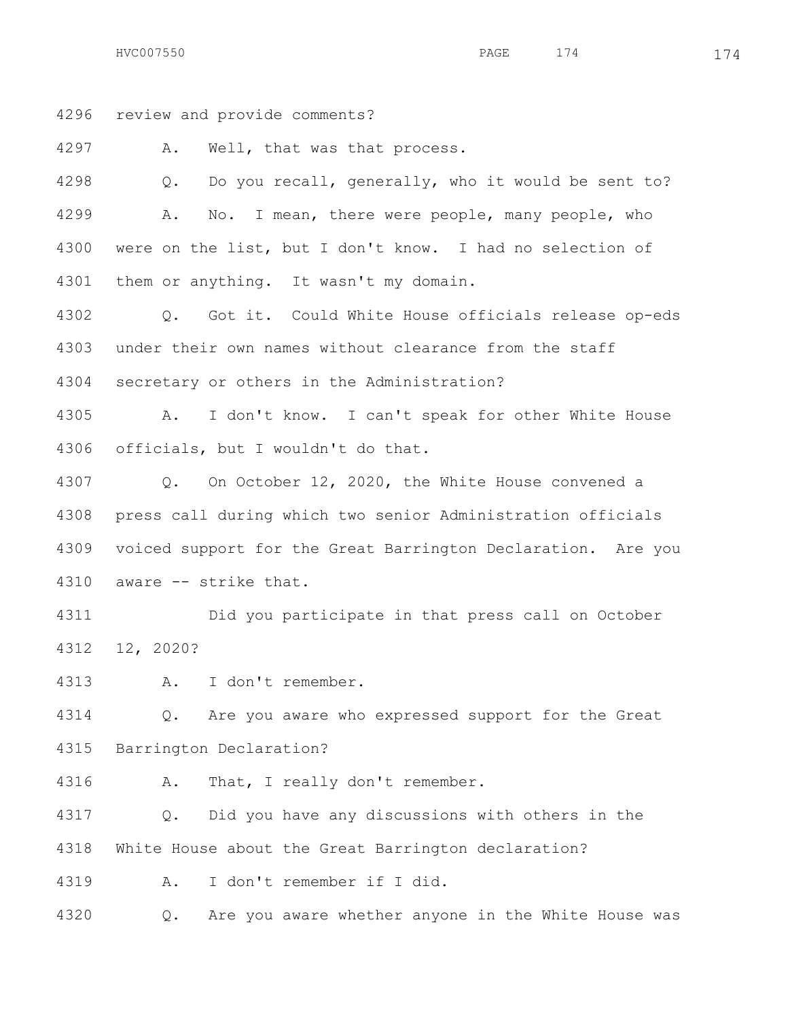HVC007550 174 174

review and provide comments?

A. Well, that was that process.

 Q. Do you recall, generally, who it would be sent to? A. No. I mean, there were people, many people, who were on the list, but I don't know. I had no selection of them or anything. It wasn't my domain.

 Q. Got it. Could White House officials release op-eds under their own names without clearance from the staff secretary or others in the Administration?

 A. I don't know. I can't speak for other White House officials, but I wouldn't do that.

 Q. On October 12, 2020, the White House convened a press call during which two senior Administration officials voiced support for the Great Barrington Declaration. Are you aware -- strike that.

 Did you participate in that press call on October 12, 2020?

A. I don't remember.

 Q. Are you aware who expressed support for the Great Barrington Declaration?

A. That, I really don't remember.

 Q. Did you have any discussions with others in the White House about the Great Barrington declaration?

A. I don't remember if I did.

Q. Are you aware whether anyone in the White House was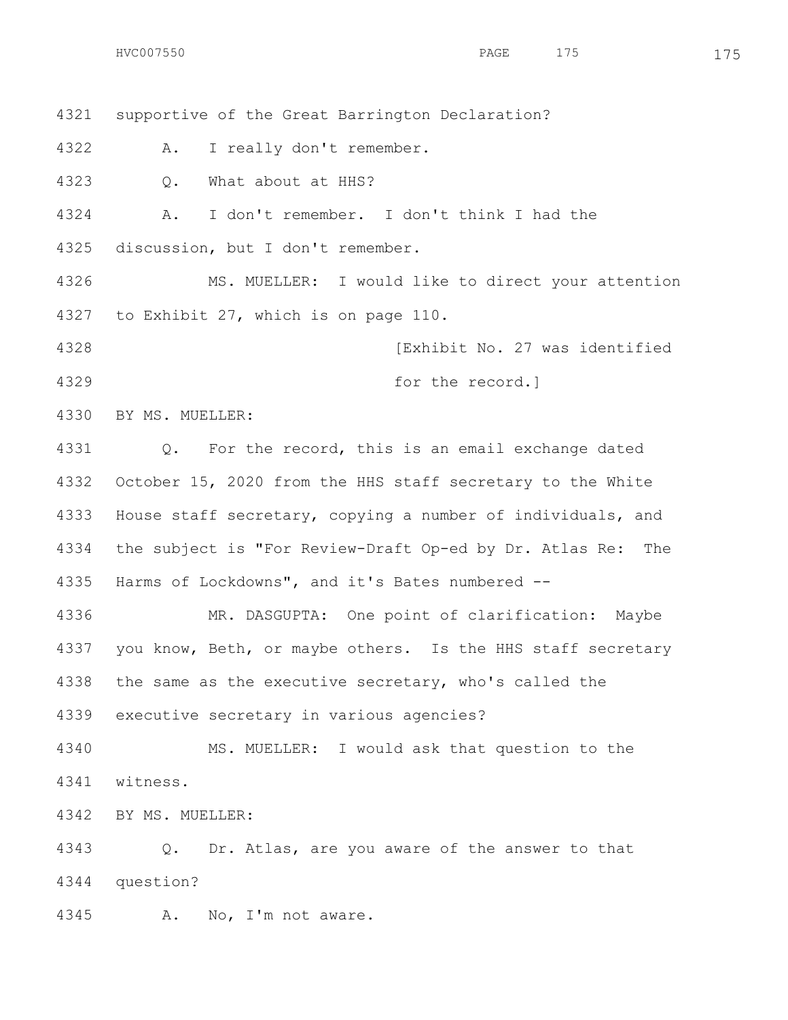supportive of the Great Barrington Declaration? A. I really don't remember. Q. What about at HHS? A. I don't remember. I don't think I had the discussion, but I don't remember. MS. MUELLER: I would like to direct your attention to Exhibit 27, which is on page 110. **Exhibit No. 27 was identified**  for the record.] BY MS. MUELLER: Q. For the record, this is an email exchange dated October 15, 2020 from the HHS staff secretary to the White House staff secretary, copying a number of individuals, and the subject is "For Review-Draft Op-ed by Dr. Atlas Re: The Harms of Lockdowns", and it's Bates numbered -- MR. DASGUPTA: One point of clarification: Maybe 4337 you know, Beth, or maybe others. Is the HHS staff secretary the same as the executive secretary, who's called the executive secretary in various agencies? MS. MUELLER: I would ask that question to the witness. BY MS. MUELLER: Q. Dr. Atlas, are you aware of the answer to that question? A. No, I'm not aware.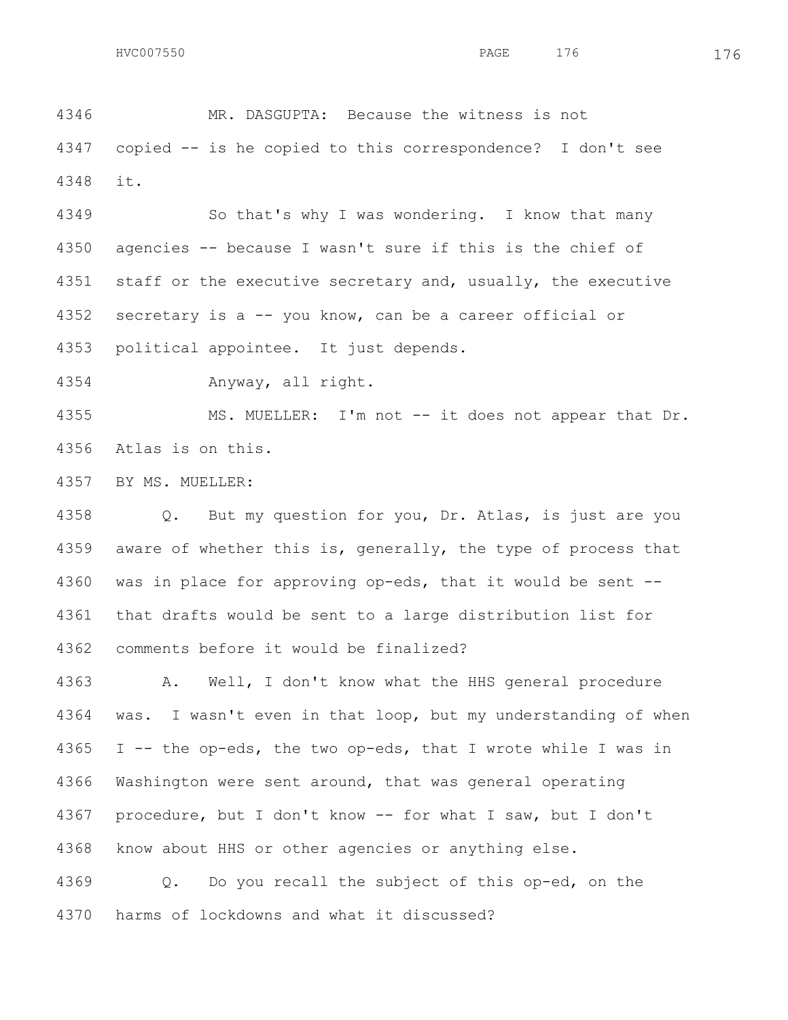MR. DASGUPTA: Because the witness is not copied -- is he copied to this correspondence? I don't see it.

 So that's why I was wondering. I know that many agencies -- because I wasn't sure if this is the chief of staff or the executive secretary and, usually, the executive secretary is a -- you know, can be a career official or political appointee. It just depends.

Anyway, all right.

 MS. MUELLER: I'm not -- it does not appear that Dr. Atlas is on this.

BY MS. MUELLER:

 Q. But my question for you, Dr. Atlas, is just are you 4359 aware of whether this is, generally, the type of process that was in place for approving op-eds, that it would be sent -- that drafts would be sent to a large distribution list for comments before it would be finalized?

 A. Well, I don't know what the HHS general procedure was. I wasn't even in that loop, but my understanding of when I -- the op-eds, the two op-eds, that I wrote while I was in Washington were sent around, that was general operating procedure, but I don't know -- for what I saw, but I don't know about HHS or other agencies or anything else.

 Q. Do you recall the subject of this op-ed, on the harms of lockdowns and what it discussed?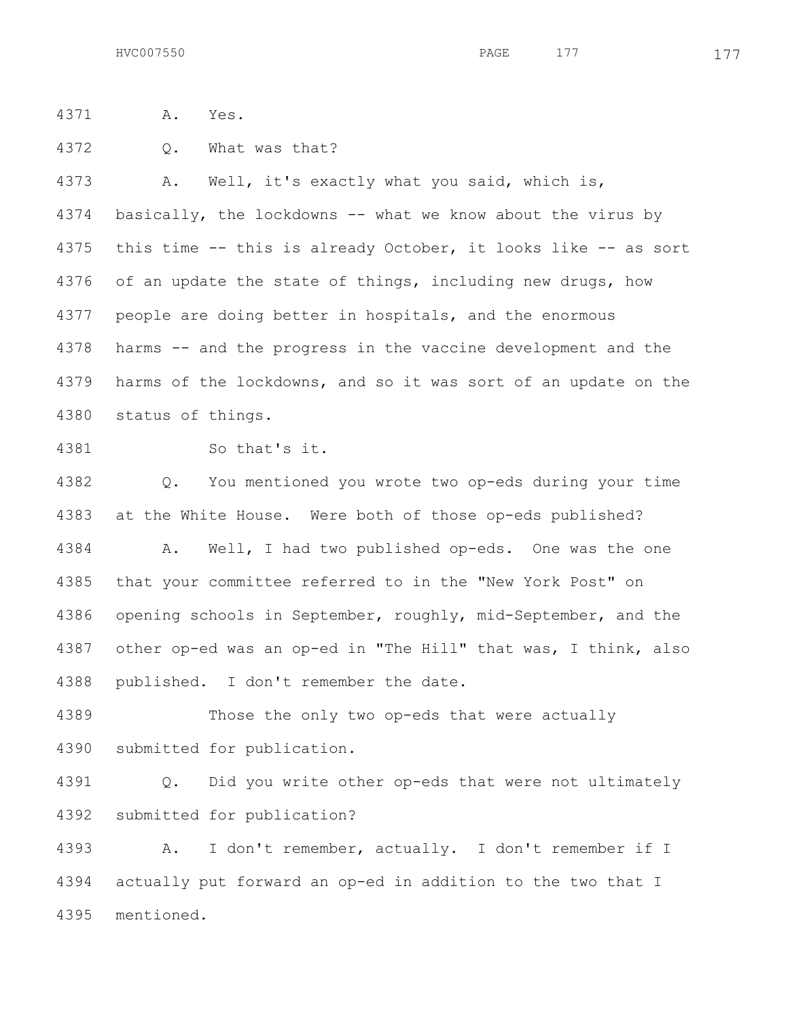A. Yes.

Q. What was that?

 A. Well, it's exactly what you said, which is, basically, the lockdowns -- what we know about the virus by this time -- this is already October, it looks like -- as sort of an update the state of things, including new drugs, how people are doing better in hospitals, and the enormous harms -- and the progress in the vaccine development and the harms of the lockdowns, and so it was sort of an update on the status of things.

So that's it.

 Q. You mentioned you wrote two op-eds during your time at the White House. Were both of those op-eds published? A. Well, I had two published op-eds. One was the one that your committee referred to in the "New York Post" on

 other op-ed was an op-ed in "The Hill" that was, I think, also published. I don't remember the date.

opening schools in September, roughly, mid-September, and the

 Those the only two op-eds that were actually submitted for publication.

 Q. Did you write other op-eds that were not ultimately submitted for publication?

 A. I don't remember, actually. I don't remember if I actually put forward an op-ed in addition to the two that I mentioned.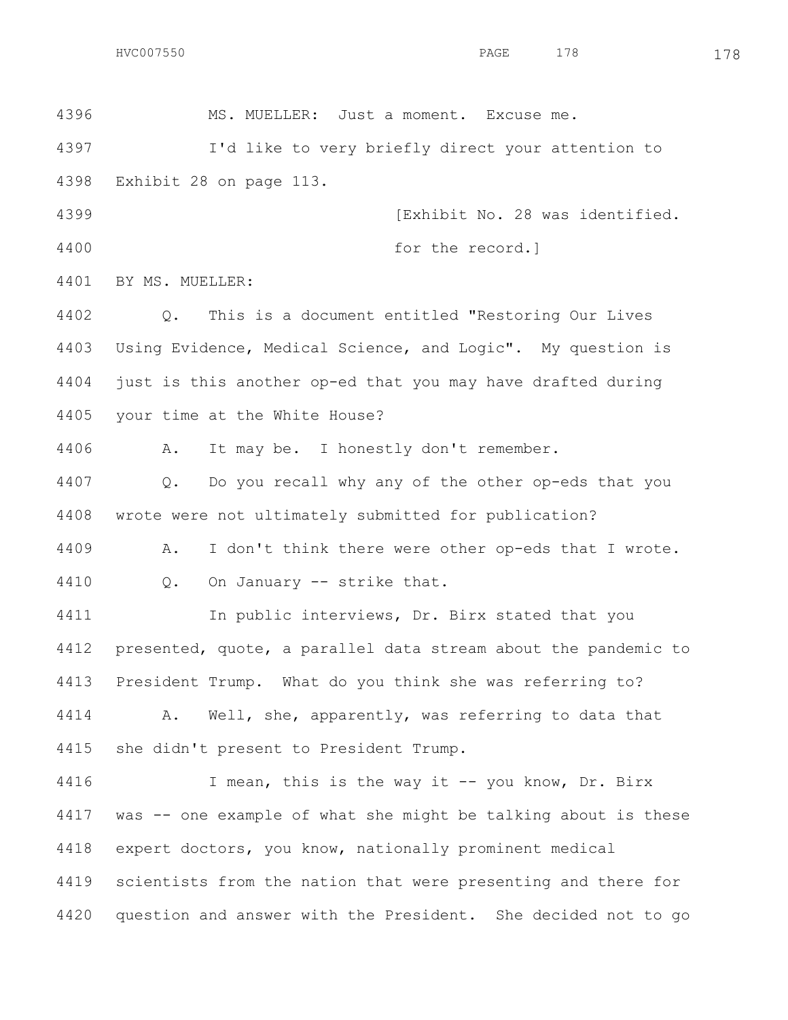MS. MUELLER: Just a moment. Excuse me.

 I'd like to very briefly direct your attention to Exhibit 28 on page 113.

**Internal Communist Communist Communist Communist Communist Communist Communist Communist Communist Communist Communist Communist Communist Communist Communist Communist Communist Communist Communist Communist Communi** 4400 for the record.

BY MS. MUELLER:

 Q. This is a document entitled "Restoring Our Lives Using Evidence, Medical Science, and Logic". My question is just is this another op-ed that you may have drafted during your time at the White House?

A. It may be. I honestly don't remember.

 Q. Do you recall why any of the other op-eds that you wrote were not ultimately submitted for publication?

 A. I don't think there were other op-eds that I wrote. Q. On January -- strike that.

 In public interviews, Dr. Birx stated that you presented, quote, a parallel data stream about the pandemic to President Trump. What do you think she was referring to?

 A. Well, she, apparently, was referring to data that she didn't present to President Trump.

 I mean, this is the way it -- you know, Dr. Birx was -- one example of what she might be talking about is these expert doctors, you know, nationally prominent medical scientists from the nation that were presenting and there for question and answer with the President. She decided not to go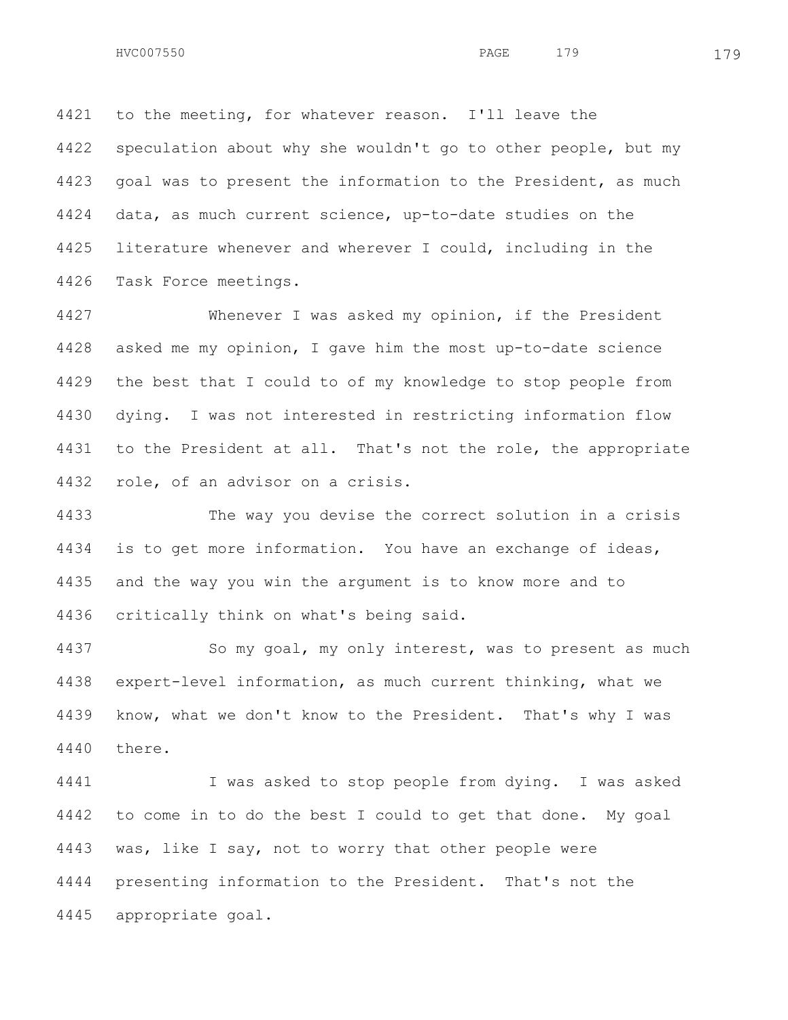to the meeting, for whatever reason. I'll leave the speculation about why she wouldn't go to other people, but my goal was to present the information to the President, as much data, as much current science, up-to-date studies on the literature whenever and wherever I could, including in the Task Force meetings.

 Whenever I was asked my opinion, if the President asked me my opinion, I gave him the most up-to-date science the best that I could to of my knowledge to stop people from dying. I was not interested in restricting information flow to the President at all. That's not the role, the appropriate role, of an advisor on a crisis.

 The way you devise the correct solution in a crisis is to get more information. You have an exchange of ideas, and the way you win the argument is to know more and to critically think on what's being said.

 So my goal, my only interest, was to present as much expert-level information, as much current thinking, what we know, what we don't know to the President. That's why I was there.

 I was asked to stop people from dying. I was asked to come in to do the best I could to get that done. My goal was, like I say, not to worry that other people were presenting information to the President. That's not the appropriate goal.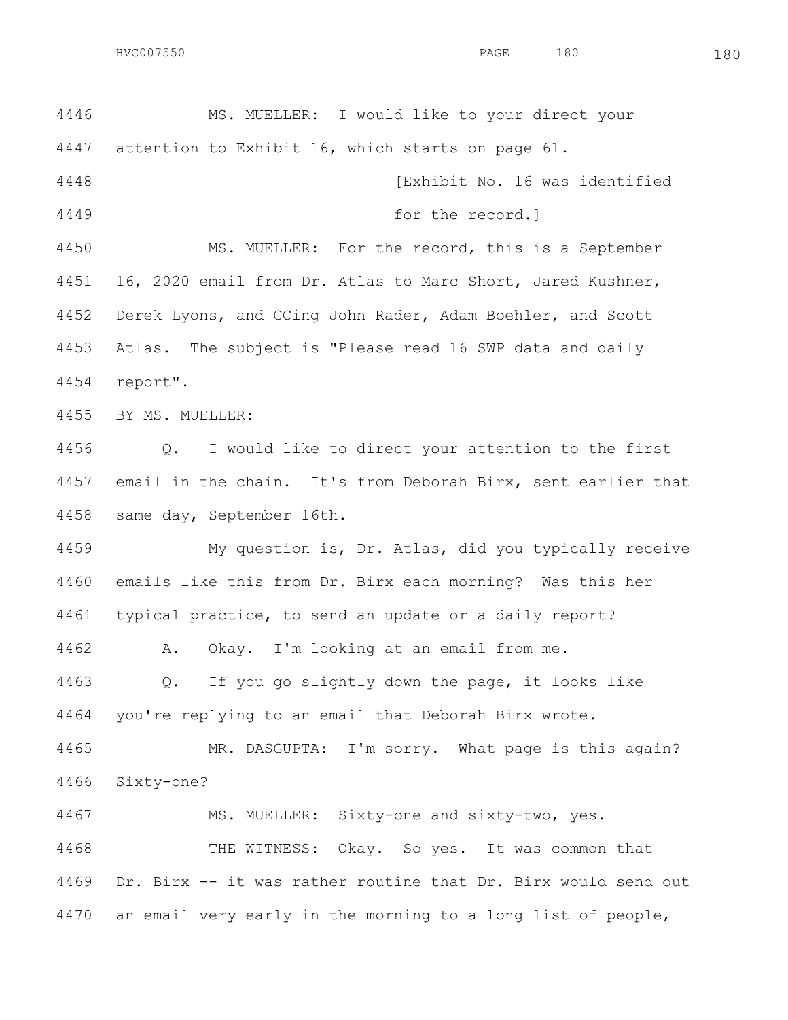MS. MUELLER: I would like to your direct your attention to Exhibit 16, which starts on page 61. [Exhibit No. 16 was identified for the record.] MS. MUELLER: For the record, this is a September 16, 2020 email from Dr. Atlas to Marc Short, Jared Kushner, Derek Lyons, and CCing John Rader, Adam Boehler, and Scott Atlas. The subject is "Please read 16 SWP data and daily report". BY MS. MUELLER: Q. I would like to direct your attention to the first email in the chain. It's from Deborah Birx, sent earlier that same day, September 16th. My question is, Dr. Atlas, did you typically receive emails like this from Dr. Birx each morning? Was this her typical practice, to send an update or a daily report? A. Okay. I'm looking at an email from me. Q. If you go slightly down the page, it looks like you're replying to an email that Deborah Birx wrote. MR. DASGUPTA: I'm sorry. What page is this again? Sixty-one? MS. MUELLER: Sixty-one and sixty-two, yes. THE WITNESS: Okay. So yes. It was common that Dr. Birx -- it was rather routine that Dr. Birx would send out an email very early in the morning to a long list of people,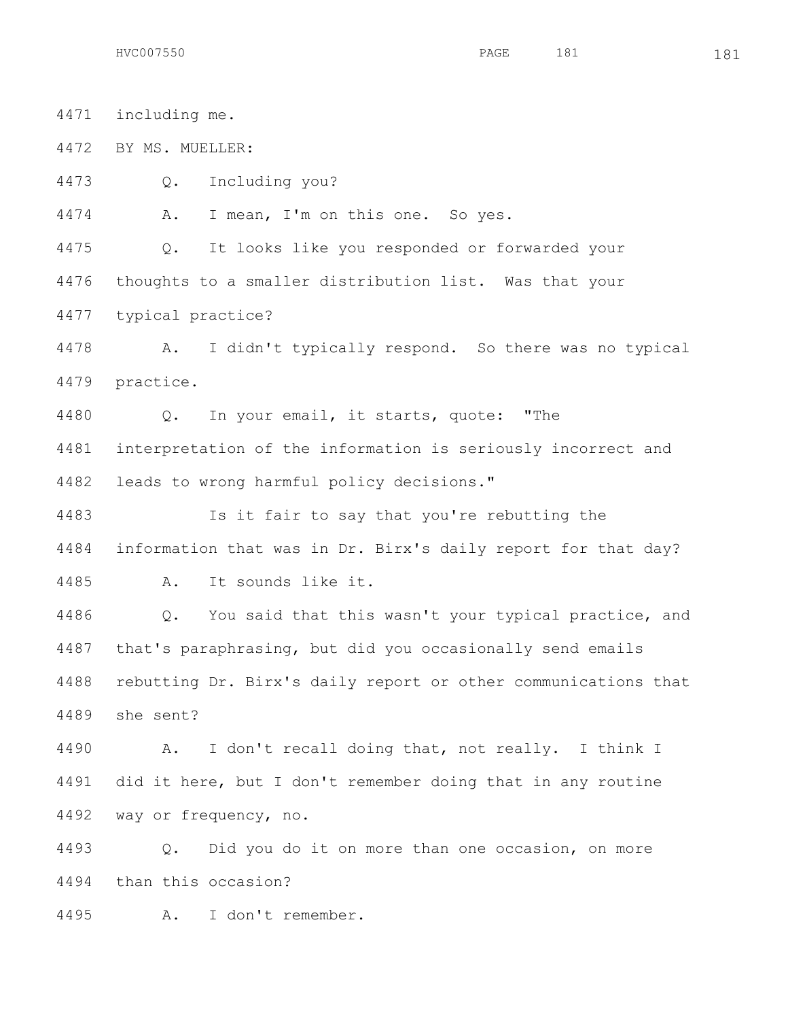including me. BY MS. MUELLER: Q. Including you? A. I mean, I'm on this one. So yes. Q. It looks like you responded or forwarded your thoughts to a smaller distribution list. Was that your typical practice? A. I didn't typically respond. So there was no typical practice. Q. In your email, it starts, quote: "The interpretation of the information is seriously incorrect and leads to wrong harmful policy decisions." Is it fair to say that you're rebutting the information that was in Dr. Birx's daily report for that day? A. It sounds like it. Q. You said that this wasn't your typical practice, and that's paraphrasing, but did you occasionally send emails rebutting Dr. Birx's daily report or other communications that she sent? A. I don't recall doing that, not really. I think I did it here, but I don't remember doing that in any routine way or frequency, no. Q. Did you do it on more than one occasion, on more than this occasion?

A. I don't remember.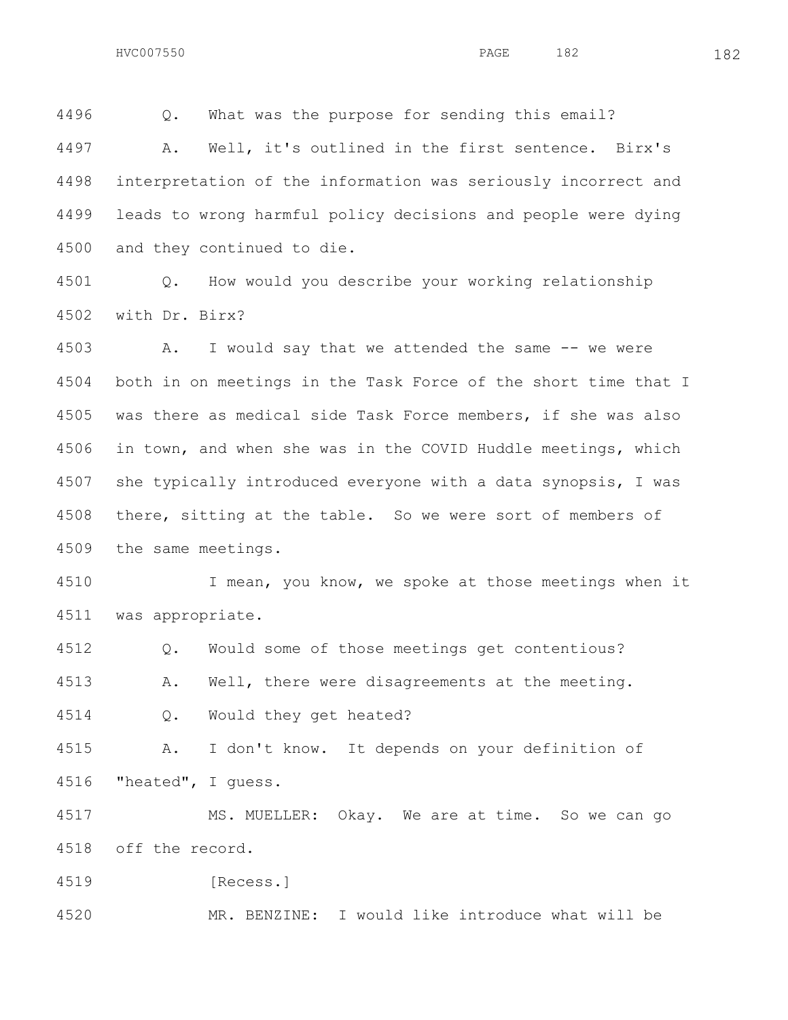Q. What was the purpose for sending this email?

 A. Well, it's outlined in the first sentence. Birx's interpretation of the information was seriously incorrect and leads to wrong harmful policy decisions and people were dying and they continued to die.

 Q. How would you describe your working relationship with Dr. Birx?

 A. I would say that we attended the same -- we were both in on meetings in the Task Force of the short time that I was there as medical side Task Force members, if she was also in town, and when she was in the COVID Huddle meetings, which she typically introduced everyone with a data synopsis, I was there, sitting at the table. So we were sort of members of the same meetings.

4510 I mean, you know, we spoke at those meetings when it was appropriate.

Q. Would some of those meetings get contentious?

A. Well, there were disagreements at the meeting.

Q. Would they get heated?

 A. I don't know. It depends on your definition of "heated", I guess.

 MS. MUELLER: Okay. We are at time. So we can go off the record.

[Recess.]

MR. BENZINE: I would like introduce what will be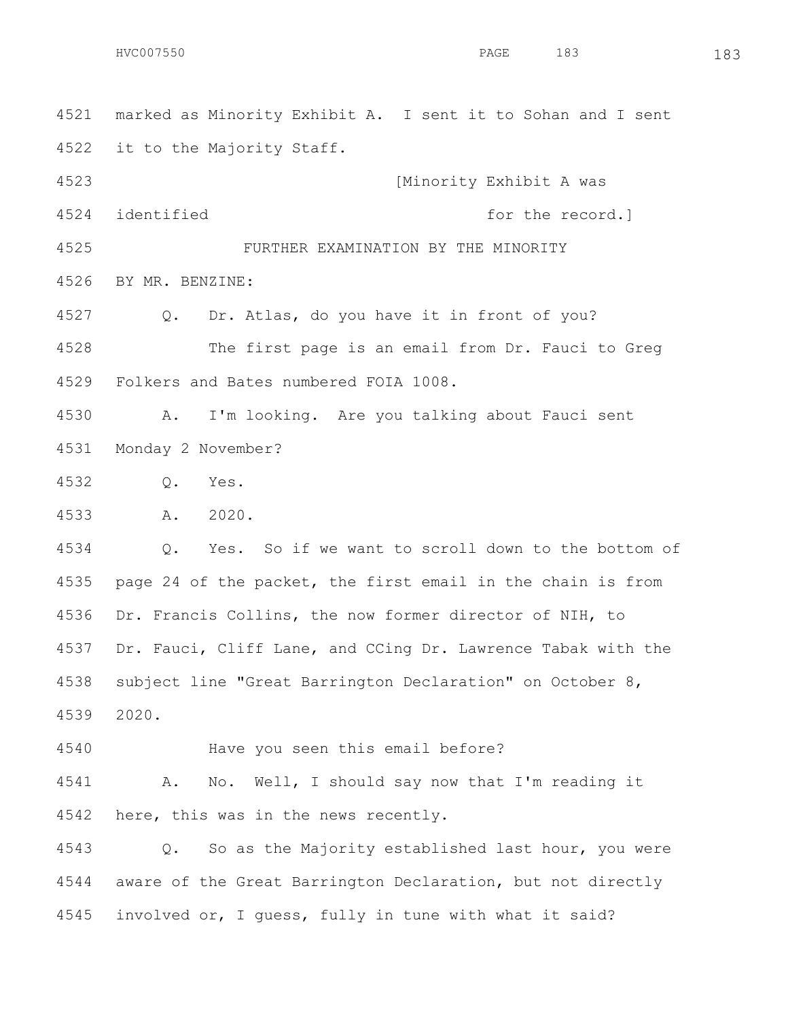marked as Minority Exhibit A. I sent it to Sohan and I sent it to the Majority Staff.

 [Minority Exhibit A was 4524 identified **for the record.** 

 FURTHER EXAMINATION BY THE MINORITY BY MR. BENZINE:

Q. Dr. Atlas, do you have it in front of you?

 The first page is an email from Dr. Fauci to Greg Folkers and Bates numbered FOIA 1008.

 A. I'm looking. Are you talking about Fauci sent Monday 2 November?

Q. Yes.

A. 2020.

 Q. Yes. So if we want to scroll down to the bottom of page 24 of the packet, the first email in the chain is from Dr. Francis Collins, the now former director of NIH, to Dr. Fauci, Cliff Lane, and CCing Dr. Lawrence Tabak with the subject line "Great Barrington Declaration" on October 8, 2020.

Have you seen this email before?

 A. No. Well, I should say now that I'm reading it here, this was in the news recently.

 Q. So as the Majority established last hour, you were aware of the Great Barrington Declaration, but not directly involved or, I guess, fully in tune with what it said?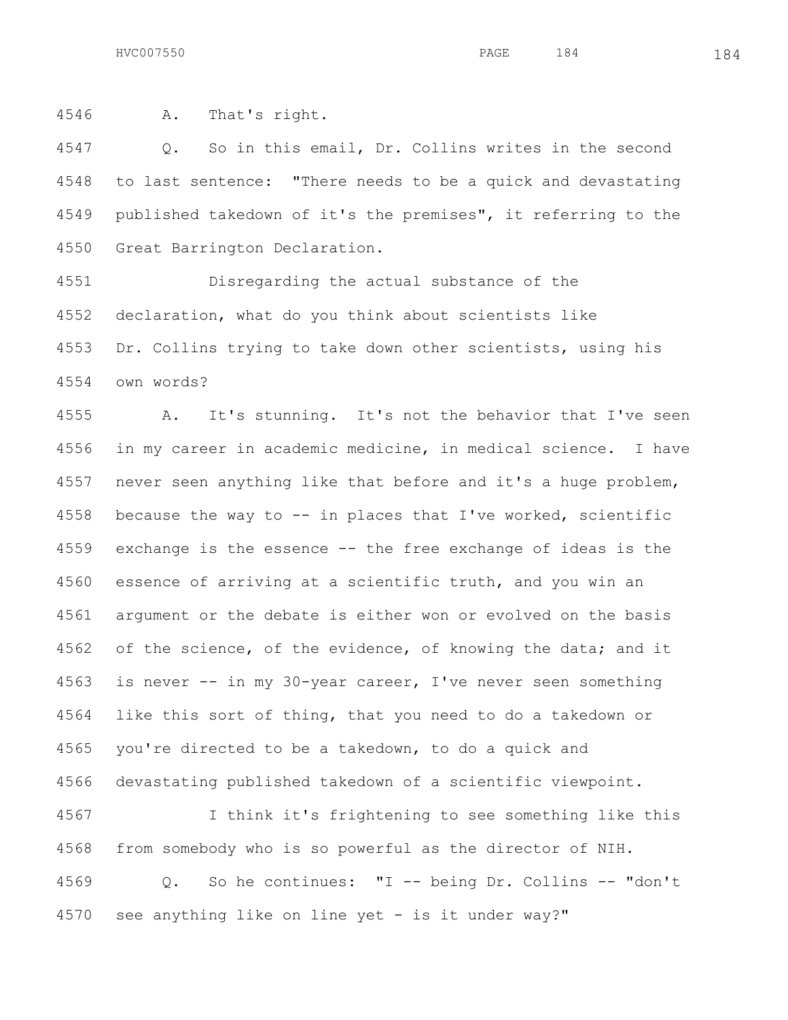A. That's right.

 Q. So in this email, Dr. Collins writes in the second to last sentence: "There needs to be a quick and devastating published takedown of it's the premises", it referring to the Great Barrington Declaration.

 Disregarding the actual substance of the declaration, what do you think about scientists like Dr. Collins trying to take down other scientists, using his own words?

 A. It's stunning. It's not the behavior that I've seen in my career in academic medicine, in medical science. I have never seen anything like that before and it's a huge problem, because the way to -- in places that I've worked, scientific exchange is the essence -- the free exchange of ideas is the essence of arriving at a scientific truth, and you win an argument or the debate is either won or evolved on the basis 4562 of the science, of the evidence, of knowing the data; and it is never -- in my 30-year career, I've never seen something like this sort of thing, that you need to do a takedown or you're directed to be a takedown, to do a quick and devastating published takedown of a scientific viewpoint.

 I think it's frightening to see something like this from somebody who is so powerful as the director of NIH. Q. So he continues: "I -- being Dr. Collins -- "don't see anything like on line yet - is it under way?"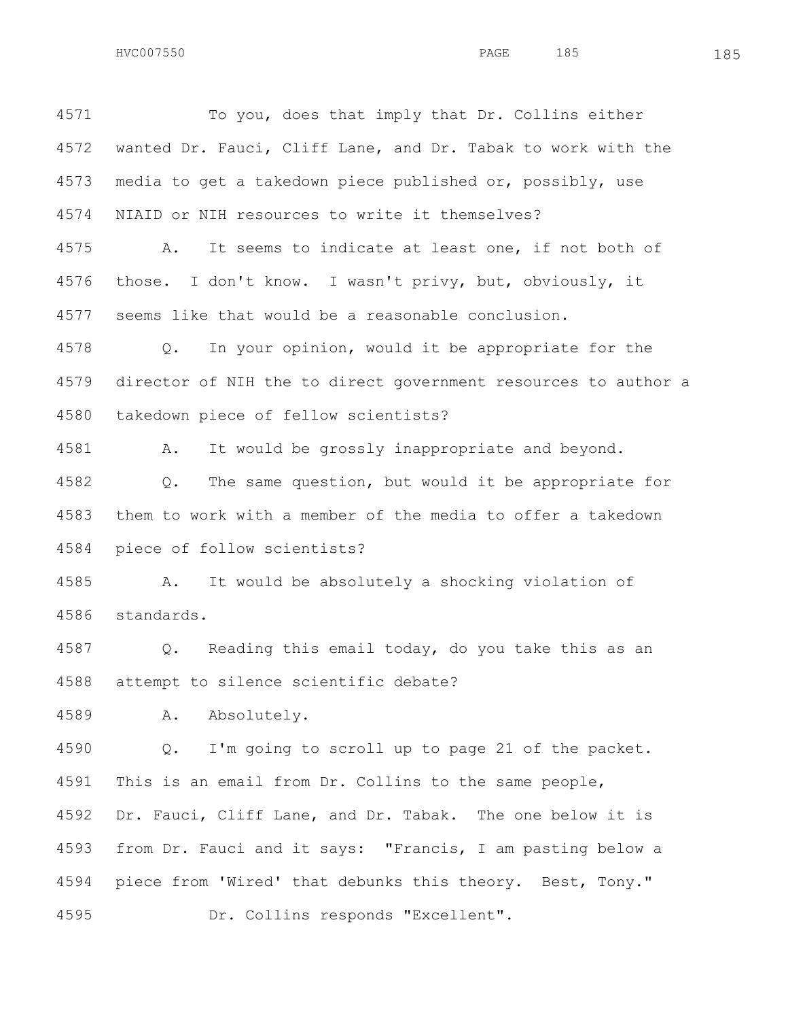To you, does that imply that Dr. Collins either wanted Dr. Fauci, Cliff Lane, and Dr. Tabak to work with the media to get a takedown piece published or, possibly, use NIAID or NIH resources to write it themselves? A. It seems to indicate at least one, if not both of those. I don't know. I wasn't privy, but, obviously, it seems like that would be a reasonable conclusion. Q. In your opinion, would it be appropriate for the director of NIH the to direct government resources to author a takedown piece of fellow scientists? A. It would be grossly inappropriate and beyond. Q. The same question, but would it be appropriate for them to work with a member of the media to offer a takedown piece of follow scientists? A. It would be absolutely a shocking violation of standards. Q. Reading this email today, do you take this as an attempt to silence scientific debate? A. Absolutely. Q. I'm going to scroll up to page 21 of the packet. This is an email from Dr. Collins to the same people, Dr. Fauci, Cliff Lane, and Dr. Tabak. The one below it is

 from Dr. Fauci and it says: "Francis, I am pasting below a piece from 'Wired' that debunks this theory. Best, Tony." Dr. Collins responds "Excellent".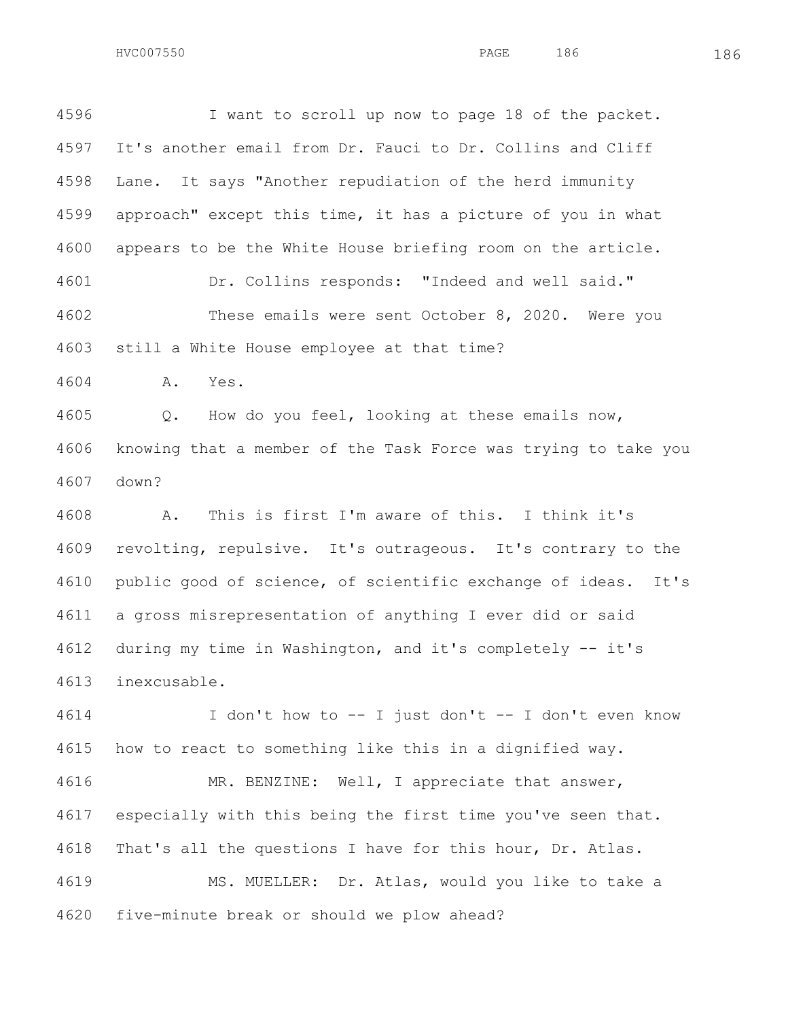I want to scroll up now to page 18 of the packet. It's another email from Dr. Fauci to Dr. Collins and Cliff Lane. It says "Another repudiation of the herd immunity approach" except this time, it has a picture of you in what appears to be the White House briefing room on the article. Dr. Collins responds: "Indeed and well said." These emails were sent October 8, 2020. Were you still a White House employee at that time?

A. Yes.

 Q. How do you feel, looking at these emails now, knowing that a member of the Task Force was trying to take you down?

 A. This is first I'm aware of this. I think it's revolting, repulsive. It's outrageous. It's contrary to the public good of science, of scientific exchange of ideas. It's a gross misrepresentation of anything I ever did or said during my time in Washington, and it's completely -- it's inexcusable.

 I don't how to -- I just don't -- I don't even know how to react to something like this in a dignified way.

 MR. BENZINE: Well, I appreciate that answer, especially with this being the first time you've seen that. That's all the questions I have for this hour, Dr. Atlas. MS. MUELLER: Dr. Atlas, would you like to take a five-minute break or should we plow ahead?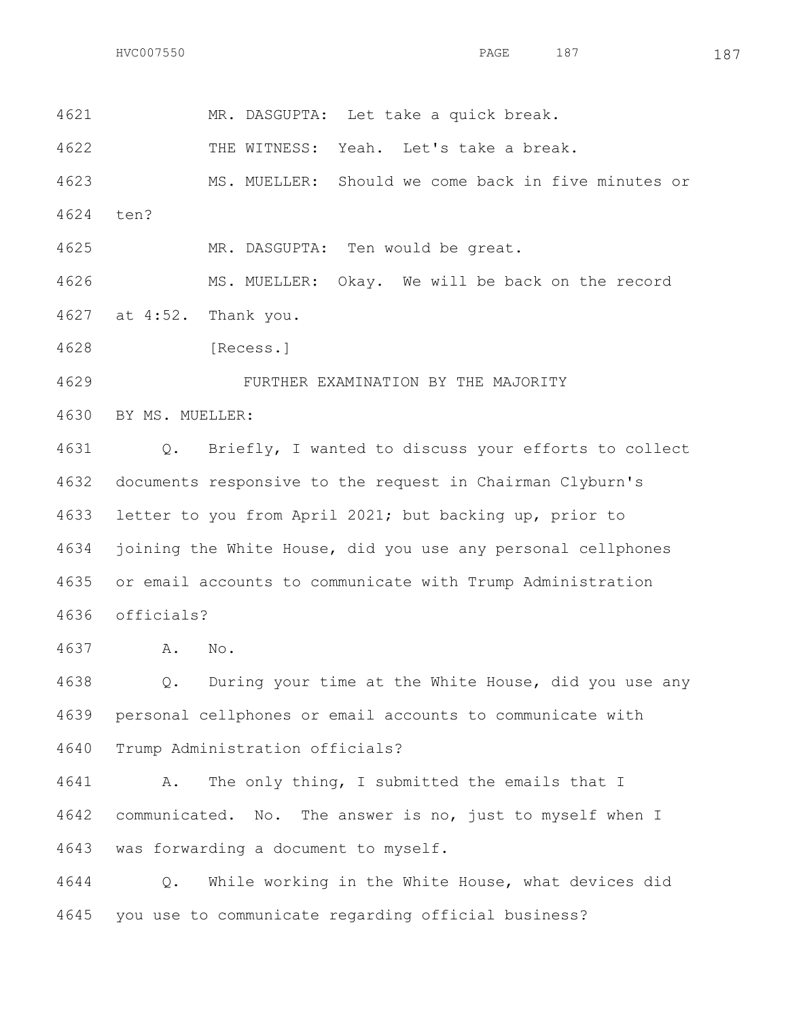MR. DASGUPTA: Let take a quick break.

THE WITNESS: Yeah. Let's take a break.

 MS. MUELLER: Should we come back in five minutes or ten?

MR. DASGUPTA: Ten would be great.

MS. MUELLER: Okay. We will be back on the record

at 4:52. Thank you.

[Recess.]

FURTHER EXAMINATION BY THE MAJORITY

BY MS. MUELLER:

 Q. Briefly, I wanted to discuss your efforts to collect documents responsive to the request in Chairman Clyburn's letter to you from April 2021; but backing up, prior to joining the White House, did you use any personal cellphones or email accounts to communicate with Trump Administration officials?

A. No.

 Q. During your time at the White House, did you use any personal cellphones or email accounts to communicate with Trump Administration officials?

 A. The only thing, I submitted the emails that I communicated. No. The answer is no, just to myself when I was forwarding a document to myself.

 Q. While working in the White House, what devices did you use to communicate regarding official business?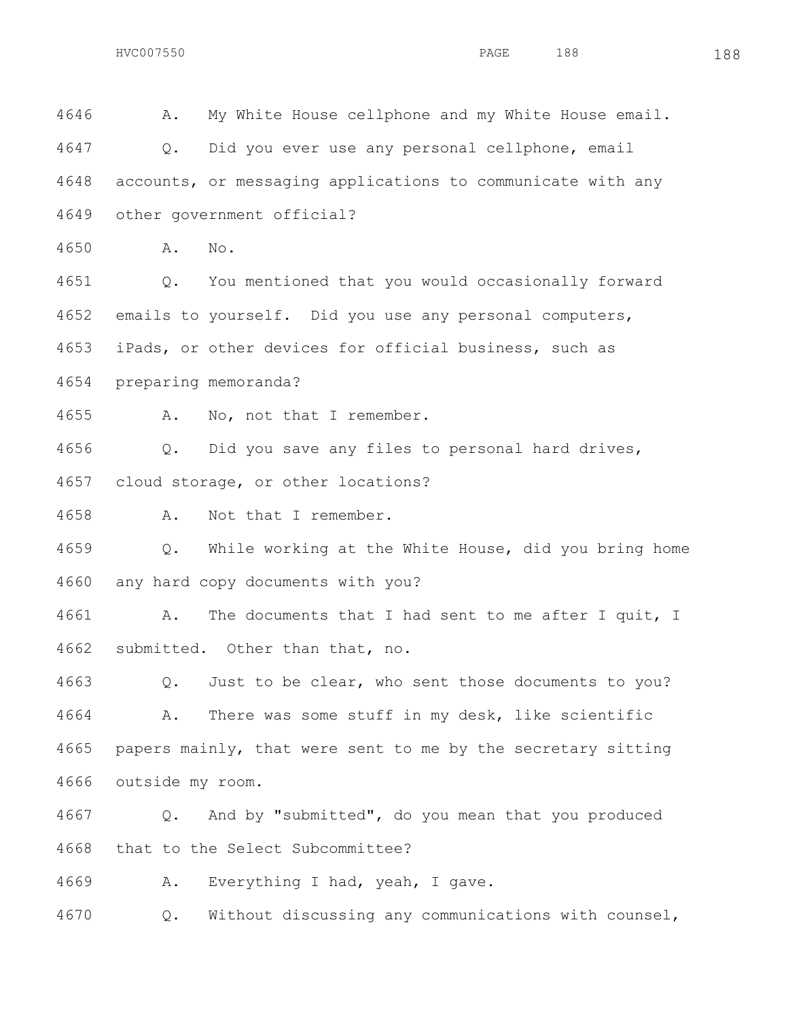A. My White House cellphone and my White House email. Q. Did you ever use any personal cellphone, email accounts, or messaging applications to communicate with any other government official? A. No.

 Q. You mentioned that you would occasionally forward emails to yourself. Did you use any personal computers, iPads, or other devices for official business, such as

preparing memoranda?

A. No, not that I remember.

 Q. Did you save any files to personal hard drives, cloud storage, or other locations?

A. Not that I remember.

 Q. While working at the White House, did you bring home any hard copy documents with you?

 A. The documents that I had sent to me after I quit, I submitted. Other than that, no.

 Q. Just to be clear, who sent those documents to you? A. There was some stuff in my desk, like scientific papers mainly, that were sent to me by the secretary sitting outside my room.

 Q. And by "submitted", do you mean that you produced that to the Select Subcommittee?

A. Everything I had, yeah, I gave.

Q. Without discussing any communications with counsel,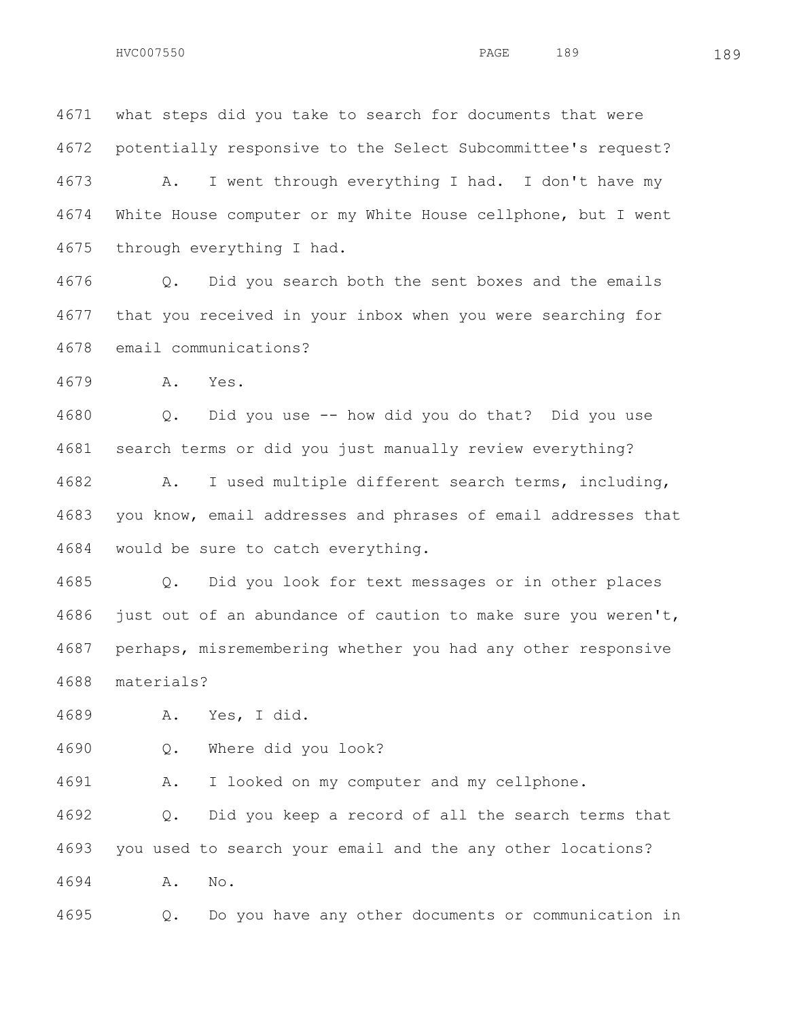what steps did you take to search for documents that were potentially responsive to the Select Subcommittee's request?

 A. I went through everything I had. I don't have my White House computer or my White House cellphone, but I went through everything I had.

 Q. Did you search both the sent boxes and the emails that you received in your inbox when you were searching for email communications?

A. Yes.

 Q. Did you use -- how did you do that? Did you use search terms or did you just manually review everything?

 A. I used multiple different search terms, including, you know, email addresses and phrases of email addresses that would be sure to catch everything.

 Q. Did you look for text messages or in other places just out of an abundance of caution to make sure you weren't, perhaps, misremembering whether you had any other responsive materials?

A. Yes, I did.

Q. Where did you look?

A. I looked on my computer and my cellphone.

 Q. Did you keep a record of all the search terms that you used to search your email and the any other locations? A. No.

Q. Do you have any other documents or communication in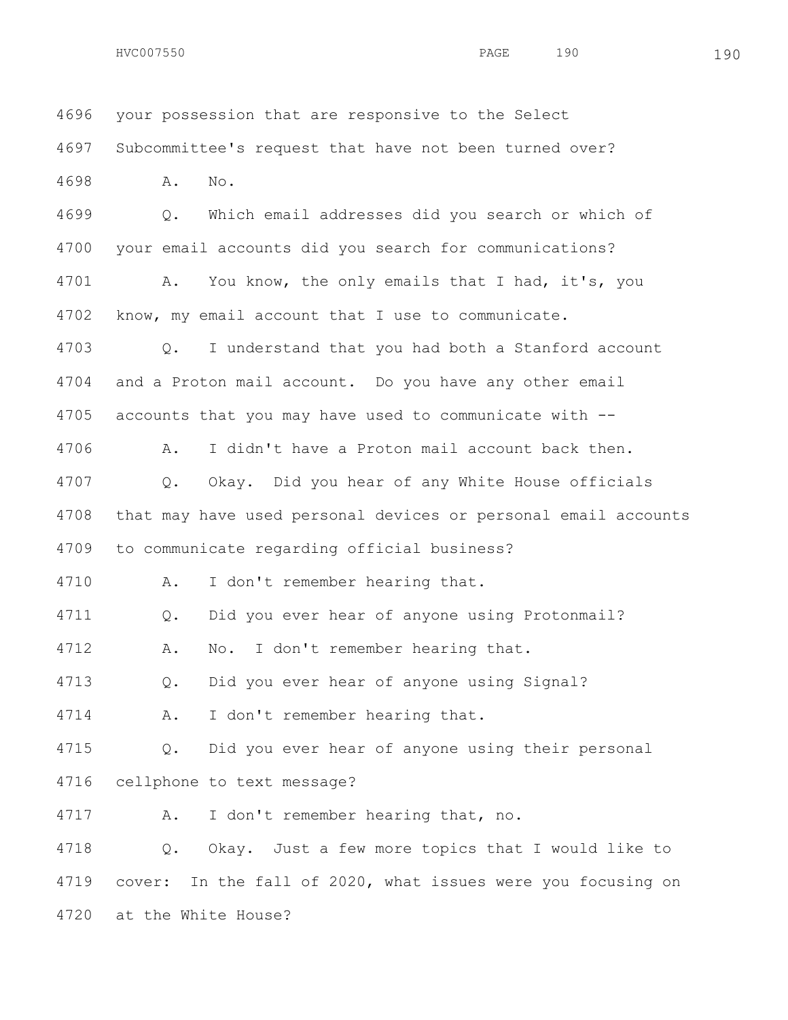your possession that are responsive to the Select Subcommittee's request that have not been turned over? A. No. Q. Which email addresses did you search or which of your email accounts did you search for communications? A. You know, the only emails that I had, it's, you know, my email account that I use to communicate. Q. I understand that you had both a Stanford account and a Proton mail account. Do you have any other email accounts that you may have used to communicate with -- A. I didn't have a Proton mail account back then. Q. Okay. Did you hear of any White House officials that may have used personal devices or personal email accounts to communicate regarding official business? A. I don't remember hearing that. Q. Did you ever hear of anyone using Protonmail? A. No. I don't remember hearing that. Q. Did you ever hear of anyone using Signal? A. I don't remember hearing that. Q. Did you ever hear of anyone using their personal cellphone to text message? A. I don't remember hearing that, no. Q. Okay. Just a few more topics that I would like to cover: In the fall of 2020, what issues were you focusing on at the White House?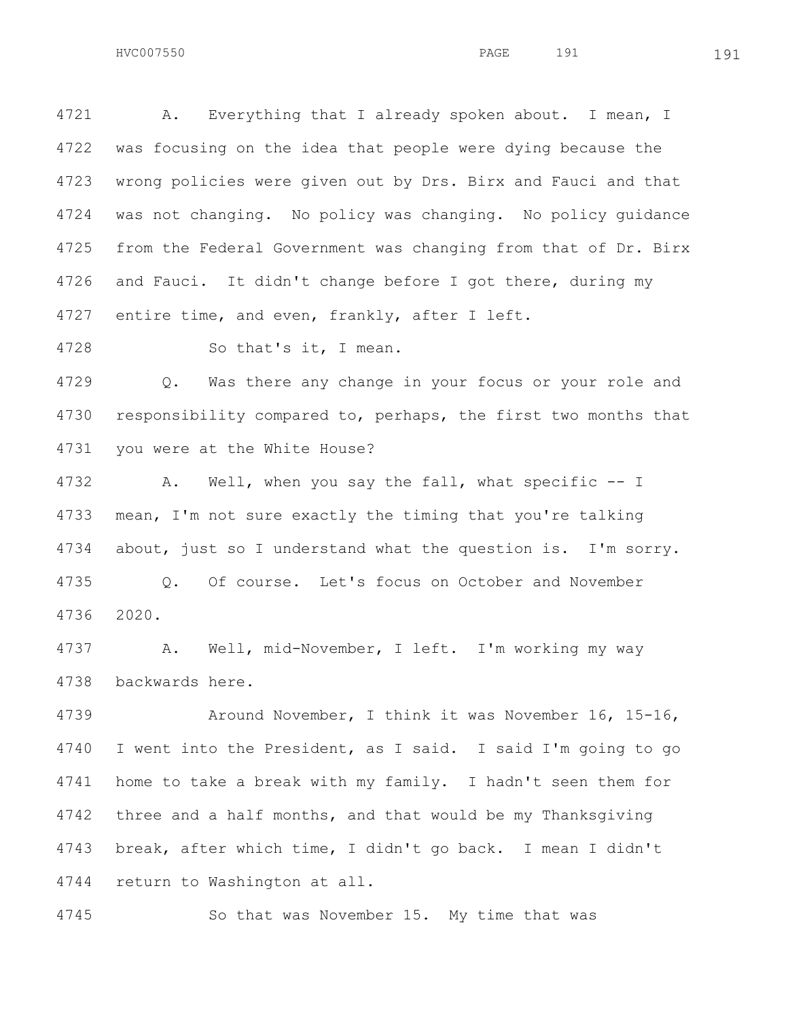A. Everything that I already spoken about. I mean, I was focusing on the idea that people were dying because the wrong policies were given out by Drs. Birx and Fauci and that was not changing. No policy was changing. No policy guidance from the Federal Government was changing from that of Dr. Birx and Fauci. It didn't change before I got there, during my 4727 entire time, and even, frankly, after I left.

So that's it, I mean.

 Q. Was there any change in your focus or your role and responsibility compared to, perhaps, the first two months that you were at the White House?

 A. Well, when you say the fall, what specific -- I mean, I'm not sure exactly the timing that you're talking about, just so I understand what the question is. I'm sorry. Q. Of course. Let's focus on October and November 2020.

 A. Well, mid-November, I left. I'm working my way backwards here.

 Around November, I think it was November 16, 15-16, I went into the President, as I said. I said I'm going to go home to take a break with my family. I hadn't seen them for three and a half months, and that would be my Thanksgiving break, after which time, I didn't go back. I mean I didn't return to Washington at all.

So that was November 15. My time that was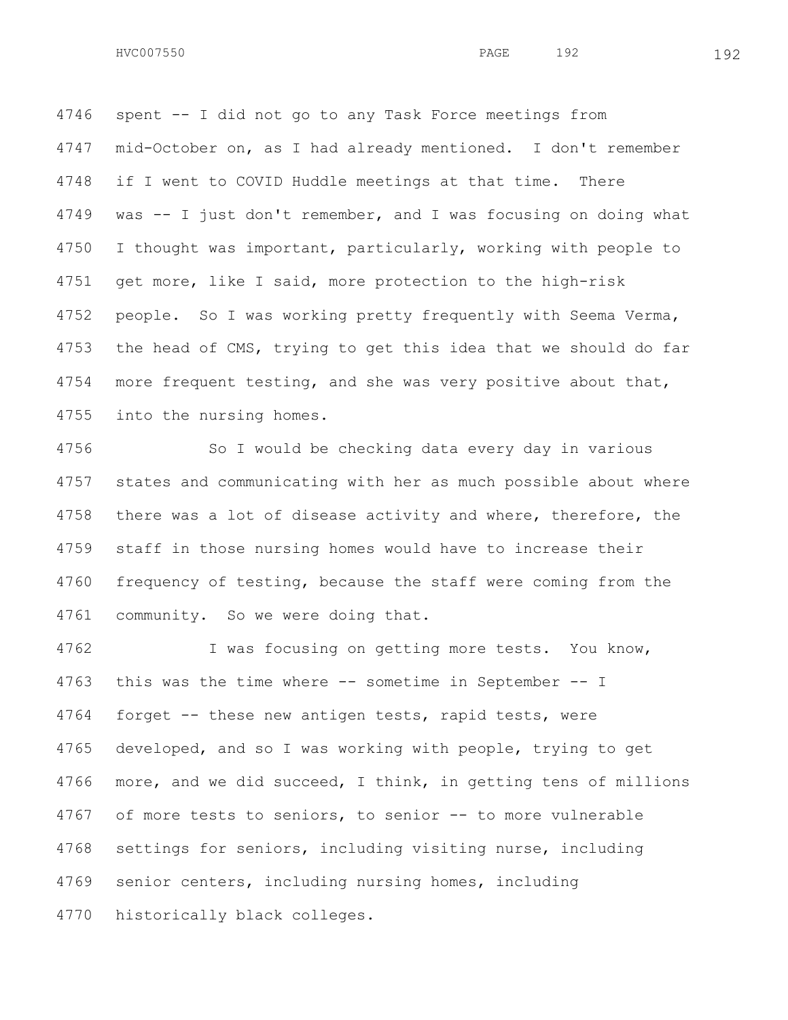spent -- I did not go to any Task Force meetings from mid-October on, as I had already mentioned. I don't remember if I went to COVID Huddle meetings at that time. There was -- I just don't remember, and I was focusing on doing what I thought was important, particularly, working with people to get more, like I said, more protection to the high-risk people. So I was working pretty frequently with Seema Verma, the head of CMS, trying to get this idea that we should do far 4754 more frequent testing, and she was very positive about that, into the nursing homes.

 So I would be checking data every day in various states and communicating with her as much possible about where 4758 there was a lot of disease activity and where, therefore, the staff in those nursing homes would have to increase their frequency of testing, because the staff were coming from the community. So we were doing that.

 I was focusing on getting more tests. You know, this was the time where -- sometime in September -- I forget -- these new antigen tests, rapid tests, were developed, and so I was working with people, trying to get more, and we did succeed, I think, in getting tens of millions of more tests to seniors, to senior -- to more vulnerable settings for seniors, including visiting nurse, including senior centers, including nursing homes, including historically black colleges.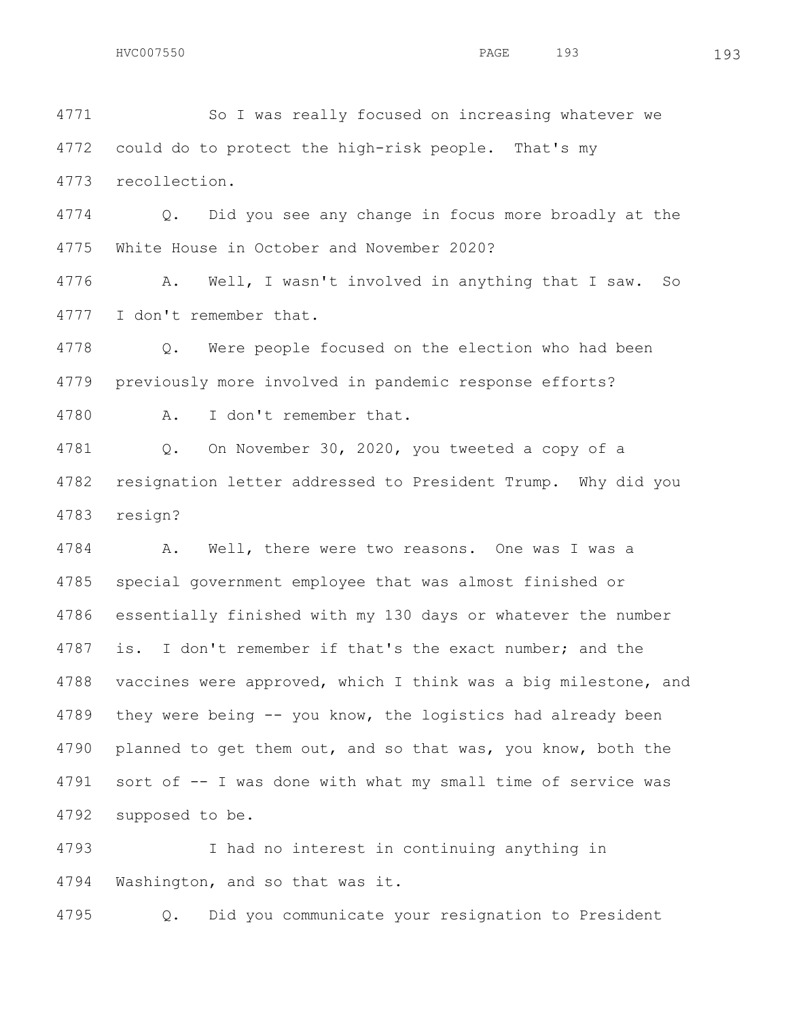So I was really focused on increasing whatever we could do to protect the high-risk people. That's my recollection.

 Q. Did you see any change in focus more broadly at the White House in October and November 2020?

 A. Well, I wasn't involved in anything that I saw. So I don't remember that.

 Q. Were people focused on the election who had been previously more involved in pandemic response efforts?

A. I don't remember that.

 Q. On November 30, 2020, you tweeted a copy of a resignation letter addressed to President Trump. Why did you resign?

 A. Well, there were two reasons. One was I was a special government employee that was almost finished or essentially finished with my 130 days or whatever the number is. I don't remember if that's the exact number; and the vaccines were approved, which I think was a big milestone, and they were being -- you know, the logistics had already been planned to get them out, and so that was, you know, both the sort of -- I was done with what my small time of service was supposed to be.

 I had no interest in continuing anything in Washington, and so that was it.

Q. Did you communicate your resignation to President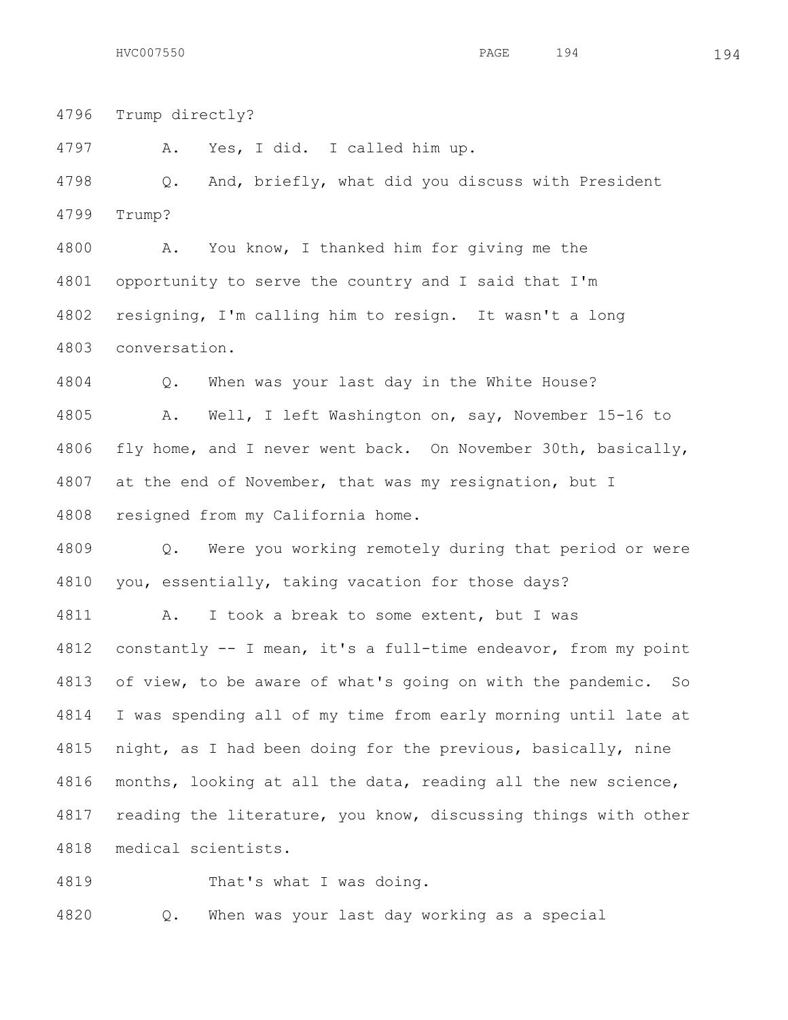Trump directly? A. Yes, I did. I called him up. Q. And, briefly, what did you discuss with President Trump? A. You know, I thanked him for giving me the opportunity to serve the country and I said that I'm resigning, I'm calling him to resign. It wasn't a long conversation. Q. When was your last day in the White House? A. Well, I left Washington on, say, November 15-16 to fly home, and I never went back. On November 30th, basically, at the end of November, that was my resignation, but I resigned from my California home. Q. Were you working remotely during that period or were you, essentially, taking vacation for those days? A. I took a break to some extent, but I was constantly -- I mean, it's a full-time endeavor, from my point

 of view, to be aware of what's going on with the pandemic. So I was spending all of my time from early morning until late at night, as I had been doing for the previous, basically, nine months, looking at all the data, reading all the new science, reading the literature, you know, discussing things with other medical scientists.

That's what I was doing.

Q. When was your last day working as a special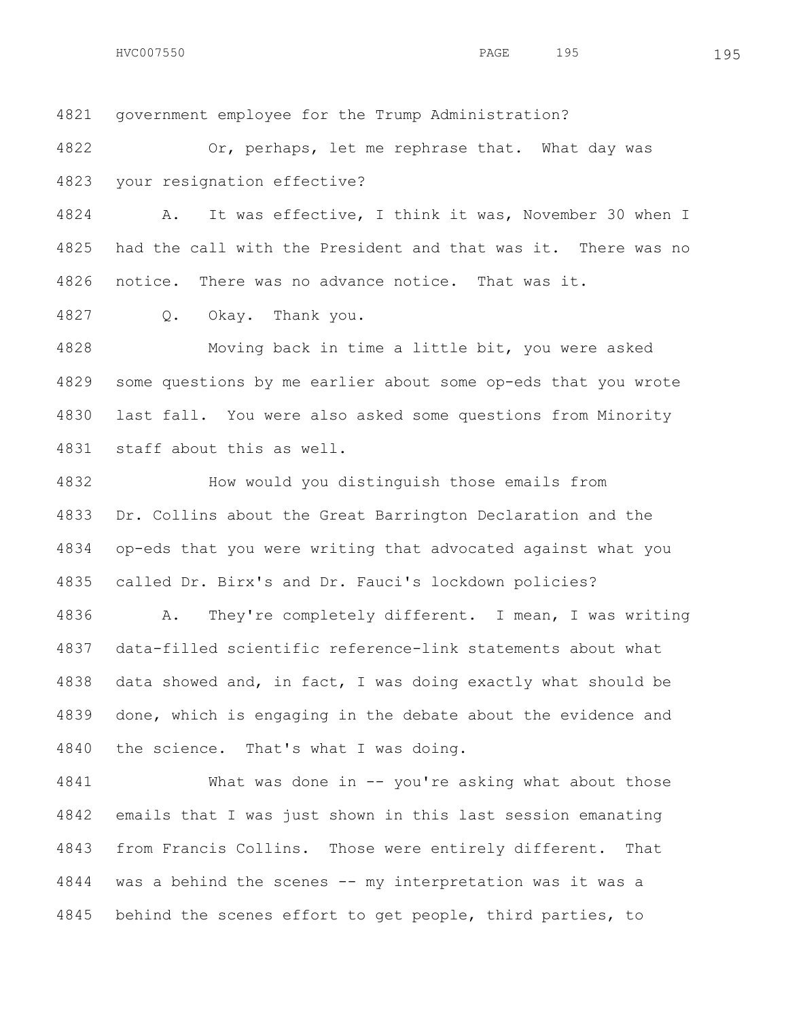government employee for the Trump Administration?

 Or, perhaps, let me rephrase that. What day was your resignation effective?

 A. It was effective, I think it was, November 30 when I had the call with the President and that was it. There was no notice. There was no advance notice. That was it.

Q. Okay. Thank you.

 Moving back in time a little bit, you were asked some questions by me earlier about some op-eds that you wrote last fall. You were also asked some questions from Minority staff about this as well.

 How would you distinguish those emails from Dr. Collins about the Great Barrington Declaration and the op-eds that you were writing that advocated against what you called Dr. Birx's and Dr. Fauci's lockdown policies?

 A. They're completely different. I mean, I was writing data-filled scientific reference-link statements about what data showed and, in fact, I was doing exactly what should be done, which is engaging in the debate about the evidence and the science. That's what I was doing.

 What was done in -- you're asking what about those emails that I was just shown in this last session emanating from Francis Collins. Those were entirely different. That was a behind the scenes -- my interpretation was it was a 4845 behind the scenes effort to get people, third parties, to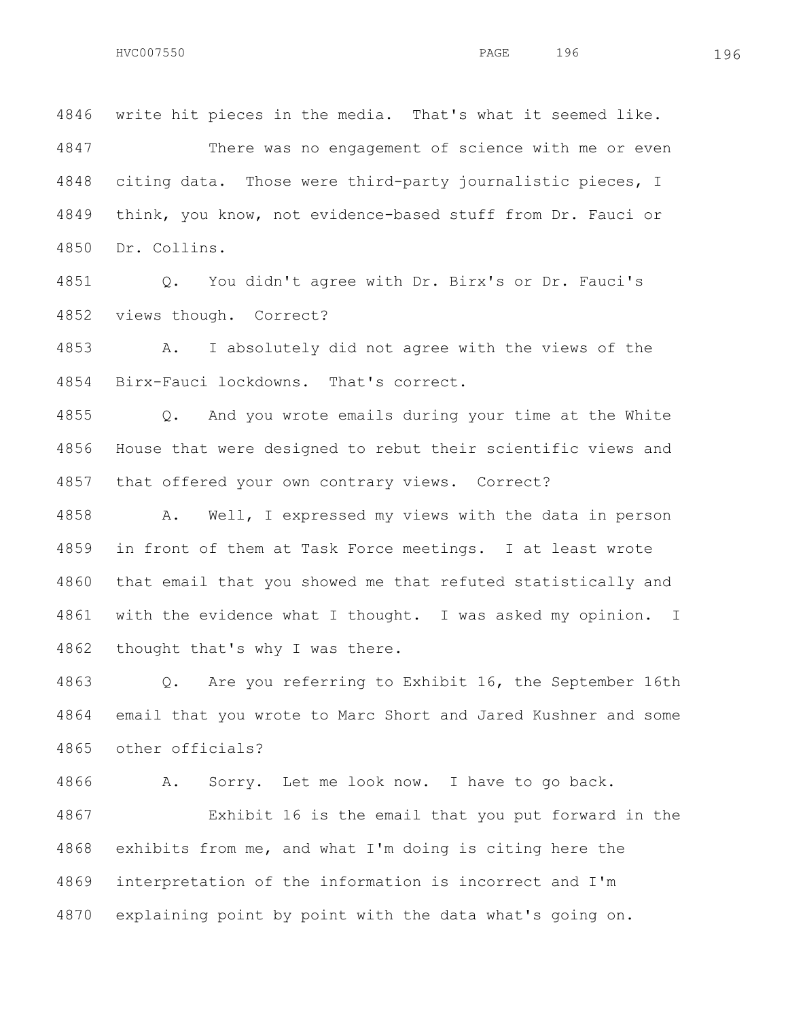write hit pieces in the media. That's what it seemed like. There was no engagement of science with me or even citing data. Those were third-party journalistic pieces, I think, you know, not evidence-based stuff from Dr. Fauci or Dr. Collins.

 Q. You didn't agree with Dr. Birx's or Dr. Fauci's views though. Correct?

 A. I absolutely did not agree with the views of the Birx-Fauci lockdowns. That's correct.

 Q. And you wrote emails during your time at the White House that were designed to rebut their scientific views and that offered your own contrary views. Correct?

 A. Well, I expressed my views with the data in person in front of them at Task Force meetings. I at least wrote that email that you showed me that refuted statistically and with the evidence what I thought. I was asked my opinion. I thought that's why I was there.

 Q. Are you referring to Exhibit 16, the September 16th email that you wrote to Marc Short and Jared Kushner and some other officials?

A. Sorry. Let me look now. I have to go back.

 Exhibit 16 is the email that you put forward in the exhibits from me, and what I'm doing is citing here the interpretation of the information is incorrect and I'm explaining point by point with the data what's going on.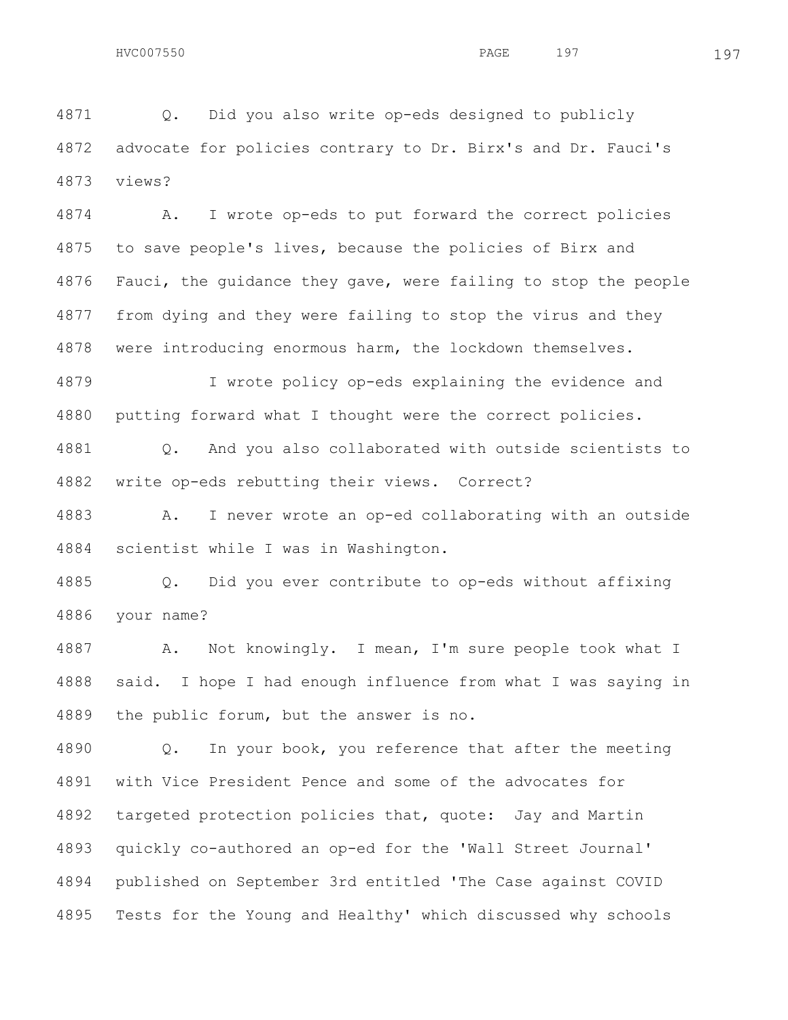Q. Did you also write op-eds designed to publicly advocate for policies contrary to Dr. Birx's and Dr. Fauci's views?

 A. I wrote op-eds to put forward the correct policies to save people's lives, because the policies of Birx and Fauci, the guidance they gave, were failing to stop the people from dying and they were failing to stop the virus and they were introducing enormous harm, the lockdown themselves.

 I wrote policy op-eds explaining the evidence and putting forward what I thought were the correct policies.

 Q. And you also collaborated with outside scientists to write op-eds rebutting their views. Correct?

 A. I never wrote an op-ed collaborating with an outside scientist while I was in Washington.

 Q. Did you ever contribute to op-eds without affixing your name?

 A. Not knowingly. I mean, I'm sure people took what I said. I hope I had enough influence from what I was saying in the public forum, but the answer is no.

 Q. In your book, you reference that after the meeting with Vice President Pence and some of the advocates for targeted protection policies that, quote: Jay and Martin quickly co-authored an op-ed for the 'Wall Street Journal' published on September 3rd entitled 'The Case against COVID Tests for the Young and Healthy' which discussed why schools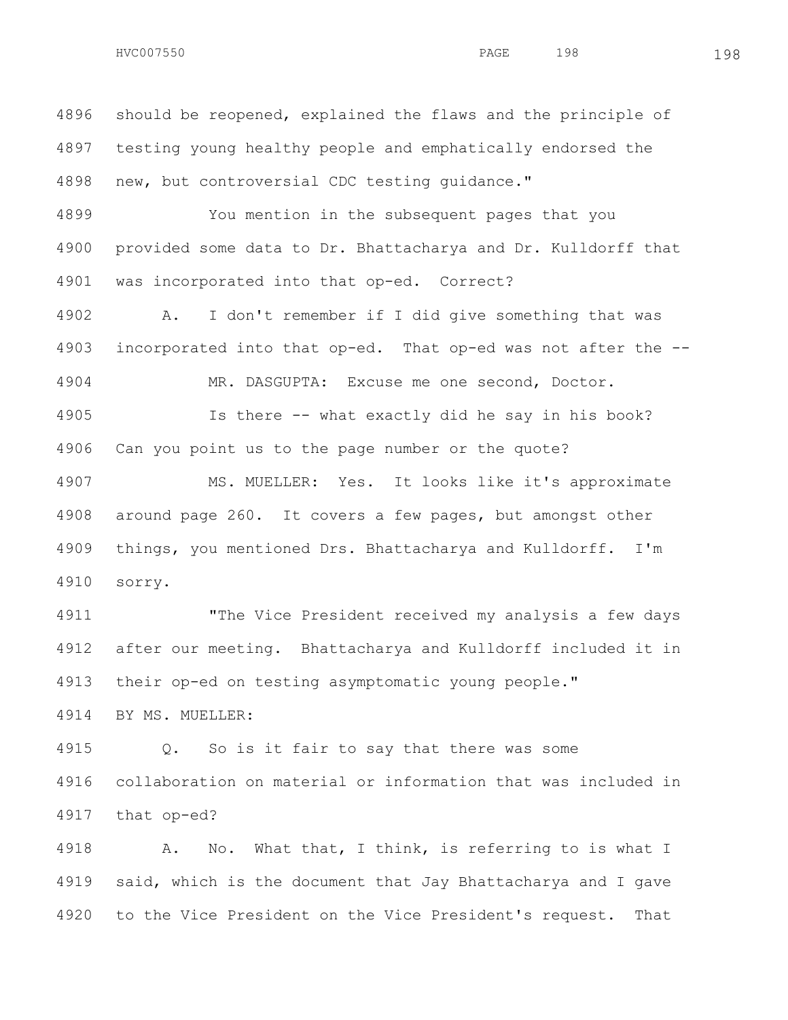should be reopened, explained the flaws and the principle of testing young healthy people and emphatically endorsed the new, but controversial CDC testing guidance."

 You mention in the subsequent pages that you provided some data to Dr. Bhattacharya and Dr. Kulldorff that was incorporated into that op-ed. Correct?

 A. I don't remember if I did give something that was incorporated into that op-ed. That op-ed was not after the -- MR. DASGUPTA: Excuse me one second, Doctor.

 Is there -- what exactly did he say in his book? Can you point us to the page number or the quote?

 MS. MUELLER: Yes. It looks like it's approximate around page 260. It covers a few pages, but amongst other things, you mentioned Drs. Bhattacharya and Kulldorff. I'm sorry.

 "The Vice President received my analysis a few days after our meeting. Bhattacharya and Kulldorff included it in their op-ed on testing asymptomatic young people."

BY MS. MUELLER:

 Q. So is it fair to say that there was some collaboration on material or information that was included in that op-ed?

 A. No. What that, I think, is referring to is what I said, which is the document that Jay Bhattacharya and I gave to the Vice President on the Vice President's request. That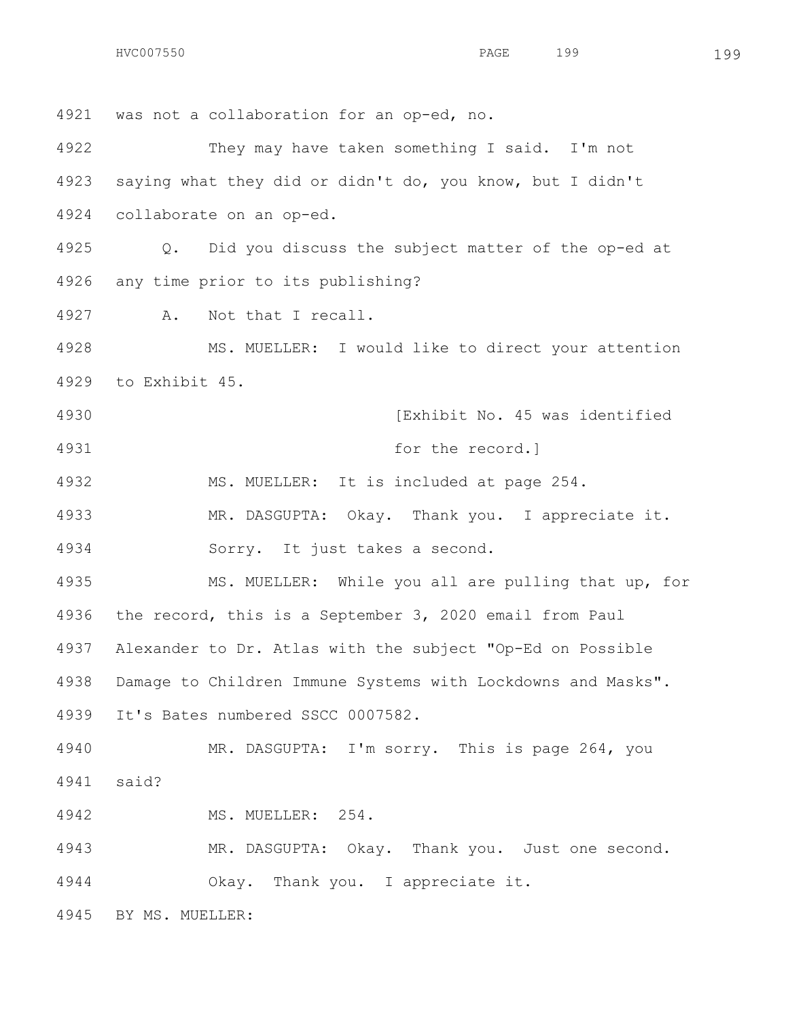HVC007550 PAGE 199 199

 was not a collaboration for an op-ed, no. They may have taken something I said. I'm not saying what they did or didn't do, you know, but I didn't collaborate on an op-ed. Q. Did you discuss the subject matter of the op-ed at any time prior to its publishing? A. Not that I recall. MS. MUELLER: I would like to direct your attention to Exhibit 45. **120 Internal Communist Communist** Factor (Exhibit No. 45 was identified for the record.] MS. MUELLER: It is included at page 254. MR. DASGUPTA: Okay. Thank you. I appreciate it. Sorry. It just takes a second. MS. MUELLER: While you all are pulling that up, for the record, this is a September 3, 2020 email from Paul Alexander to Dr. Atlas with the subject "Op-Ed on Possible Damage to Children Immune Systems with Lockdowns and Masks". It's Bates numbered SSCC 0007582. MR. DASGUPTA: I'm sorry. This is page 264, you said? MS. MUELLER: 254. MR. DASGUPTA: Okay. Thank you. Just one second. Okay. Thank you. I appreciate it. BY MS. MUELLER: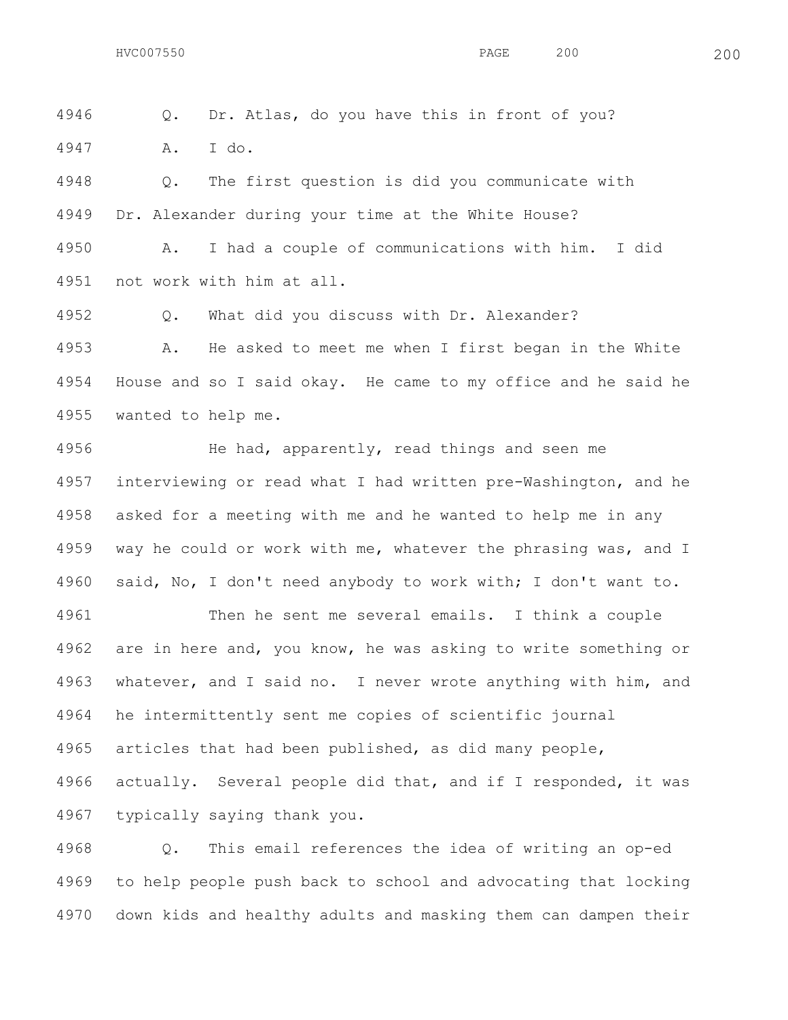Q. Dr. Atlas, do you have this in front of you?

A. I do.

 Q. The first question is did you communicate with Dr. Alexander during your time at the White House?

 A. I had a couple of communications with him. I did not work with him at all.

Q. What did you discuss with Dr. Alexander?

 A. He asked to meet me when I first began in the White House and so I said okay. He came to my office and he said he wanted to help me.

 He had, apparently, read things and seen me interviewing or read what I had written pre-Washington, and he asked for a meeting with me and he wanted to help me in any 4959 way he could or work with me, whatever the phrasing was, and I said, No, I don't need anybody to work with; I don't want to.

 Then he sent me several emails. I think a couple are in here and, you know, he was asking to write something or whatever, and I said no. I never wrote anything with him, and he intermittently sent me copies of scientific journal articles that had been published, as did many people, actually. Several people did that, and if I responded, it was typically saying thank you.

 Q. This email references the idea of writing an op-ed to help people push back to school and advocating that locking down kids and healthy adults and masking them can dampen their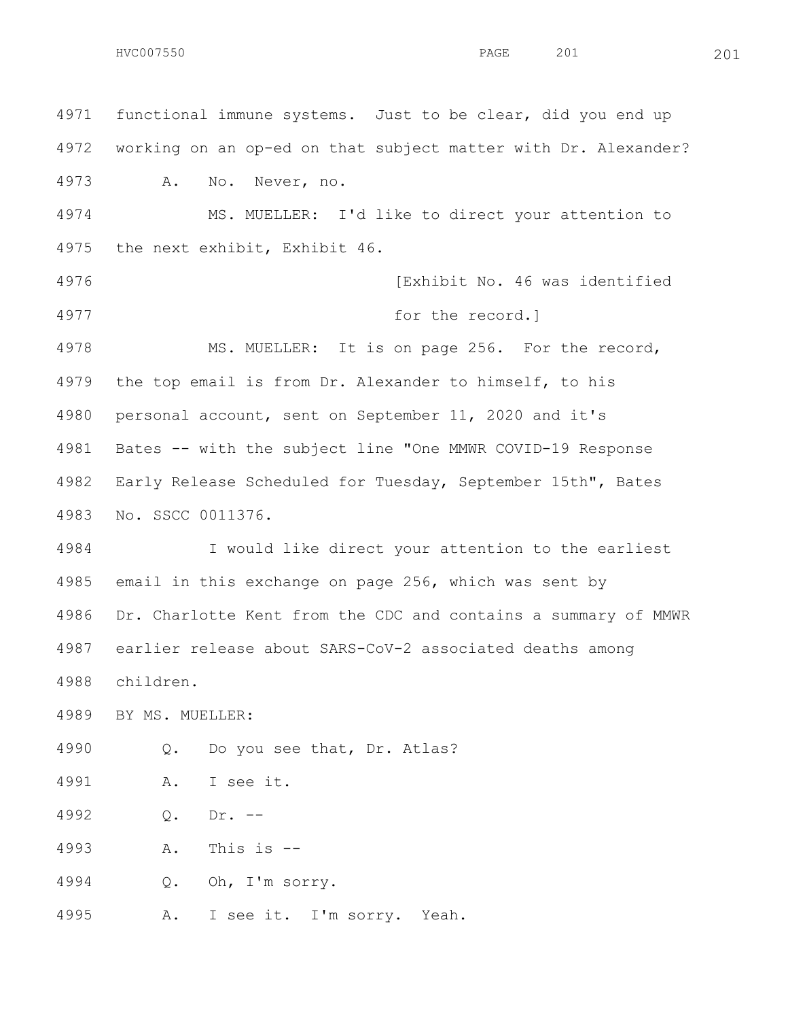HVC007550 PAGE 201 201

 functional immune systems. Just to be clear, did you end up working on an op-ed on that subject matter with Dr. Alexander? A. No. Never, no. MS. MUELLER: I'd like to direct your attention to the next exhibit, Exhibit 46. [Exhibit No. 46 was identified for the record.] MS. MUELLER: It is on page 256. For the record, the top email is from Dr. Alexander to himself, to his personal account, sent on September 11, 2020 and it's Bates -- with the subject line "One MMWR COVID-19 Response Early Release Scheduled for Tuesday, September 15th", Bates No. SSCC 0011376. I would like direct your attention to the earliest email in this exchange on page 256, which was sent by Dr. Charlotte Kent from the CDC and contains a summary of MMWR earlier release about SARS-CoV-2 associated deaths among children. BY MS. MUELLER: Q. Do you see that, Dr. Atlas? A. I see it. Q. Dr. -- A. This is -- Q. Oh, I'm sorry. A. I see it. I'm sorry. Yeah.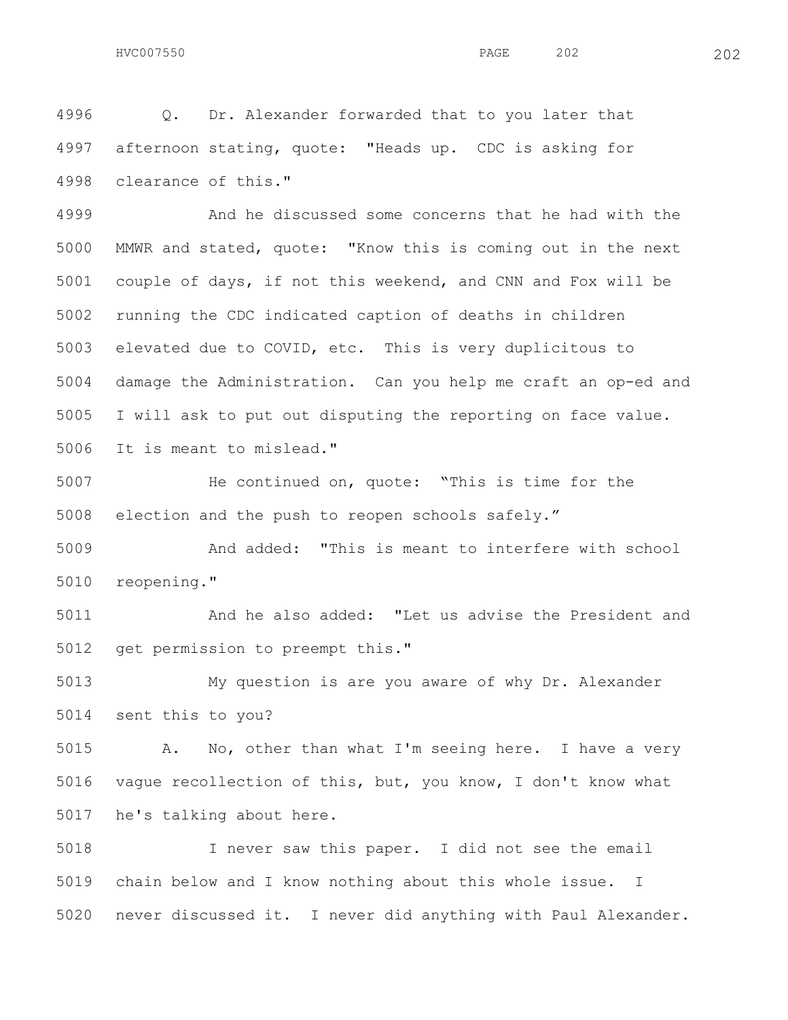Q. Dr. Alexander forwarded that to you later that afternoon stating, quote: "Heads up. CDC is asking for clearance of this."

 And he discussed some concerns that he had with the MMWR and stated, quote: "Know this is coming out in the next couple of days, if not this weekend, and CNN and Fox will be running the CDC indicated caption of deaths in children elevated due to COVID, etc. This is very duplicitous to damage the Administration. Can you help me craft an op-ed and I will ask to put out disputing the reporting on face value. It is meant to mislead."

 He continued on, quote: "This is time for the election and the push to reopen schools safely."

 And added: "This is meant to interfere with school reopening."

 And he also added: "Let us advise the President and get permission to preempt this."

 My question is are you aware of why Dr. Alexander sent this to you?

 A. No, other than what I'm seeing here. I have a very vague recollection of this, but, you know, I don't know what he's talking about here.

 I never saw this paper. I did not see the email chain below and I know nothing about this whole issue. I never discussed it. I never did anything with Paul Alexander.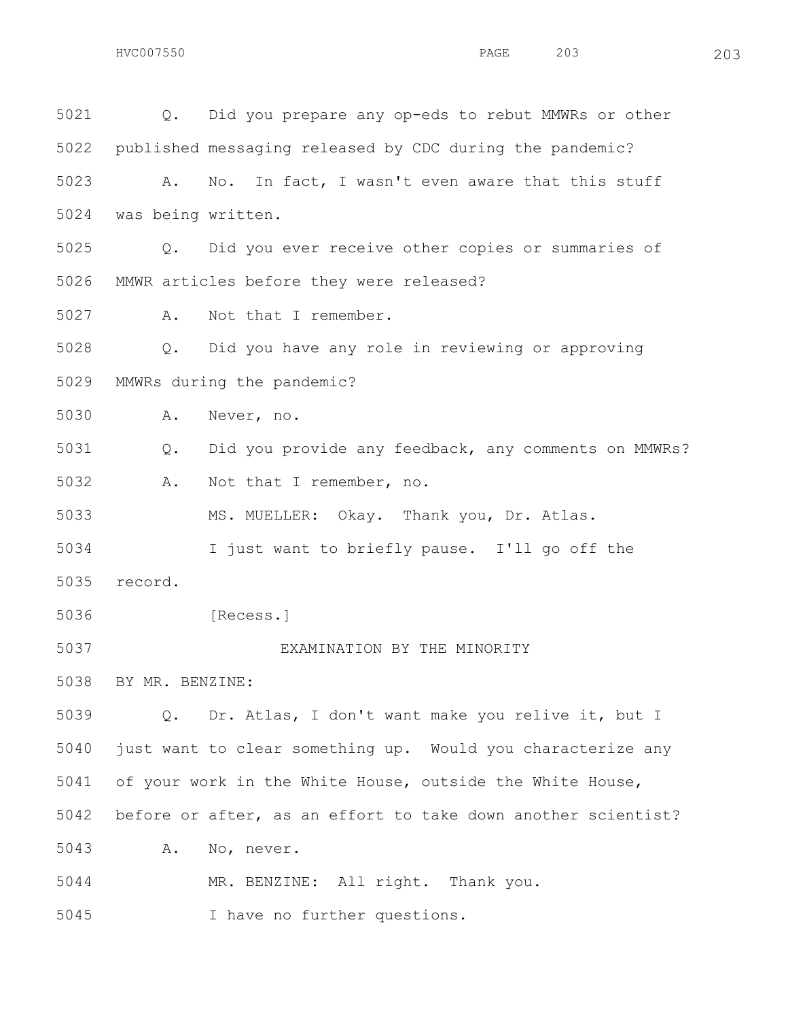Q. Did you prepare any op-eds to rebut MMWRs or other published messaging released by CDC during the pandemic? A. No. In fact, I wasn't even aware that this stuff was being written. Q. Did you ever receive other copies or summaries of MMWR articles before they were released? A. Not that I remember. Q. Did you have any role in reviewing or approving MMWRs during the pandemic? A. Never, no. Q. Did you provide any feedback, any comments on MMWRs? A. Not that I remember, no. MS. MUELLER: Okay. Thank you, Dr. Atlas. I just want to briefly pause. I'll go off the record. [Recess.] EXAMINATION BY THE MINORITY BY MR. BENZINE: Q. Dr. Atlas, I don't want make you relive it, but I just want to clear something up. Would you characterize any of your work in the White House, outside the White House, before or after, as an effort to take down another scientist? A. No, never. MR. BENZINE: All right. Thank you.

I have no further questions.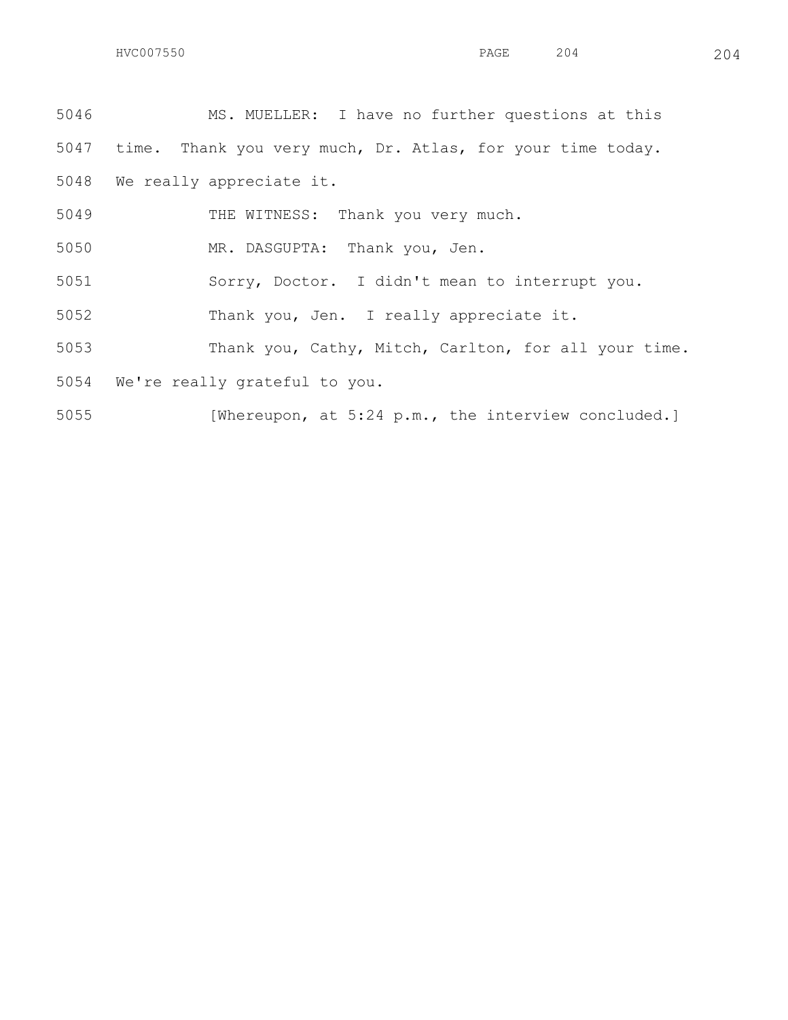MS. MUELLER: I have no further questions at this time. Thank you very much, Dr. Atlas, for your time today. We really appreciate it.

THE WITNESS: Thank you very much.

MR. DASGUPTA: Thank you, Jen.

Sorry, Doctor. I didn't mean to interrupt you.

Thank you, Jen. I really appreciate it.

Thank you, Cathy, Mitch, Carlton, for all your time.

We're really grateful to you.

[Whereupon, at 5:24 p.m., the interview concluded.]